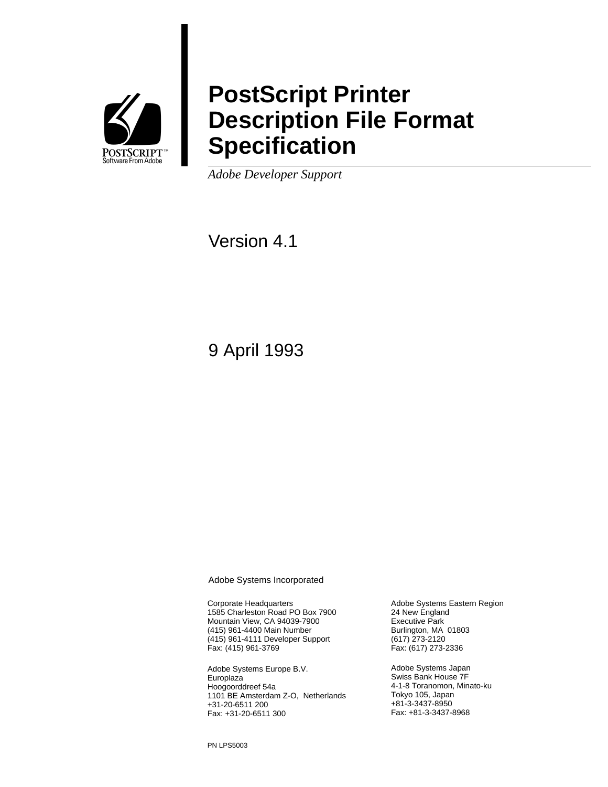

# **PostScript Printer Description File Format Specification**

*Adobe Developer Support*

Version 4.1

## 9 April 1993

Adobe Systems Incorporated

Corporate Headquarters 1585 Charleston Road PO Box 7900 Mountain View, CA 94039-7900 (415) 961-4400 Main Number (415) 961-4111 Developer Support Fax: (415) 961-3769

Adobe Systems Europe B.V. **Europlaza** Hoogoorddreef 54a 1101 BE Amsterdam Z-O, Netherlands +31-20-6511 200 Fax: +31-20-6511 300

Adobe Systems Eastern Region 24 New England Executive Park Burlington, MA 01803 (617) 273-2120 Fax: (617) 273-2336

Adobe Systems Japan Swiss Bank House 7F 4-1-8 Toranomon, Minato-ku Tokyo 105, Japan +81-3-3437-8950 Fax: +81-3-3437-8968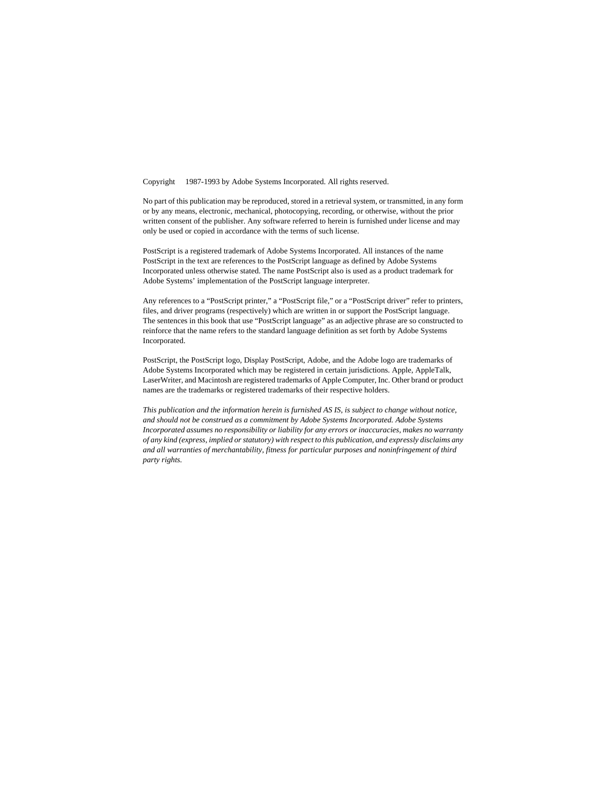Copyright © 1987-1993 by Adobe Systems Incorporated. All rights reserved.

No part of this publication may be reproduced, stored in a retrieval system, or transmitted, in any form or by any means, electronic, mechanical, photocopying, recording, or otherwise, without the prior written consent of the publisher. Any software referred to herein is furnished under license and may only be used or copied in accordance with the terms of such license.

PostScript is a registered trademark of Adobe Systems Incorporated. All instances of the name PostScript in the text are references to the PostScript language as defined by Adobe Systems Incorporated unless otherwise stated. The name PostScript also is used as a product trademark for Adobe Systems' implementation of the PostScript language interpreter.

Any references to a "PostScript printer," a "PostScript file," or a "PostScript driver" refer to printers, files, and driver programs (respectively) which are written in or support the PostScript language. The sentences in this book that use "PostScript language" as an adjective phrase are so constructed to reinforce that the name refers to the standard language definition as set forth by Adobe Systems Incorporated.

PostScript, the PostScript logo, Display PostScript, Adobe, and the Adobe logo are trademarks of Adobe Systems Incorporated which may be registered in certain jurisdictions. Apple, AppleTalk, LaserWriter, and Macintosh are registered trademarks of Apple Computer, Inc. Other brand or product names are the trademarks or registered trademarks of their respective holders.

*This publication and the information herein is furnished AS IS, is subject to change without notice, and should not be construed as a commitment by Adobe Systems Incorporated. Adobe Systems Incorporated assumes no responsibility or liability for any errors or inaccuracies, makes no warranty of any kind (express, implied or statutory) with respect to this publication, and expressly disclaims any and all warranties of merchantability, fitness for particular purposes and noninfringement of third party rights.*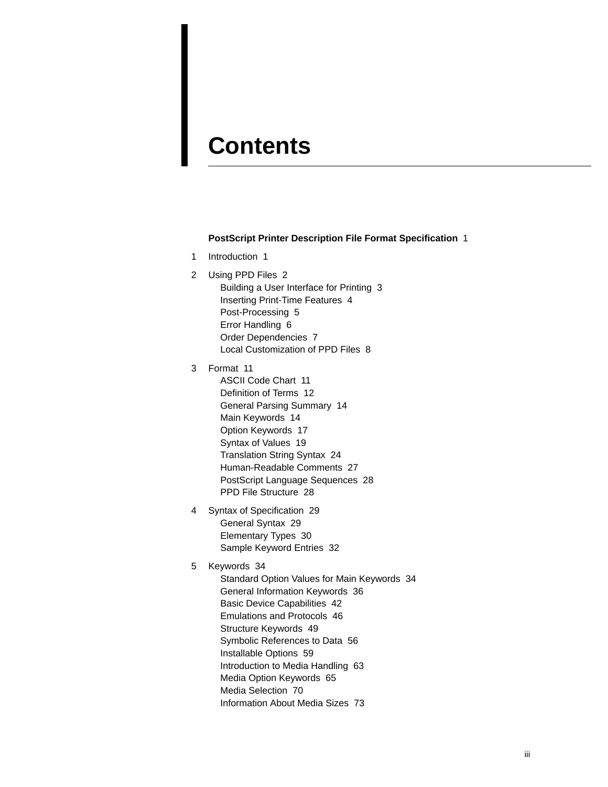## **Contents**

#### **PostScript Printer Description File Format Specification** 1

- 1 Introduction 1
- 2 Using PPD Files 2 Building a User Interface for Printing 3 Inserting Print-Time Features 4 Post-Processing 5 Error Handling 6 Order Dependencies 7 Local Customization of PPD Files 8
- 3 Format 11

ASCII Code Chart 11 Definition of Terms 12 General Parsing Summary 14 Main Keywords 14 Option Keywords 17 Syntax of Values 19 Translation String Syntax 24 Human-Readable Comments 27 PostScript Language Sequences 28 PPD File Structure 28

- 4 Syntax of Specification 29 General Syntax 29 Elementary Types 30 Sample Keyword Entries 32
- 5 Keywords 34

Standard Option Values for Main Keywords 34 General Information Keywords 36 Basic Device Capabilities 42 Emulations and Protocols 46 Structure Keywords 49 Symbolic References to Data 56 Installable Options 59 Introduction to Media Handling 63 Media Option Keywords 65 Media Selection 70 Information About Media Sizes 73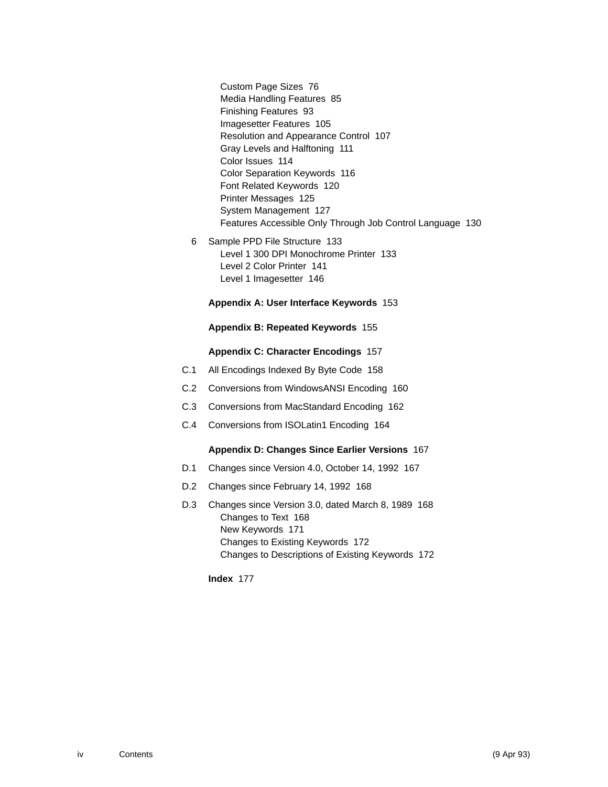Custom Page Sizes 76 Media Handling Features 85 Finishing Features 93 Imagesetter Features 105 Resolution and Appearance Control 107 Gray Levels and Halftoning 111 Color Issues 114 Color Separation Keywords 116 Font Related Keywords 120 Printer Messages 125 System Management 127 Features Accessible Only Through Job Control Language 130

6 Sample PPD File Structure 133 Level 1 300 DPI Monochrome Printer 133 Level 2 Color Printer 141 Level 1 Imagesetter 146

#### **Appendix A: User Interface Keywords** 153

#### **Appendix B: Repeated Keywords** 155

#### **Appendix C: Character Encodings** 157

- C.1 All Encodings Indexed By Byte Code 158
- C.2 Conversions from WindowsANSI Encoding 160
- C.3 Conversions from MacStandard Encoding 162
- C.4 Conversions from ISOLatin1 Encoding 164

#### **Appendix D: Changes Since Earlier Versions** 167

- D.1 Changes since Version 4.0, October 14, 1992 167
- D.2 Changes since February 14, 1992 168
- D.3 Changes since Version 3.0, dated March 8, 1989 168 Changes to Text 168 New Keywords 171 Changes to Existing Keywords 172 Changes to Descriptions of Existing Keywords 172
	- **Index** 177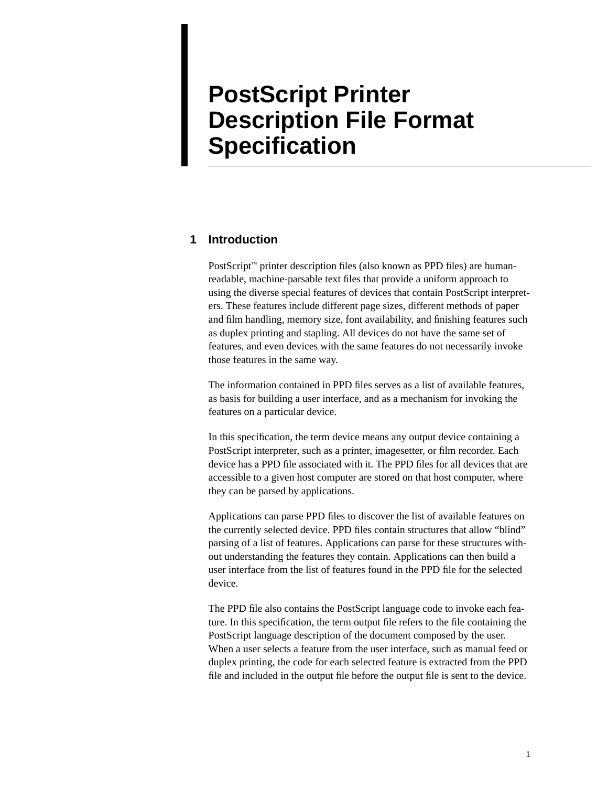# **PostScript Printer Description File Format Specification**

## **1 Introduction**

PostScript<sup>™</sup> printer description files (also known as PPD files) are humanreadable, machine-parsable text files that provide a uniform approach to using the diverse special features of devices that contain PostScript interpreters. These features include different page sizes, different methods of paper and film handling, memory size, font availability, and finishing features such as duplex printing and stapling. All devices do not have the same set of features, and even devices with the same features do not necessarily invoke those features in the same way.

The information contained in PPD files serves as a list of available features, as basis for building a user interface, and as a mechanism for invoking the features on a particular device.

In this specification, the term device means any output device containing a PostScript interpreter, such as a printer, imagesetter, or film recorder. Each device has a PPD file associated with it. The PPD files for all devices that are accessible to a given host computer are stored on that host computer, where they can be parsed by applications.

Applications can parse PPD files to discover the list of available features on the currently selected device. PPD files contain structures that allow "blind" parsing of a list of features. Applications can parse for these structures without understanding the features they contain. Applications can then build a user interface from the list of features found in the PPD file for the selected device.

The PPD file also contains the PostScript language code to invoke each feature. In this specification, the term output file refers to the file containing the PostScript language description of the document composed by the user. When a user selects a feature from the user interface, such as manual feed or duplex printing, the code for each selected feature is extracted from the PPD file and included in the output file before the output file is sent to the device.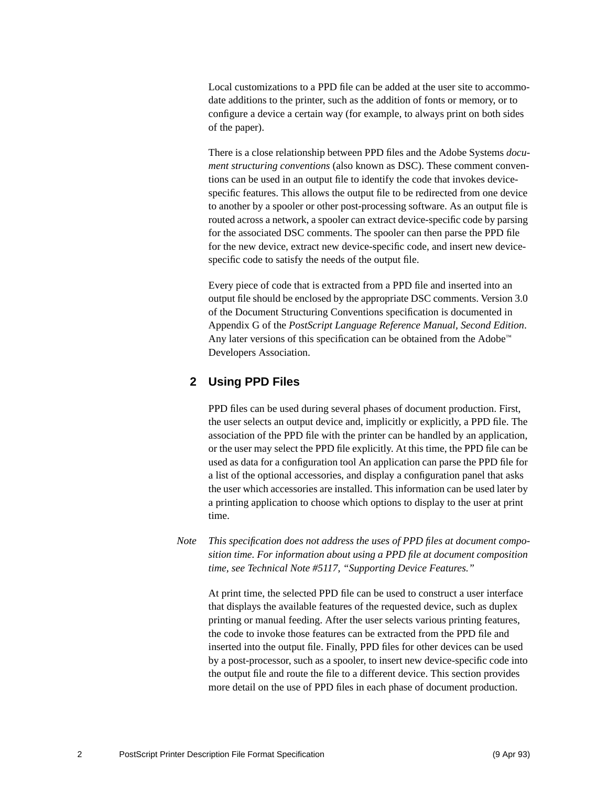Local customizations to a PPD file can be added at the user site to accommodate additions to the printer, such as the addition of fonts or memory, or to configure a device a certain way (for example, to always print on both sides of the paper).

There is a close relationship between PPD files and the Adobe Systems *document structuring conventions* (also known as DSC). These comment conventions can be used in an output file to identify the code that invokes devicespecific features. This allows the output file to be redirected from one device to another by a spooler or other post-processing software. As an output file is routed across a network, a spooler can extract device-specific code by parsing for the associated DSC comments. The spooler can then parse the PPD file for the new device, extract new device-specific code, and insert new devicespecific code to satisfy the needs of the output file.

Every piece of code that is extracted from a PPD file and inserted into an output file should be enclosed by the appropriate DSC comments. Version 3.0 of the Document Structuring Conventions specification is documented in Appendix G of the *PostScript Language Reference Manual, Second Edition*. Any later versions of this specification can be obtained from the Adobe<sup>™</sup> Developers Association.

## **2 Using PPD Files**

PPD files can be used during several phases of document production. First, the user selects an output device and, implicitly or explicitly, a PPD file. The association of the PPD file with the printer can be handled by an application, or the user may select the PPD file explicitly. At this time, the PPD file can be used as data for a configuration tool An application can parse the PPD file for a list of the optional accessories, and display a configuration panel that asks the user which accessories are installed. This information can be used later by a printing application to choose which options to display to the user at print time.

*Note This specification does not address the uses of PPD files at document composition time. For information about using a PPD file at document composition time, see Technical Note #5117, "Supporting Device Features."*

At print time, the selected PPD file can be used to construct a user interface that displays the available features of the requested device, such as duplex printing or manual feeding. After the user selects various printing features, the code to invoke those features can be extracted from the PPD file and inserted into the output file. Finally, PPD files for other devices can be used by a post-processor, such as a spooler, to insert new device-specific code into the output file and route the file to a different device. This section provides more detail on the use of PPD files in each phase of document production.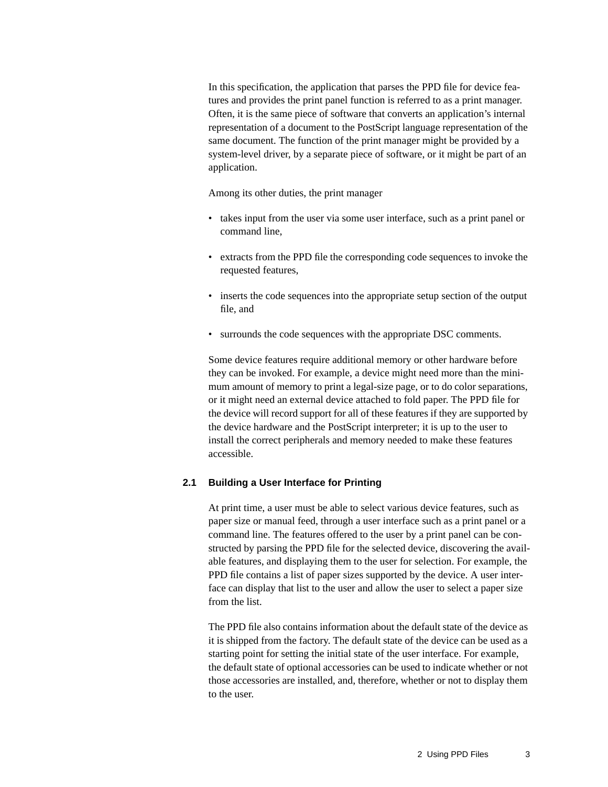In this specification, the application that parses the PPD file for device features and provides the print panel function is referred to as a print manager. Often, it is the same piece of software that converts an application's internal representation of a document to the PostScript language representation of the same document. The function of the print manager might be provided by a system-level driver, by a separate piece of software, or it might be part of an application.

Among its other duties, the print manager

- takes input from the user via some user interface, such as a print panel or command line,
- extracts from the PPD file the corresponding code sequences to invoke the requested features,
- inserts the code sequences into the appropriate setup section of the output file, and
- surrounds the code sequences with the appropriate DSC comments.

Some device features require additional memory or other hardware before they can be invoked. For example, a device might need more than the minimum amount of memory to print a legal-size page, or to do color separations, or it might need an external device attached to fold paper. The PPD file for the device will record support for all of these features if they are supported by the device hardware and the PostScript interpreter; it is up to the user to install the correct peripherals and memory needed to make these features accessible.

### **2.1 Building a User Interface for Printing**

At print time, a user must be able to select various device features, such as paper size or manual feed, through a user interface such as a print panel or a command line. The features offered to the user by a print panel can be constructed by parsing the PPD file for the selected device, discovering the available features, and displaying them to the user for selection. For example, the PPD file contains a list of paper sizes supported by the device. A user interface can display that list to the user and allow the user to select a paper size from the list.

The PPD file also contains information about the default state of the device as it is shipped from the factory. The default state of the device can be used as a starting point for setting the initial state of the user interface. For example, the default state of optional accessories can be used to indicate whether or not those accessories are installed, and, therefore, whether or not to display them to the user.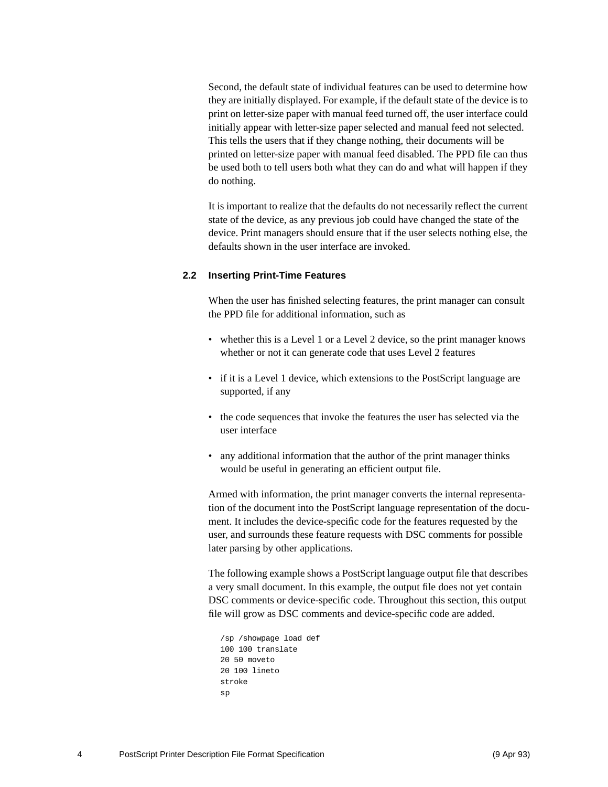Second, the default state of individual features can be used to determine how they are initially displayed. For example, if the default state of the device is to print on letter-size paper with manual feed turned off, the user interface could initially appear with letter-size paper selected and manual feed not selected. This tells the users that if they change nothing, their documents will be printed on letter-size paper with manual feed disabled. The PPD file can thus be used both to tell users both what they can do and what will happen if they do nothing.

It is important to realize that the defaults do not necessarily reflect the current state of the device, as any previous job could have changed the state of the device. Print managers should ensure that if the user selects nothing else, the defaults shown in the user interface are invoked.

#### **2.2 Inserting Print-Time Features**

When the user has finished selecting features, the print manager can consult the PPD file for additional information, such as

- whether this is a Level 1 or a Level 2 device, so the print manager knows whether or not it can generate code that uses Level 2 features
- if it is a Level 1 device, which extensions to the PostScript language are supported, if any
- the code sequences that invoke the features the user has selected via the user interface
- any additional information that the author of the print manager thinks would be useful in generating an efficient output file.

Armed with information, the print manager converts the internal representation of the document into the PostScript language representation of the document. It includes the device-specific code for the features requested by the user, and surrounds these feature requests with DSC comments for possible later parsing by other applications.

The following example shows a PostScript language output file that describes a very small document. In this example, the output file does not yet contain DSC comments or device-specific code. Throughout this section, this output file will grow as DSC comments and device-specific code are added.

```
/sp /showpage load def
100 100 translate
20 50 moveto
20 100 lineto
stroke
sp
```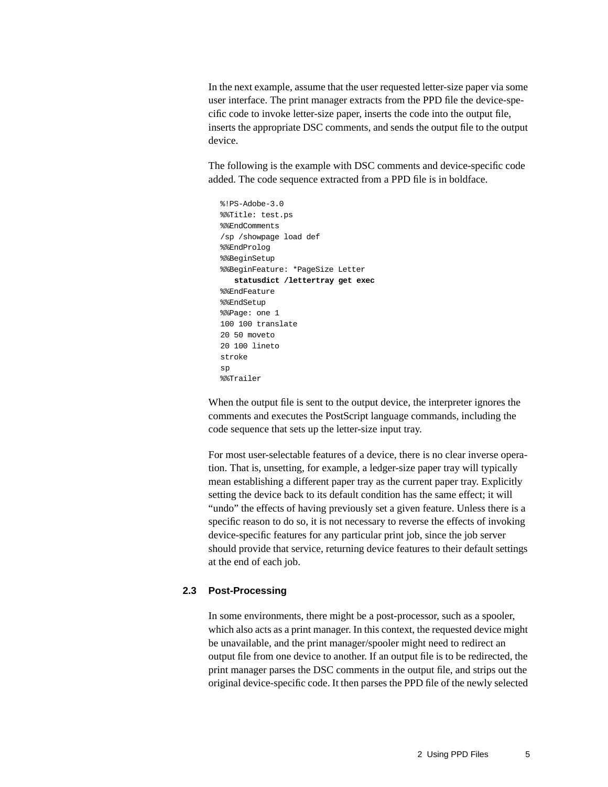In the next example, assume that the user requested letter-size paper via some user interface. The print manager extracts from the PPD file the device-specific code to invoke letter-size paper, inserts the code into the output file, inserts the appropriate DSC comments, and sends the output file to the output device.

The following is the example with DSC comments and device-specific code added. The code sequence extracted from a PPD file is in boldface.

```
%!PS-Adobe-3.0
%%Title: test.ps
%%EndComments
/sp /showpage load def
%%EndProlog
%%BeginSetup
%%BeginFeature: *PageSize Letter
   statusdict /lettertray get exec
%%EndFeature
%%EndSetup
%%Page: one 1
100 100 translate
20 50 moveto
20 100 lineto
stroke
sp
%%Trailer
```
When the output file is sent to the output device, the interpreter ignores the comments and executes the PostScript language commands, including the code sequence that sets up the letter-size input tray.

For most user-selectable features of a device, there is no clear inverse operation. That is, unsetting, for example, a ledger-size paper tray will typically mean establishing a different paper tray as the current paper tray. Explicitly setting the device back to its default condition has the same effect; it will "undo" the effects of having previously set a given feature. Unless there is a specific reason to do so, it is not necessary to reverse the effects of invoking device-specific features for any particular print job, since the job server should provide that service, returning device features to their default settings at the end of each job.

## **2.3 Post-Processing**

In some environments, there might be a post-processor, such as a spooler, which also acts as a print manager. In this context, the requested device might be unavailable, and the print manager/spooler might need to redirect an output file from one device to another. If an output file is to be redirected, the print manager parses the DSC comments in the output file, and strips out the original device-specific code. It then parses the PPD file of the newly selected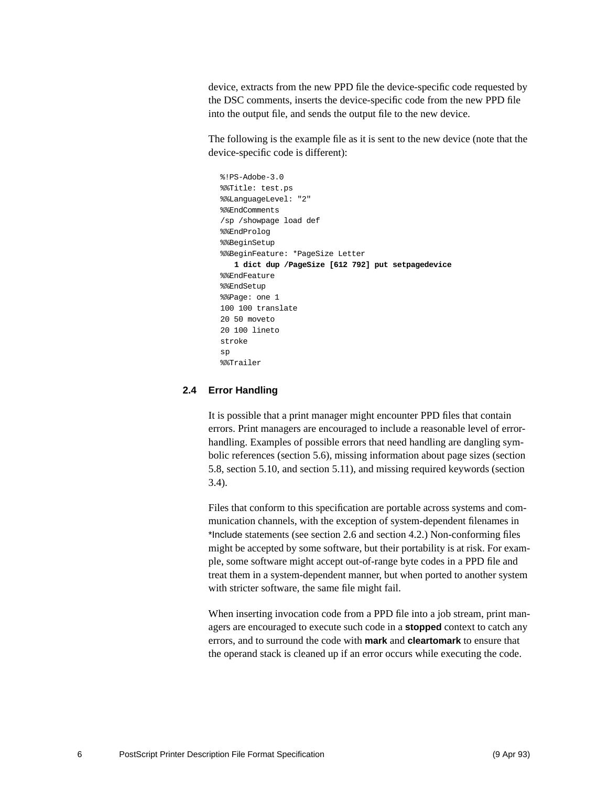device, extracts from the new PPD file the device-specific code requested by the DSC comments, inserts the device-specific code from the new PPD file into the output file, and sends the output file to the new device.

The following is the example file as it is sent to the new device (note that the device-specific code is different):

```
%!PS-Adobe-3.0
%%Title: test.ps
%%LanguageLevel: "2"
%%EndComments
/sp /showpage load def
%%EndProlog
%%BeginSetup
%%BeginFeature: *PageSize Letter
  1 dict dup /PageSize [612 792] put setpagedevice
%%EndFeature
%%EndSetup
%%Page: one 1
100 100 translate
20 50 moveto
20 100 lineto
stroke
sp
%%Trailer
```
#### **2.4 Error Handling**

It is possible that a print manager might encounter PPD files that contain errors. Print managers are encouraged to include a reasonable level of errorhandling. Examples of possible errors that need handling are dangling symbolic references (section 5.6), missing information about page sizes (section 5.8, section 5.10, and section 5.11), and missing required keywords (section 3.4).

Files that conform to this specification are portable across systems and communication channels, with the exception of system-dependent filenames in \*Include statements (see section 2.6 and section 4.2.) Non-conforming files might be accepted by some software, but their portability is at risk. For example, some software might accept out-of-range byte codes in a PPD file and treat them in a system-dependent manner, but when ported to another system with stricter software, the same file might fail.

When inserting invocation code from a PPD file into a job stream, print managers are encouraged to execute such code in a **stopped** context to catch any errors, and to surround the code with **mark** and **cleartomark** to ensure that the operand stack is cleaned up if an error occurs while executing the code.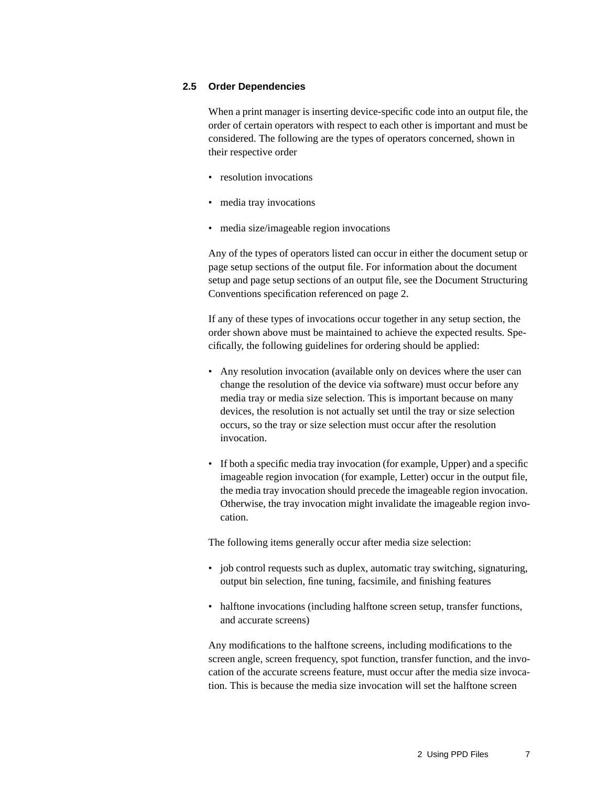### **2.5 Order Dependencies**

When a print manager is inserting device-specific code into an output file, the order of certain operators with respect to each other is important and must be considered. The following are the types of operators concerned, shown in their respective order

- resolution invocations
- media tray invocations
- media size/imageable region invocations

Any of the types of operators listed can occur in either the document setup or page setup sections of the output file. For information about the document setup and page setup sections of an output file, see the Document Structuring Conventions specification referenced on page 2.

If any of these types of invocations occur together in any setup section, the order shown above must be maintained to achieve the expected results. Specifically, the following guidelines for ordering should be applied:

- Any resolution invocation (available only on devices where the user can change the resolution of the device via software) must occur before any media tray or media size selection. This is important because on many devices, the resolution is not actually set until the tray or size selection occurs, so the tray or size selection must occur after the resolution invocation.
- If both a specific media tray invocation (for example, Upper) and a specific imageable region invocation (for example, Letter) occur in the output file, the media tray invocation should precede the imageable region invocation. Otherwise, the tray invocation might invalidate the imageable region invocation.

The following items generally occur after media size selection:

- job control requests such as duplex, automatic tray switching, signaturing, output bin selection, fine tuning, facsimile, and finishing features
- halftone invocations (including halftone screen setup, transfer functions, and accurate screens)

Any modifications to the halftone screens, including modifications to the screen angle, screen frequency, spot function, transfer function, and the invocation of the accurate screens feature, must occur after the media size invocation. This is because the media size invocation will set the halftone screen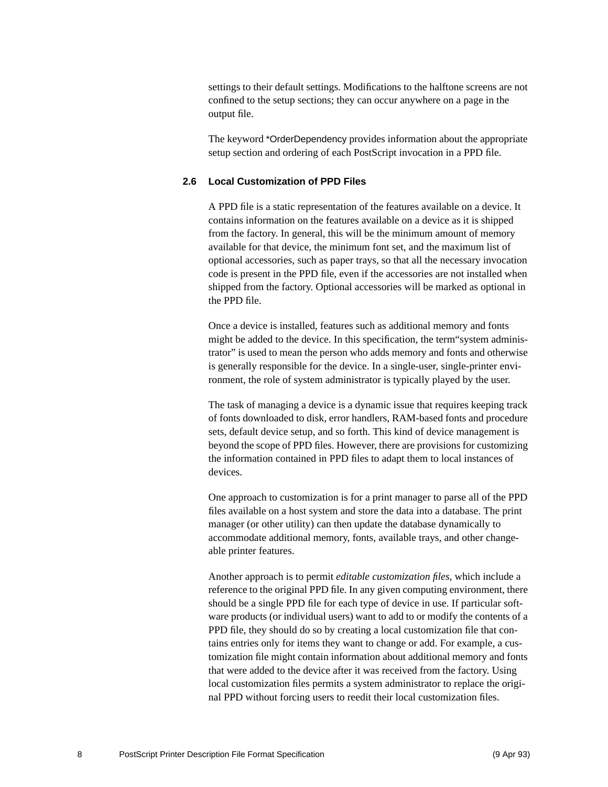settings to their default settings. Modifications to the halftone screens are not confined to the setup sections; they can occur anywhere on a page in the output file.

The keyword \*OrderDependency provides information about the appropriate setup section and ordering of each PostScript invocation in a PPD file.

#### **2.6 Local Customization of PPD Files**

A PPD file is a static representation of the features available on a device. It contains information on the features available on a device as it is shipped from the factory. In general, this will be the minimum amount of memory available for that device, the minimum font set, and the maximum list of optional accessories, such as paper trays, so that all the necessary invocation code is present in the PPD file, even if the accessories are not installed when shipped from the factory. Optional accessories will be marked as optional in the PPD file.

Once a device is installed, features such as additional memory and fonts might be added to the device. In this specification, the term"system administrator" is used to mean the person who adds memory and fonts and otherwise is generally responsible for the device. In a single-user, single-printer environment, the role of system administrator is typically played by the user.

The task of managing a device is a dynamic issue that requires keeping track of fonts downloaded to disk, error handlers, RAM-based fonts and procedure sets, default device setup, and so forth. This kind of device management is beyond the scope of PPD files. However, there are provisions for customizing the information contained in PPD files to adapt them to local instances of devices.

One approach to customization is for a print manager to parse all of the PPD files available on a host system and store the data into a database. The print manager (or other utility) can then update the database dynamically to accommodate additional memory, fonts, available trays, and other changeable printer features.

Another approach is to permit *editable customization files*, which include a reference to the original PPD file. In any given computing environment, there should be a single PPD file for each type of device in use. If particular software products (or individual users) want to add to or modify the contents of a PPD file, they should do so by creating a local customization file that contains entries only for items they want to change or add. For example, a customization file might contain information about additional memory and fonts that were added to the device after it was received from the factory. Using local customization files permits a system administrator to replace the original PPD without forcing users to reedit their local customization files.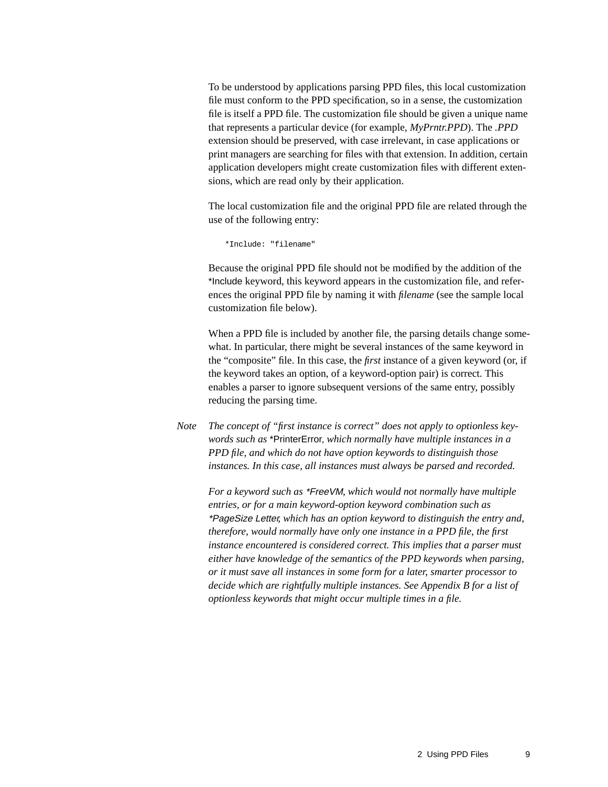To be understood by applications parsing PPD files, this local customization file must conform to the PPD specification, so in a sense, the customization file is itself a PPD file. The customization file should be given a unique name that represents a particular device (for example, *MyPrntr.PPD*). The *.PPD* extension should be preserved, with case irrelevant, in case applications or print managers are searching for files with that extension. In addition, certain application developers might create customization files with different extensions, which are read only by their application.

The local customization file and the original PPD file are related through the use of the following entry:

\*Include: "filename"

Because the original PPD file should not be modified by the addition of the \*Include keyword, this keyword appears in the customization file, and references the original PPD file by naming it with *filename* (see the sample local customization file below).

When a PPD file is included by another file, the parsing details change somewhat. In particular, there might be several instances of the same keyword in the "composite" file. In this case, the *first* instance of a given keyword (or, if the keyword takes an option, of a keyword-option pair) is correct. This enables a parser to ignore subsequent versions of the same entry, possibly reducing the parsing time.

*Note The concept of "first instance is correct" does not apply to optionless keywords such as* \*PrinterError, *which normally have multiple instances in a PPD file, and which do not have option keywords to distinguish those instances. In this case, all instances must always be parsed and recorded.*

*For a keyword such as* \*FreeVM*, which would not normally have multiple entries, or for a main keyword-option keyword combination such as* \*PageSize Letter*, which has an option keyword to distinguish the entry and, therefore, would normally have only one instance in a PPD file, the first instance encountered is considered correct. This implies that a parser must either have knowledge of the semantics of the PPD keywords when parsing, or it must save all instances in some form for a later, smarter processor to decide which are rightfully multiple instances. See Appendix B for a list of optionless keywords that might occur multiple times in a file.*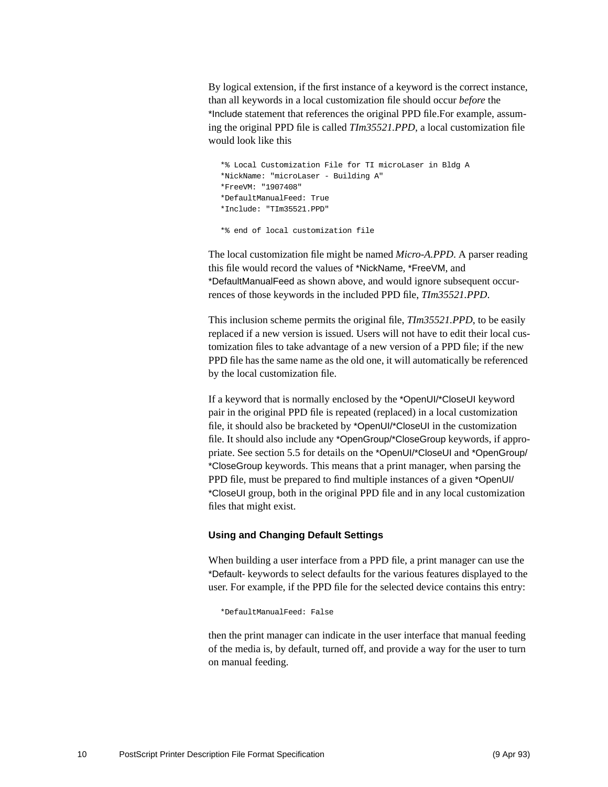By logical extension, if the first instance of a keyword is the correct instance, than all keywords in a local customization file should occur *before* the \*Include statement that references the original PPD file.For example, assuming the original PPD file is called *TIm35521.PPD*, a local customization file would look like this

```
*% Local Customization File for TI microLaser in Bldg A
*NickName: "microLaser - Building A"
*FreeVM: "1907408"
*DefaultManualFeed: True
*Include: "TIm35521.PPD"
*% end of local customization file
```
The local customization file might be named *Micro-A.PPD*. A parser reading this file would record the values of \*NickName, \*FreeVM, and \*DefaultManualFeed as shown above, and would ignore subsequent occurrences of those keywords in the included PPD file, *TIm35521.PPD*.

This inclusion scheme permits the original file, *TIm35521.PPD*, to be easily replaced if a new version is issued. Users will not have to edit their local customization files to take advantage of a new version of a PPD file; if the new PPD file has the same name as the old one, it will automatically be referenced by the local customization file.

If a keyword that is normally enclosed by the \*OpenUI/\*CloseUI keyword pair in the original PPD file is repeated (replaced) in a local customization file, it should also be bracketed by \*OpenUI/\*CloseUI in the customization file. It should also include any \*OpenGroup/\*CloseGroup keywords, if appropriate. See section 5.5 for details on the \*OpenUI/\*CloseUI and \*OpenGroup/ \*CloseGroup keywords. This means that a print manager, when parsing the PPD file, must be prepared to find multiple instances of a given \*OpenUI/ \*CloseUI group, both in the original PPD file and in any local customization files that might exist.

## **Using and Changing Default Settings**

When building a user interface from a PPD file, a print manager can use the \*Default- keywords to select defaults for the various features displayed to the user. For example, if the PPD file for the selected device contains this entry:

```
*DefaultManualFeed: False
```
then the print manager can indicate in the user interface that manual feeding of the media is, by default, turned off, and provide a way for the user to turn on manual feeding.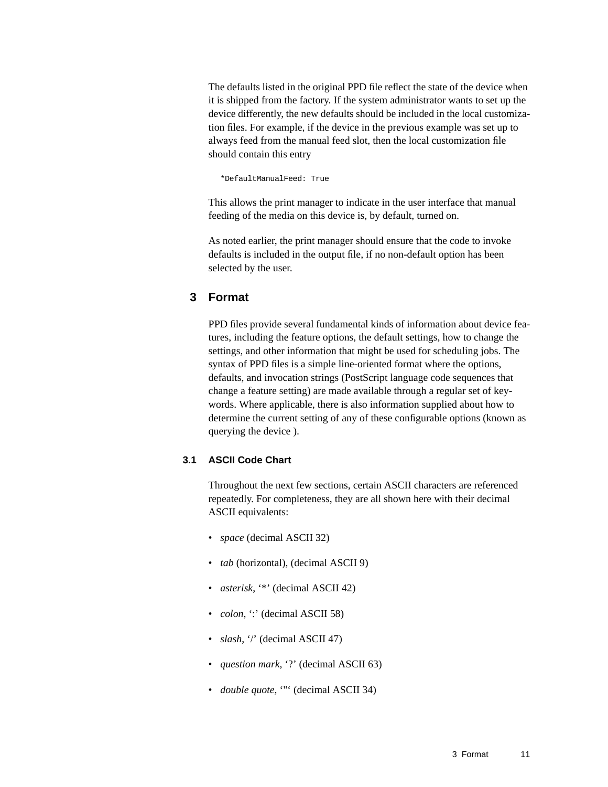The defaults listed in the original PPD file reflect the state of the device when it is shipped from the factory. If the system administrator wants to set up the device differently, the new defaults should be included in the local customization files. For example, if the device in the previous example was set up to always feed from the manual feed slot, then the local customization file should contain this entry

\*DefaultManualFeed: True

This allows the print manager to indicate in the user interface that manual feeding of the media on this device is, by default, turned on.

As noted earlier, the print manager should ensure that the code to invoke defaults is included in the output file, if no non-default option has been selected by the user.

## **3 Format**

PPD files provide several fundamental kinds of information about device features, including the feature options, the default settings, how to change the settings, and other information that might be used for scheduling jobs. The syntax of PPD files is a simple line-oriented format where the options, defaults, and invocation strings (PostScript language code sequences that change a feature setting) are made available through a regular set of keywords. Where applicable, there is also information supplied about how to determine the current setting of any of these configurable options (known as querying the device ).

## **3.1 ASCII Code Chart**

Throughout the next few sections, certain ASCII characters are referenced repeatedly. For completeness, they are all shown here with their decimal ASCII equivalents:

- *space* (decimal ASCII 32)
- *tab* (horizontal), (decimal ASCII 9)
- *asterisk*, '\*' (decimal ASCII 42)
- *colon*, "*:* (decimal ASCII 58)
- *slash*, '/' (decimal ASCII 47)
- *question mark*, '?' (decimal ASCII 63)
- *double quote*, '"' (decimal ASCII 34)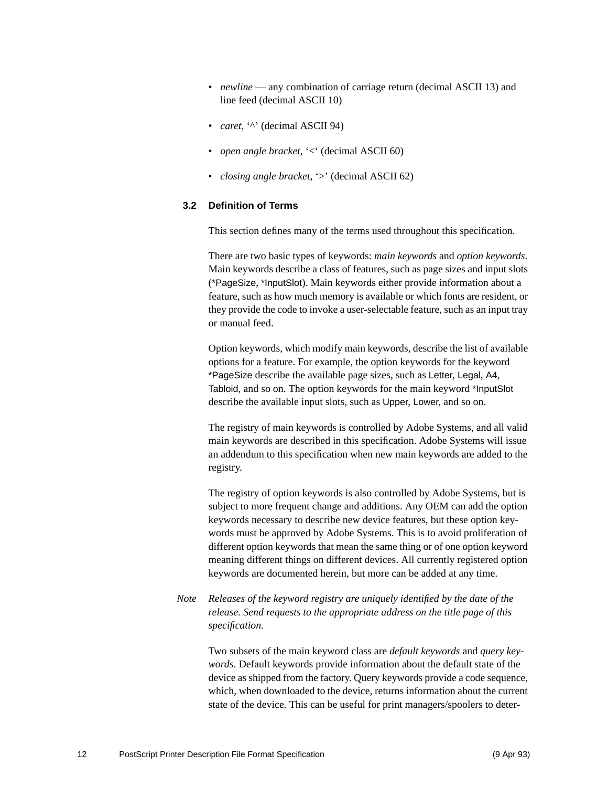- *newline* any combination of carriage return (decimal ASCII 13) and line feed (decimal ASCII 10)
- *caret*, '^' (decimal ASCII 94)
- *open angle bracket*, '<' (decimal ASCII 60)
- *closing angle bracket*, '>' (decimal ASCII 62)

## **3.2 Definition of Terms**

This section defines many of the terms used throughout this specification.

There are two basic types of keywords: *main keywords* and *option keywords*. Main keywords describe a class of features, such as page sizes and input slots (\*PageSize, \*InputSlot). Main keywords either provide information about a feature, such as how much memory is available or which fonts are resident, or they provide the code to invoke a user-selectable feature, such as an input tray or manual feed.

Option keywords, which modify main keywords, describe the list of available options for a feature. For example, the option keywords for the keyword \*PageSize describe the available page sizes, such as Letter, Legal, A4, Tabloid, and so on. The option keywords for the main keyword \*InputSlot describe the available input slots, such as Upper, Lower, and so on.

The registry of main keywords is controlled by Adobe Systems, and all valid main keywords are described in this specification. Adobe Systems will issue an addendum to this specification when new main keywords are added to the registry.

The registry of option keywords is also controlled by Adobe Systems, but is subject to more frequent change and additions. Any OEM can add the option keywords necessary to describe new device features, but these option keywords must be approved by Adobe Systems. This is to avoid proliferation of different option keywords that mean the same thing or of one option keyword meaning different things on different devices. All currently registered option keywords are documented herein, but more can be added at any time.

## *Note Releases of the keyword registry are uniquely identified by the date of the release. Send requests to the appropriate address on the title page of this specification.*

Two subsets of the main keyword class are *default keywords* and *query keywords*. Default keywords provide information about the default state of the device as shipped from the factory. Query keywords provide a code sequence, which, when downloaded to the device, returns information about the current state of the device. This can be useful for print managers/spoolers to deter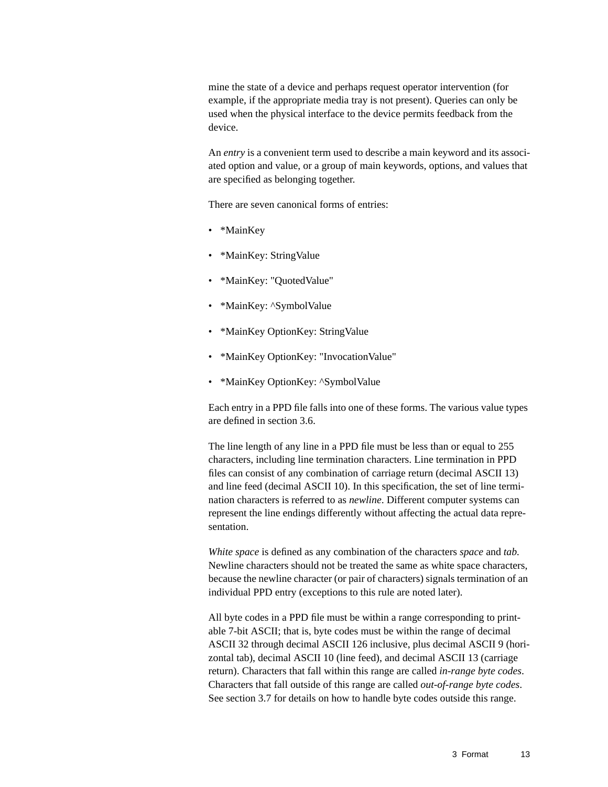mine the state of a device and perhaps request operator intervention (for example, if the appropriate media tray is not present). Queries can only be used when the physical interface to the device permits feedback from the device.

An *entry* is a convenient term used to describe a main keyword and its associated option and value, or a group of main keywords, options, and values that are specified as belonging together.

There are seven canonical forms of entries:

- \*MainKey
- \*MainKey: StringValue
- \*MainKey: "QuotedValue"
- \*MainKey: ^SymbolValue
- \*MainKey OptionKey: StringValue
- \*MainKey OptionKey: "InvocationValue"
- \*MainKey OptionKey: ^SymbolValue

Each entry in a PPD file falls into one of these forms. The various value types are defined in section 3.6.

The line length of any line in a PPD file must be less than or equal to 255 characters, including line termination characters. Line termination in PPD files can consist of any combination of carriage return (decimal ASCII 13) and line feed (decimal ASCII 10). In this specification, the set of line termination characters is referred to as *newline*. Different computer systems can represent the line endings differently without affecting the actual data representation.

*White space* is defined as any combination of the characters *space* and *tab.* Newline characters should not be treated the same as white space characters, because the newline character (or pair of characters) signals termination of an individual PPD entry (exceptions to this rule are noted later).

All byte codes in a PPD file must be within a range corresponding to printable 7-bit ASCII; that is, byte codes must be within the range of decimal ASCII 32 through decimal ASCII 126 inclusive, plus decimal ASCII 9 (horizontal tab), decimal ASCII 10 (line feed), and decimal ASCII 13 (carriage return). Characters that fall within this range are called *in-range byte codes*. Characters that fall outside of this range are called *out-of-range byte codes*. See section 3.7 for details on how to handle byte codes outside this range.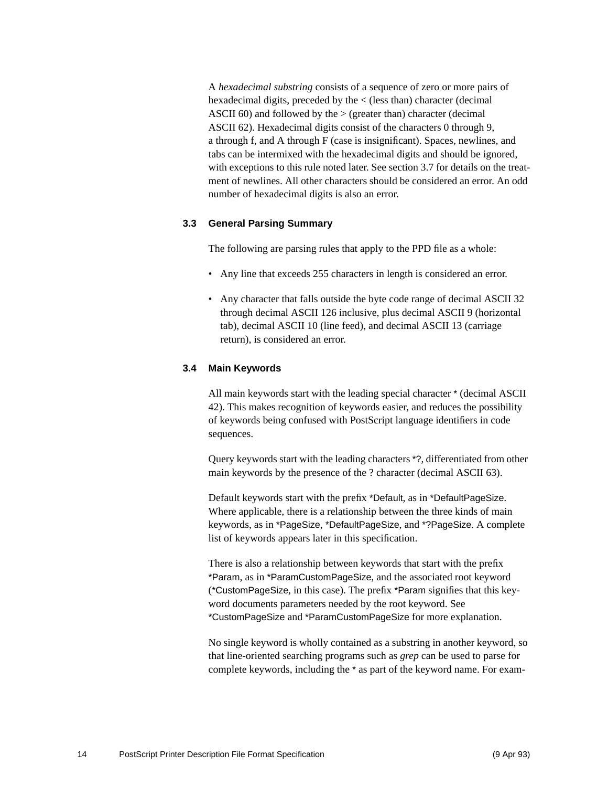A *hexadecimal substring* consists of a sequence of zero or more pairs of hexadecimal digits, preceded by the < (less than) character (decimal ASCII 60) and followed by the  $>$  (greater than) character (decimal ASCII 62). Hexadecimal digits consist of the characters 0 through 9, a through f, and A through F (case is insignificant). Spaces, newlines, and tabs can be intermixed with the hexadecimal digits and should be ignored, with exceptions to this rule noted later. See section 3.7 for details on the treatment of newlines. All other characters should be considered an error. An odd number of hexadecimal digits is also an error.

## **3.3 General Parsing Summary**

The following are parsing rules that apply to the PPD file as a whole:

- Any line that exceeds 255 characters in length is considered an error.
- Any character that falls outside the byte code range of decimal ASCII 32 through decimal ASCII 126 inclusive, plus decimal ASCII 9 (horizontal tab), decimal ASCII 10 (line feed), and decimal ASCII 13 (carriage return), is considered an error.

## **3.4 Main Keywords**

All main keywords start with the leading special character \* (decimal ASCII 42). This makes recognition of keywords easier, and reduces the possibility of keywords being confused with PostScript language identifiers in code sequences.

Query keywords start with the leading characters \*?, differentiated from other main keywords by the presence of the ? character (decimal ASCII 63).

Default keywords start with the prefix \*Default, as in \*DefaultPageSize. Where applicable, there is a relationship between the three kinds of main keywords, as in \*PageSize, \*DefaultPageSize, and \*?PageSize. A complete list of keywords appears later in this specification.

There is also a relationship between keywords that start with the prefix \*Param, as in \*ParamCustomPageSize, and the associated root keyword (\*CustomPageSize, in this case). The prefix \*Param signifies that this keyword documents parameters needed by the root keyword. See \*CustomPageSize and \*ParamCustomPageSize for more explanation.

No single keyword is wholly contained as a substring in another keyword, so that line-oriented searching programs such as *grep* can be used to parse for complete keywords, including the \* as part of the keyword name. For exam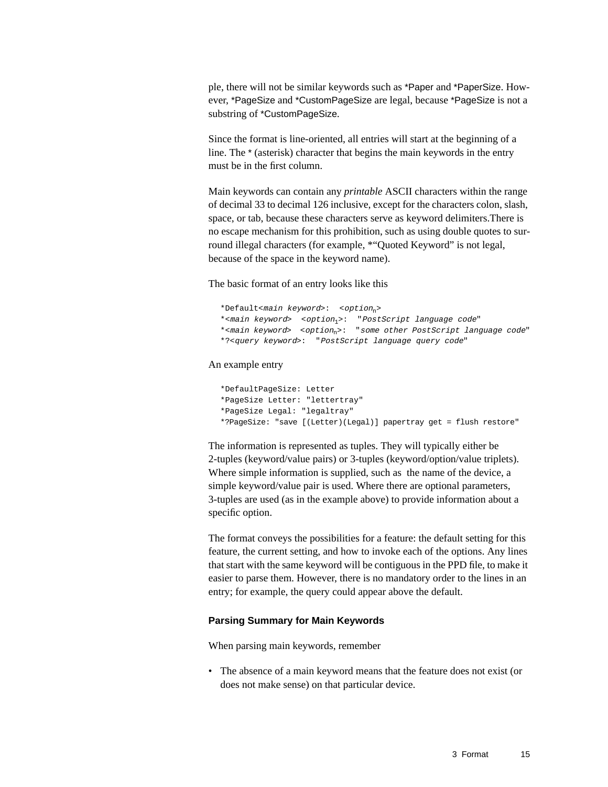ple, there will not be similar keywords such as \*Paper and \*PaperSize. However, \*PageSize and \*CustomPageSize are legal, because \*PageSize is not a substring of \*CustomPageSize.

Since the format is line-oriented, all entries will start at the beginning of a line. The \* (asterisk) character that begins the main keywords in the entry must be in the first column.

Main keywords can contain any *printable* ASCII characters within the range of decimal 33 to decimal 126 inclusive, except for the characters colon, slash, space, or tab, because these characters serve as keyword delimiters.There is no escape mechanism for this prohibition, such as using double quotes to surround illegal characters (for example, \*"Quoted Keyword" is not legal, because of the space in the keyword name).

The basic format of an entry looks like this

```
*Default<main keyword>: <option<sub>n</sub>>
*<main keyword> <option<sub>1</sub>>: "PostScript language code"
*<main keyword> <option<sub>n</sub>>: "some other PostScript language code"
*?<query keyword>: "PostScript language query code"
```
An example entry

```
*DefaultPageSize: Letter
*PageSize Letter: "lettertray"
*PageSize Legal: "legaltray"
*?PageSize: "save [(Letter)(Legal)] papertray get = flush restore"
```
The information is represented as tuples. They will typically either be 2-tuples (keyword/value pairs) or 3-tuples (keyword/option/value triplets). Where simple information is supplied, such as the name of the device, a simple keyword/value pair is used. Where there are optional parameters, 3-tuples are used (as in the example above) to provide information about a specific option.

The format conveys the possibilities for a feature: the default setting for this feature, the current setting, and how to invoke each of the options. Any lines that start with the same keyword will be contiguous in the PPD file, to make it easier to parse them. However, there is no mandatory order to the lines in an entry; for example, the query could appear above the default.

#### **Parsing Summary for Main Keywords**

When parsing main keywords, remember

• The absence of a main keyword means that the feature does not exist (or does not make sense) on that particular device.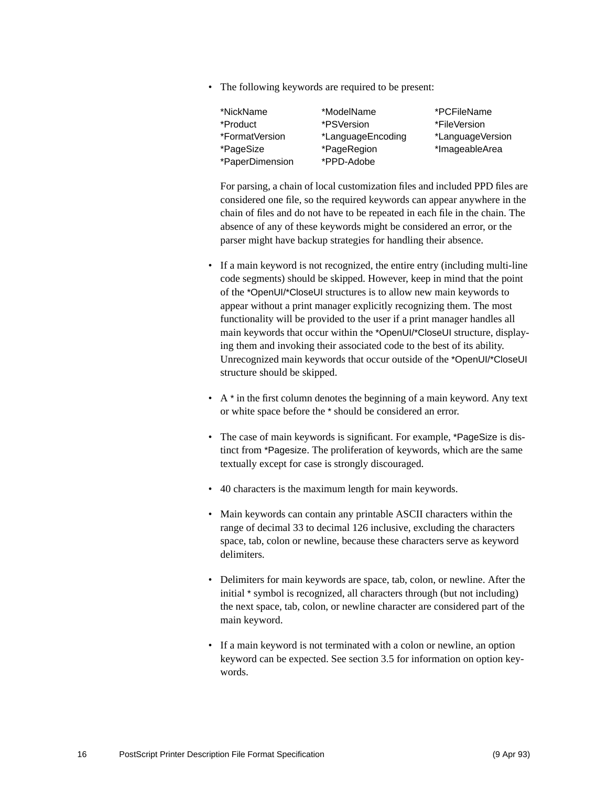• The following keywords are required to be present:

| *NickName       | *ModelName        | *PCFileName      |
|-----------------|-------------------|------------------|
| *Product        | *PSVersion        | *FileVersion     |
| *FormatVersion  | *LanguageEncoding | *LanguageVersion |
| *PageSize       | *PageRegion       | *ImageableArea   |
| *PaperDimension | *PPD-Adobe        |                  |
|                 |                   |                  |

For parsing, a chain of local customization files and included PPD files are considered one file, so the required keywords can appear anywhere in the chain of files and do not have to be repeated in each file in the chain. The absence of any of these keywords might be considered an error, or the parser might have backup strategies for handling their absence.

- If a main keyword is not recognized, the entire entry (including multi-line code segments) should be skipped. However, keep in mind that the point of the \*OpenUI/\*CloseUI structures is to allow new main keywords to appear without a print manager explicitly recognizing them. The most functionality will be provided to the user if a print manager handles all main keywords that occur within the \*OpenUI/\*CloseUI structure, displaying them and invoking their associated code to the best of its ability. Unrecognized main keywords that occur outside of the \*OpenUI/\*CloseUI structure should be skipped.
- $\bullet$  A  $*$  in the first column denotes the beginning of a main keyword. Any text or white space before the \* should be considered an error.
- The case of main keywords is significant. For example, \*PageSize is distinct from \*Pagesize. The proliferation of keywords, which are the same textually except for case is strongly discouraged.
- 40 characters is the maximum length for main keywords.
- Main keywords can contain any printable ASCII characters within the range of decimal 33 to decimal 126 inclusive, excluding the characters space, tab, colon or newline, because these characters serve as keyword delimiters.
- Delimiters for main keywords are space, tab, colon, or newline. After the initial \* symbol is recognized, all characters through (but not including) the next space, tab, colon, or newline character are considered part of the main keyword.
- If a main keyword is not terminated with a colon or newline, an option keyword can be expected. See section 3.5 for information on option keywords.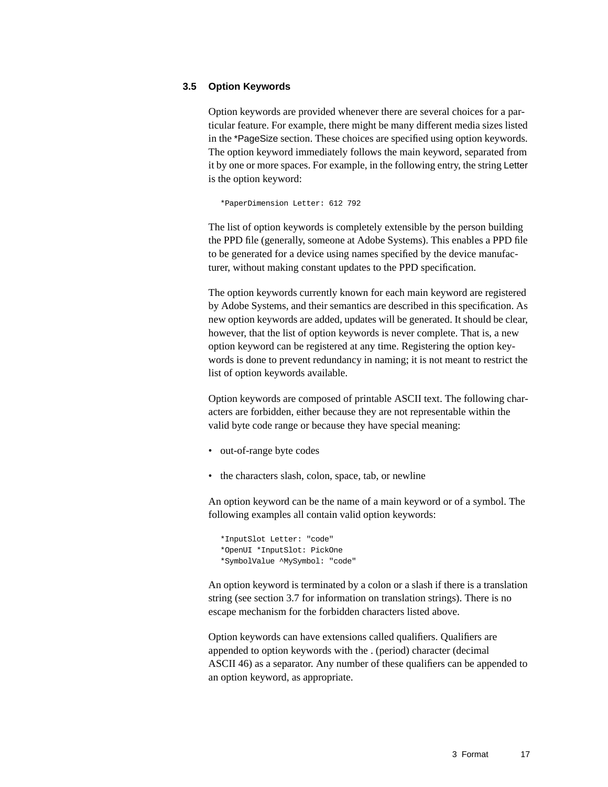## **3.5 Option Keywords**

Option keywords are provided whenever there are several choices for a particular feature. For example, there might be many different media sizes listed in the \*PageSize section. These choices are specified using option keywords. The option keyword immediately follows the main keyword, separated from it by one or more spaces. For example, in the following entry, the string Letter is the option keyword:

\*PaperDimension Letter: 612 792

The list of option keywords is completely extensible by the person building the PPD file (generally, someone at Adobe Systems). This enables a PPD file to be generated for a device using names specified by the device manufacturer, without making constant updates to the PPD specification.

The option keywords currently known for each main keyword are registered by Adobe Systems, and their semantics are described in this specification. As new option keywords are added, updates will be generated. It should be clear, however, that the list of option keywords is never complete. That is, a new option keyword can be registered at any time. Registering the option keywords is done to prevent redundancy in naming; it is not meant to restrict the list of option keywords available.

Option keywords are composed of printable ASCII text. The following characters are forbidden, either because they are not representable within the valid byte code range or because they have special meaning:

- out-of-range byte codes
- the characters slash, colon, space, tab, or newline

An option keyword can be the name of a main keyword or of a symbol. The following examples all contain valid option keywords:

```
*InputSlot Letter: "code"
*OpenUI *InputSlot: PickOne
*SymbolValue ^MySymbol: "code"
```
An option keyword is terminated by a colon or a slash if there is a translation string (see section 3.7 for information on translation strings). There is no escape mechanism for the forbidden characters listed above.

Option keywords can have extensions called qualifiers. Qualifiers are appended to option keywords with the . (period) character (decimal ASCII 46) as a separator. Any number of these qualifiers can be appended to an option keyword, as appropriate.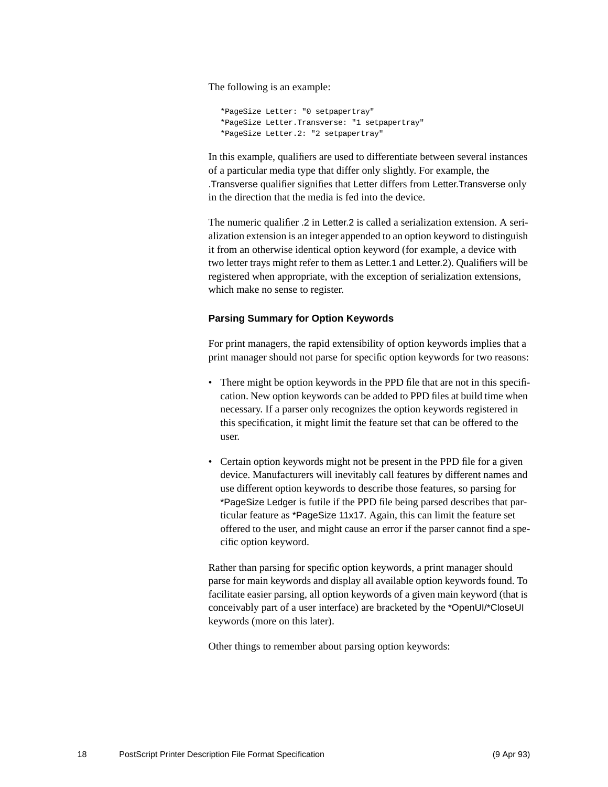The following is an example:

```
*PageSize Letter: "0 setpapertray"
*PageSize Letter.Transverse: "1 setpapertray"
*PageSize Letter.2: "2 setpapertray"
```
In this example, qualifiers are used to differentiate between several instances of a particular media type that differ only slightly. For example, the .Transverse qualifier signifies that Letter differs from Letter.Transverse only in the direction that the media is fed into the device.

The numeric qualifier .2 in Letter.2 is called a serialization extension. A serialization extension is an integer appended to an option keyword to distinguish it from an otherwise identical option keyword (for example, a device with two letter trays might refer to them as Letter.1 and Letter.2). Qualifiers will be registered when appropriate, with the exception of serialization extensions, which make no sense to register.

#### **Parsing Summary for Option Keywords**

For print managers, the rapid extensibility of option keywords implies that a print manager should not parse for specific option keywords for two reasons:

- There might be option keywords in the PPD file that are not in this specification. New option keywords can be added to PPD files at build time when necessary. If a parser only recognizes the option keywords registered in this specification, it might limit the feature set that can be offered to the user.
- Certain option keywords might not be present in the PPD file for a given device. Manufacturers will inevitably call features by different names and use different option keywords to describe those features, so parsing for \*PageSize Ledger is futile if the PPD file being parsed describes that particular feature as \*PageSize 11x17. Again, this can limit the feature set offered to the user, and might cause an error if the parser cannot find a specific option keyword.

Rather than parsing for specific option keywords, a print manager should parse for main keywords and display all available option keywords found. To facilitate easier parsing, all option keywords of a given main keyword (that is conceivably part of a user interface) are bracketed by the \*OpenUI/\*CloseUI keywords (more on this later).

Other things to remember about parsing option keywords: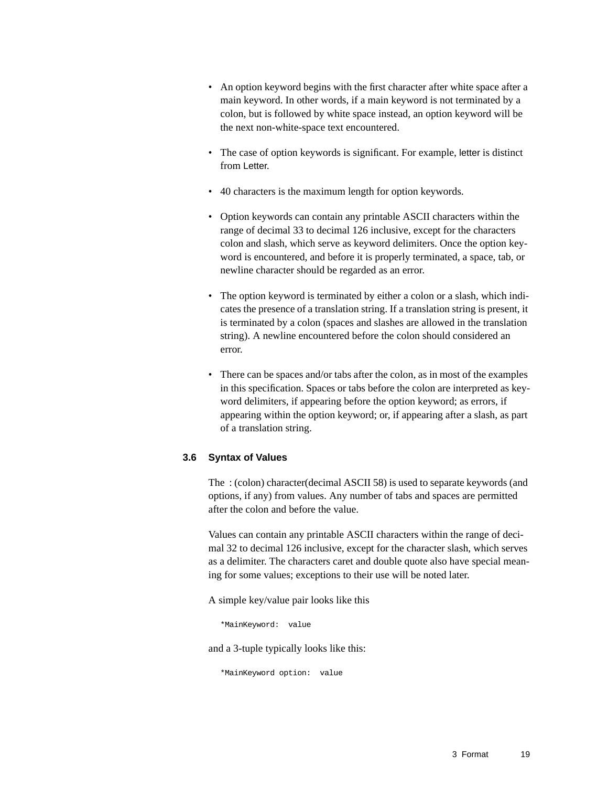- An option keyword begins with the first character after white space after a main keyword. In other words, if a main keyword is not terminated by a colon, but is followed by white space instead, an option keyword will be the next non-white-space text encountered.
- The case of option keywords is significant. For example, letter is distinct from Letter.
- 40 characters is the maximum length for option keywords.
- Option keywords can contain any printable ASCII characters within the range of decimal 33 to decimal 126 inclusive, except for the characters colon and slash, which serve as keyword delimiters. Once the option keyword is encountered, and before it is properly terminated, a space, tab, or newline character should be regarded as an error.
- The option keyword is terminated by either a colon or a slash, which indicates the presence of a translation string. If a translation string is present, it is terminated by a colon (spaces and slashes are allowed in the translation string). A newline encountered before the colon should considered an error.
- There can be spaces and/or tabs after the colon, as in most of the examples in this specification. Spaces or tabs before the colon are interpreted as keyword delimiters, if appearing before the option keyword; as errors, if appearing within the option keyword; or, if appearing after a slash, as part of a translation string.

## **3.6 Syntax of Values**

The : (colon) character(decimal ASCII 58) is used to separate keywords (and options, if any) from values. Any number of tabs and spaces are permitted after the colon and before the value.

Values can contain any printable ASCII characters within the range of decimal 32 to decimal 126 inclusive, except for the character slash, which serves as a delimiter. The characters caret and double quote also have special meaning for some values; exceptions to their use will be noted later.

A simple key/value pair looks like this

\*MainKeyword: value

and a 3-tuple typically looks like this:

\*MainKeyword option: value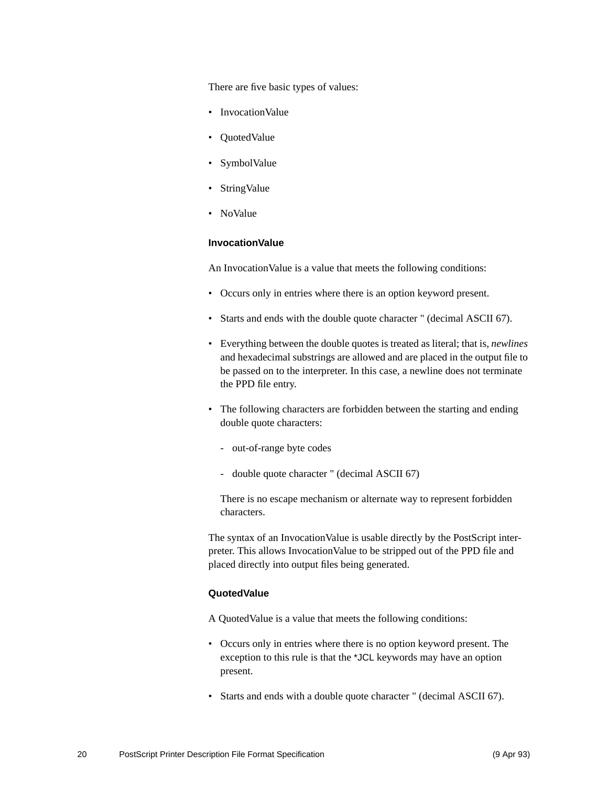There are five basic types of values:

- Invocation Value
- QuotedValue
- SymbolValue
- StringValue
- NoValue

## **InvocationValue**

An InvocationValue is a value that meets the following conditions:

- Occurs only in entries where there is an option keyword present.
- Starts and ends with the double quote character " (decimal ASCII 67).
- Everything between the double quotes is treated as literal; that is, *newlines* and hexadecimal substrings are allowed and are placed in the output file to be passed on to the interpreter. In this case, a newline does not terminate the PPD file entry.
- The following characters are forbidden between the starting and ending double quote characters:
	- out-of-range byte codes
	- double quote character " (decimal ASCII 67)

There is no escape mechanism or alternate way to represent forbidden characters.

The syntax of an InvocationValue is usable directly by the PostScript interpreter. This allows InvocationValue to be stripped out of the PPD file and placed directly into output files being generated.

### **QuotedValue**

A QuotedValue is a value that meets the following conditions:

- Occurs only in entries where there is no option keyword present. The exception to this rule is that the \*JCL keywords may have an option present.
- Starts and ends with a double quote character " (decimal ASCII 67).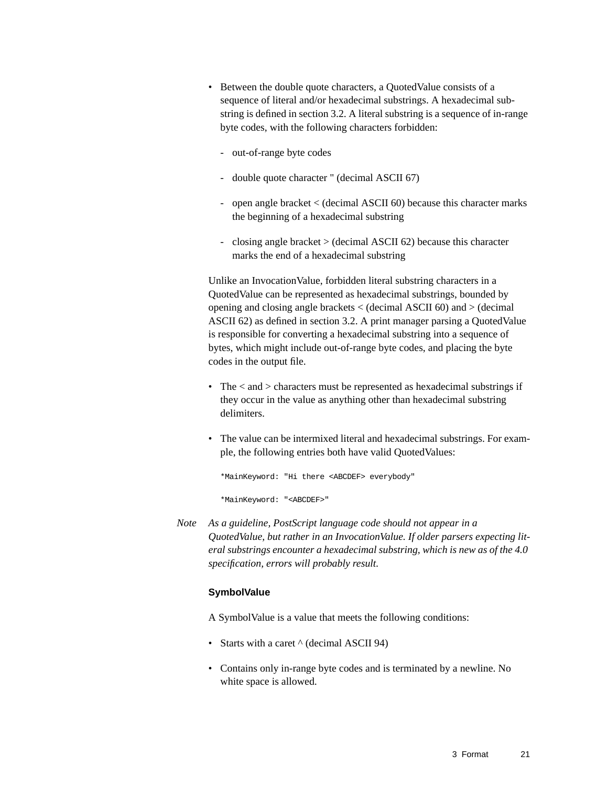- Between the double quote characters, a QuotedValue consists of a sequence of literal and/or hexadecimal substrings. A hexadecimal substring is defined in section 3.2. A literal substring is a sequence of in-range byte codes, with the following characters forbidden:
	- out-of-range byte codes
	- double quote character " (decimal ASCII 67)
	- open angle bracket < (decimal ASCII 60) because this character marks the beginning of a hexadecimal substring
	- closing angle bracket > (decimal ASCII 62) because this character marks the end of a hexadecimal substring

Unlike an InvocationValue, forbidden literal substring characters in a QuotedValue can be represented as hexadecimal substrings, bounded by opening and closing angle brackets < (decimal ASCII 60) and > (decimal ASCII 62) as defined in section 3.2. A print manager parsing a QuotedValue is responsible for converting a hexadecimal substring into a sequence of bytes, which might include out-of-range byte codes, and placing the byte codes in the output file.

- The < and > characters must be represented as hexadecimal substrings if they occur in the value as anything other than hexadecimal substring delimiters.
- The value can be intermixed literal and hexadecimal substrings. For example, the following entries both have valid QuotedValues:

```
*MainKeyword: "Hi there <ABCDEF> everybody"
*MainKeyword: "<ABCDEF>"
```
*Note As a guideline, PostScript language code should not appear in a QuotedValue, but rather in an InvocationValue. If older parsers expecting literal substrings encounter a hexadecimal substring, which is new as of the 4.0 specification, errors will probably result.*

#### **SymbolValue**

A SymbolValue is a value that meets the following conditions:

- Starts with a caret  $\wedge$  (decimal ASCII 94)
- Contains only in-range byte codes and is terminated by a newline. No white space is allowed.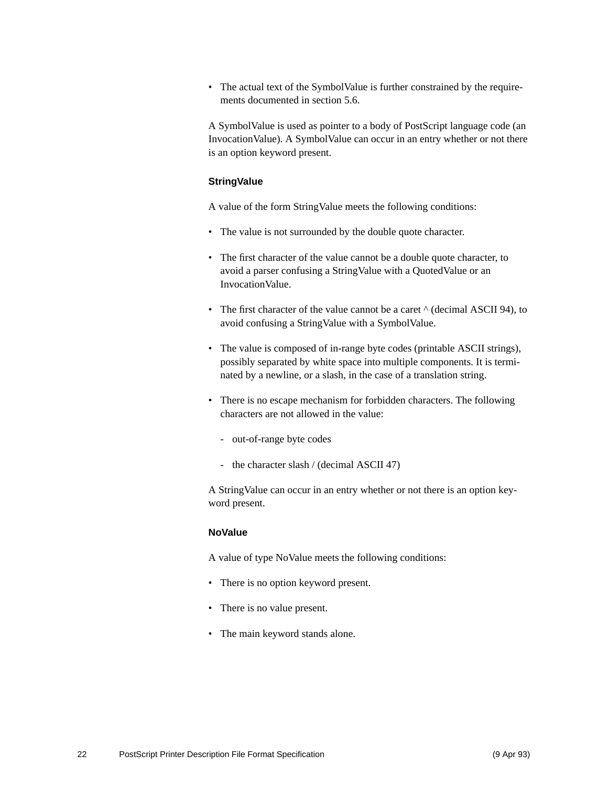• The actual text of the SymbolValue is further constrained by the requirements documented in section 5.6.

A SymbolValue is used as pointer to a body of PostScript language code (an InvocationValue). A SymbolValue can occur in an entry whether or not there is an option keyword present.

## **StringValue**

A value of the form StringValue meets the following conditions:

- The value is not surrounded by the double quote character.
- The first character of the value cannot be a double quote character, to avoid a parser confusing a StringValue with a QuotedValue or an InvocationValue.
- The first character of the value cannot be a caret  $\land$  (decimal ASCII 94), to avoid confusing a StringValue with a SymbolValue.
- The value is composed of in-range byte codes (printable ASCII strings), possibly separated by white space into multiple components. It is terminated by a newline, or a slash, in the case of a translation string.
- There is no escape mechanism for forbidden characters. The following characters are not allowed in the value:
	- out-of-range byte codes
	- the character slash / (decimal ASCII 47)

A StringValue can occur in an entry whether or not there is an option keyword present.

## **NoValue**

A value of type NoValue meets the following conditions:

- There is no option keyword present.
- There is no value present.
- The main keyword stands alone.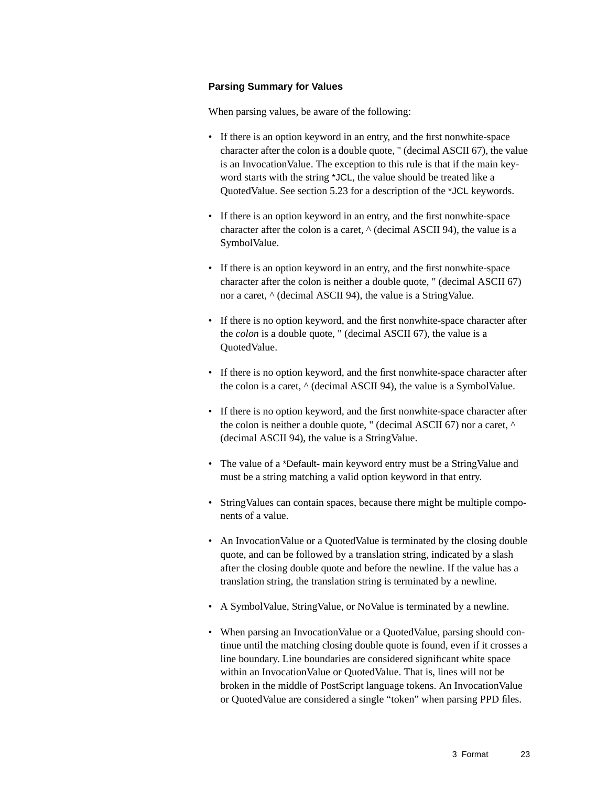#### **Parsing Summary for Values**

When parsing values, be aware of the following:

- If there is an option keyword in an entry, and the first nonwhite-space character after the colon is a double quote, " (decimal ASCII 67), the value is an InvocationValue. The exception to this rule is that if the main keyword starts with the string \*JCL, the value should be treated like a QuotedValue. See section 5.23 for a description of the \*JCL keywords.
- If there is an option keyword in an entry, and the first nonwhite-space character after the colon is a caret,  $\wedge$  (decimal ASCII 94), the value is a SymbolValue.
- If there is an option keyword in an entry, and the first nonwhite-space character after the colon is neither a double quote, " (decimal ASCII 67) nor a caret, ^ (decimal ASCII 94), the value is a StringValue.
- If there is no option keyword, and the first nonwhite-space character after the *colon* is a double quote, " (decimal ASCII 67), the value is a QuotedValue.
- If there is no option keyword, and the first nonwhite-space character after the colon is a caret, ^ (decimal ASCII 94), the value is a SymbolValue.
- If there is no option keyword, and the first nonwhite-space character after the colon is neither a double quote, " (decimal ASCII 67) nor a caret, ^ (decimal ASCII 94), the value is a StringValue.
- The value of a \*Default- main keyword entry must be a StringValue and must be a string matching a valid option keyword in that entry.
- StringValues can contain spaces, because there might be multiple components of a value.
- An InvocationValue or a QuotedValue is terminated by the closing double quote, and can be followed by a translation string, indicated by a slash after the closing double quote and before the newline. If the value has a translation string, the translation string is terminated by a newline.
- A SymbolValue, StringValue, or NoValue is terminated by a newline.
- When parsing an Invocation Value or a Quoted Value, parsing should continue until the matching closing double quote is found, even if it crosses a line boundary. Line boundaries are considered significant white space within an InvocationValue or QuotedValue. That is, lines will not be broken in the middle of PostScript language tokens. An InvocationValue or QuotedValue are considered a single "token" when parsing PPD files.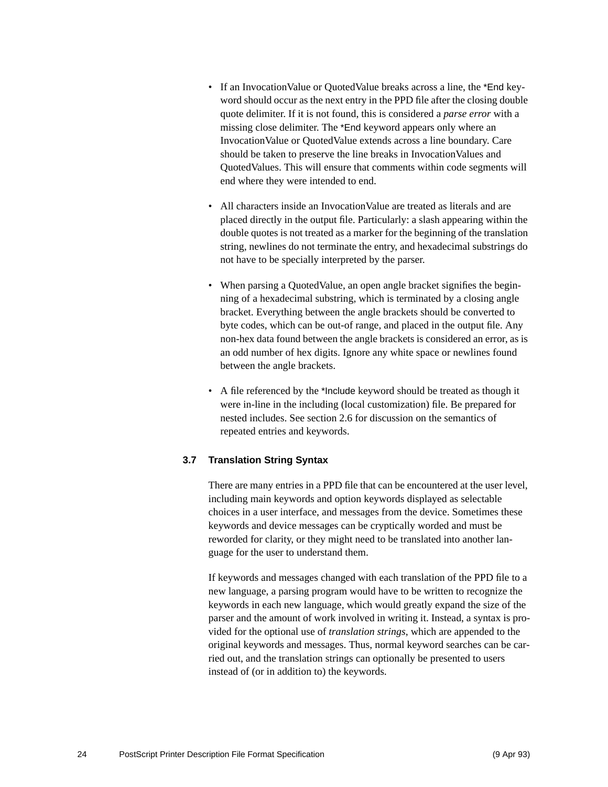- If an InvocationValue or QuotedValue breaks across a line, the \*End keyword should occur as the next entry in the PPD file after the closing double quote delimiter. If it is not found, this is considered a *parse error* with a missing close delimiter. The \*End keyword appears only where an InvocationValue or QuotedValue extends across a line boundary. Care should be taken to preserve the line breaks in InvocationValues and QuotedValues. This will ensure that comments within code segments will end where they were intended to end.
- All characters inside an InvocationValue are treated as literals and are placed directly in the output file. Particularly: a slash appearing within the double quotes is not treated as a marker for the beginning of the translation string, newlines do not terminate the entry, and hexadecimal substrings do not have to be specially interpreted by the parser.
- When parsing a QuotedValue, an open angle bracket signifies the beginning of a hexadecimal substring, which is terminated by a closing angle bracket. Everything between the angle brackets should be converted to byte codes, which can be out-of range, and placed in the output file. Any non-hex data found between the angle brackets is considered an error, as is an odd number of hex digits. Ignore any white space or newlines found between the angle brackets.
- A file referenced by the \*Include keyword should be treated as though it were in-line in the including (local customization) file. Be prepared for nested includes. See section 2.6 for discussion on the semantics of repeated entries and keywords.

### **3.7 Translation String Syntax**

There are many entries in a PPD file that can be encountered at the user level, including main keywords and option keywords displayed as selectable choices in a user interface, and messages from the device. Sometimes these keywords and device messages can be cryptically worded and must be reworded for clarity, or they might need to be translated into another language for the user to understand them.

If keywords and messages changed with each translation of the PPD file to a new language, a parsing program would have to be written to recognize the keywords in each new language, which would greatly expand the size of the parser and the amount of work involved in writing it. Instead, a syntax is provided for the optional use of *translation strings*, which are appended to the original keywords and messages. Thus, normal keyword searches can be carried out, and the translation strings can optionally be presented to users instead of (or in addition to) the keywords.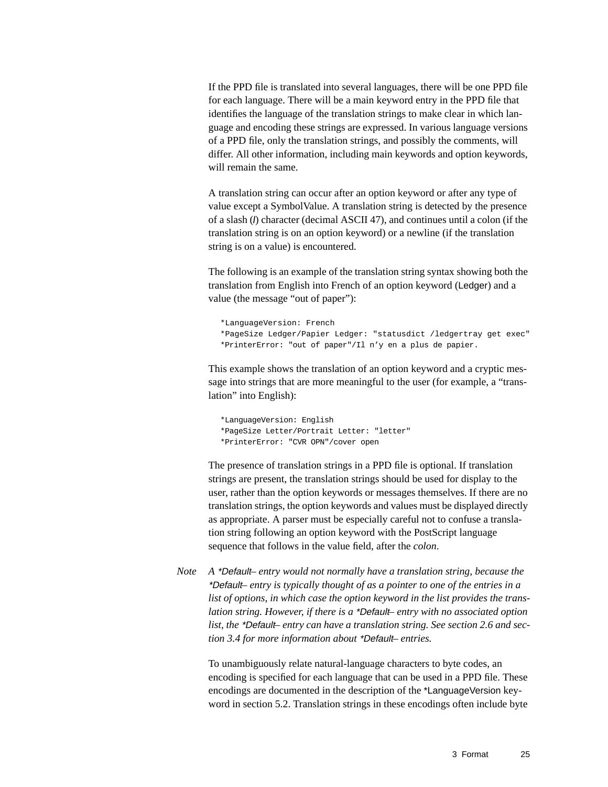If the PPD file is translated into several languages, there will be one PPD file for each language. There will be a main keyword entry in the PPD file that identifies the language of the translation strings to make clear in which language and encoding these strings are expressed. In various language versions of a PPD file, only the translation strings, and possibly the comments, will differ. All other information, including main keywords and option keywords, will remain the same.

A translation string can occur after an option keyword or after any type of value except a SymbolValue. A translation string is detected by the presence of a slash (**/**) character (decimal ASCII 47), and continues until a colon (if the translation string is on an option keyword) or a newline (if the translation string is on a value) is encountered.

The following is an example of the translation string syntax showing both the translation from English into French of an option keyword (Ledger) and a value (the message "out of paper"):

```
*LanguageVersion: French
*PageSize Ledger/Papier Ledger: "statusdict /ledgertray get exec"
*PrinterError: "out of paper"/Il n'y en a plus de papier.
```
This example shows the translation of an option keyword and a cryptic message into strings that are more meaningful to the user (for example, a "translation" into English):

\*LanguageVersion: English \*PageSize Letter/Portrait Letter: "letter" \*PrinterError: "CVR OPN"/cover open

The presence of translation strings in a PPD file is optional. If translation strings are present, the translation strings should be used for display to the user, rather than the option keywords or messages themselves. If there are no translation strings, the option keywords and values must be displayed directly as appropriate. A parser must be especially careful not to confuse a translation string following an option keyword with the PostScript language sequence that follows in the value field, after the *colon*.

*Note A* \*Default*– entry would not normally have a translation string, because the* \*Default*– entry is typically thought of as a pointer to one of the entries in a list of options, in which case the option keyword in the list provides the translation string. However, if there is a* \*Default*– entry with no associated option list, the* \*Default*– entry can have a translation string. See section 2.6 and section 3.4 for more information about* \*Default*– entries.*

To unambiguously relate natural-language characters to byte codes, an encoding is specified for each language that can be used in a PPD file. These encodings are documented in the description of the \*LanguageVersion keyword in section 5.2. Translation strings in these encodings often include byte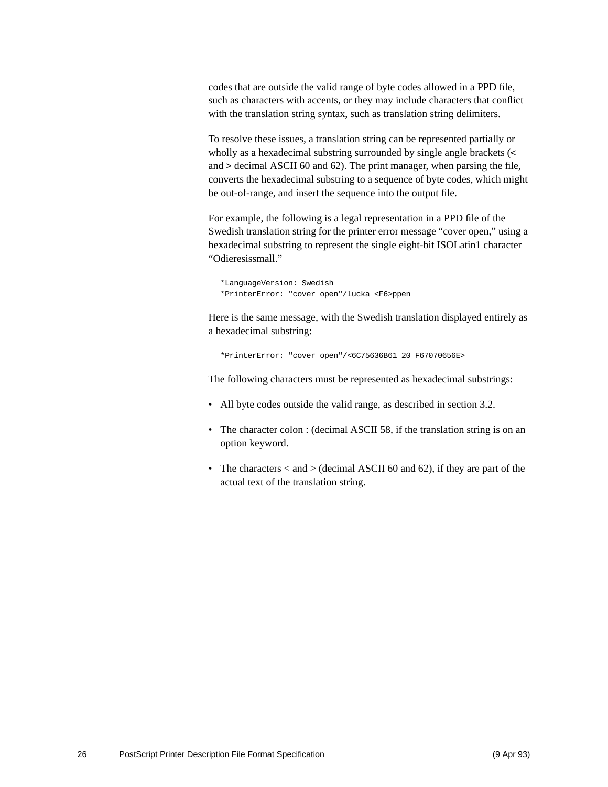codes that are outside the valid range of byte codes allowed in a PPD file, such as characters with accents, or they may include characters that conflict with the translation string syntax, such as translation string delimiters.

To resolve these issues, a translation string can be represented partially or wholly as a hexadecimal substring surrounded by single angle brackets (< and > decimal ASCII 60 and 62). The print manager, when parsing the file, converts the hexadecimal substring to a sequence of byte codes, which might be out-of-range, and insert the sequence into the output file.

For example, the following is a legal representation in a PPD file of the Swedish translation string for the printer error message "cover open," using a hexadecimal substring to represent the single eight-bit ISOLatin1 character "Odieresissmall."

```
*LanguageVersion: Swedish
*PrinterError: "cover open"/lucka <F6>ppen
```
Here is the same message, with the Swedish translation displayed entirely as a hexadecimal substring:

\*PrinterError: "cover open"/<6C75636B61 20 F67070656E>

The following characters must be represented as hexadecimal substrings:

- All byte codes outside the valid range, as described in section 3.2.
- The character colon : (decimal ASCII 58, if the translation string is on an option keyword.
- The characters  $<$  and  $>($  decimal ASCII 60 and 62), if they are part of the actual text of the translation string.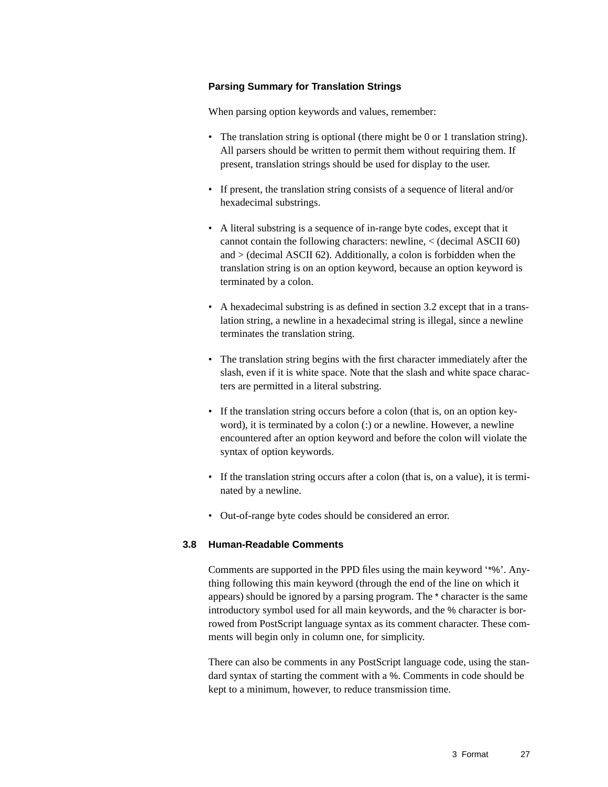### **Parsing Summary for Translation Strings**

When parsing option keywords and values, remember:

- The translation string is optional (there might be 0 or 1 translation string). All parsers should be written to permit them without requiring them. If present, translation strings should be used for display to the user.
- If present, the translation string consists of a sequence of literal and/or hexadecimal substrings.
- A literal substring is a sequence of in-range byte codes, except that it cannot contain the following characters: newline, < (decimal ASCII 60) and > (decimal ASCII 62). Additionally, a colon is forbidden when the translation string is on an option keyword, because an option keyword is terminated by a colon.
- A hexadecimal substring is as defined in section 3.2 except that in a translation string, a newline in a hexadecimal string is illegal, since a newline terminates the translation string.
- The translation string begins with the first character immediately after the slash, even if it is white space. Note that the slash and white space characters are permitted in a literal substring.
- If the translation string occurs before a colon (that is, on an option keyword), it is terminated by a colon (:) or a newline. However, a newline encountered after an option keyword and before the colon will violate the syntax of option keywords.
- If the translation string occurs after a colon (that is, on a value), it is terminated by a newline.
- Out-of-range byte codes should be considered an error.

#### **3.8 Human-Readable Comments**

Comments are supported in the PPD files using the main keyword '\*%'. Anything following this main keyword (through the end of the line on which it appears) should be ignored by a parsing program. The \* character is the same introductory symbol used for all main keywords, and the % character is borrowed from PostScript language syntax as its comment character. These comments will begin only in column one, for simplicity.

There can also be comments in any PostScript language code, using the standard syntax of starting the comment with a %. Comments in code should be kept to a minimum, however, to reduce transmission time.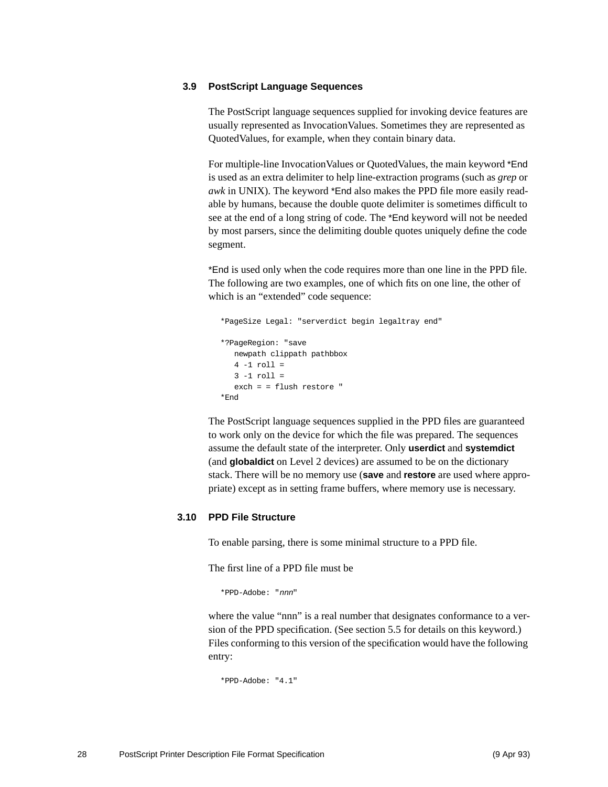### **3.9 PostScript Language Sequences**

The PostScript language sequences supplied for invoking device features are usually represented as InvocationValues. Sometimes they are represented as QuotedValues, for example, when they contain binary data.

For multiple-line InvocationValues or QuotedValues, the main keyword \*End is used as an extra delimiter to help line-extraction programs (such as *grep* or *awk* in UNIX). The keyword \*End also makes the PPD file more easily readable by humans, because the double quote delimiter is sometimes difficult to see at the end of a long string of code. The \*End keyword will not be needed by most parsers, since the delimiting double quotes uniquely define the code segment.

\*End is used only when the code requires more than one line in the PPD file. The following are two examples, one of which fits on one line, the other of which is an "extended" code sequence:

```
*PageSize Legal: "serverdict begin legaltray end"
*?PageRegion: "save
  newpath clippath pathbbox
  4 -1 roll =
  3 -1 roll =
  exch = = flush restore "
*End
```
The PostScript language sequences supplied in the PPD files are guaranteed to work only on the device for which the file was prepared. The sequences assume the default state of the interpreter. Only **userdict** and **systemdict** (and **globaldict** on Level 2 devices) are assumed to be on the dictionary stack. There will be no memory use (**save** and **restore** are used where appropriate) except as in setting frame buffers, where memory use is necessary.

#### **3.10 PPD File Structure**

To enable parsing, there is some minimal structure to a PPD file.

The first line of a PPD file must be

\*PPD-Adobe: "nnn"

where the value "nnn" is a real number that designates conformance to a version of the PPD specification. (See section 5.5 for details on this keyword.) Files conforming to this version of the specification would have the following entry:

\*PPD-Adobe: "4.1"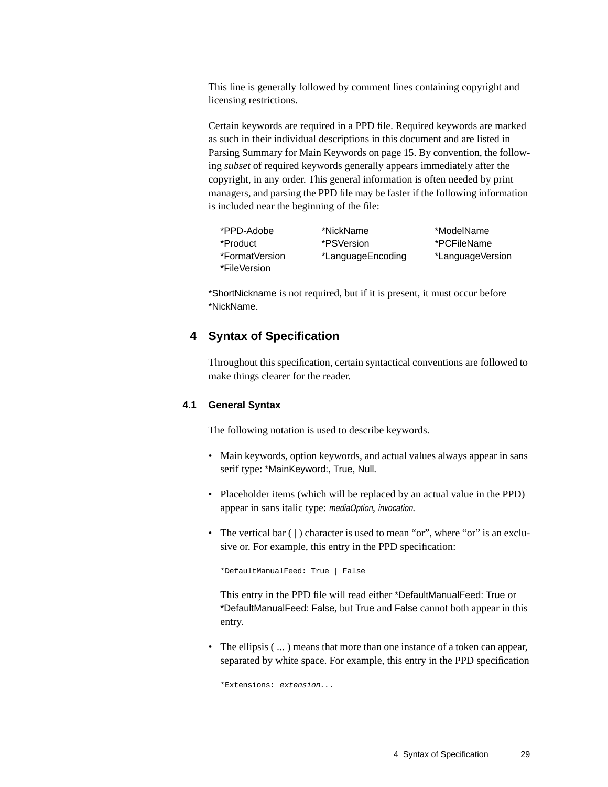This line is generally followed by comment lines containing copyright and licensing restrictions.

Certain keywords are required in a PPD file. Required keywords are marked as such in their individual descriptions in this document and are listed in Parsing Summary for Main Keywords on page 15. By convention, the following *subset* of required keywords generally appears immediately after the copyright, in any order. This general information is often needed by print managers, and parsing the PPD file may be faster if the following information is included near the beginning of the file:

| *PPD-Adobe     | *NickName         | *ModelName       |
|----------------|-------------------|------------------|
| *Product       | *PSVersion        | *PCFileName      |
| *FormatVersion | *LanguageEncoding | *LanguageVersion |
| *FileVersion   |                   |                  |

\*ShortNickname is not required, but if it is present, it must occur before \*NickName.

## **4 Syntax of Specification**

Throughout this specification, certain syntactical conventions are followed to make things clearer for the reader.

#### **4.1 General Syntax**

The following notation is used to describe keywords.

- Main keywords, option keywords, and actual values always appear in sans serif type: \*MainKeyword:, True, Null.
- Placeholder items (which will be replaced by an actual value in the PPD) appear in sans italic type: mediaOption, invocation.
- The vertical bar ( ) character is used to mean "or", where "or" is an exclusive or. For example, this entry in the PPD specification:

\*DefaultManualFeed: True | False

This entry in the PPD file will read either \*DefaultManualFeed: True or \*DefaultManualFeed: False, but True and False cannot both appear in this entry.

• The ellipsis (...) means that more than one instance of a token can appear, separated by white space. For example, this entry in the PPD specification

\*Extensions: extension...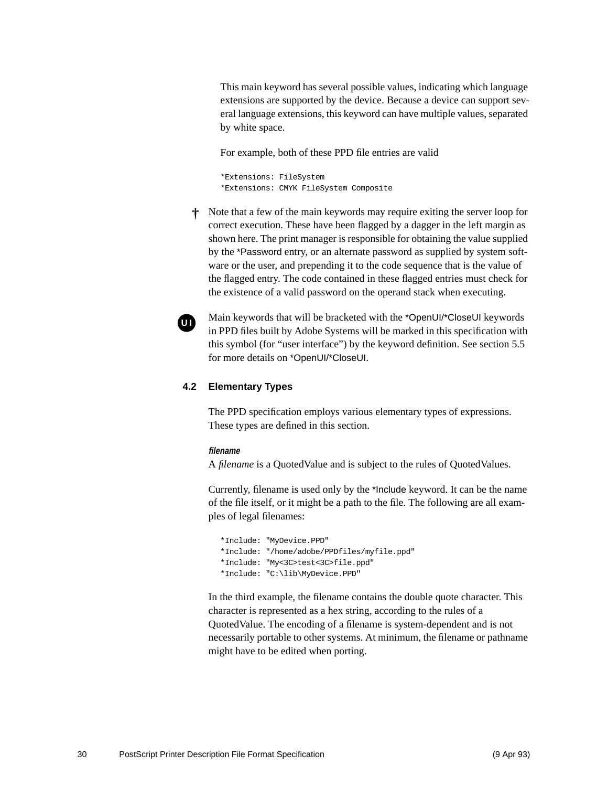This main keyword has several possible values, indicating which language extensions are supported by the device. Because a device can support several language extensions, this keyword can have multiple values, separated by white space.

For example, both of these PPD file entries are valid

```
*Extensions: FileSystem
*Extensions: CMYK FileSystem Composite
```
Note that a few of the main keywords may require exiting the server loop for **†** correct execution. These have been flagged by a dagger in the left margin as shown here. The print manager is responsible for obtaining the value supplied by the \*Password entry, or an alternate password as supplied by system software or the user, and prepending it to the code sequence that is the value of the flagged entry. The code contained in these flagged entries must check for the existence of a valid password on the operand stack when executing.



Main keywords that will be bracketed with the \*OpenUI/\*CloseUI keywords in PPD files built by Adobe Systems will be marked in this specification with this symbol (for "user interface") by the keyword definition. See section 5.5 for more details on \*OpenUI/\*CloseUI.

#### **4.2 Elementary Types**

The PPD specification employs various elementary types of expressions. These types are defined in this section.

#### **filename**

A *filename* is a QuotedValue and is subject to the rules of QuotedValues.

Currently, filename is used only by the \*Include keyword. It can be the name of the file itself, or it might be a path to the file. The following are all examples of legal filenames:

```
*Include: "MyDevice.PPD"
*Include: "/home/adobe/PPDfiles/myfile.ppd"
*Include: "My<3C>test<3C>file.ppd"
*Include: "C:\lib\MyDevice.PPD"
```
In the third example, the filename contains the double quote character. This character is represented as a hex string, according to the rules of a QuotedValue. The encoding of a filename is system-dependent and is not necessarily portable to other systems. At minimum, the filename or pathname might have to be edited when porting.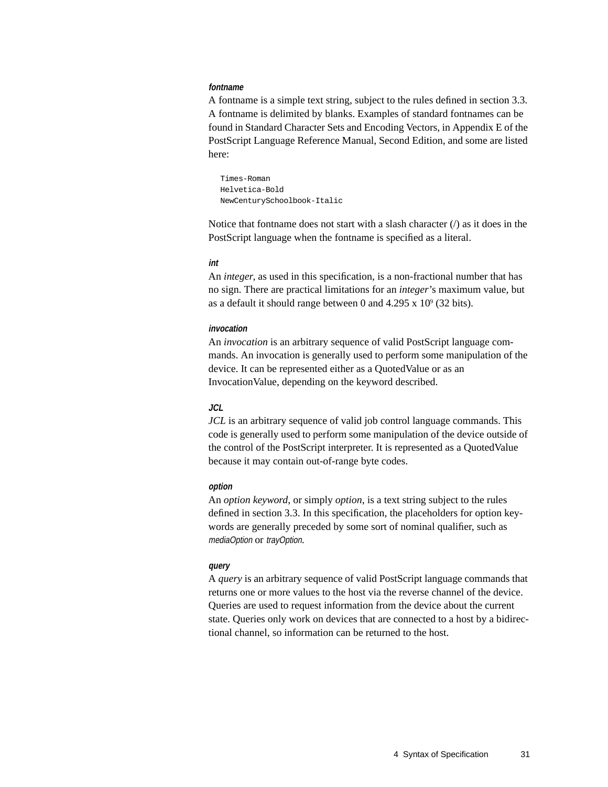#### **fontname**

A fontname is a simple text string, subject to the rules defined in section 3.3. A fontname is delimited by blanks. Examples of standard fontnames can be found in Standard Character Sets and Encoding Vectors, in Appendix E of the PostScript Language Reference Manual, Second Edition, and some are listed here:

```
Times-Roman
Helvetica-Bold
NewCenturySchoolbook-Italic
```
Notice that fontname does not start with a slash character  $($   $/$  as it does in the PostScript language when the fontname is specified as a literal.

#### **int**

An *integer*, as used in this specification, is a non-fractional number that has no sign. There are practical limitations for an *integer*'s maximum value, but as a default it should range between 0 and  $4.295 \times 10^9$  (32 bits).

#### **invocation**

An *invocation* is an arbitrary sequence of valid PostScript language commands. An invocation is generally used to perform some manipulation of the device. It can be represented either as a QuotedValue or as an InvocationValue, depending on the keyword described.

## **JCL**

*JCL* is an arbitrary sequence of valid job control language commands. This code is generally used to perform some manipulation of the device outside of the control of the PostScript interpreter. It is represented as a QuotedValue because it may contain out-of-range byte codes.

#### **option**

An *option keyword*, or simply *option*, is a text string subject to the rules defined in section 3.3. In this specification, the placeholders for option keywords are generally preceded by some sort of nominal qualifier, such as mediaOption or trayOption.

#### **query**

A *query* is an arbitrary sequence of valid PostScript language commands that returns one or more values to the host via the reverse channel of the device. Queries are used to request information from the device about the current state. Queries only work on devices that are connected to a host by a bidirectional channel, so information can be returned to the host.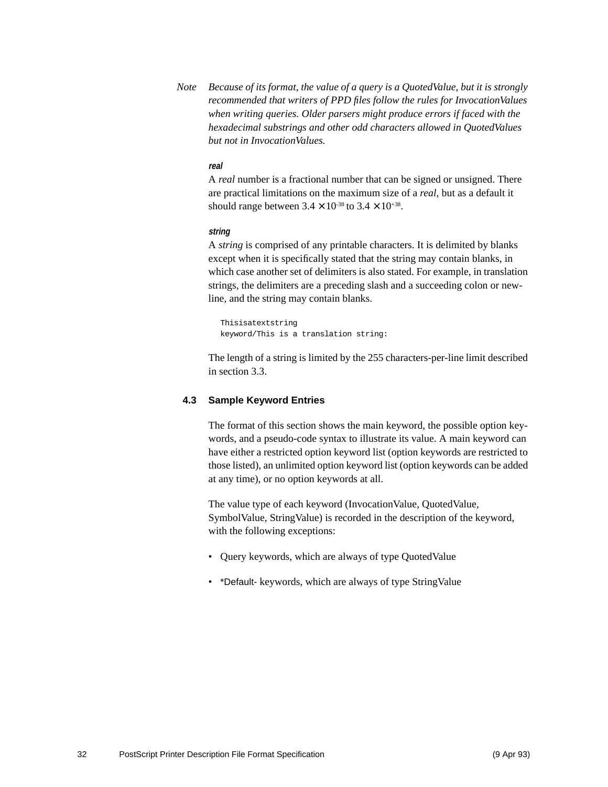*Note Because of its format, the value of a query is a QuotedValue, but it is strongly recommended that writers of PPD files follow the rules for InvocationValues when writing queries. Older parsers might produce errors if faced with the hexadecimal substrings and other odd characters allowed in QuotedValues but not in InvocationValues.*

#### **real**

A *real* number is a fractional number that can be signed or unsigned. There are practical limitations on the maximum size of a *real*, but as a default it should range between  $3.4 \times 10^{-38}$  to  $3.4 \times 10^{+38}$ .

#### **string**

A *string* is comprised of any printable characters. It is delimited by blanks except when it is specifically stated that the string may contain blanks, in which case another set of delimiters is also stated. For example, in translation strings, the delimiters are a preceding slash and a succeeding colon or newline, and the string may contain blanks.

Thisisatextstring keyword/This is a translation string:

The length of a string is limited by the 255 characters-per-line limit described in section 3.3.

### **4.3 Sample Keyword Entries**

The format of this section shows the main keyword, the possible option keywords, and a pseudo-code syntax to illustrate its value. A main keyword can have either a restricted option keyword list (option keywords are restricted to those listed), an unlimited option keyword list (option keywords can be added at any time), or no option keywords at all.

The value type of each keyword (InvocationValue, QuotedValue, SymbolValue, StringValue) is recorded in the description of the keyword, with the following exceptions:

- Query keywords, which are always of type QuotedValue
- \*Default- keywords, which are always of type StringValue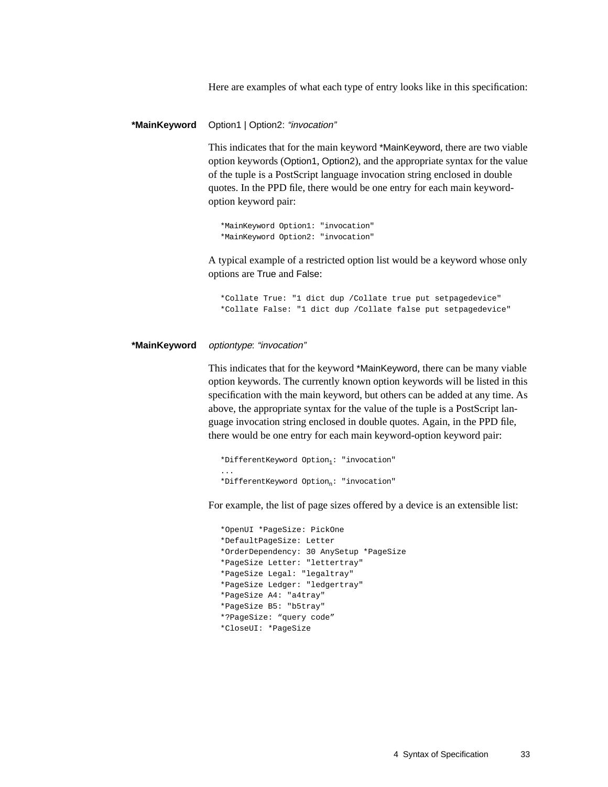Here are examples of what each type of entry looks like in this specification:

### **\*MainKeyword** Option1 | Option2: "invocation"

This indicates that for the main keyword \*MainKeyword, there are two viable option keywords (Option1, Option2), and the appropriate syntax for the value of the tuple is a PostScript language invocation string enclosed in double quotes. In the PPD file, there would be one entry for each main keywordoption keyword pair:

```
*MainKeyword Option1: "invocation"
*MainKeyword Option2: "invocation"
```
A typical example of a restricted option list would be a keyword whose only options are True and False:

\*Collate True: "1 dict dup /Collate true put setpagedevice" \*Collate False: "1 dict dup /Collate false put setpagedevice"

#### **\*MainKeyword** optiontype: "invocation"

This indicates that for the keyword \*MainKeyword, there can be many viable option keywords. The currently known option keywords will be listed in this specification with the main keyword, but others can be added at any time. As above, the appropriate syntax for the value of the tuple is a PostScript language invocation string enclosed in double quotes. Again, in the PPD file, there would be one entry for each main keyword-option keyword pair:

```
*DifferentKeyword Option<sub>1</sub>: "invocation"
...
*DifferentKeyword Option<sub>n</sub>: "invocation"
```
For example, the list of page sizes offered by a device is an extensible list:

```
*OpenUI *PageSize: PickOne
*DefaultPageSize: Letter
*OrderDependency: 30 AnySetup *PageSize
*PageSize Letter: "lettertray"
*PageSize Legal: "legaltray"
*PageSize Ledger: "ledgertray"
*PageSize A4: "a4tray"
*PageSize B5: "b5tray"
*?PageSize: "query code"
*CloseUI: *PageSize
```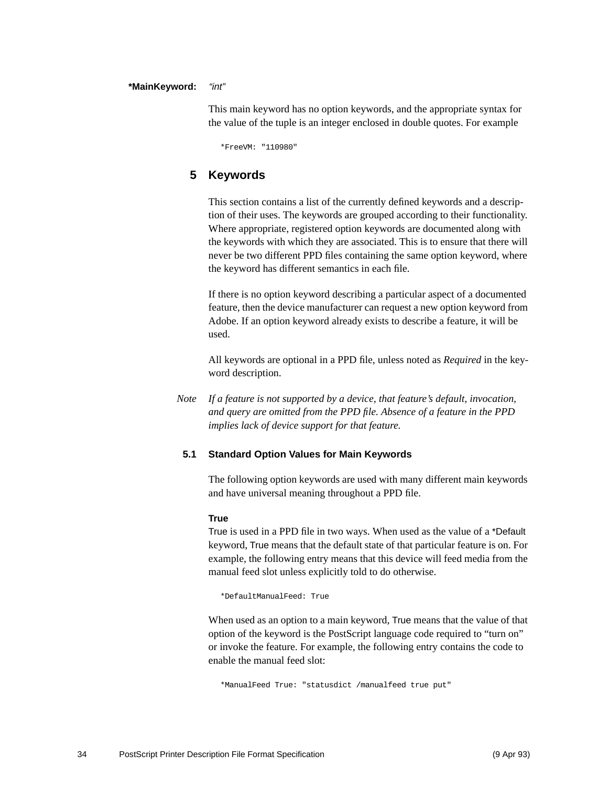#### **\*MainKeyword:** "int"

This main keyword has no option keywords, and the appropriate syntax for the value of the tuple is an integer enclosed in double quotes. For example

\*FreeVM: "110980"

# **5 Keywords**

This section contains a list of the currently defined keywords and a description of their uses. The keywords are grouped according to their functionality. Where appropriate, registered option keywords are documented along with the keywords with which they are associated. This is to ensure that there will never be two different PPD files containing the same option keyword, where the keyword has different semantics in each file.

If there is no option keyword describing a particular aspect of a documented feature, then the device manufacturer can request a new option keyword from Adobe. If an option keyword already exists to describe a feature, it will be used.

All keywords are optional in a PPD file, unless noted as *Required* in the keyword description.

*Note If a feature is not supported by a device, that feature's default, invocation, and query are omitted from the PPD file. Absence of a feature in the PPD implies lack of device support for that feature.*

# **5.1 Standard Option Values for Main Keywords**

The following option keywords are used with many different main keywords and have universal meaning throughout a PPD file.

# **True**

True is used in a PPD file in two ways. When used as the value of a \*Default keyword, True means that the default state of that particular feature is on. For example, the following entry means that this device will feed media from the manual feed slot unless explicitly told to do otherwise.

\*DefaultManualFeed: True

When used as an option to a main keyword, True means that the value of that option of the keyword is the PostScript language code required to "turn on" or invoke the feature. For example, the following entry contains the code to enable the manual feed slot:

\*ManualFeed True: "statusdict /manualfeed true put"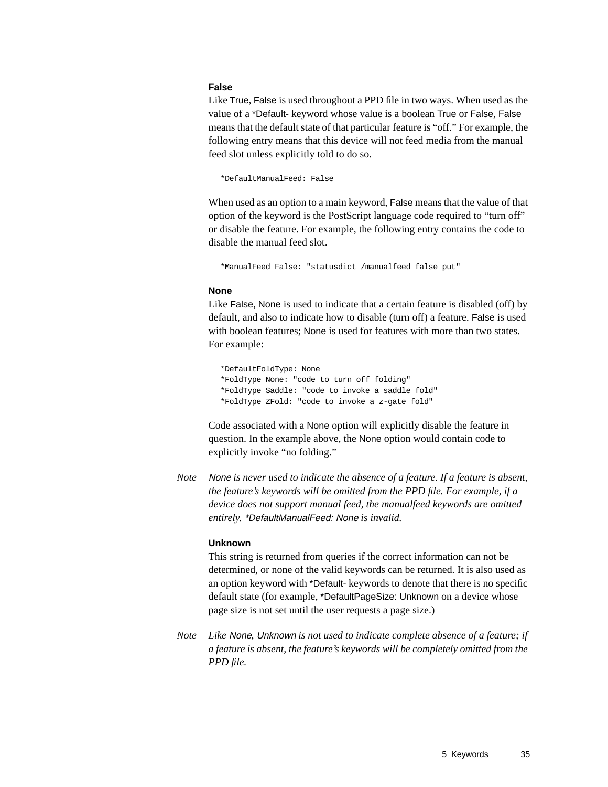### **False**

Like True, False is used throughout a PPD file in two ways. When used as the value of a \*Default- keyword whose value is a boolean True or False, False means that the default state of that particular feature is "off." For example, the following entry means that this device will not feed media from the manual feed slot unless explicitly told to do so.

```
*DefaultManualFeed: False
```
When used as an option to a main keyword, False means that the value of that option of the keyword is the PostScript language code required to "turn off" or disable the feature. For example, the following entry contains the code to disable the manual feed slot.

\*ManualFeed False: "statusdict /manualfeed false put"

#### **None**

Like False, None is used to indicate that a certain feature is disabled (off) by default, and also to indicate how to disable (turn off) a feature. False is used with boolean features; None is used for features with more than two states. For example:

\*DefaultFoldType: None \*FoldType None: "code to turn off folding" \*FoldType Saddle: "code to invoke a saddle fold" \*FoldType ZFold: "code to invoke a z-gate fold"

Code associated with a None option will explicitly disable the feature in question. In the example above, the None option would contain code to explicitly invoke "no folding."

*Note* None *is never used to indicate the absence of a feature. If a feature is absent, the feature's keywords will be omitted from the PPD file. For example, if a device does not support manual feed, the manualfeed keywords are omitted entirely.* \*DefaultManualFeed: None *is invalid.*

### **Unknown**

This string is returned from queries if the correct information can not be determined, or none of the valid keywords can be returned. It is also used as an option keyword with \*Default- keywords to denote that there is no specific default state (for example, \*DefaultPageSize: Unknown on a device whose page size is not set until the user requests a page size.)

*Note Like* None*,* Unknown *is not used to indicate complete absence of a feature; if a feature is absent, the feature's keywords will be completely omitted from the PPD file.*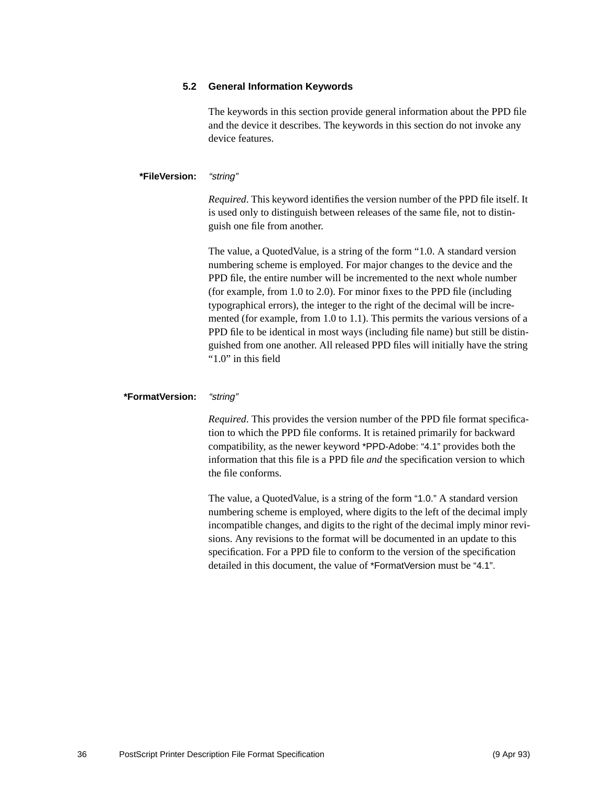# **5.2 General Information Keywords**

The keywords in this section provide general information about the PPD file and the device it describes. The keywords in this section do not invoke any device features.

# **\*FileVersion:** "string"

*Required*. This keyword identifies the version number of the PPD file itself. It is used only to distinguish between releases of the same file, not to distinguish one file from another.

The value, a QuotedValue, is a string of the form "1.0. A standard version numbering scheme is employed. For major changes to the device and the PPD file, the entire number will be incremented to the next whole number (for example, from 1.0 to 2.0). For minor fixes to the PPD file (including typographical errors), the integer to the right of the decimal will be incremented (for example, from 1.0 to 1.1). This permits the various versions of a PPD file to be identical in most ways (including file name) but still be distinguished from one another. All released PPD files will initially have the string "1.0" in this field

# **\*FormatVersion:** "string"

*Required*. This provides the version number of the PPD file format specification to which the PPD file conforms. It is retained primarily for backward compatibility, as the newer keyword \*PPD-Adobe: "4.1" provides both the information that this file is a PPD file *and* the specification version to which the file conforms.

The value, a QuotedValue, is a string of the form "1.0." A standard version numbering scheme is employed, where digits to the left of the decimal imply incompatible changes, and digits to the right of the decimal imply minor revisions. Any revisions to the format will be documented in an update to this specification. For a PPD file to conform to the version of the specification detailed in this document, the value of \*FormatVersion must be "4.1".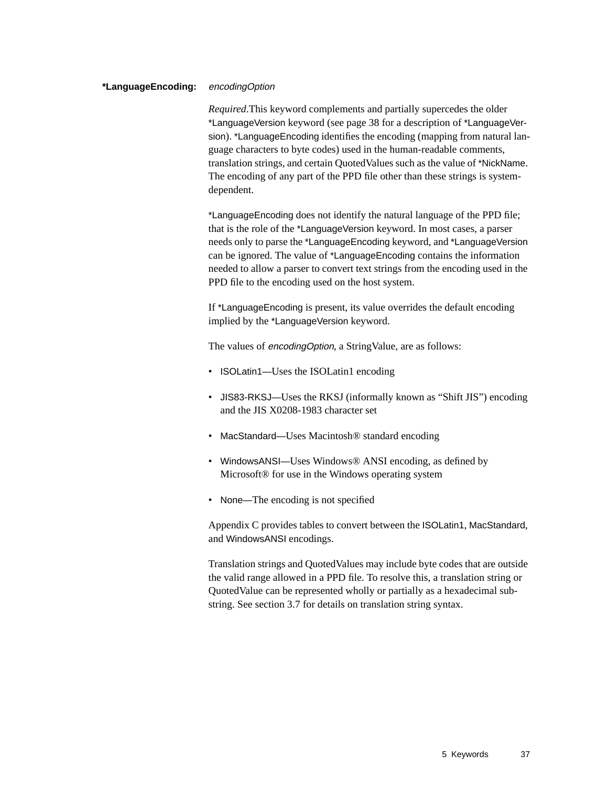### **\*LanguageEncoding:** encodingOption

*Required*.This keyword complements and partially supercedes the older \*LanguageVersion keyword (see page 38 for a description of \*LanguageVersion). \*LanguageEncoding identifies the encoding (mapping from natural language characters to byte codes) used in the human-readable comments, translation strings, and certain QuotedValues such as the value of \*NickName. The encoding of any part of the PPD file other than these strings is systemdependent.

\*LanguageEncoding does not identify the natural language of the PPD file; that is the role of the \*LanguageVersion keyword. In most cases, a parser needs only to parse the \*LanguageEncoding keyword, and \*LanguageVersion can be ignored. The value of \*LanguageEncoding contains the information needed to allow a parser to convert text strings from the encoding used in the PPD file to the encoding used on the host system.

If \*LanguageEncoding is present, its value overrides the default encoding implied by the \*LanguageVersion keyword.

The values of *encodingOption*, a StringValue, are as follows:

- ISOLatin1—Uses the ISOLatin1 encoding
- JIS83-RKSJ—Uses the RKSJ (informally known as "Shift JIS") encoding and the JIS X0208-1983 character set
- MacStandard—Uses Macintosh<sup>®</sup> standard encoding
- WindowsANSI—Uses Windows<sup>®</sup> ANSI encoding, as defined by Microsoft® for use in the Windows operating system
- None—The encoding is not specified

Appendix C provides tables to convert between the ISOLatin1, MacStandard, and WindowsANSI encodings.

Translation strings and QuotedValues may include byte codes that are outside the valid range allowed in a PPD file. To resolve this, a translation string or QuotedValue can be represented wholly or partially as a hexadecimal substring. See section 3.7 for details on translation string syntax.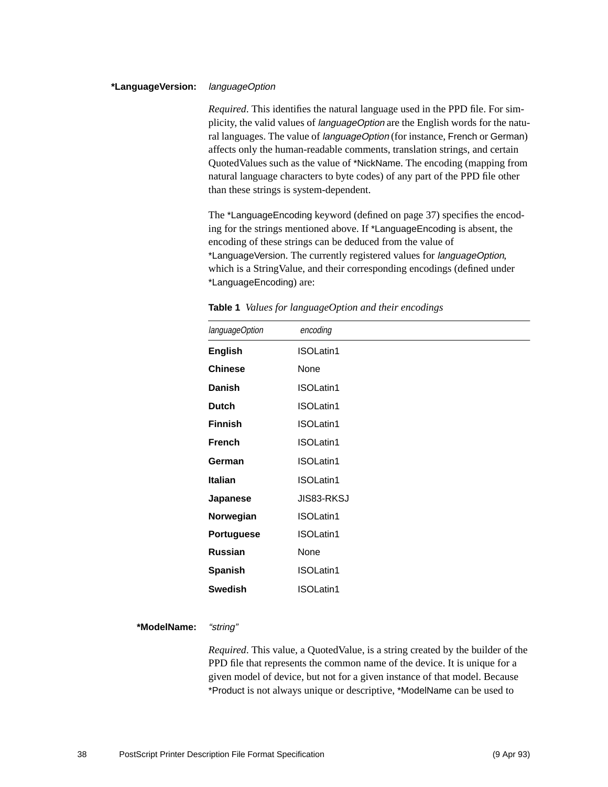# **\*LanguageVersion:** languageOption

*Required*. This identifies the natural language used in the PPD file. For simplicity, the valid values of *languageOption* are the English words for the natural languages. The value of languageOption (for instance, French or German) affects only the human-readable comments, translation strings, and certain QuotedValues such as the value of \*NickName. The encoding (mapping from natural language characters to byte codes) of any part of the PPD file other than these strings is system-dependent.

The \*LanguageEncoding keyword (defined on page 37) specifies the encoding for the strings mentioned above. If \*LanguageEncoding is absent, the encoding of these strings can be deduced from the value of \*LanguageVersion. The currently registered values for languageOption, which is a StringValue, and their corresponding encodings (defined under \*LanguageEncoding) are:

| languageOption    | encoding         |
|-------------------|------------------|
| <b>English</b>    | <b>ISOLatin1</b> |
| <b>Chinese</b>    | None             |
| <b>Danish</b>     | <b>ISOLatin1</b> |
| <b>Dutch</b>      | <b>ISOLatin1</b> |
| <b>Finnish</b>    | <b>ISOLatin1</b> |
| <b>French</b>     | <b>ISOLatin1</b> |
| German            | <b>ISOLatin1</b> |
| <b>Italian</b>    | <b>ISOLatin1</b> |
| Japanese          | JIS83-RKSJ       |
| Norwegian         | ISOLatin1        |
| <b>Portuguese</b> | <b>ISOLatin1</b> |
| <b>Russian</b>    | None             |
| <b>Spanish</b>    | <b>ISOLatin1</b> |
| <b>Swedish</b>    | <b>ISOLatin1</b> |

**Table 1** *Values for languageOption and their encodings*

### **\*ModelName:** "string"

*Required*. This value, a QuotedValue, is a string created by the builder of the PPD file that represents the common name of the device. It is unique for a given model of device, but not for a given instance of that model. Because \*Product is not always unique or descriptive, \*ModelName can be used to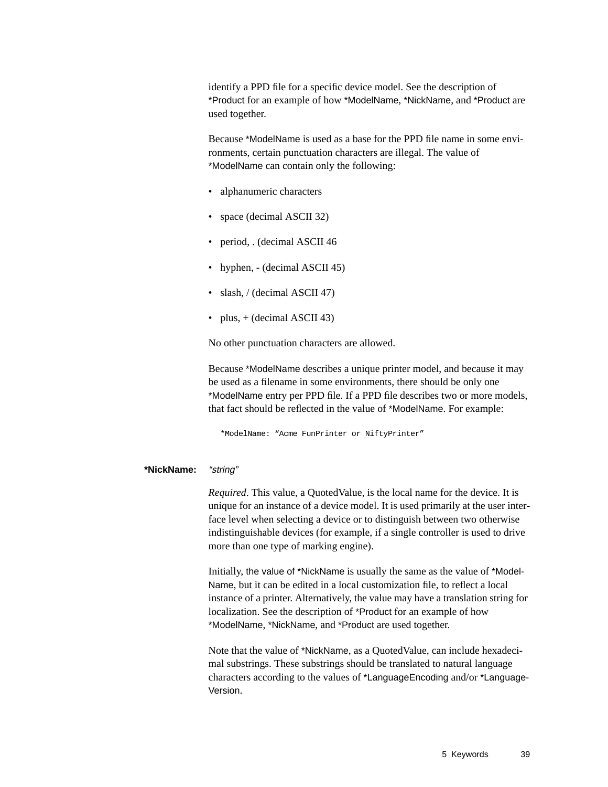identify a PPD file for a specific device model. See the description of \*Product for an example of how \*ModelName, \*NickName, and \*Product are used together.

Because \*ModelName is used as a base for the PPD file name in some environments, certain punctuation characters are illegal. The value of \*ModelName can contain only the following:

- alphanumeric characters
- space (decimal ASCII 32)
- period, . (decimal ASCII 46
- hyphen, (decimal ASCII 45)
- slash, / (decimal ASCII 47)
- plus,  $+$  (decimal ASCII 43)

No other punctuation characters are allowed.

Because \*ModelName describes a unique printer model, and because it may be used as a filename in some environments, there should be only one \*ModelName entry per PPD file. If a PPD file describes two or more models, that fact should be reflected in the value of \*ModelName. For example:

\*ModelName: "Acme FunPrinter or NiftyPrinter"

#### **\*NickName:** "string"

*Required*. This value, a QuotedValue, is the local name for the device. It is unique for an instance of a device model. It is used primarily at the user interface level when selecting a device or to distinguish between two otherwise indistinguishable devices (for example, if a single controller is used to drive more than one type of marking engine).

Initially, the value of \*NickName is usually the same as the value of \*Model-Name, but it can be edited in a local customization file, to reflect a local instance of a printer. Alternatively, the value may have a translation string for localization. See the description of \*Product for an example of how \*ModelName, \*NickName, and \*Product are used together.

Note that the value of \*NickName, as a QuotedValue, can include hexadecimal substrings. These substrings should be translated to natural language characters according to the values of \*LanguageEncoding and/or \*Language-Version.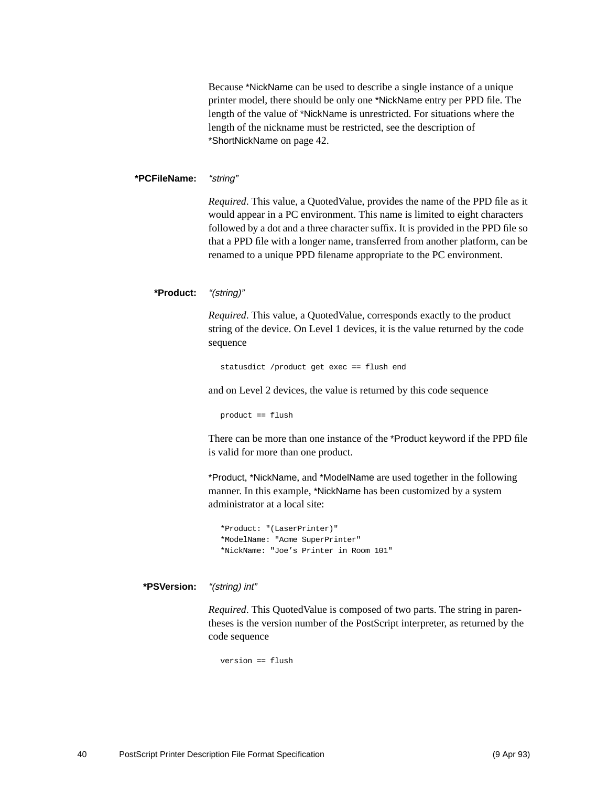Because \*NickName can be used to describe a single instance of a unique printer model, there should be only one \*NickName entry per PPD file. The length of the value of \*NickName is unrestricted. For situations where the length of the nickname must be restricted, see the description of \*ShortNickName on page 42.

#### **\*PCFileName:** "string"

*Required*. This value, a QuotedValue, provides the name of the PPD file as it would appear in a PC environment. This name is limited to eight characters followed by a dot and a three character suffix. It is provided in the PPD file so that a PPD file with a longer name, transferred from another platform, can be renamed to a unique PPD filename appropriate to the PC environment.

# **\*Product:** "(string)"

*Required*. This value, a QuotedValue, corresponds exactly to the product string of the device. On Level 1 devices, it is the value returned by the code sequence

statusdict /product get exec == flush end

and on Level 2 devices, the value is returned by this code sequence

product == flush

There can be more than one instance of the \*Product keyword if the PPD file is valid for more than one product.

\*Product, \*NickName, and \*ModelName are used together in the following manner. In this example, \*NickName has been customized by a system administrator at a local site:

\*Product: "(LaserPrinter)" \*ModelName: "Acme SuperPrinter" \*NickName: "Joe's Printer in Room 101"

**\*PSVersion:** "(string) int"

*Required*. This QuotedValue is composed of two parts. The string in parentheses is the version number of the PostScript interpreter, as returned by the code sequence

version == flush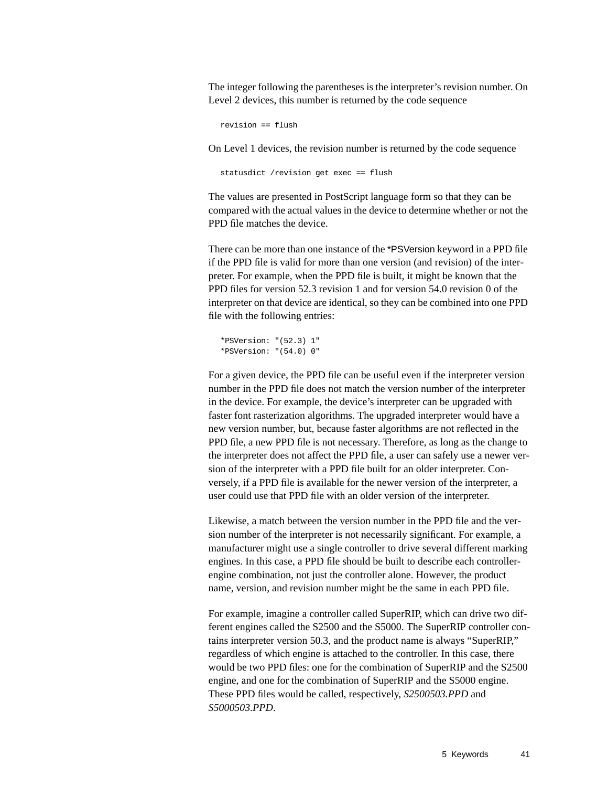The integer following the parentheses is the interpreter's revision number. On Level 2 devices, this number is returned by the code sequence

```
revision == flush
```
On Level 1 devices, the revision number is returned by the code sequence

statusdict /revision get exec == flush

The values are presented in PostScript language form so that they can be compared with the actual values in the device to determine whether or not the PPD file matches the device.

There can be more than one instance of the \*PSVersion keyword in a PPD file if the PPD file is valid for more than one version (and revision) of the interpreter. For example, when the PPD file is built, it might be known that the PPD files for version 52.3 revision 1 and for version 54.0 revision 0 of the interpreter on that device are identical, so they can be combined into one PPD file with the following entries:

```
*PSVersion: "(52.3) 1"
*PSVersion: "(54.0) 0"
```
For a given device, the PPD file can be useful even if the interpreter version number in the PPD file does not match the version number of the interpreter in the device. For example, the device's interpreter can be upgraded with faster font rasterization algorithms. The upgraded interpreter would have a new version number, but, because faster algorithms are not reflected in the PPD file, a new PPD file is not necessary. Therefore, as long as the change to the interpreter does not affect the PPD file, a user can safely use a newer version of the interpreter with a PPD file built for an older interpreter. Conversely, if a PPD file is available for the newer version of the interpreter, a user could use that PPD file with an older version of the interpreter.

Likewise, a match between the version number in the PPD file and the version number of the interpreter is not necessarily significant. For example, a manufacturer might use a single controller to drive several different marking engines. In this case, a PPD file should be built to describe each controllerengine combination, not just the controller alone. However, the product name, version, and revision number might be the same in each PPD file.

For example, imagine a controller called SuperRIP, which can drive two different engines called the S2500 and the S5000. The SuperRIP controller contains interpreter version 50.3, and the product name is always "SuperRIP," regardless of which engine is attached to the controller. In this case, there would be two PPD files: one for the combination of SuperRIP and the S2500 engine, and one for the combination of SuperRIP and the S5000 engine. These PPD files would be called, respectively, *S2500503.PPD* and *S5000503.PPD*.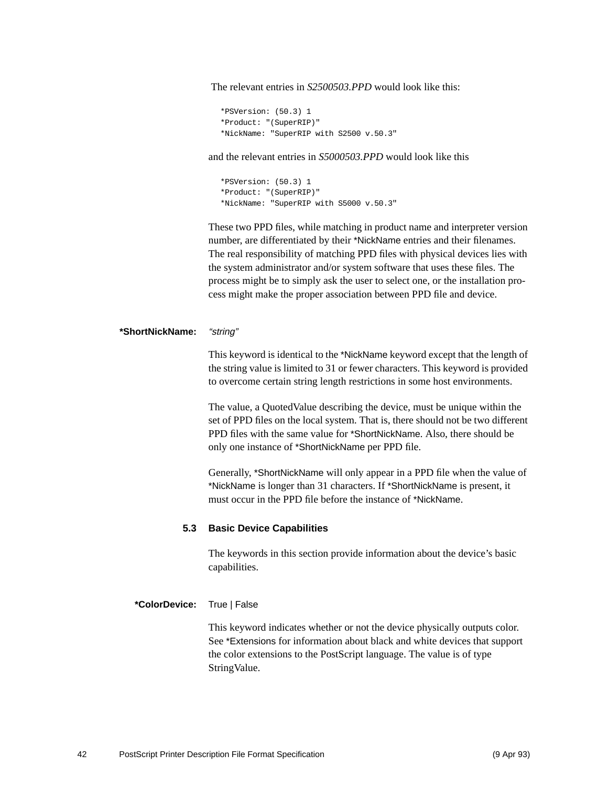The relevant entries in *S2500503.PPD* would look like this:

```
*PSVersion: (50.3) 1
*Product: "(SuperRIP)"
*NickName: "SuperRIP with S2500 v.50.3"
```
and the relevant entries in *S5000503.PPD* would look like this

```
*PSVersion: (50.3) 1
*Product: "(SuperRIP)"
*NickName: "SuperRIP with S5000 v.50.3"
```
These two PPD files, while matching in product name and interpreter version number, are differentiated by their \*NickName entries and their filenames. The real responsibility of matching PPD files with physical devices lies with the system administrator and/or system software that uses these files. The process might be to simply ask the user to select one, or the installation process might make the proper association between PPD file and device.

#### **\*ShortNickName:** "string"

This keyword is identical to the \*NickName keyword except that the length of the string value is limited to 31 or fewer characters. This keyword is provided to overcome certain string length restrictions in some host environments.

The value, a QuotedValue describing the device, must be unique within the set of PPD files on the local system. That is, there should not be two different PPD files with the same value for \*ShortNickName. Also, there should be only one instance of \*ShortNickName per PPD file.

Generally, \*ShortNickName will only appear in a PPD file when the value of \*NickName is longer than 31 characters. If \*ShortNickName is present, it must occur in the PPD file before the instance of \*NickName.

### **5.3 Basic Device Capabilities**

The keywords in this section provide information about the device's basic capabilities.

#### **\*ColorDevice:** True | False

This keyword indicates whether or not the device physically outputs color. See \*Extensions for information about black and white devices that support the color extensions to the PostScript language. The value is of type StringValue.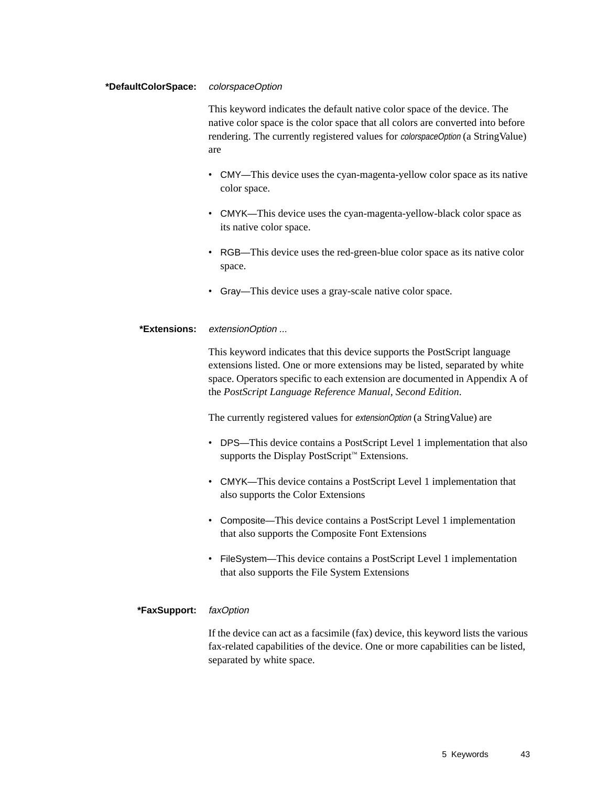### **\*DefaultColorSpace:** colorspaceOption

This keyword indicates the default native color space of the device. The native color space is the color space that all colors are converted into before rendering. The currently registered values for *colorspaceOption* (a StringValue) are

- CMY—This device uses the cyan-magenta-yellow color space as its native color space.
- CMYK—This device uses the cyan-magenta-yellow-black color space as its native color space.
- RGB—This device uses the red-green-blue color space as its native color space.
- Gray—This device uses a gray-scale native color space.

# **\*Extensions:** extensionOption ...

This keyword indicates that this device supports the PostScript language extensions listed. One or more extensions may be listed, separated by white space. Operators specific to each extension are documented in Appendix A of the *PostScript Language Reference Manual, Second Edition*.

The currently registered values for extensionOption (a StringValue) are

- DPS—This device contains a PostScript Level 1 implementation that also supports the Display PostScript™ Extensions.
- CMYK—This device contains a PostScript Level 1 implementation that also supports the Color Extensions
- Composite—This device contains a PostScript Level 1 implementation that also supports the Composite Font Extensions
- FileSystem—This device contains a PostScript Level 1 implementation that also supports the File System Extensions

### **\*FaxSupport:** faxOption

If the device can act as a facsimile (fax) device, this keyword lists the various fax-related capabilities of the device. One or more capabilities can be listed, separated by white space.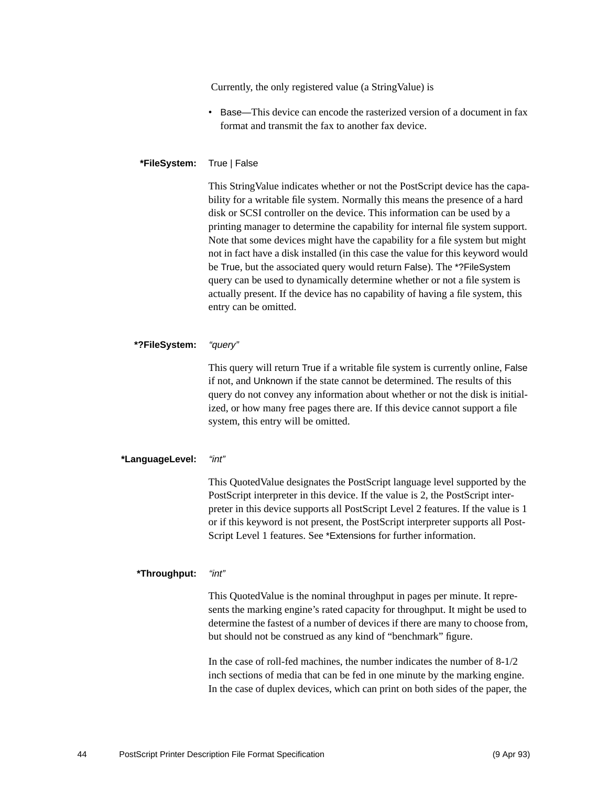Currently, the only registered value (a StringValue) is

• Base—This device can encode the rasterized version of a document in fax format and transmit the fax to another fax device.

# **\*FileSystem:** True | False

This StringValue indicates whether or not the PostScript device has the capability for a writable file system. Normally this means the presence of a hard disk or SCSI controller on the device. This information can be used by a printing manager to determine the capability for internal file system support. Note that some devices might have the capability for a file system but might not in fact have a disk installed (in this case the value for this keyword would be True, but the associated query would return False). The \*?FileSystem query can be used to dynamically determine whether or not a file system is actually present. If the device has no capability of having a file system, this entry can be omitted.

# **\*?FileSystem:** "query"

This query will return True if a writable file system is currently online, False if not, and Unknown if the state cannot be determined. The results of this query do not convey any information about whether or not the disk is initialized, or how many free pages there are. If this device cannot support a file system, this entry will be omitted.

### **\*LanguageLevel:** "int"

This QuotedValue designates the PostScript language level supported by the PostScript interpreter in this device. If the value is 2, the PostScript interpreter in this device supports all PostScript Level 2 features. If the value is 1 or if this keyword is not present, the PostScript interpreter supports all Post-Script Level 1 features. See \*Extensions for further information.

## **\*Throughput:** "int"

This QuotedValue is the nominal throughput in pages per minute. It represents the marking engine's rated capacity for throughput. It might be used to determine the fastest of a number of devices if there are many to choose from, but should not be construed as any kind of "benchmark" figure.

In the case of roll-fed machines, the number indicates the number of 8-1/2 inch sections of media that can be fed in one minute by the marking engine. In the case of duplex devices, which can print on both sides of the paper, the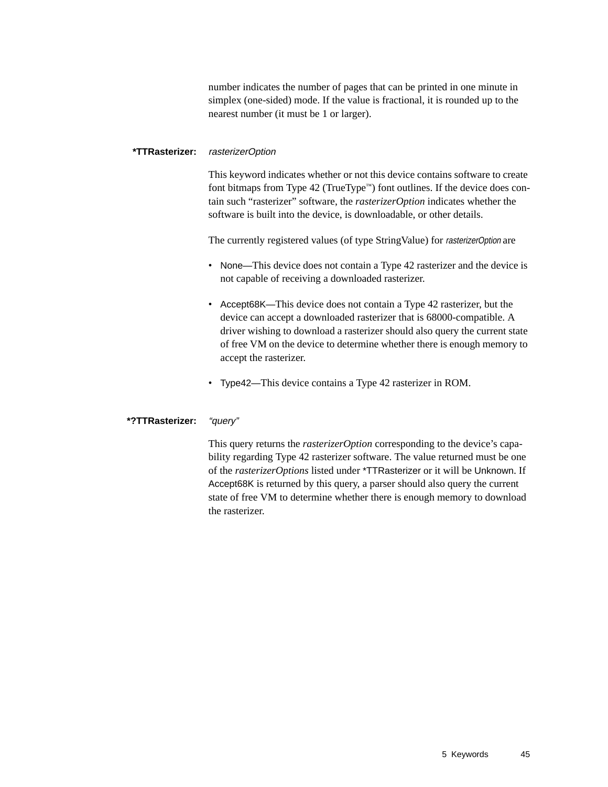number indicates the number of pages that can be printed in one minute in simplex (one-sided) mode. If the value is fractional, it is rounded up to the nearest number (it must be 1 or larger).

### **\*TTRasterizer:** rasterizerOption

This keyword indicates whether or not this device contains software to create font bitmaps from Type  $42$  (TrueType<sup>™</sup>) font outlines. If the device does contain such "rasterizer" software, the *rasterizerOption* indicates whether the software is built into the device, is downloadable, or other details.

The currently registered values (of type StringValue) for rasterizerOption are

- None—This device does not contain a Type 42 rasterizer and the device is not capable of receiving a downloaded rasterizer.
- Accept68K—This device does not contain a Type 42 rasterizer, but the device can accept a downloaded rasterizer that is 68000-compatible. A driver wishing to download a rasterizer should also query the current state of free VM on the device to determine whether there is enough memory to accept the rasterizer.
- Type42—This device contains a Type 42 rasterizer in ROM.

# **\*?TTRasterizer:** "query"

This query returns the *rasterizerOption* corresponding to the device's capability regarding Type 42 rasterizer software. The value returned must be one of the *rasterizerOptions* listed under \*TTRasterizer or it will be Unknown. If Accept68K is returned by this query, a parser should also query the current state of free VM to determine whether there is enough memory to download the rasterizer.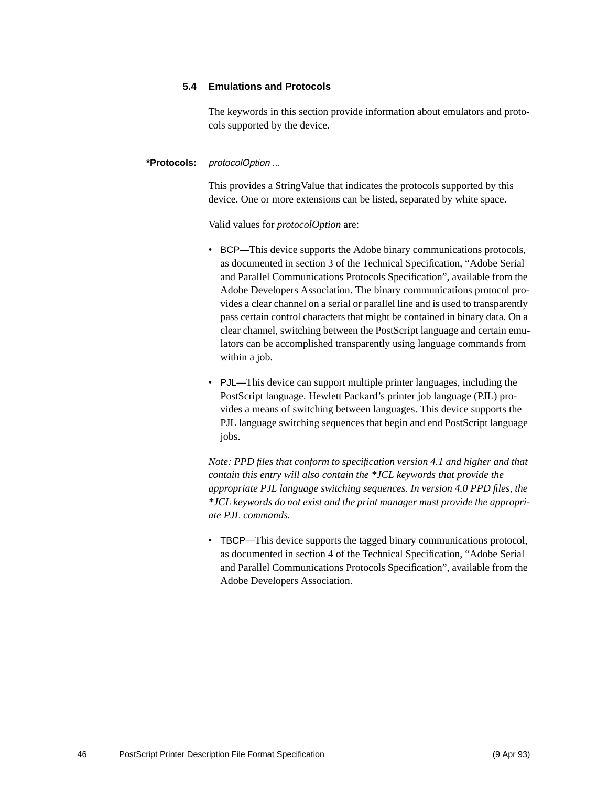# **5.4 Emulations and Protocols**

The keywords in this section provide information about emulators and protocols supported by the device.

# **\*Protocols:** protocolOption ...

This provides a StringValue that indicates the protocols supported by this device. One or more extensions can be listed, separated by white space.

Valid values for *protocolOption* are:

- BCP—This device supports the Adobe binary communications protocols, as documented in section 3 of the Technical Specification, "Adobe Serial and Parallel Communications Protocols Specification", available from the Adobe Developers Association. The binary communications protocol provides a clear channel on a serial or parallel line and is used to transparently pass certain control characters that might be contained in binary data. On a clear channel, switching between the PostScript language and certain emulators can be accomplished transparently using language commands from within a job.
- PJL—This device can support multiple printer languages, including the PostScript language. Hewlett Packard's printer job language (PJL) provides a means of switching between languages. This device supports the PJL language switching sequences that begin and end PostScript language jobs.

*Note: PPD files that conform to specification version 4.1 and higher and that contain this entry will also contain the \*JCL keywords that provide the appropriate PJL language switching sequences. In version 4.0 PPD files, the \*JCL keywords do not exist and the print manager must provide the appropriate PJL commands.*

• TBCP—This device supports the tagged binary communications protocol, as documented in section 4 of the Technical Specification, "Adobe Serial and Parallel Communications Protocols Specification", available from the Adobe Developers Association.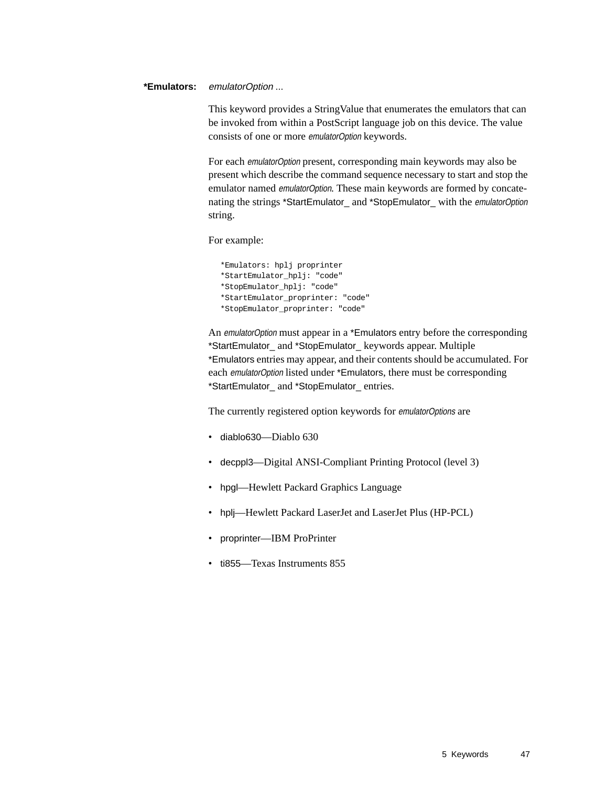### **\*Emulators:** emulatorOption ...

This keyword provides a StringValue that enumerates the emulators that can be invoked from within a PostScript language job on this device. The value consists of one or more emulatorOption keywords.

For each emulatorOption present, corresponding main keywords may also be present which describe the command sequence necessary to start and stop the emulator named emulatorOption. These main keywords are formed by concatenating the strings \*StartEmulator\_ and \*StopEmulator\_ with the emulatorOption string.

For example:

\*Emulators: hplj proprinter \*StartEmulator\_hplj: "code" \*StopEmulator\_hplj: "code" \*StartEmulator\_proprinter: "code" \*StopEmulator\_proprinter: "code"

An emulatorOption must appear in a \*Emulators entry before the corresponding \*StartEmulator\_ and \*StopEmulator\_ keywords appear. Multiple \*Emulators entries may appear, and their contents should be accumulated. For each emulatorOption listed under \*Emulators, there must be corresponding \*StartEmulator\_ and \*StopEmulator\_ entries.

The currently registered option keywords for emulatorOptions are

- diablo630—Diablo 630
- decppl3—Digital ANSI-Compliant Printing Protocol (level 3)
- hpgl—Hewlett Packard Graphics Language
- hplj—Hewlett Packard LaserJet and LaserJet Plus (HP-PCL)
- proprinter—IBM ProPrinter
- ti855—Texas Instruments 855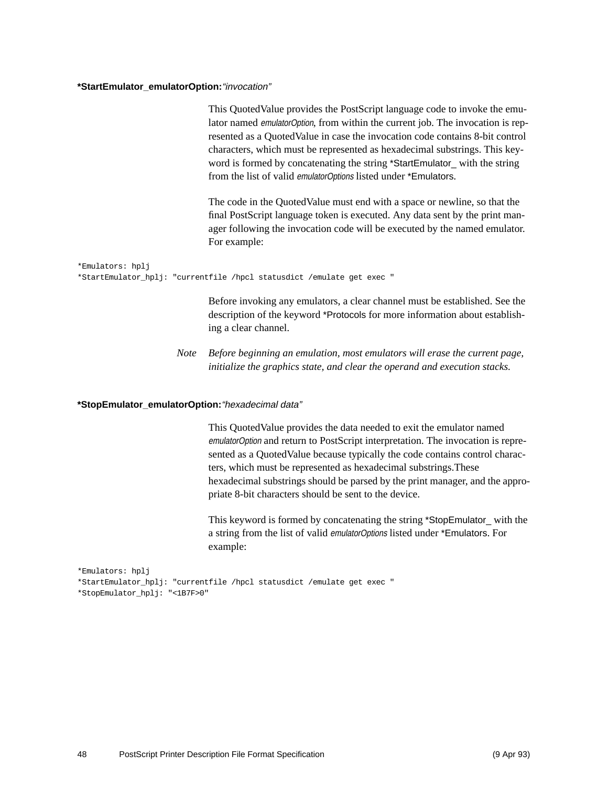#### **\*StartEmulator\_emulatorOption:**"invocation"

|                  | This Quoted Value provides the PostScript language code to invoke the emu-<br>lator named emulatorOption, from within the current job. The invocation is rep-<br>resented as a Quoted Value in case the invocation code contains 8-bit control<br>characters, which must be represented as hexadecimal substrings. This key-<br>word is formed by concatenating the string *StartEmulator_ with the string<br>from the list of valid emulatorOptions listed under *Emulators. |
|------------------|-------------------------------------------------------------------------------------------------------------------------------------------------------------------------------------------------------------------------------------------------------------------------------------------------------------------------------------------------------------------------------------------------------------------------------------------------------------------------------|
|                  | The code in the QuotedValue must end with a space or newline, so that the<br>final PostScript language token is executed. Any data sent by the print man-<br>ager following the invocation code will be executed by the named emulator.<br>For example:                                                                                                                                                                                                                       |
| *Emulators: hplj | *StartEmulator_hplj: "currentfile /hpcl statusdict /emulate get exec "                                                                                                                                                                                                                                                                                                                                                                                                        |
|                  | Before invoking any emulators, a clear channel must be established. See the<br>description of the keyword *Protocols for more information about establish-<br>ing a clear channel.                                                                                                                                                                                                                                                                                            |
| <i>Note</i>      | Before beginning an emulation, most emulators will erase the current page,<br>initialize the graphics state, and clear the operand and execution stacks.                                                                                                                                                                                                                                                                                                                      |

### **\*StopEmulator\_emulatorOption:**"hexadecimal data"

This QuotedValue provides the data needed to exit the emulator named emulatorOption and return to PostScript interpretation. The invocation is represented as a QuotedValue because typically the code contains control characters, which must be represented as hexadecimal substrings.These hexadecimal substrings should be parsed by the print manager, and the appropriate 8-bit characters should be sent to the device.

This keyword is formed by concatenating the string \*StopEmulator\_ with the a string from the list of valid emulatorOptions listed under \*Emulators. For example:

\*Emulators: hplj \*StartEmulator\_hplj: "currentfile /hpcl statusdict /emulate get exec " \*StopEmulator\_hplj: "<1B7F>0"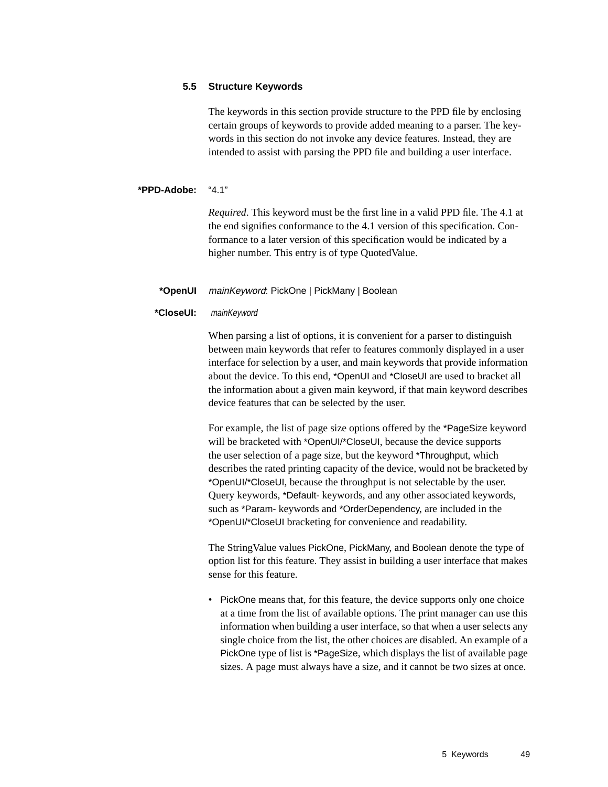# **5.5 Structure Keywords**

The keywords in this section provide structure to the PPD file by enclosing certain groups of keywords to provide added meaning to a parser. The keywords in this section do not invoke any device features. Instead, they are intended to assist with parsing the PPD file and building a user interface.

### **\*PPD-Adobe:** "4.1"

*Required*. This keyword must be the first line in a valid PPD file. The 4.1 at the end signifies conformance to the 4.1 version of this specification. Conformance to a later version of this specification would be indicated by a higher number. This entry is of type QuotedValue.

### **\*OpenUI** mainKeyword: PickOne | PickMany | Boolean

# **\*CloseUI:** mainKeyword

When parsing a list of options, it is convenient for a parser to distinguish between main keywords that refer to features commonly displayed in a user interface for selection by a user, and main keywords that provide information about the device. To this end, \*OpenUI and \*CloseUI are used to bracket all the information about a given main keyword, if that main keyword describes device features that can be selected by the user.

For example, the list of page size options offered by the \*PageSize keyword will be bracketed with \*OpenUI/\*CloseUI, because the device supports the user selection of a page size, but the keyword \*Throughput, which describes the rated printing capacity of the device, would not be bracketed by \*OpenUI/\*CloseUI, because the throughput is not selectable by the user. Query keywords, \*Default- keywords, and any other associated keywords, such as \*Param- keywords and \*OrderDependency, are included in the \*OpenUI/\*CloseUI bracketing for convenience and readability.

The StringValue values PickOne, PickMany, and Boolean denote the type of option list for this feature. They assist in building a user interface that makes sense for this feature.

• PickOne means that, for this feature, the device supports only one choice at a time from the list of available options. The print manager can use this information when building a user interface, so that when a user selects any single choice from the list, the other choices are disabled. An example of a PickOne type of list is \*PageSize, which displays the list of available page sizes. A page must always have a size, and it cannot be two sizes at once.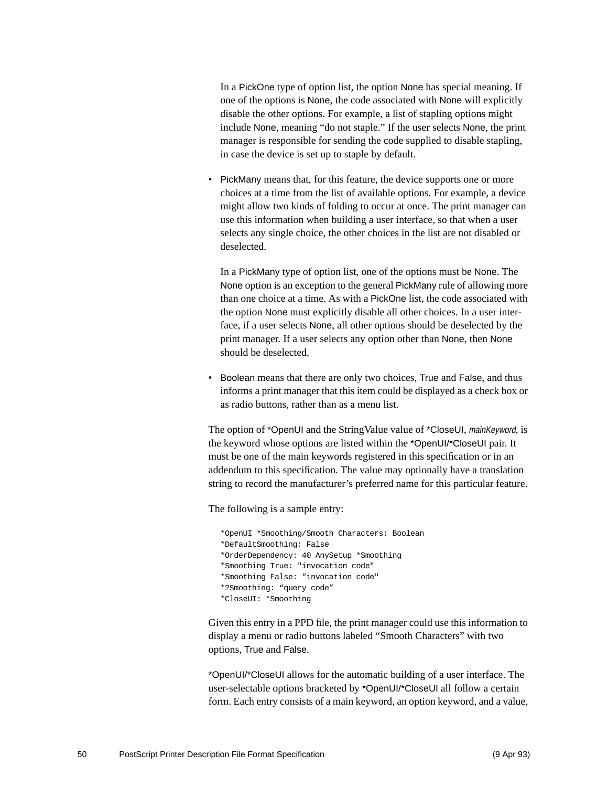In a PickOne type of option list, the option None has special meaning. If one of the options is None, the code associated with None will explicitly disable the other options. For example, a list of stapling options might include None, meaning "do not staple." If the user selects None, the print manager is responsible for sending the code supplied to disable stapling, in case the device is set up to staple by default.

• PickMany means that, for this feature, the device supports one or more choices at a time from the list of available options. For example, a device might allow two kinds of folding to occur at once. The print manager can use this information when building a user interface, so that when a user selects any single choice, the other choices in the list are not disabled or deselected.

In a PickMany type of option list, one of the options must be None. The None option is an exception to the general PickMany rule of allowing more than one choice at a time. As with a PickOne list, the code associated with the option None must explicitly disable all other choices. In a user interface, if a user selects None, all other options should be deselected by the print manager. If a user selects any option other than None, then None should be deselected.

• Boolean means that there are only two choices, True and False, and thus informs a print manager that this item could be displayed as a check box or as radio buttons, rather than as a menu list.

The option of \*OpenUI and the StringValue value of \*CloseUI, mainKeyword, is the keyword whose options are listed within the \*OpenUI/\*CloseUI pair. It must be one of the main keywords registered in this specification or in an addendum to this specification. The value may optionally have a translation string to record the manufacturer's preferred name for this particular feature.

The following is a sample entry:

```
*OpenUI *Smoothing/Smooth Characters: Boolean
*DefaultSmoothing: False
*OrderDependency: 40 AnySetup *Smoothing
*Smoothing True: "invocation code"
*Smoothing False: "invocation code"
*?Smoothing: "query code"
*CloseUI: *Smoothing
```
Given this entry in a PPD file, the print manager could use this information to display a menu or radio buttons labeled "Smooth Characters" with two options, True and False.

\*OpenUI/\*CloseUI allows for the automatic building of a user interface. The user-selectable options bracketed by \*OpenUI/\*CloseUI all follow a certain form. Each entry consists of a main keyword, an option keyword, and a value,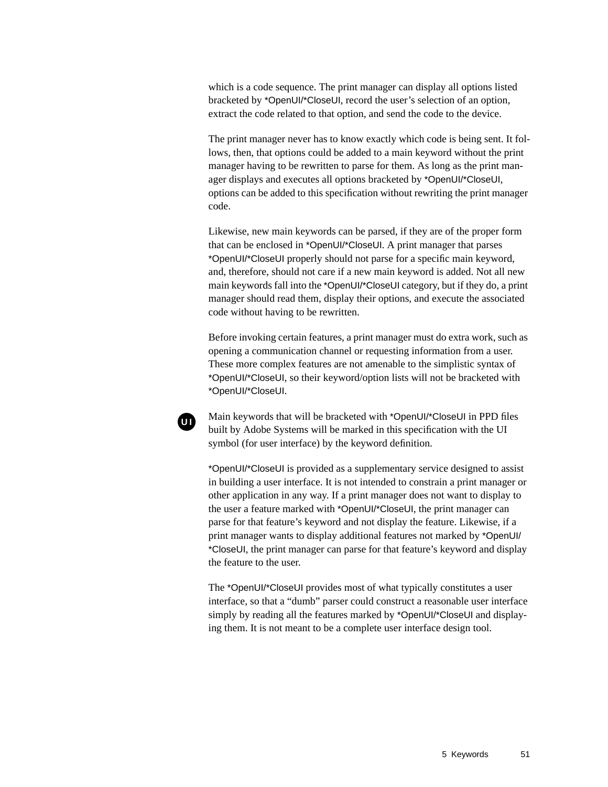which is a code sequence. The print manager can display all options listed bracketed by \*OpenUI/\*CloseUI, record the user's selection of an option, extract the code related to that option, and send the code to the device.

The print manager never has to know exactly which code is being sent. It follows, then, that options could be added to a main keyword without the print manager having to be rewritten to parse for them. As long as the print manager displays and executes all options bracketed by \*OpenUI/\*CloseUI, options can be added to this specification without rewriting the print manager code.

Likewise, new main keywords can be parsed, if they are of the proper form that can be enclosed in \*OpenUI/\*CloseUI. A print manager that parses \*OpenUI/\*CloseUI properly should not parse for a specific main keyword, and, therefore, should not care if a new main keyword is added. Not all new main keywords fall into the \*OpenUI/\*CloseUI category, but if they do, a print manager should read them, display their options, and execute the associated code without having to be rewritten.

Before invoking certain features, a print manager must do extra work, such as opening a communication channel or requesting information from a user. These more complex features are not amenable to the simplistic syntax of \*OpenUI/\*CloseUI, so their keyword/option lists will not be bracketed with \*OpenUI/\*CloseUI.



Main keywords that will be bracketed with \*OpenUI/\*CloseUI in PPD files built by Adobe Systems will be marked in this specification with the UI symbol (for user interface) by the keyword definition.

\*OpenUI/\*CloseUI is provided as a supplementary service designed to assist in building a user interface. It is not intended to constrain a print manager or other application in any way. If a print manager does not want to display to the user a feature marked with \*OpenUI/\*CloseUI, the print manager can parse for that feature's keyword and not display the feature. Likewise, if a print manager wants to display additional features not marked by \*OpenUI/ \*CloseUI, the print manager can parse for that feature's keyword and display the feature to the user.

The \*OpenUI/\*CloseUI provides most of what typically constitutes a user interface, so that a "dumb" parser could construct a reasonable user interface simply by reading all the features marked by \*OpenUI/\*CloseUI and displaying them. It is not meant to be a complete user interface design tool.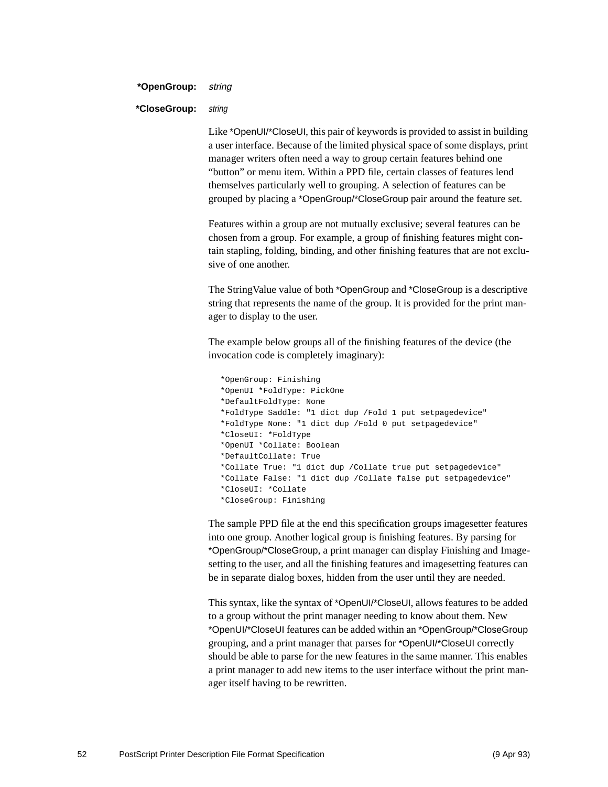**\*OpenGroup:** string

# **\*CloseGroup:** string

Like \*OpenUI/\*CloseUI, this pair of keywords is provided to assist in building a user interface. Because of the limited physical space of some displays, print manager writers often need a way to group certain features behind one "button" or menu item. Within a PPD file, certain classes of features lend themselves particularly well to grouping. A selection of features can be grouped by placing a \*OpenGroup/\*CloseGroup pair around the feature set.

Features within a group are not mutually exclusive; several features can be chosen from a group. For example, a group of finishing features might contain stapling, folding, binding, and other finishing features that are not exclusive of one another.

The StringValue value of both \*OpenGroup and \*CloseGroup is a descriptive string that represents the name of the group. It is provided for the print manager to display to the user.

The example below groups all of the finishing features of the device (the invocation code is completely imaginary):

```
*OpenGroup: Finishing
*OpenUI *FoldType: PickOne
*DefaultFoldType: None
*FoldType Saddle: "1 dict dup /Fold 1 put setpagedevice"
*FoldType None: "1 dict dup /Fold 0 put setpagedevice"
*CloseUI: *FoldType
*OpenUI *Collate: Boolean
*DefaultCollate: True
*Collate True: "1 dict dup /Collate true put setpagedevice"
*Collate False: "1 dict dup /Collate false put setpagedevice"
*CloseUI: *Collate
*CloseGroup: Finishing
```
The sample PPD file at the end this specification groups imagesetter features into one group. Another logical group is finishing features. By parsing for \*OpenGroup/\*CloseGroup, a print manager can display Finishing and Imagesetting to the user, and all the finishing features and imagesetting features can be in separate dialog boxes, hidden from the user until they are needed.

This syntax, like the syntax of \*OpenUI/\*CloseUI, allows features to be added to a group without the print manager needing to know about them. New \*OpenUI/\*CloseUI features can be added within an \*OpenGroup/\*CloseGroup grouping, and a print manager that parses for \*OpenUI/\*CloseUI correctly should be able to parse for the new features in the same manner. This enables a print manager to add new items to the user interface without the print manager itself having to be rewritten.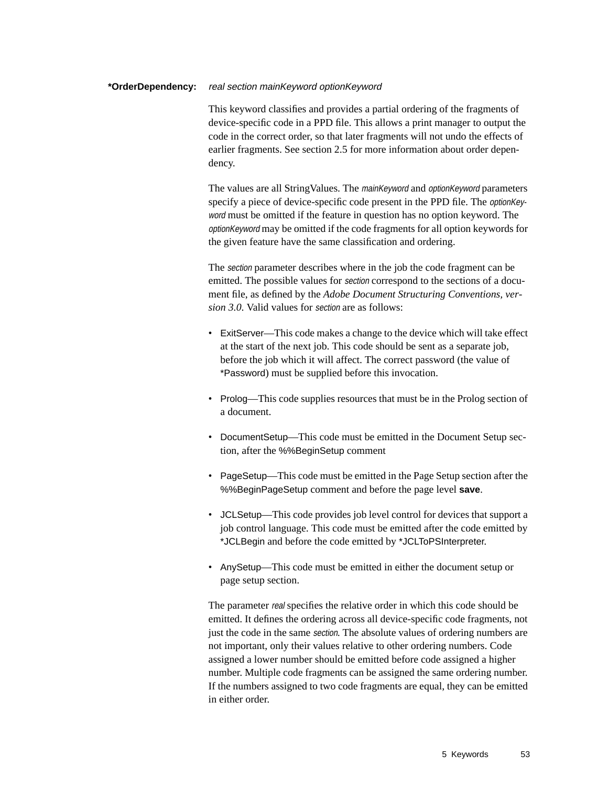### **\*OrderDependency:** real section mainKeyword optionKeyword

This keyword classifies and provides a partial ordering of the fragments of device-specific code in a PPD file. This allows a print manager to output the code in the correct order, so that later fragments will not undo the effects of earlier fragments. See section 2.5 for more information about order dependency.

The values are all StringValues. The *mainKeyword* and *optionKeyword* parameters specify a piece of device-specific code present in the PPD file. The *optionKey*word must be omitted if the feature in question has no option keyword. The optionKeyword may be omitted if the code fragments for all option keywords for the given feature have the same classification and ordering.

The section parameter describes where in the job the code fragment can be emitted. The possible values for section correspond to the sections of a document file, as defined by the *Adobe Document Structuring Conventions, version 3.0*. Valid values for section are as follows:

- ExitServer—This code makes a change to the device which will take effect at the start of the next job. This code should be sent as a separate job, before the job which it will affect. The correct password (the value of \*Password) must be supplied before this invocation.
- Prolog—This code supplies resources that must be in the Prolog section of a document.
- DocumentSetup—This code must be emitted in the Document Setup section, after the %%BeginSetup comment
- PageSetup—This code must be emitted in the Page Setup section after the %%BeginPageSetup comment and before the page level **save**.
- JCLSetup—This code provides job level control for devices that support a job control language. This code must be emitted after the code emitted by \*JCLBegin and before the code emitted by \*JCLToPSInterpreter.
- AnySetup—This code must be emitted in either the document setup or page setup section.

The parameter real specifies the relative order in which this code should be emitted. It defines the ordering across all device-specific code fragments, not just the code in the same section. The absolute values of ordering numbers are not important, only their values relative to other ordering numbers. Code assigned a lower number should be emitted before code assigned a higher number. Multiple code fragments can be assigned the same ordering number. If the numbers assigned to two code fragments are equal, they can be emitted in either order.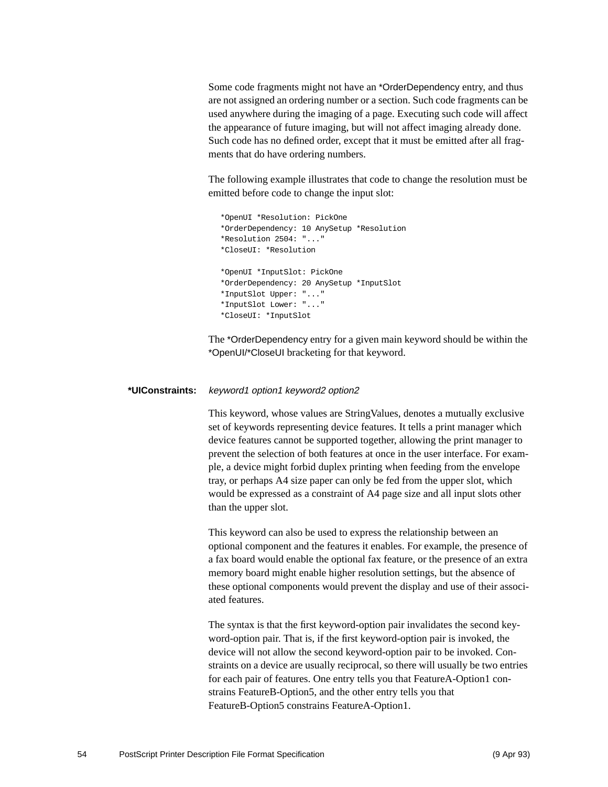Some code fragments might not have an \*OrderDependency entry, and thus are not assigned an ordering number or a section. Such code fragments can be used anywhere during the imaging of a page. Executing such code will affect the appearance of future imaging, but will not affect imaging already done. Such code has no defined order, except that it must be emitted after all fragments that do have ordering numbers.

The following example illustrates that code to change the resolution must be emitted before code to change the input slot:

```
*OpenUI *Resolution: PickOne
*OrderDependency: 10 AnySetup *Resolution
*Resolution 2504: "..."
*CloseUI: *Resolution
*OpenUI *InputSlot: PickOne
*OrderDependency: 20 AnySetup *InputSlot
*InputSlot Upper: "..."
*InputSlot Lower: "..."
*CloseUI: *InputSlot
```
The \*OrderDependency entry for a given main keyword should be within the \*OpenUI/\*CloseUI bracketing for that keyword.

### **\*UIConstraints:** keyword1 option1 keyword2 option2

This keyword, whose values are StringValues, denotes a mutually exclusive set of keywords representing device features. It tells a print manager which device features cannot be supported together, allowing the print manager to prevent the selection of both features at once in the user interface. For example, a device might forbid duplex printing when feeding from the envelope tray, or perhaps A4 size paper can only be fed from the upper slot, which would be expressed as a constraint of A4 page size and all input slots other than the upper slot.

This keyword can also be used to express the relationship between an optional component and the features it enables. For example, the presence of a fax board would enable the optional fax feature, or the presence of an extra memory board might enable higher resolution settings, but the absence of these optional components would prevent the display and use of their associated features.

The syntax is that the first keyword-option pair invalidates the second keyword-option pair. That is, if the first keyword-option pair is invoked, the device will not allow the second keyword-option pair to be invoked. Constraints on a device are usually reciprocal, so there will usually be two entries for each pair of features. One entry tells you that FeatureA-Option1 constrains FeatureB-Option5, and the other entry tells you that FeatureB-Option5 constrains FeatureA-Option1.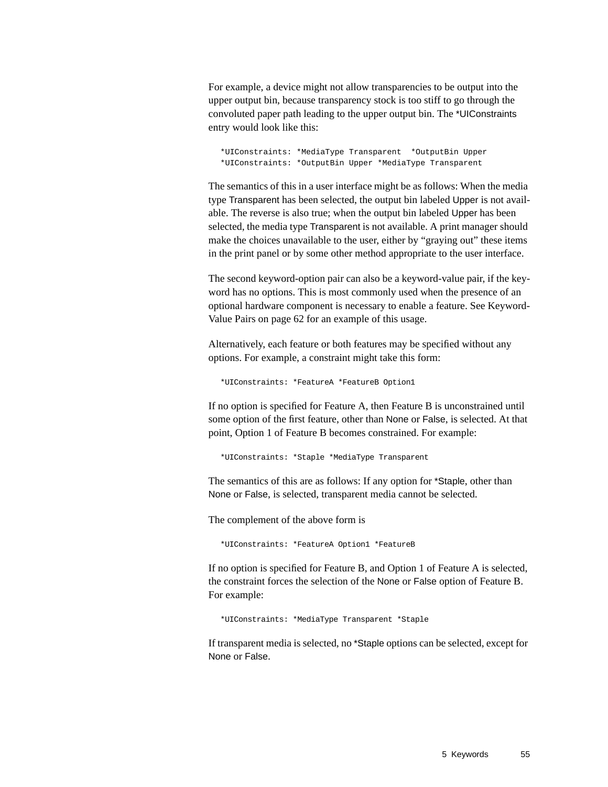For example, a device might not allow transparencies to be output into the upper output bin, because transparency stock is too stiff to go through the convoluted paper path leading to the upper output bin. The \*UIConstraints entry would look like this:

\*UIConstraints: \*MediaType Transparent \*OutputBin Upper \*UIConstraints: \*OutputBin Upper \*MediaType Transparent

The semantics of this in a user interface might be as follows: When the media type Transparent has been selected, the output bin labeled Upper is not available. The reverse is also true; when the output bin labeled Upper has been selected, the media type Transparent is not available. A print manager should make the choices unavailable to the user, either by "graying out" these items in the print panel or by some other method appropriate to the user interface.

The second keyword-option pair can also be a keyword-value pair, if the keyword has no options. This is most commonly used when the presence of an optional hardware component is necessary to enable a feature. See Keyword-Value Pairs on page 62 for an example of this usage.

Alternatively, each feature or both features may be specified without any options. For example, a constraint might take this form:

\*UIConstraints: \*FeatureA \*FeatureB Option1

If no option is specified for Feature A, then Feature B is unconstrained until some option of the first feature, other than None or False, is selected. At that point, Option 1 of Feature B becomes constrained. For example:

\*UIConstraints: \*Staple \*MediaType Transparent

The semantics of this are as follows: If any option for \*Staple, other than None or False, is selected, transparent media cannot be selected.

The complement of the above form is

\*UIConstraints: \*FeatureA Option1 \*FeatureB

If no option is specified for Feature B, and Option 1 of Feature A is selected, the constraint forces the selection of the None or False option of Feature B. For example:

\*UIConstraints: \*MediaType Transparent \*Staple

If transparent media is selected, no \*Staple options can be selected, except for None or False.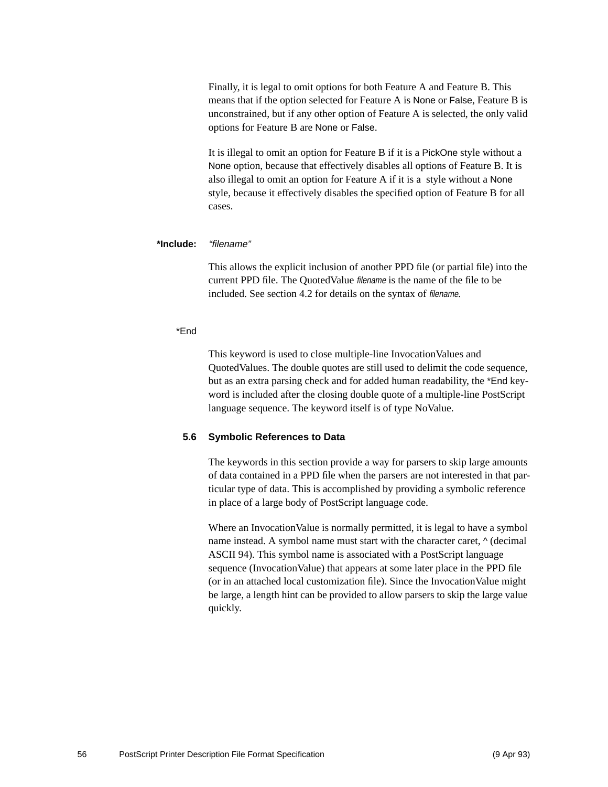Finally, it is legal to omit options for both Feature A and Feature B. This means that if the option selected for Feature A is None or False, Feature B is unconstrained, but if any other option of Feature A is selected, the only valid options for Feature B are None or False.

It is illegal to omit an option for Feature B if it is a PickOne style without a None option, because that effectively disables all options of Feature B. It is also illegal to omit an option for Feature A if it is a style without a None style, because it effectively disables the specified option of Feature B for all cases.

### **\*Include:** "filename"

This allows the explicit inclusion of another PPD file (or partial file) into the current PPD file. The QuotedValue filename is the name of the file to be included. See section 4.2 for details on the syntax of filename.

# \*End

This keyword is used to close multiple-line InvocationValues and QuotedValues. The double quotes are still used to delimit the code sequence, but as an extra parsing check and for added human readability, the \*End keyword is included after the closing double quote of a multiple-line PostScript language sequence. The keyword itself is of type NoValue.

# **5.6 Symbolic References to Data**

The keywords in this section provide a way for parsers to skip large amounts of data contained in a PPD file when the parsers are not interested in that particular type of data. This is accomplished by providing a symbolic reference in place of a large body of PostScript language code.

Where an InvocationValue is normally permitted, it is legal to have a symbol name instead. A symbol name must start with the character caret, ^ (decimal ASCII 94). This symbol name is associated with a PostScript language sequence (InvocationValue) that appears at some later place in the PPD file (or in an attached local customization file). Since the InvocationValue might be large, a length hint can be provided to allow parsers to skip the large value quickly.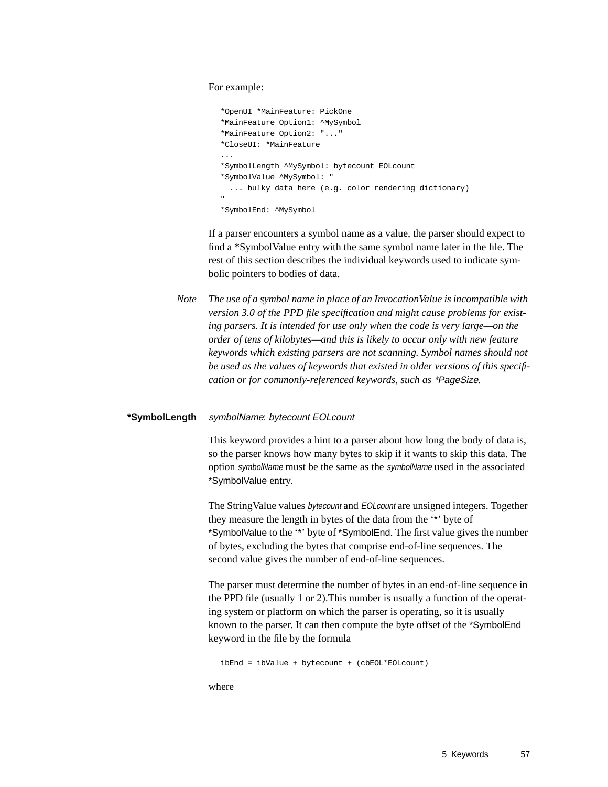# For example:

```
*OpenUI *MainFeature: PickOne
*MainFeature Option1: ^MySymbol
*MainFeature Option2: "..."
*CloseUI: *MainFeature
*SymbolLength ^MySymbol: bytecount EOLcount
*SymbolValue ^MySymbol: "
  ... bulky data here (e.g. color rendering dictionary)
"
*SymbolEnd: ^MySymbol
```
If a parser encounters a symbol name as a value, the parser should expect to find a \*SymbolValue entry with the same symbol name later in the file. The rest of this section describes the individual keywords used to indicate symbolic pointers to bodies of data.

*Note The use of a symbol name in place of an InvocationValue is incompatible with version 3.0 of the PPD file specification and might cause problems for existing parsers. It is intended for use only when the code is very large—on the order of tens of kilobytes—and this is likely to occur only with new feature keywords which existing parsers are not scanning. Symbol names should not be used as the values of keywords that existed in older versions of this specification or for commonly-referenced keywords, such as* \*PageSize*.*

#### **\*SymbolLength** symbolName: bytecount EOLcount

This keyword provides a hint to a parser about how long the body of data is, so the parser knows how many bytes to skip if it wants to skip this data. The option symbolName must be the same as the symbolName used in the associated \*SymbolValue entry.

The StringValue values bytecount and EOLcount are unsigned integers. Together they measure the length in bytes of the data from the '\*' byte of \*SymbolValue to the '\*' byte of \*SymbolEnd. The first value gives the number of bytes, excluding the bytes that comprise end-of-line sequences. The second value gives the number of end-of-line sequences.

The parser must determine the number of bytes in an end-of-line sequence in the PPD file (usually 1 or 2).This number is usually a function of the operating system or platform on which the parser is operating, so it is usually known to the parser. It can then compute the byte offset of the \*SymbolEnd keyword in the file by the formula

ibEnd = ibValue + bytecount + (cbEOL\*EOLcount)

where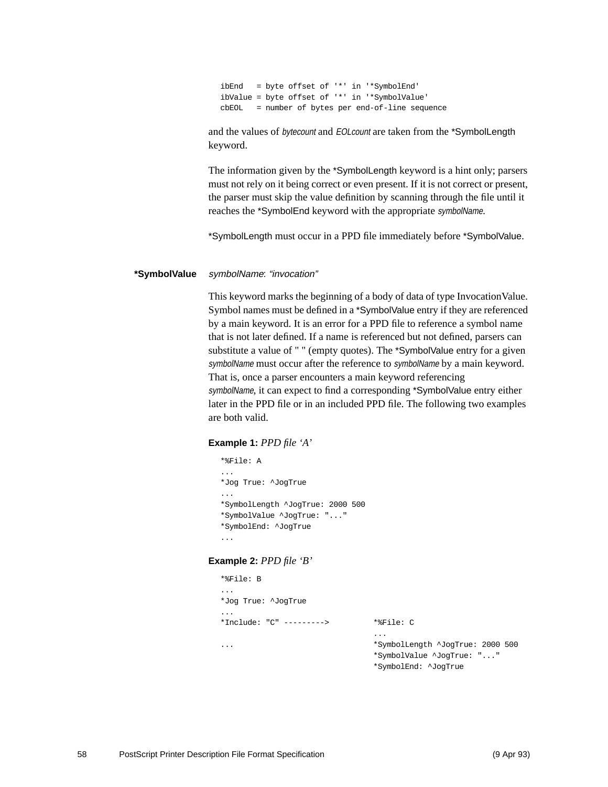```
ibEnd = byte offset of '*' in '*SymbolEnd'
ibValue = byte offset of '*' in '*SymbolValue'
cbEOL = number of bytes per end-of-line sequence
```
and the values of bytecount and EOLcount are taken from the \*SymbolLength keyword.

The information given by the \*SymbolLength keyword is a hint only; parsers must not rely on it being correct or even present. If it is not correct or present, the parser must skip the value definition by scanning through the file until it reaches the \*SymbolEnd keyword with the appropriate symbolName.

\*SymbolLength must occur in a PPD file immediately before \*SymbolValue.

# **\*SymbolValue** symbolName: "invocation"

This keyword marks the beginning of a body of data of type InvocationValue. Symbol names must be defined in a \*SymbolValue entry if they are referenced by a main keyword. It is an error for a PPD file to reference a symbol name that is not later defined. If a name is referenced but not defined, parsers can substitute a value of " " (empty quotes). The \*SymbolValue entry for a given symbolName must occur after the reference to symbolName by a main keyword. That is, once a parser encounters a main keyword referencing symbolName, it can expect to find a corresponding \*SymbolValue entry either later in the PPD file or in an included PPD file. The following two examples are both valid.

# **Example 1:** *PPD file 'A'*

```
*%File: A
...
*Jog True: ^JogTrue
...
*SymbolLength ^JogTrue: 2000 500
*SymbolValue ^JogTrue: "..."
*SymbolEnd: ^JogTrue
...
```
### **Example 2:** *PPD file 'B'*

```
*%File: B
...
*Jog True: ^JogTrue
...
*Include: "C" ---------> *%File: C
                           ...
... *SymbolLength ^JogTrue: 2000 500
                           *SymbolValue ^JogTrue: "..."
                           *SymbolEnd: ^JogTrue
```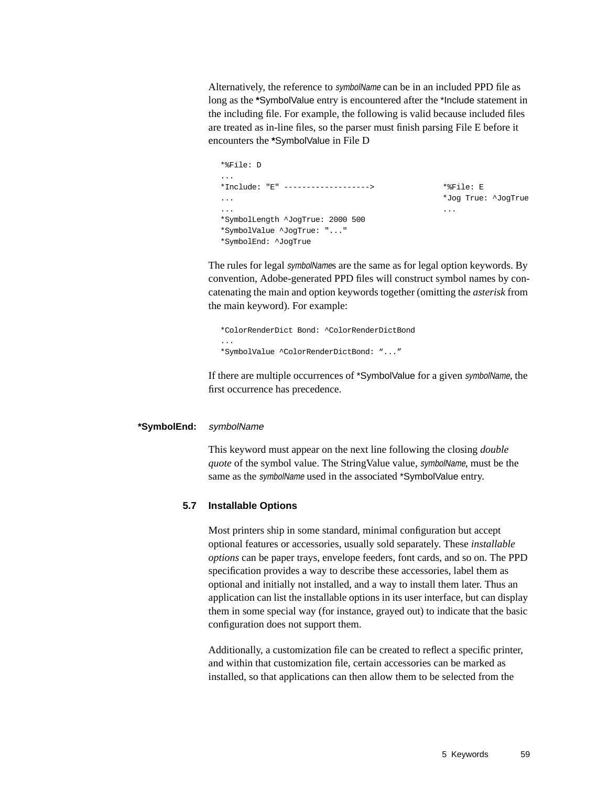Alternatively, the reference to symbolName can be in an included PPD file as long as the **\***SymbolValue entry is encountered after the \*Include statement in the including file. For example, the following is valid because included files are treated as in-line files, so the parser must finish parsing File E before it encounters the **\***SymbolValue in File D

```
*%File: D
...
*Include: "E" -------------------> *%File: E
                                     ... *Jog True: ^JogTrue
... ...
*SymbolLength ^JogTrue: 2000 500
*SymbolValue ^JogTrue: "..."
*SymbolEnd: ^JogTrue
```
The rules for legal symbolNames are the same as for legal option keywords. By convention, Adobe-generated PPD files will construct symbol names by concatenating the main and option keywords together (omitting the *asterisk* from the main keyword). For example:

```
*ColorRenderDict Bond: ^ColorRenderDictBond
...
*SymbolValue ^ColorRenderDictBond: "..."
```
If there are multiple occurrences of \*SymbolValue for a given symbolName, the first occurrence has precedence.

#### **\*SymbolEnd:** symbolName

This keyword must appear on the next line following the closing *double quote* of the symbol value. The StringValue value, *symbolName*, must be the same as the *symbolName* used in the associated \*SymbolValue entry.

#### **5.7 Installable Options**

Most printers ship in some standard, minimal configuration but accept optional features or accessories, usually sold separately. These *installable options* can be paper trays, envelope feeders, font cards, and so on. The PPD specification provides a way to describe these accessories, label them as optional and initially not installed, and a way to install them later. Thus an application can list the installable options in its user interface, but can display them in some special way (for instance, grayed out) to indicate that the basic configuration does not support them.

Additionally, a customization file can be created to reflect a specific printer, and within that customization file, certain accessories can be marked as installed, so that applications can then allow them to be selected from the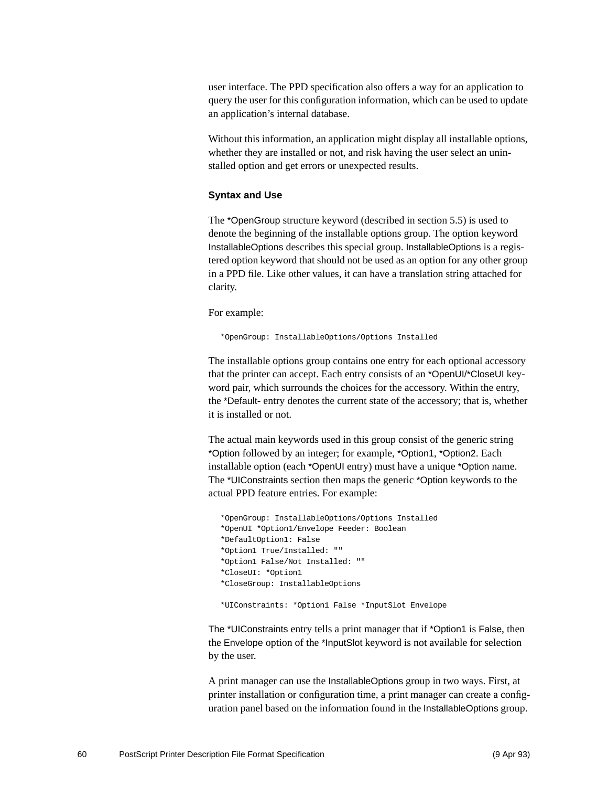user interface. The PPD specification also offers a way for an application to query the user for this configuration information, which can be used to update an application's internal database.

Without this information, an application might display all installable options, whether they are installed or not, and risk having the user select an uninstalled option and get errors or unexpected results.

# **Syntax and Use**

The \*OpenGroup structure keyword (described in section 5.5) is used to denote the beginning of the installable options group. The option keyword InstallableOptions describes this special group. InstallableOptions is a registered option keyword that should not be used as an option for any other group in a PPD file. Like other values, it can have a translation string attached for clarity.

For example:

\*OpenGroup: InstallableOptions/Options Installed

The installable options group contains one entry for each optional accessory that the printer can accept. Each entry consists of an \*OpenUI/\*CloseUI keyword pair, which surrounds the choices for the accessory. Within the entry, the \*Default- entry denotes the current state of the accessory; that is, whether it is installed or not.

The actual main keywords used in this group consist of the generic string \*Option followed by an integer; for example, \*Option1, \*Option2. Each installable option (each \*OpenUI entry) must have a unique \*Option name. The \*UIConstraints section then maps the generic \*Option keywords to the actual PPD feature entries. For example:

```
*OpenGroup: InstallableOptions/Options Installed
*OpenUI *Option1/Envelope Feeder: Boolean
*DefaultOption1: False
*Option1 True/Installed: ""
*Option1 False/Not Installed: ""
*CloseUI: *Option1
*CloseGroup: InstallableOptions
*UIConstraints: *Option1 False *InputSlot Envelope
```
The \*UIConstraints entry tells a print manager that if \*Option1 is False, then the Envelope option of the \*InputSlot keyword is not available for selection by the user.

A print manager can use the InstallableOptions group in two ways. First, at printer installation or configuration time, a print manager can create a configuration panel based on the information found in the InstallableOptions group.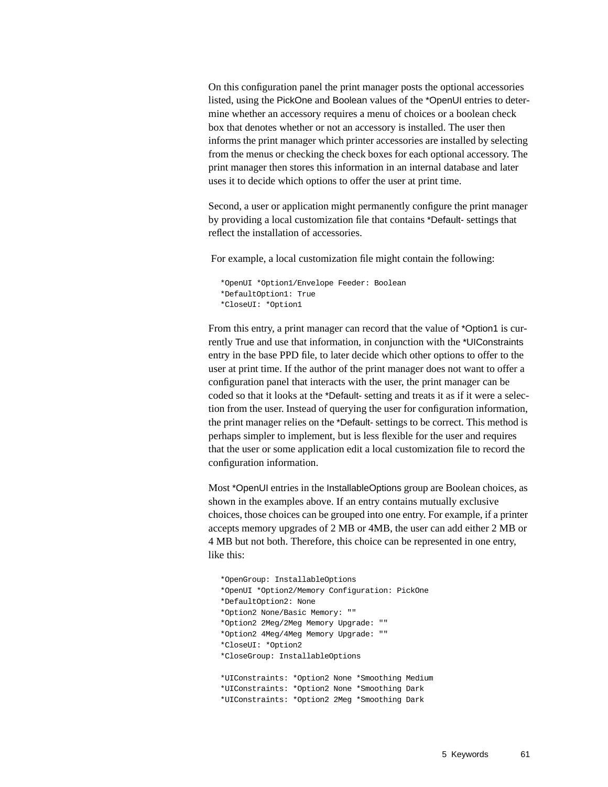On this configuration panel the print manager posts the optional accessories listed, using the PickOne and Boolean values of the \*OpenUI entries to determine whether an accessory requires a menu of choices or a boolean check box that denotes whether or not an accessory is installed. The user then informs the print manager which printer accessories are installed by selecting from the menus or checking the check boxes for each optional accessory. The print manager then stores this information in an internal database and later uses it to decide which options to offer the user at print time.

Second, a user or application might permanently configure the print manager by providing a local customization file that contains \*Default- settings that reflect the installation of accessories.

For example, a local customization file might contain the following:

```
*OpenUI *Option1/Envelope Feeder: Boolean
*DefaultOption1: True
*CloseUI: *Option1
```
From this entry, a print manager can record that the value of \*Option1 is currently True and use that information, in conjunction with the \*UIConstraints entry in the base PPD file, to later decide which other options to offer to the user at print time. If the author of the print manager does not want to offer a configuration panel that interacts with the user, the print manager can be coded so that it looks at the \*Default- setting and treats it as if it were a selection from the user. Instead of querying the user for configuration information, the print manager relies on the \*Default- settings to be correct. This method is perhaps simpler to implement, but is less flexible for the user and requires that the user or some application edit a local customization file to record the configuration information.

Most \*OpenUI entries in the InstallableOptions group are Boolean choices, as shown in the examples above. If an entry contains mutually exclusive choices, those choices can be grouped into one entry. For example, if a printer accepts memory upgrades of 2 MB or 4MB, the user can add either 2 MB or 4 MB but not both. Therefore, this choice can be represented in one entry, like this:

```
*OpenGroup: InstallableOptions
*OpenUI *Option2/Memory Configuration: PickOne
*DefaultOption2: None
*Option2 None/Basic Memory: ""
*Option2 2Meg/2Meg Memory Upgrade: ""
*Option2 4Meg/4Meg Memory Upgrade: ""
*CloseUI: *Option2
*CloseGroup: InstallableOptions
*UIConstraints: *Option2 None *Smoothing Medium
*UIConstraints: *Option2 None *Smoothing Dark
*UIConstraints: *Option2 2Meg *Smoothing Dark
```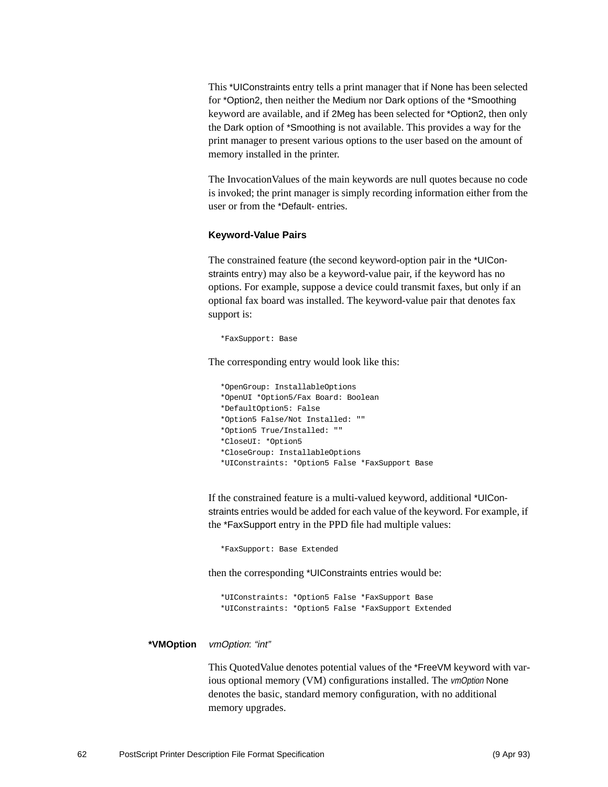This \*UIConstraints entry tells a print manager that if None has been selected for \*Option2, then neither the Medium nor Dark options of the \*Smoothing keyword are available, and if 2Meg has been selected for \*Option2, then only the Dark option of \*Smoothing is not available. This provides a way for the print manager to present various options to the user based on the amount of memory installed in the printer.

The InvocationValues of the main keywords are null quotes because no code is invoked; the print manager is simply recording information either from the user or from the \*Default- entries.

# **Keyword-Value Pairs**

The constrained feature (the second keyword-option pair in the \*UIConstraints entry) may also be a keyword-value pair, if the keyword has no options. For example, suppose a device could transmit faxes, but only if an optional fax board was installed. The keyword-value pair that denotes fax support is:

\*FaxSupport: Base

The corresponding entry would look like this:

```
*OpenGroup: InstallableOptions
*OpenUI *Option5/Fax Board: Boolean
*DefaultOption5: False
*Option5 False/Not Installed: ""
*Option5 True/Installed: ""
*CloseUI: *Option5
*CloseGroup: InstallableOptions
*UIConstraints: *Option5 False *FaxSupport Base
```
If the constrained feature is a multi-valued keyword, additional \*UIConstraints entries would be added for each value of the keyword. For example, if the \*FaxSupport entry in the PPD file had multiple values:

\*FaxSupport: Base Extended

then the corresponding \*UIConstraints entries would be:

\*UIConstraints: \*Option5 False \*FaxSupport Base \*UIConstraints: \*Option5 False \*FaxSupport Extended

#### **\*VMOption** vmOption: "int"

This QuotedValue denotes potential values of the \*FreeVM keyword with various optional memory (VM) configurations installed. The vmOption None denotes the basic, standard memory configuration, with no additional memory upgrades.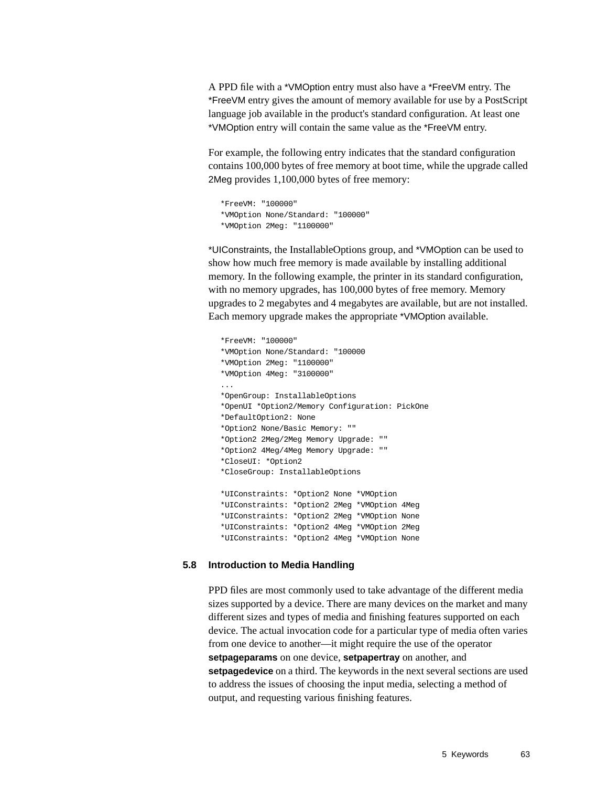A PPD file with a \*VMOption entry must also have a \*FreeVM entry. The \*FreeVM entry gives the amount of memory available for use by a PostScript language job available in the product's standard configuration. At least one \*VMOption entry will contain the same value as the \*FreeVM entry.

For example, the following entry indicates that the standard configuration contains 100,000 bytes of free memory at boot time, while the upgrade called 2Meg provides 1,100,000 bytes of free memory:

```
*FreeVM: "100000"
*VMOption None/Standard: "100000"
*VMOption 2Meg: "1100000"
```
\*UIConstraints, the InstallableOptions group, and \*VMOption can be used to show how much free memory is made available by installing additional memory. In the following example, the printer in its standard configuration, with no memory upgrades, has 100,000 bytes of free memory. Memory upgrades to 2 megabytes and 4 megabytes are available, but are not installed. Each memory upgrade makes the appropriate \*VMOption available.

```
*FreeVM: "100000"
*VMOption None/Standard: "100000
*VMOption 2Meg: "1100000"
*VMOption 4Meg: "3100000"
...
*OpenGroup: InstallableOptions
*OpenUI *Option2/Memory Configuration: PickOne
*DefaultOption2: None
*Option2 None/Basic Memory: ""
*Option2 2Meg/2Meg Memory Upgrade: ""
*Option2 4Meg/4Meg Memory Upgrade: ""
*CloseUI: *Option2
*CloseGroup: InstallableOptions
*UIConstraints: *Option2 None *VMOption
*UIConstraints: *Option2 2Meg *VMOption 4Meg
*UIConstraints: *Option2 2Meg *VMOption None
*UIConstraints: *Option2 4Meg *VMOption 2Meg
*UIConstraints: *Option2 4Meg *VMOption None
```
### **5.8 Introduction to Media Handling**

PPD files are most commonly used to take advantage of the different media sizes supported by a device. There are many devices on the market and many different sizes and types of media and finishing features supported on each device. The actual invocation code for a particular type of media often varies from one device to another—it might require the use of the operator **setpageparams** on one device, **setpapertray** on another, and **setpagedevice** on a third. The keywords in the next several sections are used to address the issues of choosing the input media, selecting a method of output, and requesting various finishing features.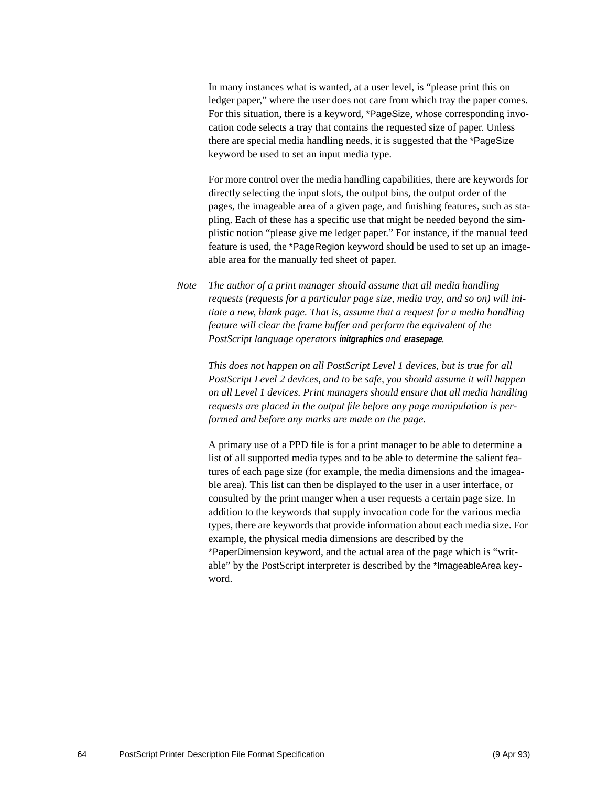In many instances what is wanted, at a user level, is "please print this on ledger paper," where the user does not care from which tray the paper comes. For this situation, there is a keyword, \*PageSize, whose corresponding invocation code selects a tray that contains the requested size of paper. Unless there are special media handling needs, it is suggested that the \*PageSize keyword be used to set an input media type.

For more control over the media handling capabilities, there are keywords for directly selecting the input slots, the output bins, the output order of the pages, the imageable area of a given page, and finishing features, such as stapling. Each of these has a specific use that might be needed beyond the simplistic notion "please give me ledger paper." For instance, if the manual feed feature is used, the \*PageRegion keyword should be used to set up an imageable area for the manually fed sheet of paper.

*Note The author of a print manager should assume that all media handling requests (requests for a particular page size, media tray, and so on) will initiate a new, blank page. That is, assume that a request for a media handling feature will clear the frame buffer and perform the equivalent of the PostScript language operators* **initgraphics** *and* **erasepage***.*

*This does not happen on all PostScript Level 1 devices, but is true for all PostScript Level 2 devices, and to be safe, you should assume it will happen on all Level 1 devices. Print managers should ensure that all media handling requests are placed in the output file before any page manipulation is performed and before any marks are made on the page.*

A primary use of a PPD file is for a print manager to be able to determine a list of all supported media types and to be able to determine the salient features of each page size (for example, the media dimensions and the imageable area). This list can then be displayed to the user in a user interface, or consulted by the print manger when a user requests a certain page size. In addition to the keywords that supply invocation code for the various media types, there are keywords that provide information about each media size. For example, the physical media dimensions are described by the \*PaperDimension keyword, and the actual area of the page which is "writable" by the PostScript interpreter is described by the \*ImageableArea keyword.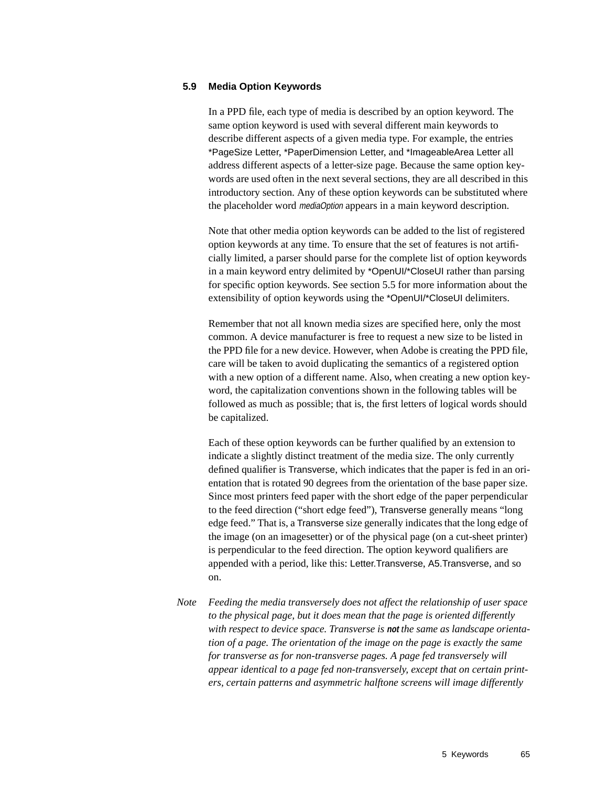# **5.9 Media Option Keywords**

In a PPD file, each type of media is described by an option keyword. The same option keyword is used with several different main keywords to describe different aspects of a given media type. For example, the entries \*PageSize Letter, \*PaperDimension Letter, and \*ImageableArea Letter all address different aspects of a letter-size page. Because the same option keywords are used often in the next several sections, they are all described in this introductory section. Any of these option keywords can be substituted where the placeholder word mediaOption appears in a main keyword description.

Note that other media option keywords can be added to the list of registered option keywords at any time. To ensure that the set of features is not artificially limited, a parser should parse for the complete list of option keywords in a main keyword entry delimited by \*OpenUI/\*CloseUI rather than parsing for specific option keywords. See section 5.5 for more information about the extensibility of option keywords using the \*OpenUI/\*CloseUI delimiters.

Remember that not all known media sizes are specified here, only the most common. A device manufacturer is free to request a new size to be listed in the PPD file for a new device. However, when Adobe is creating the PPD file, care will be taken to avoid duplicating the semantics of a registered option with a new option of a different name. Also, when creating a new option keyword, the capitalization conventions shown in the following tables will be followed as much as possible; that is, the first letters of logical words should be capitalized.

Each of these option keywords can be further qualified by an extension to indicate a slightly distinct treatment of the media size. The only currently defined qualifier is Transverse, which indicates that the paper is fed in an orientation that is rotated 90 degrees from the orientation of the base paper size. Since most printers feed paper with the short edge of the paper perpendicular to the feed direction ("short edge feed"), Transverse generally means "long edge feed." That is, a Transverse size generally indicates that the long edge of the image (on an imagesetter) or of the physical page (on a cut-sheet printer) is perpendicular to the feed direction. The option keyword qualifiers are appended with a period, like this: Letter.Transverse, A5.Transverse, and so on.

*Note Feeding the media transversely does not affect the relationship of user space to the physical page, but it does mean that the page is oriented differently with respect to device space. Transverse is* **not** *the same as landscape orientation of a page. The orientation of the image on the page is exactly the same for transverse as for non-transverse pages. A page fed transversely will appear identical to a page fed non-transversely, except that on certain printers, certain patterns and asymmetric halftone screens will image differently*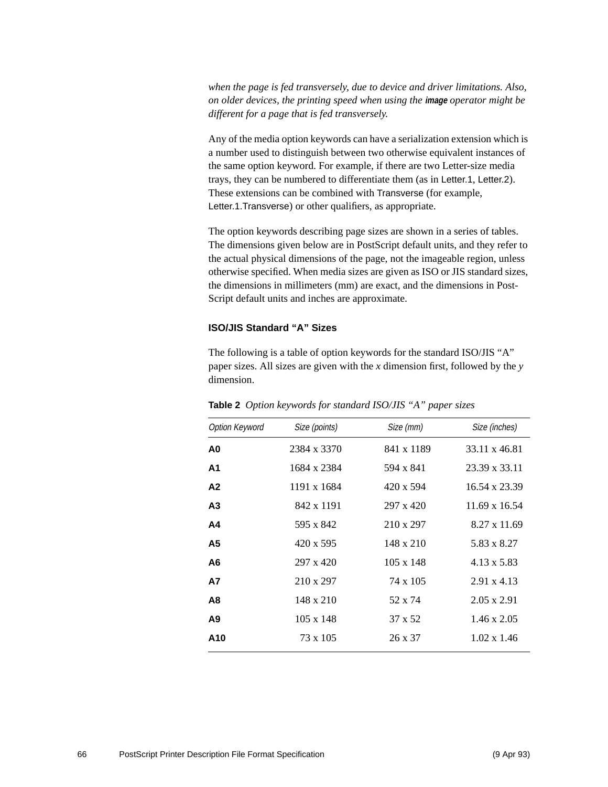*when the page is fed transversely, due to device and driver limitations. Also, on older devices, the printing speed when using the* **image** *operator might be different for a page that is fed transversely.*

Any of the media option keywords can have a serialization extension which is a number used to distinguish between two otherwise equivalent instances of the same option keyword. For example, if there are two Letter-size media trays, they can be numbered to differentiate them (as in Letter.1, Letter.2). These extensions can be combined with Transverse (for example, Letter.1.Transverse) or other qualifiers, as appropriate.

The option keywords describing page sizes are shown in a series of tables. The dimensions given below are in PostScript default units, and they refer to the actual physical dimensions of the page, not the imageable region, unless otherwise specified. When media sizes are given as ISO or JIS standard sizes, the dimensions in millimeters (mm) are exact, and the dimensions in Post-Script default units and inches are approximate.

# **ISO/JIS Standard "A" Sizes**

The following is a table of option keywords for the standard ISO/JIS "A" paper sizes. All sizes are given with the *x* dimension first, followed by the *y* dimension.

| <b>Option Keyword</b> | Size (points)    | Size (mm)        | Size (inches)       |
|-----------------------|------------------|------------------|---------------------|
| A0                    | 2384 x 3370      | 841 x 1189       | 33.11 x 46.81       |
| A1                    | 1684 x 2384      | 594 x 841        | 23.39 x 33.11       |
| A2                    | 1191 x 1684      | $420 \times 594$ | 16.54 x 23.39       |
| A <sub>3</sub>        | 842 x 1191       | $297 \times 420$ | 11.69 x 16.54       |
| A4                    | 595 x 842        | 210 x 297        | $8.27 \times 11.69$ |
| A5                    | 420 x 595        | $148 \times 210$ | 5.83 x 8.27         |
| A6                    | $297 \times 420$ | $105 \times 148$ | 4.13 x 5.83         |
| A7                    | 210 x 297        | 74 x 105         | $2.91 \times 4.13$  |
| A8                    | $148 \times 210$ | 52 x 74          | $2.05 \times 2.91$  |
| A9                    | $105 \times 148$ | $37 \times 52$   | $1.46 \times 2.05$  |
| A10                   | 73 x 105         | $26 \times 37$   | $1.02 \times 1.46$  |
|                       |                  |                  |                     |

**Table 2** *Option keywords for standard ISO/JIS "A" paper sizes*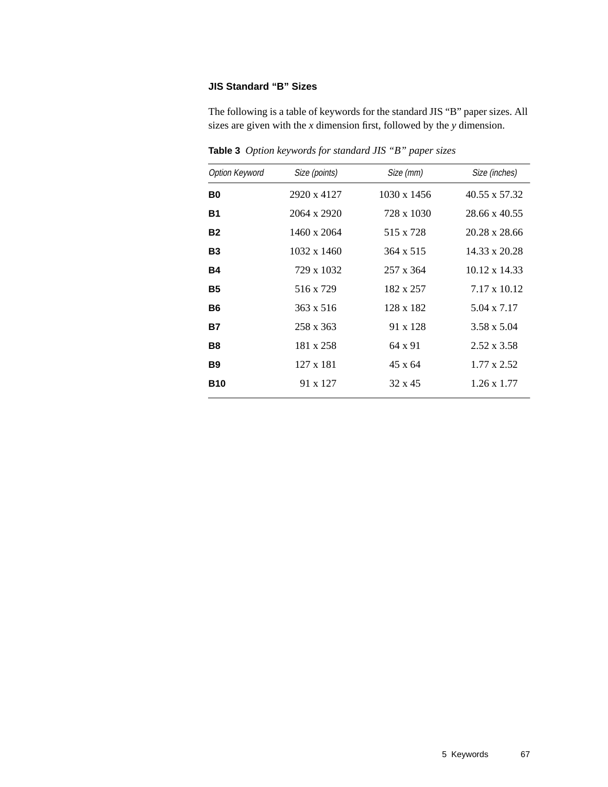# **JIS Standard "B" Sizes**

The following is a table of keywords for the standard JIS "B" paper sizes. All sizes are given with the *x* dimension first, followed by the *y* dimension.

| <b>Option Keyword</b> | Size (points)      | Size (mm)          | Size (inches)        |
|-----------------------|--------------------|--------------------|----------------------|
| B <sub>0</sub>        | 2920 x 4127        | $1030 \times 1456$ | 40.55 x 57.32        |
| <b>B1</b>             | 2064 x 2920        | 728 x 1030         | 28.66 x 40.55        |
| <b>B2</b>             | $1460 \times 2064$ | 515 x 728          | 20.28 x 28.66        |
| B <sub>3</sub>        | $1032 \times 1460$ | $364 \times 515$   | 14.33 x 20.28        |
| <b>B4</b>             | 729 x 1032         | 257 x 364          | $10.12 \times 14.33$ |
| <b>B5</b>             | 516 x 729          | 182 x 257          | 7.17 x 10.12         |
| <b>B6</b>             | $363 \times 516$   | 128 x 182          | 5.04 x 7.17          |
| <b>B7</b>             | 258 x 363          | 91 x 128           | $3.58 \times 5.04$   |
| B8                    | 181 x 258          | 64 x 91            | $2.52 \times 3.58$   |
| B9                    | $127 \times 181$   | $45 \times 64$     | $1.77 \times 2.52$   |
| <b>B10</b>            | 91 x 127           | $32 \times 45$     | $1.26 \times 1.77$   |
|                       |                    |                    |                      |

**Table 3** *Option keywords for standard JIS "B" paper sizes*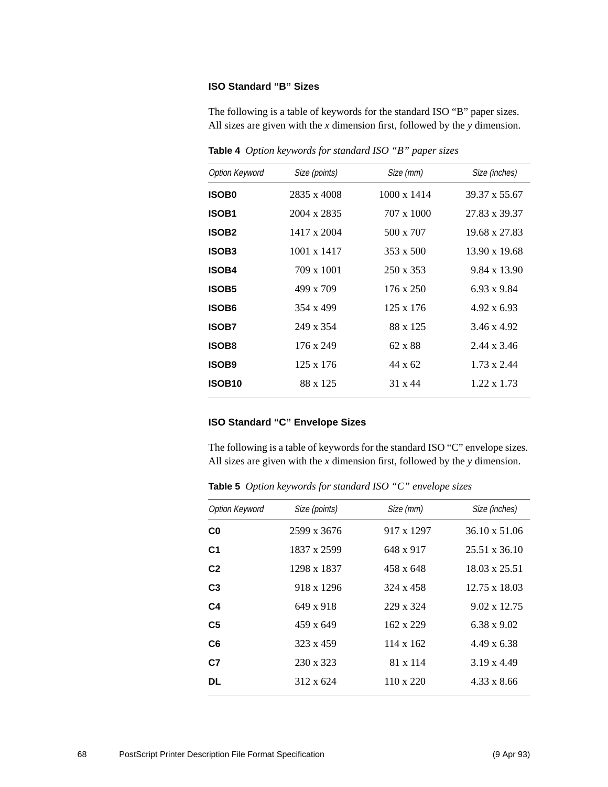### **ISO Standard "B" Sizes**

The following is a table of keywords for the standard ISO "B" paper sizes. All sizes are given with the *x* dimension first, followed by the *y* dimension.

| <b>Option Keyword</b> | Size (points)      | Size (mm)          | Size (inches)      |
|-----------------------|--------------------|--------------------|--------------------|
| <b>ISOB0</b>          | 2835 x 4008        | $1000 \times 1414$ | 39.37 x 55.67      |
| <b>ISOB1</b>          | 2004 x 2835        | 707 x 1000         | 27.83 x 39.37      |
| <b>ISOB2</b>          | 1417 x 2004        | 500 x 707          | 19.68 x 27.83      |
| <b>ISOB3</b>          | $1001 \times 1417$ | $353 \times 500$   | 13.90 x 19.68      |
| <b>ISOB4</b>          | 709 x 1001         | $250 \times 353$   | 9.84 x 13.90       |
| <b>ISOB5</b>          | 499 x 709          | $176 \times 250$   | $6.93 \times 9.84$ |
| <b>ISOB6</b>          | 354 x 499          | $125 \times 176$   | $4.92 \times 6.93$ |
| <b>ISOB7</b>          | 249 x 354          | 88 x 125           | 3.46 x 4.92        |
| <b>ISOB8</b>          | 176 x 249          | 62 x 88            | $2.44 \times 3.46$ |
| <b>ISOB9</b>          | $125 \times 176$   | 44 x 62            | $1.73 \times 2.44$ |
| <b>ISOB10</b>         | 88 x 125           | $31 \times 44$     | $1.22 \times 1.73$ |
|                       |                    |                    |                    |

**Table 4** *Option keywords for standard ISO "B" paper sizes*

# **ISO Standard "C" Envelope Sizes**

The following is a table of keywords for the standard ISO "C" envelope sizes. All sizes are given with the *x* dimension first, followed by the *y* dimension.

**Table 5** *Option keywords for standard ISO "C" envelope sizes*

| <b>Option Keyword</b> | Size (points)    | Size (mm)        | Size (inches)        |
|-----------------------|------------------|------------------|----------------------|
| C <sub>0</sub>        | 2599 x 3676      | 917 x 1297       | $36.10 \times 51.06$ |
| C <sub>1</sub>        | 1837 x 2599      | 648 x 917        | 25.51 x 36.10        |
| C <sub>2</sub>        | 1298 x 1837      | 458 x 648        | 18.03 x 25.51        |
| C <sub>3</sub>        | 918 x 1296       | 324 x 458        | 12.75 x 18.03        |
| C4                    | 649 x 918        | 229 x 324        | $9.02 \times 12.75$  |
| C <sub>5</sub>        | $459 \times 649$ | $162 \times 229$ | $6.38 \times 9.02$   |
| C6                    | 323 x 459        | $114 \times 162$ | $4.49 \times 6.38$   |
| C7                    | 230 x 323        | 81 x 114         | $3.19 \times 4.49$   |
| DL                    | $312 \times 624$ | $110 \times 220$ | 4.33 x 8.66          |
|                       |                  |                  |                      |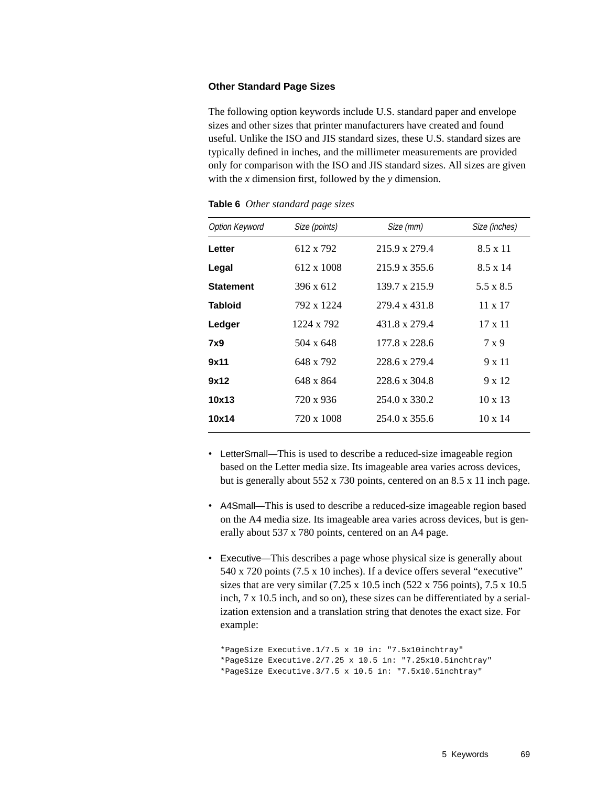## **Other Standard Page Sizes**

The following option keywords include U.S. standard paper and envelope sizes and other sizes that printer manufacturers have created and found useful. Unlike the ISO and JIS standard sizes, these U.S. standard sizes are typically defined in inches, and the millimeter measurements are provided only for comparison with the ISO and JIS standard sizes. All sizes are given with the *x* dimension first, followed by the *y* dimension.

| <b>Option Keyword</b> | Size (points)    | Size (mm)            | Size (inches)    |
|-----------------------|------------------|----------------------|------------------|
| Letter                | 612 x 792        | 215.9 x 279.4        | $8.5 \times 11$  |
| Legal                 | 612 x 1008       | 215.9 x 355.6        | $8.5 \times 14$  |
| <b>Statement</b>      | $396 \times 612$ | 139.7 x 215.9        | $5.5 \times 8.5$ |
| <b>Tabloid</b>        | 792 x 1224       | 279.4 x 431.8        | $11 \times 17$   |
| Ledger                | 1224 x 792       | 431.8 x 279.4        | $17 \times 11$   |
| 7x9                   | $504 \times 648$ | 177.8 x 228.6        | 7 x 9            |
| 9x11                  | 648 x 792        | 228.6 x 279.4        | 9 x 11           |
| 9x12                  | 648 x 864        | 228.6 x 304.8        | $9 \times 12$    |
| 10x13                 | 720 x 936        | 254.0 x 330.2        | $10 \times 13$   |
| 10x14                 | 720 x 1008       | $254.0 \times 355.6$ | $10 \times 14$   |
|                       |                  |                      |                  |

**Table 6** *Other standard page sizes*

- LetterSmall—This is used to describe a reduced-size imageable region based on the Letter media size. Its imageable area varies across devices, but is generally about 552 x 730 points, centered on an 8.5 x 11 inch page.
- A4Small—This is used to describe a reduced-size imageable region based on the A4 media size. Its imageable area varies across devices, but is generally about 537 x 780 points, centered on an A4 page.
- Executive—This describes a page whose physical size is generally about 540 x 720 points (7.5 x 10 inches). If a device offers several "executive" sizes that are very similar  $(7.25 \times 10.5 \text{ inch} (522 \times 756 \text{ points}), 7.5 \times 10.5$ inch, 7 x 10.5 inch, and so on), these sizes can be differentiated by a serialization extension and a translation string that denotes the exact size. For example:

```
*PageSize Executive.1/7.5 x 10 in: "7.5x10inchtray"
*PageSize Executive.2/7.25 x 10.5 in: "7.25x10.5inchtray"
*PageSize Executive.3/7.5 x 10.5 in: "7.5x10.5inchtray"
```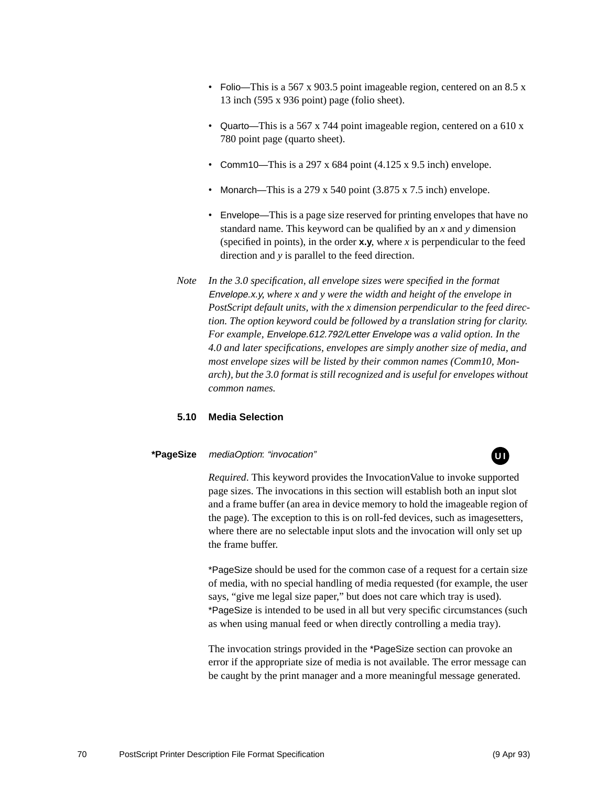- Folio—This is a 567 x 903.5 point imageable region, centered on an 8.5 x 13 inch (595 x 936 point) page (folio sheet).
- Quarto—This is a 567 x 744 point imageable region, centered on a 610 x 780 point page (quarto sheet).
- Comm10—This is a 297 x 684 point  $(4.125 \times 9.5 \text{ inch})$  envelope.
- Monarch—This is a 279 x 540 point  $(3.875 \times 7.5 \text{ inch})$  envelope.
- Envelope—This is a page size reserved for printing envelopes that have no standard name. This keyword can be qualified by an *x* and *y* dimension (specified in points), in the order **x.y**, where *x* is perpendicular to the feed direction and *y* is parallel to the feed direction.
- *Note In the 3.0 specification, all envelope sizes were specified in the format* Envelope.x.y*, where x and y were the width and height of the envelope in PostScript default units, with the x dimension perpendicular to the feed direction. The option keyword could be followed by a translation string for clarity. For example,* Envelope.612.792/Letter Envelope *was a valid option. In the 4.0 and later specifications, envelopes are simply another size of media, and most envelope sizes will be listed by their common names (Comm10, Monarch), but the 3.0 format is still recognized and is useful for envelopes without common names.*

# **5.10 Media Selection**

### **\*PageSize** mediaOption: "invocation"

*Required*. This keyword provides the InvocationValue to invoke supported page sizes. The invocations in this section will establish both an input slot and a frame buffer (an area in device memory to hold the imageable region of the page). The exception to this is on roll-fed devices, such as imagesetters, where there are no selectable input slots and the invocation will only set up the frame buffer.

\*PageSize should be used for the common case of a request for a certain size of media, with no special handling of media requested (for example, the user says, "give me legal size paper," but does not care which tray is used). \*PageSize is intended to be used in all but very specific circumstances (such as when using manual feed or when directly controlling a media tray).

The invocation strings provided in the \*PageSize section can provoke an error if the appropriate size of media is not available. The error message can be caught by the print manager and a more meaningful message generated.

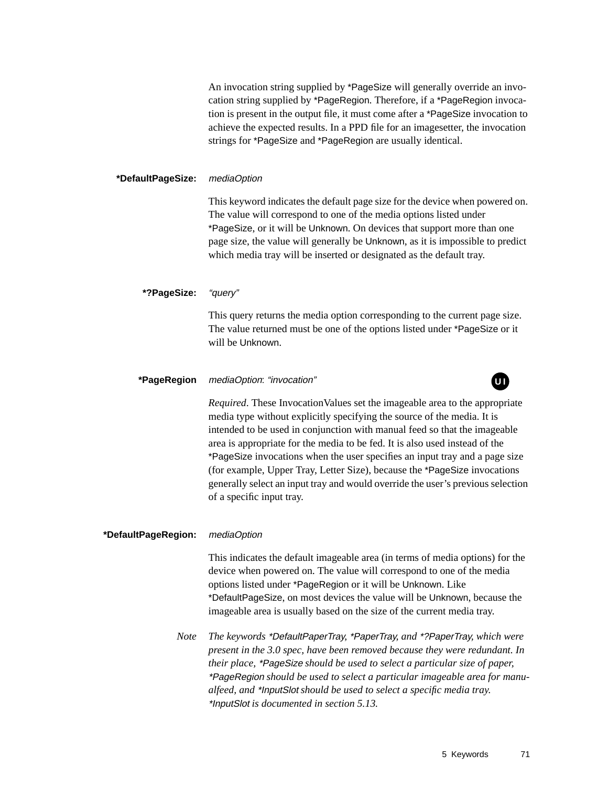An invocation string supplied by \*PageSize will generally override an invocation string supplied by \*PageRegion. Therefore, if a \*PageRegion invocation is present in the output file, it must come after a \*PageSize invocation to achieve the expected results. In a PPD file for an imagesetter, the invocation strings for \*PageSize and \*PageRegion are usually identical.

#### **\*DefaultPageSize:** mediaOption

This keyword indicates the default page size for the device when powered on. The value will correspond to one of the media options listed under \*PageSize, or it will be Unknown. On devices that support more than one page size, the value will generally be Unknown, as it is impossible to predict which media tray will be inserted or designated as the default tray.

### **\*?PageSize:** "query"

This query returns the media option corresponding to the current page size. The value returned must be one of the options listed under \*PageSize or it will be Unknown.

#### **\*PageRegion** mediaOption: "invocation"



*Required*. These InvocationValues set the imageable area to the appropriate media type without explicitly specifying the source of the media. It is intended to be used in conjunction with manual feed so that the imageable area is appropriate for the media to be fed. It is also used instead of the \*PageSize invocations when the user specifies an input tray and a page size (for example, Upper Tray, Letter Size), because the \*PageSize invocations generally select an input tray and would override the user's previous selection of a specific input tray.

### **\*DefaultPageRegion:** mediaOption

This indicates the default imageable area (in terms of media options) for the device when powered on. The value will correspond to one of the media options listed under \*PageRegion or it will be Unknown. Like \*DefaultPageSize, on most devices the value will be Unknown, because the imageable area is usually based on the size of the current media tray.

*Note The keywords* \*DefaultPaperTray*,* \*PaperTray*, and* \*?PaperTray*, which were present in the 3.0 spec, have been removed because they were redundant. In their place,* \*PageSize *should be used to select a particular size of paper,* \*PageRegion *should be used to select a particular imageable area for manualfeed, and* \*InputSlot *should be used to select a specific media tray.* \*InputSlot *is documented in section 5.13.*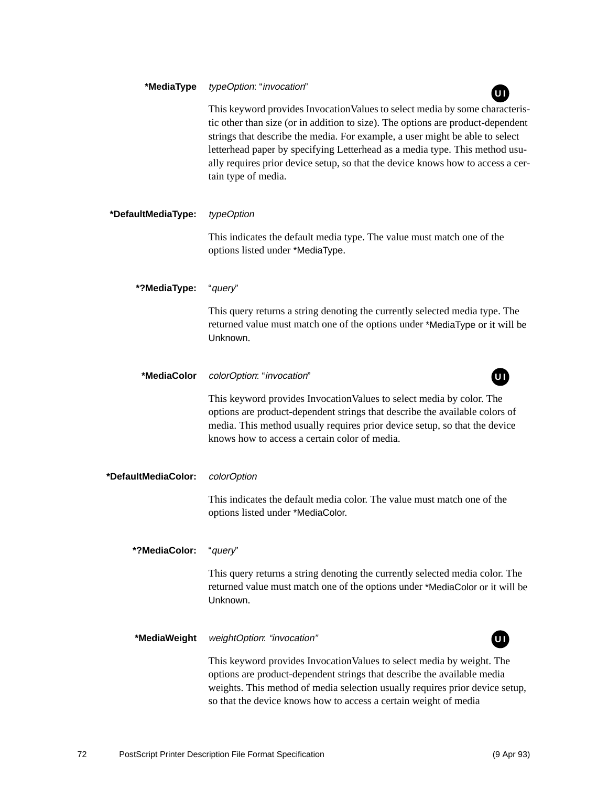

This keyword provides InvocationValues to select media by some characteristic other than size (or in addition to size). The options are product-dependent strings that describe the media. For example, a user might be able to select letterhead paper by specifying Letterhead as a media type. This method usually requires prior device setup, so that the device knows how to access a certain type of media. **\*DefaultMediaType:** typeOption This indicates the default media type. The value must match one of the options listed under \*MediaType. **\*?MediaType:** "query" This query returns a string denoting the currently selected media type. The returned value must match one of the options under \*MediaType or it will be Unknown. **\*MediaColor** colorOption: "invocation" This keyword provides InvocationValues to select media by color. The options are product-dependent strings that describe the available colors of media. This method usually requires prior device setup, so that the device knows how to access a certain color of media. **\*DefaultMediaColor:** colorOption This indicates the default media color. The value must match one of the options listed under \*MediaColor. **\*?MediaColor:** "query" This query returns a string denoting the currently selected media color. The returned value must match one of the options under \*MediaColor or it will be Unknown. **\*MediaWeight** weightOption: "invocation" This keyword provides InvocationValues to select media by weight. The **UUII UUII** 

options are product-dependent strings that describe the available media weights. This method of media selection usually requires prior device setup, so that the device knows how to access a certain weight of media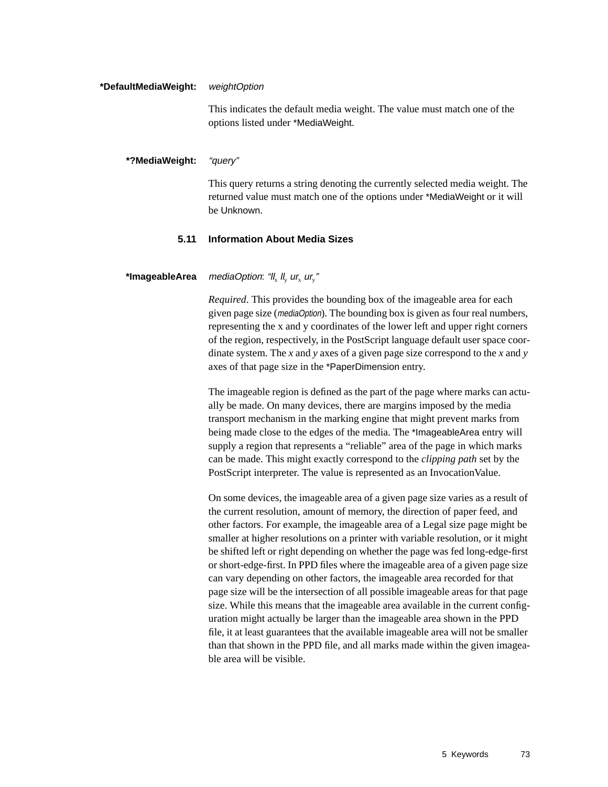#### **\*DefaultMediaWeight:** weightOption

This indicates the default media weight. The value must match one of the options listed under \*MediaWeight.

#### **\*?MediaWeight:** "query"

This query returns a string denoting the currently selected media weight. The returned value must match one of the options under \*MediaWeight or it will be Unknown.

### **5.11 Information About Media Sizes**

## $*$ **ImageableArea** mediaOption: "II<sub>x</sub> II<sub>v</sub> ur<sub>x</sub> ur<sub>y</sub>"

*Required*. This provides the bounding box of the imageable area for each given page size (mediaOption). The bounding box is given as four real numbers, representing the x and y coordinates of the lower left and upper right corners of the region, respectively, in the PostScript language default user space coordinate system. The *x* and *y* axes of a given page size correspond to the *x* and *y* axes of that page size in the \*PaperDimension entry.

The imageable region is defined as the part of the page where marks can actually be made. On many devices, there are margins imposed by the media transport mechanism in the marking engine that might prevent marks from being made close to the edges of the media. The \*ImageableArea entry will supply a region that represents a "reliable" area of the page in which marks can be made. This might exactly correspond to the *clipping path* set by the PostScript interpreter. The value is represented as an InvocationValue.

On some devices, the imageable area of a given page size varies as a result of the current resolution, amount of memory, the direction of paper feed, and other factors. For example, the imageable area of a Legal size page might be smaller at higher resolutions on a printer with variable resolution, or it might be shifted left or right depending on whether the page was fed long-edge-first or short-edge-first. In PPD files where the imageable area of a given page size can vary depending on other factors, the imageable area recorded for that page size will be the intersection of all possible imageable areas for that page size. While this means that the imageable area available in the current configuration might actually be larger than the imageable area shown in the PPD file, it at least guarantees that the available imageable area will not be smaller than that shown in the PPD file, and all marks made within the given imageable area will be visible.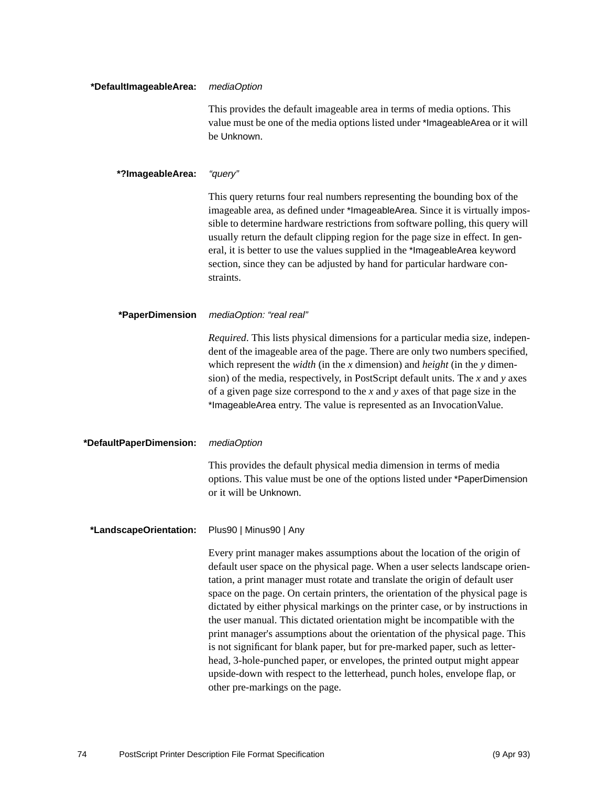| *DefaultImageableArea:  | mediaOption                                                                                                                                                                                                                                                                                                                                                                                                                                                                                                                                                                                                                                                                                                                                                                                                                                                  |  |  |  |
|-------------------------|--------------------------------------------------------------------------------------------------------------------------------------------------------------------------------------------------------------------------------------------------------------------------------------------------------------------------------------------------------------------------------------------------------------------------------------------------------------------------------------------------------------------------------------------------------------------------------------------------------------------------------------------------------------------------------------------------------------------------------------------------------------------------------------------------------------------------------------------------------------|--|--|--|
|                         | This provides the default imageable area in terms of media options. This<br>value must be one of the media options listed under *ImageableArea or it will<br>be Unknown.                                                                                                                                                                                                                                                                                                                                                                                                                                                                                                                                                                                                                                                                                     |  |  |  |
| *?ImageableArea:        | "query"                                                                                                                                                                                                                                                                                                                                                                                                                                                                                                                                                                                                                                                                                                                                                                                                                                                      |  |  |  |
|                         | This query returns four real numbers representing the bounding box of the<br>imageable area, as defined under *ImageableArea. Since it is virtually impos-<br>sible to determine hardware restrictions from software polling, this query will<br>usually return the default clipping region for the page size in effect. In gen-<br>eral, it is better to use the values supplied in the *ImageableArea keyword<br>section, since they can be adjusted by hand for particular hardware con-<br>straints.                                                                                                                                                                                                                                                                                                                                                     |  |  |  |
| *PaperDimension         | mediaOption: "real real"                                                                                                                                                                                                                                                                                                                                                                                                                                                                                                                                                                                                                                                                                                                                                                                                                                     |  |  |  |
|                         | Required. This lists physical dimensions for a particular media size, indepen-<br>dent of the imageable area of the page. There are only two numbers specified,<br>which represent the <i>width</i> (in the $x$ dimension) and <i>height</i> (in the $y$ dimen-<br>sion) of the media, respectively, in PostScript default units. The $x$ and $y$ axes<br>of a given page size correspond to the $x$ and $y$ axes of that page size in the<br>*ImageableArea entry. The value is represented as an InvocationValue.                                                                                                                                                                                                                                                                                                                                          |  |  |  |
| *DefaultPaperDimension: | mediaOption                                                                                                                                                                                                                                                                                                                                                                                                                                                                                                                                                                                                                                                                                                                                                                                                                                                  |  |  |  |
|                         | This provides the default physical media dimension in terms of media<br>options. This value must be one of the options listed under *PaperDimension<br>or it will be Unknown.                                                                                                                                                                                                                                                                                                                                                                                                                                                                                                                                                                                                                                                                                |  |  |  |
| *LandscapeOrientation:  | Plus90   Minus90   Any                                                                                                                                                                                                                                                                                                                                                                                                                                                                                                                                                                                                                                                                                                                                                                                                                                       |  |  |  |
|                         | Every print manager makes assumptions about the location of the origin of<br>default user space on the physical page. When a user selects landscape orien-<br>tation, a print manager must rotate and translate the origin of default user<br>space on the page. On certain printers, the orientation of the physical page is<br>dictated by either physical markings on the printer case, or by instructions in<br>the user manual. This dictated orientation might be incompatible with the<br>print manager's assumptions about the orientation of the physical page. This<br>is not significant for blank paper, but for pre-marked paper, such as letter-<br>head, 3-hole-punched paper, or envelopes, the printed output might appear<br>upside-down with respect to the letterhead, punch holes, envelope flap, or<br>other pre-markings on the page. |  |  |  |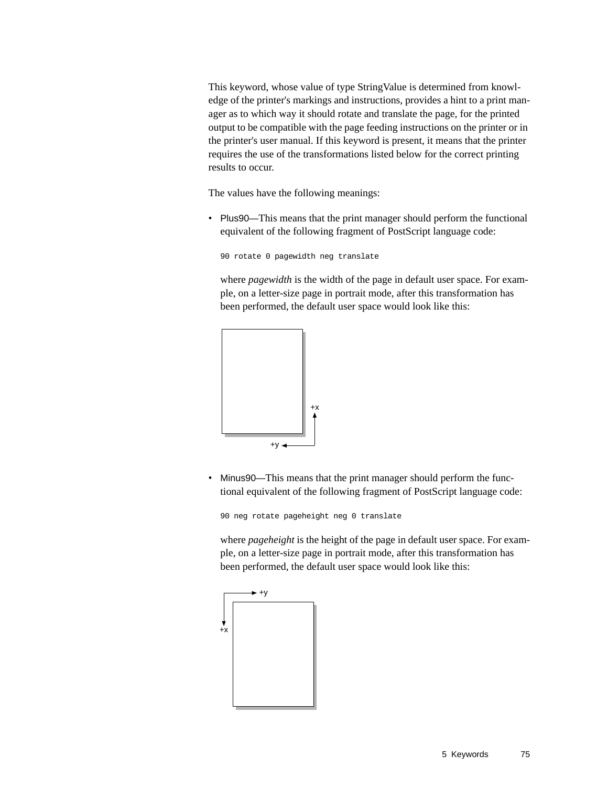This keyword, whose value of type StringValue is determined from knowledge of the printer's markings and instructions, provides a hint to a print manager as to which way it should rotate and translate the page, for the printed output to be compatible with the page feeding instructions on the printer or in the printer's user manual. If this keyword is present, it means that the printer requires the use of the transformations listed below for the correct printing results to occur.

The values have the following meanings:

• Plus90—This means that the print manager should perform the functional equivalent of the following fragment of PostScript language code:

90 rotate 0 pagewidth neg translate

where *pagewidth* is the width of the page in default user space. For example, on a letter-size page in portrait mode, after this transformation has been performed, the default user space would look like this:



• Minus90—This means that the print manager should perform the functional equivalent of the following fragment of PostScript language code:

90 neg rotate pageheight neg 0 translate

where *pageheight* is the height of the page in default user space. For example, on a letter-size page in portrait mode, after this transformation has been performed, the default user space would look like this:

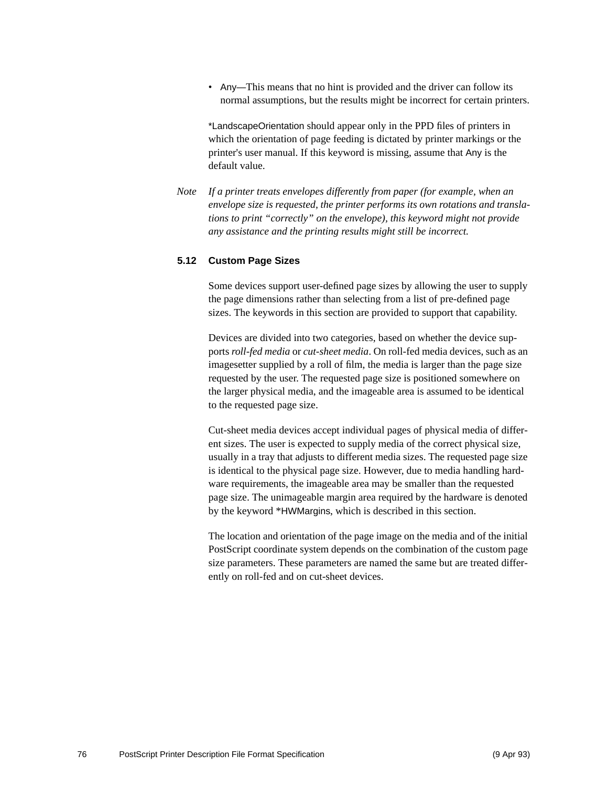• Any—This means that no hint is provided and the driver can follow its normal assumptions, but the results might be incorrect for certain printers.

\*LandscapeOrientation should appear only in the PPD files of printers in which the orientation of page feeding is dictated by printer markings or the printer's user manual. If this keyword is missing, assume that Any is the default value.

*Note If a printer treats envelopes differently from paper (for example, when an envelope size is requested, the printer performs its own rotations and translations to print "correctly" on the envelope), this keyword might not provide any assistance and the printing results might still be incorrect.*

# **5.12 Custom Page Sizes**

Some devices support user-defined page sizes by allowing the user to supply the page dimensions rather than selecting from a list of pre-defined page sizes. The keywords in this section are provided to support that capability.

Devices are divided into two categories, based on whether the device supports *roll-fed media* or *cut-sheet media*. On roll-fed media devices, such as an imagesetter supplied by a roll of film, the media is larger than the page size requested by the user. The requested page size is positioned somewhere on the larger physical media, and the imageable area is assumed to be identical to the requested page size.

Cut-sheet media devices accept individual pages of physical media of different sizes. The user is expected to supply media of the correct physical size, usually in a tray that adjusts to different media sizes. The requested page size is identical to the physical page size. However, due to media handling hardware requirements, the imageable area may be smaller than the requested page size. The unimageable margin area required by the hardware is denoted by the keyword \*HWMargins, which is described in this section.

The location and orientation of the page image on the media and of the initial PostScript coordinate system depends on the combination of the custom page size parameters. These parameters are named the same but are treated differently on roll-fed and on cut-sheet devices.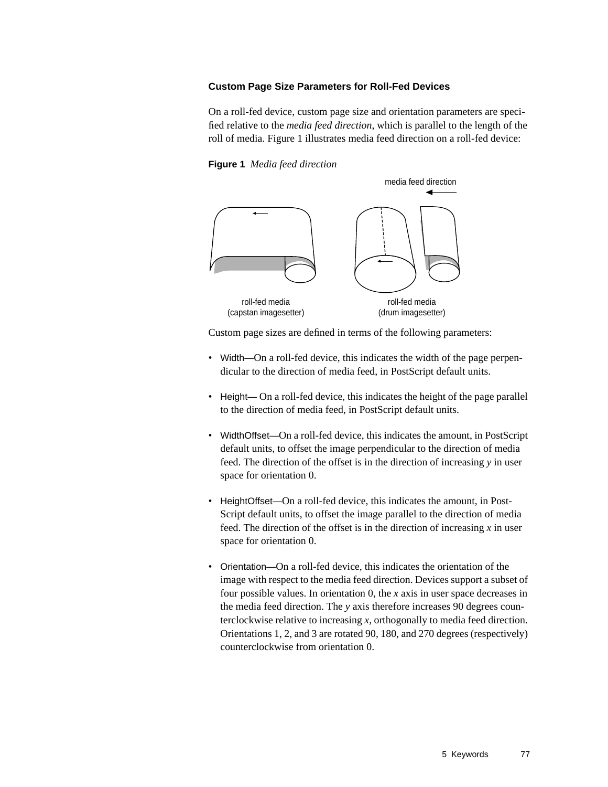# **Custom Page Size Parameters for Roll-Fed Devices**

On a roll-fed device, custom page size and orientation parameters are specified relative to the *media feed direction*, which is parallel to the length of the roll of media. Figure 1 illustrates media feed direction on a roll-fed device:

**Figure 1** *Media feed direction*



Custom page sizes are defined in terms of the following parameters:

- Width—On a roll-fed device, this indicates the width of the page perpendicular to the direction of media feed, in PostScript default units.
- Height— On a roll-fed device, this indicates the height of the page parallel to the direction of media feed, in PostScript default units.
- WidthOffset—On a roll-fed device, this indicates the amount, in PostScript default units, to offset the image perpendicular to the direction of media feed. The direction of the offset is in the direction of increasing *y* in user space for orientation 0.
- HeightOffset—On a roll-fed device, this indicates the amount, in Post-Script default units, to offset the image parallel to the direction of media feed. The direction of the offset is in the direction of increasing *x* in user space for orientation 0.
- Orientation—On a roll-fed device, this indicates the orientation of the image with respect to the media feed direction. Devices support a subset of four possible values. In orientation 0, the *x* axis in user space decreases in the media feed direction. The *y* axis therefore increases 90 degrees counterclockwise relative to increasing *x*, orthogonally to media feed direction. Orientations 1, 2, and 3 are rotated 90, 180, and 270 degrees (respectively) counterclockwise from orientation 0.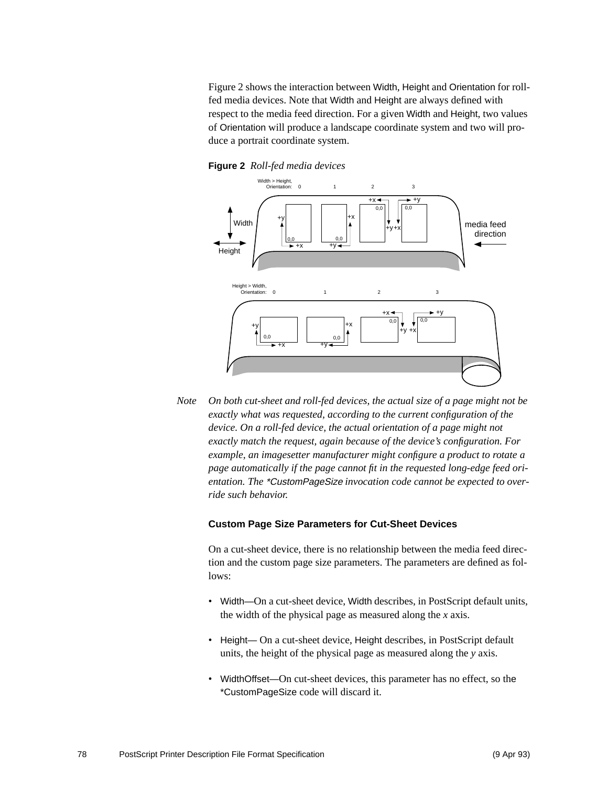Figure 2 shows the interaction between Width, Height and Orientation for rollfed media devices. Note that Width and Height are always defined with respect to the media feed direction. For a given Width and Height, two values of Orientation will produce a landscape coordinate system and two will produce a portrait coordinate system.





*Note On both cut-sheet and roll-fed devices, the actual size of a page might not be exactly what was requested, according to the current configuration of the device. On a roll-fed device, the actual orientation of a page might not exactly match the request, again because of the device's configuration. For example, an imagesetter manufacturer might configure a product to rotate a page automatically if the page cannot fit in the requested long-edge feed orientation. The* \*CustomPageSize *invocation code cannot be expected to override such behavior.*

# **Custom Page Size Parameters for Cut-Sheet Devices**

On a cut-sheet device, there is no relationship between the media feed direction and the custom page size parameters. The parameters are defined as follows:

- Width—On a cut-sheet device, Width describes, in PostScript default units, the width of the physical page as measured along the *x* axis.
- Height— On a cut-sheet device, Height describes, in PostScript default units, the height of the physical page as measured along the *y* axis.
- Width Offset—On cut-sheet devices, this parameter has no effect, so the \*CustomPageSize code will discard it.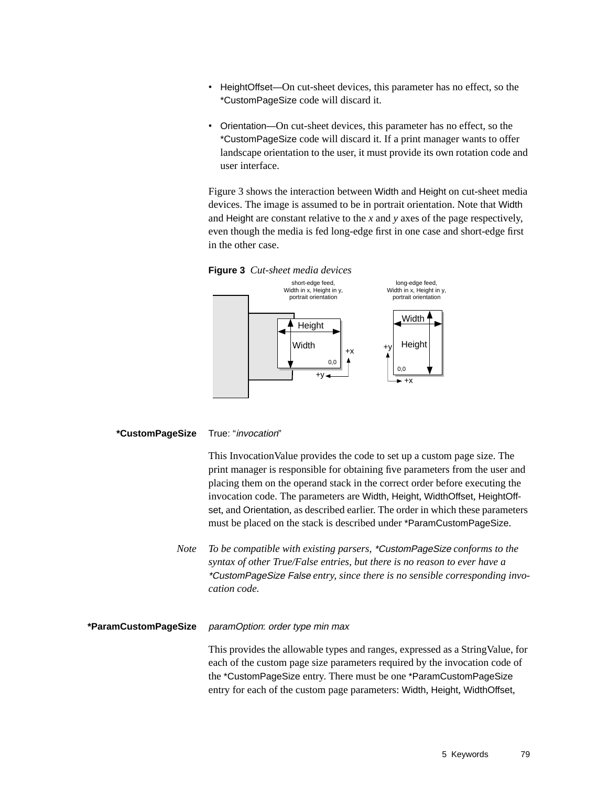- HeightOffset—On cut-sheet devices, this parameter has no effect, so the \*CustomPageSize code will discard it.
- Orientation—On cut-sheet devices, this parameter has no effect, so the \*CustomPageSize code will discard it. If a print manager wants to offer landscape orientation to the user, it must provide its own rotation code and user interface.

Figure 3 shows the interaction between Width and Height on cut-sheet media devices. The image is assumed to be in portrait orientation. Note that Width and Height are constant relative to the *x* and *y* axes of the page respectively, even though the media is fed long-edge first in one case and short-edge first in the other case.





### **\*CustomPageSize** True: "invocation"

This InvocationValue provides the code to set up a custom page size. The print manager is responsible for obtaining five parameters from the user and placing them on the operand stack in the correct order before executing the invocation code. The parameters are Width, Height, WidthOffset, HeightOffset, and Orientation, as described earlier. The order in which these parameters must be placed on the stack is described under \*ParamCustomPageSize.

*Note To be compatible with existing parsers,* \*CustomPageSize *conforms to the syntax of other True/False entries, but there is no reason to ever have a* \*CustomPageSize False *entry, since there is no sensible corresponding invocation code.*

### **\*ParamCustomPageSize** paramOption: order type min max

This provides the allowable types and ranges, expressed as a StringValue, for each of the custom page size parameters required by the invocation code of the \*CustomPageSize entry. There must be one \*ParamCustomPageSize entry for each of the custom page parameters: Width, Height, WidthOffset,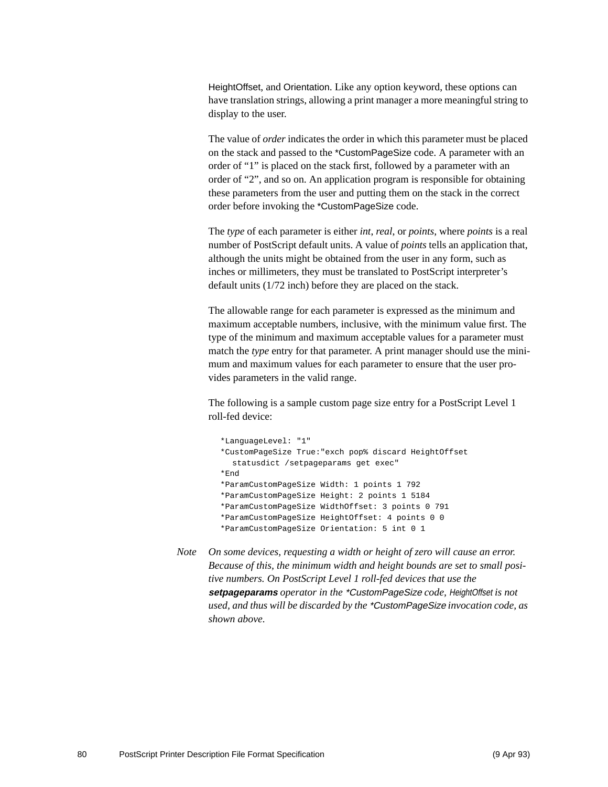HeightOffset, and Orientation. Like any option keyword, these options can have translation strings, allowing a print manager a more meaningful string to display to the user.

The value of *order* indicates the order in which this parameter must be placed on the stack and passed to the \*CustomPageSize code. A parameter with an order of "1" is placed on the stack first, followed by a parameter with an order of "2", and so on. An application program is responsible for obtaining these parameters from the user and putting them on the stack in the correct order before invoking the \*CustomPageSize code.

The *type* of each parameter is either *int*, *real*, or *points*, where *points* is a real number of PostScript default units. A value of *points* tells an application that, although the units might be obtained from the user in any form, such as inches or millimeters, they must be translated to PostScript interpreter's default units (1/72 inch) before they are placed on the stack.

The allowable range for each parameter is expressed as the minimum and maximum acceptable numbers, inclusive, with the minimum value first. The type of the minimum and maximum acceptable values for a parameter must match the *type* entry for that parameter. A print manager should use the minimum and maximum values for each parameter to ensure that the user provides parameters in the valid range.

The following is a sample custom page size entry for a PostScript Level 1 roll-fed device:

```
*LanguageLevel: "1"
*CustomPageSize True:"exch pop% discard HeightOffset
  statusdict /setpageparams get exec"
*End
*ParamCustomPageSize Width: 1 points 1 792
*ParamCustomPageSize Height: 2 points 1 5184
*ParamCustomPageSize WidthOffset: 3 points 0 791
*ParamCustomPageSize HeightOffset: 4 points 0 0
*ParamCustomPageSize Orientation: 5 int 0 1
```
*Note On some devices, requesting a width or height of zero will cause an error. Because of this, the minimum width and height bounds are set to small positive numbers. On PostScript Level 1 roll-fed devices that use the* **setpageparams** *operator in the* \*CustomPageSize *code,* HeightOffset *is not used, and thus will be discarded by the* \*CustomPageSize *invocation code, as shown above.*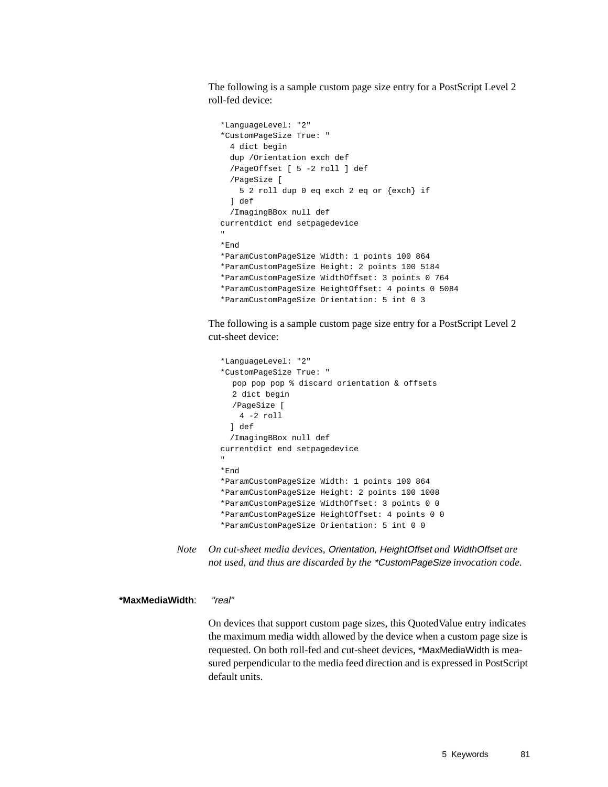The following is a sample custom page size entry for a PostScript Level 2 roll-fed device:

```
*LanguageLevel: "2"
*CustomPageSize True: "
   4 dict begin
   dup /Orientation exch def
   /PageOffset [ 5 -2 roll ] def
   /PageSize [
    5 2 roll dup 0 eq exch 2 eq or {exch} if
   ] def
   /ImagingBBox null def
currentdict end setpagedevice
"
*End
*ParamCustomPageSize Width: 1 points 100 864
*ParamCustomPageSize Height: 2 points 100 5184
*ParamCustomPageSize WidthOffset: 3 points 0 764
*ParamCustomPageSize HeightOffset: 4 points 0 5084
*ParamCustomPageSize Orientation: 5 int 0 3
```
The following is a sample custom page size entry for a PostScript Level 2 cut-sheet device:

```
*LanguageLevel: "2"
*CustomPageSize True: "
  pop pop pop % discard orientation & offsets
  2 dict begin
  /PageSize [
    4 -2 roll
   ] def
  /ImagingBBox null def
currentdict end setpagedevice
"
*End
*ParamCustomPageSize Width: 1 points 100 864
*ParamCustomPageSize Height: 2 points 100 1008
*ParamCustomPageSize WidthOffset: 3 points 0 0
*ParamCustomPageSize HeightOffset: 4 points 0 0
*ParamCustomPageSize Orientation: 5 int 0 0
```
*Note On cut-sheet media devices,* Orientation, HeightOffset *and* WidthOffset *are not used, and thus are discarded by the* \*CustomPageSize *invocation code.*

```
*MaxMediaWidth: "real"
```
On devices that support custom page sizes, this QuotedValue entry indicates the maximum media width allowed by the device when a custom page size is requested. On both roll-fed and cut-sheet devices, \*MaxMediaWidth is measured perpendicular to the media feed direction and is expressed in PostScript default units.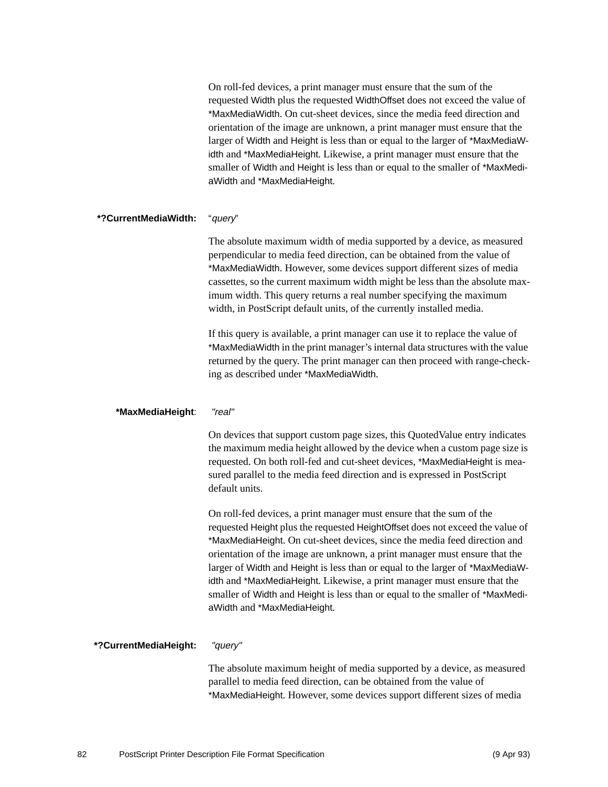On roll-fed devices, a print manager must ensure that the sum of the requested Width plus the requested WidthOffset does not exceed the value of \*MaxMediaWidth. On cut-sheet devices, since the media feed direction and orientation of the image are unknown, a print manager must ensure that the larger of Width and Height is less than or equal to the larger of \*MaxMediaWidth and \*MaxMediaHeight. Likewise, a print manager must ensure that the smaller of Width and Height is less than or equal to the smaller of \*MaxMediaWidth and \*MaxMediaHeight.

## **\*?CurrentMediaWidth:** "query"

The absolute maximum width of media supported by a device, as measured perpendicular to media feed direction, can be obtained from the value of \*MaxMediaWidth. However, some devices support different sizes of media cassettes, so the current maximum width might be less than the absolute maximum width. This query returns a real number specifying the maximum width, in PostScript default units, of the currently installed media.

If this query is available, a print manager can use it to replace the value of \*MaxMediaWidth in the print manager's internal data structures with the value returned by the query. The print manager can then proceed with range-checking as described under \*MaxMediaWidth.

### **\*MaxMediaHeight**: "real"

On devices that support custom page sizes, this QuotedValue entry indicates the maximum media height allowed by the device when a custom page size is requested. On both roll-fed and cut-sheet devices, \*MaxMediaHeight is measured parallel to the media feed direction and is expressed in PostScript default units.

On roll-fed devices, a print manager must ensure that the sum of the requested Height plus the requested HeightOffset does not exceed the value of \*MaxMediaHeight. On cut-sheet devices, since the media feed direction and orientation of the image are unknown, a print manager must ensure that the larger of Width and Height is less than or equal to the larger of \*MaxMediaWidth and \*MaxMediaHeight. Likewise, a print manager must ensure that the smaller of Width and Height is less than or equal to the smaller of \*MaxMediaWidth and \*MaxMediaHeight.

### **\*?CurrentMediaHeight:** "query"

The absolute maximum height of media supported by a device, as measured parallel to media feed direction, can be obtained from the value of \*MaxMediaHeight. However, some devices support different sizes of media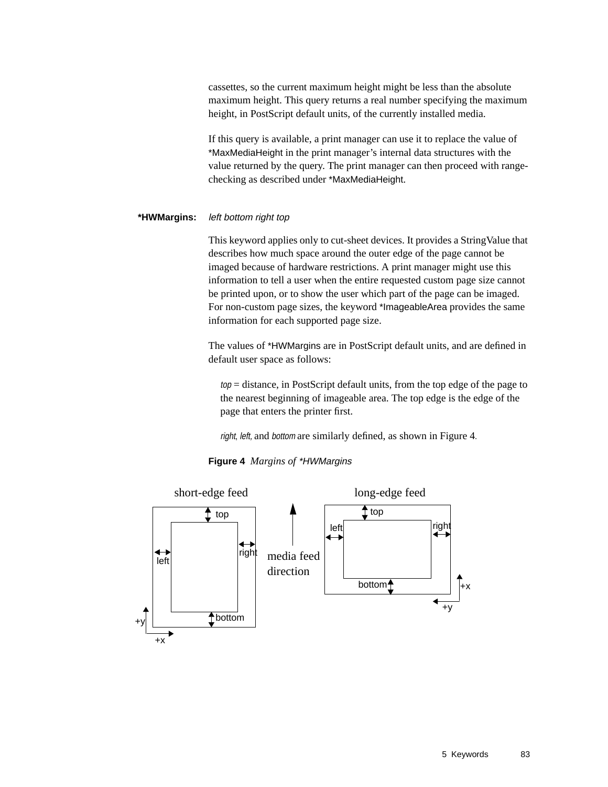cassettes, so the current maximum height might be less than the absolute maximum height. This query returns a real number specifying the maximum height, in PostScript default units, of the currently installed media.

If this query is available, a print manager can use it to replace the value of \*MaxMediaHeight in the print manager's internal data structures with the value returned by the query. The print manager can then proceed with rangechecking as described under \*MaxMediaHeight.

### **\*HWMargins:** left bottom right top

This keyword applies only to cut-sheet devices. It provides a StringValue that describes how much space around the outer edge of the page cannot be imaged because of hardware restrictions. A print manager might use this information to tell a user when the entire requested custom page size cannot be printed upon, or to show the user which part of the page can be imaged. For non-custom page sizes, the keyword \*ImageableArea provides the same information for each supported page size.

The values of \*HWMargins are in PostScript default units, and are defined in default user space as follows:

top = distance, in PostScript default units, from the top edge of the page to the nearest beginning of imageable area. The top edge is the edge of the page that enters the printer first.

right, left, and bottom are similarly defined, as shown in Figure 4.



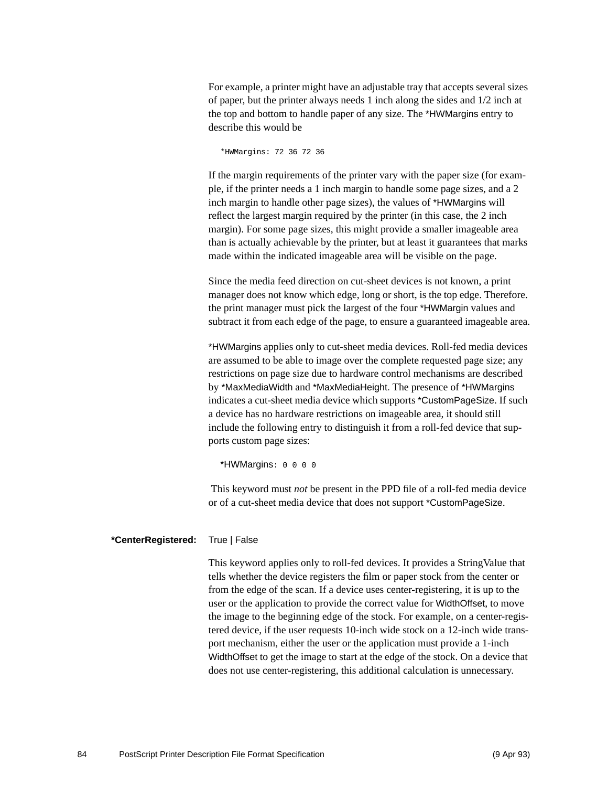For example, a printer might have an adjustable tray that accepts several sizes of paper, but the printer always needs 1 inch along the sides and 1/2 inch at the top and bottom to handle paper of any size. The \*HWMargins entry to describe this would be

\*HWMargins: 72 36 72 36

If the margin requirements of the printer vary with the paper size (for example, if the printer needs a 1 inch margin to handle some page sizes, and a 2 inch margin to handle other page sizes), the values of \*HWMargins will reflect the largest margin required by the printer (in this case, the 2 inch margin). For some page sizes, this might provide a smaller imageable area than is actually achievable by the printer, but at least it guarantees that marks made within the indicated imageable area will be visible on the page.

Since the media feed direction on cut-sheet devices is not known, a print manager does not know which edge, long or short, is the top edge. Therefore. the print manager must pick the largest of the four \*HWMargin values and subtract it from each edge of the page, to ensure a guaranteed imageable area.

\*HWMargins applies only to cut-sheet media devices. Roll-fed media devices are assumed to be able to image over the complete requested page size; any restrictions on page size due to hardware control mechanisms are described by \*MaxMediaWidth and \*MaxMediaHeight. The presence of \*HWMargins indicates a cut-sheet media device which supports \*CustomPageSize. If such a device has no hardware restrictions on imageable area, it should still include the following entry to distinguish it from a roll-fed device that supports custom page sizes:

\*HWMargins: 0 0 0 0

 This keyword must *not* be present in the PPD file of a roll-fed media device or of a cut-sheet media device that does not support \*CustomPageSize.

### **\*CenterRegistered:** True | False

This keyword applies only to roll-fed devices. It provides a StringValue that tells whether the device registers the film or paper stock from the center or from the edge of the scan. If a device uses center-registering, it is up to the user or the application to provide the correct value for WidthOffset, to move the image to the beginning edge of the stock. For example, on a center-registered device, if the user requests 10-inch wide stock on a 12-inch wide transport mechanism, either the user or the application must provide a 1-inch WidthOffset to get the image to start at the edge of the stock. On a device that does not use center-registering, this additional calculation is unnecessary.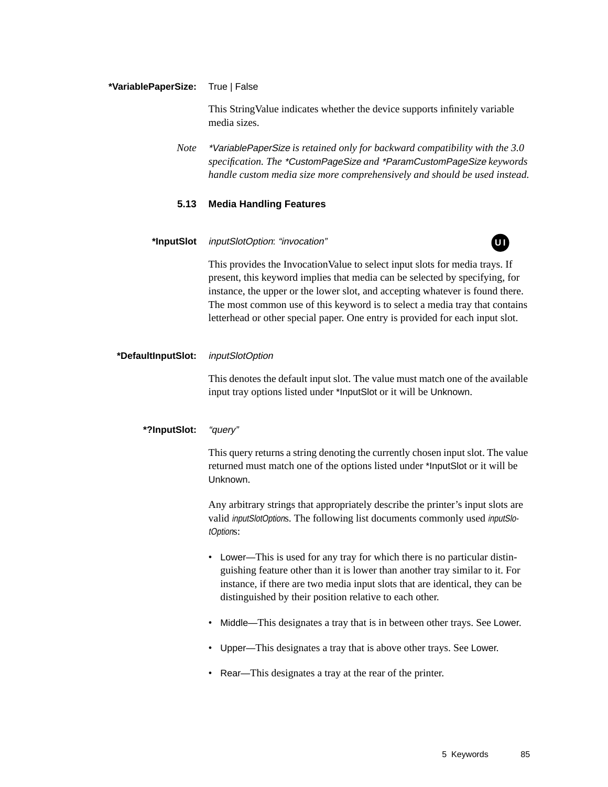## **\*VariablePaperSize:** True | False

This StringValue indicates whether the device supports infinitely variable media sizes.

*Note* \*VariablePaperSize *is retained only for backward compatibility with the 3.0 specification. The* \*CustomPageSize *and* \*ParamCustomPageSize *keywords handle custom media size more comprehensively and should be used instead.*

# **5.13 Media Handling Features**

**\*InputSlot** inputSlotOption: "invocation"



This provides the InvocationValue to select input slots for media trays. If present, this keyword implies that media can be selected by specifying, for instance, the upper or the lower slot, and accepting whatever is found there. The most common use of this keyword is to select a media tray that contains letterhead or other special paper. One entry is provided for each input slot.

## **\*DefaultInputSlot:** inputSlotOption

This denotes the default input slot. The value must match one of the available input tray options listed under \*InputSlot or it will be Unknown.

# **\*?InputSlot:** "query"

This query returns a string denoting the currently chosen input slot. The value returned must match one of the options listed under \*InputSlot or it will be Unknown.

Any arbitrary strings that appropriately describe the printer's input slots are valid inputSlotOptions. The following list documents commonly used inputSlotOptions:

- Lower—This is used for any tray for which there is no particular distinguishing feature other than it is lower than another tray similar to it. For instance, if there are two media input slots that are identical, they can be distinguished by their position relative to each other.
- Middle—This designates a tray that is in between other trays. See Lower.
- Upper—This designates a tray that is above other trays. See Lower.
- Rear—This designates a tray at the rear of the printer.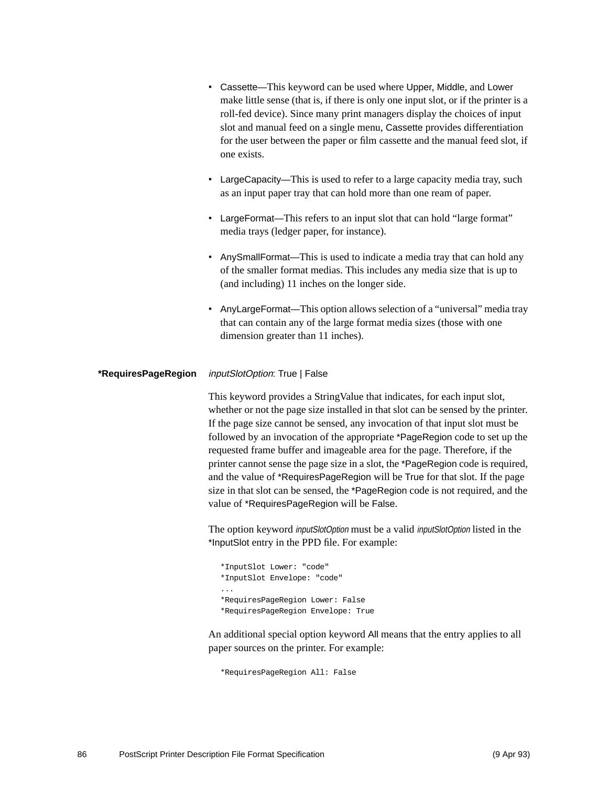- Cassette—This keyword can be used where Upper, Middle, and Lower make little sense (that is, if there is only one input slot, or if the printer is a roll-fed device). Since many print managers display the choices of input slot and manual feed on a single menu, Cassette provides differentiation for the user between the paper or film cassette and the manual feed slot, if one exists.
- LargeCapacity—This is used to refer to a large capacity media tray, such as an input paper tray that can hold more than one ream of paper.
- LargeFormat—This refers to an input slot that can hold "large format" media trays (ledger paper, for instance).
- AnySmallFormat—This is used to indicate a media tray that can hold any of the smaller format medias. This includes any media size that is up to (and including) 11 inches on the longer side.
- AnyLargeFormat—This option allows selection of a "universal" media tray that can contain any of the large format media sizes (those with one dimension greater than 11 inches).

# **\*RequiresPageRegion** inputSlotOption: True | False

This keyword provides a StringValue that indicates, for each input slot, whether or not the page size installed in that slot can be sensed by the printer. If the page size cannot be sensed, any invocation of that input slot must be followed by an invocation of the appropriate \*PageRegion code to set up the requested frame buffer and imageable area for the page. Therefore, if the printer cannot sense the page size in a slot, the \*PageRegion code is required, and the value of \*RequiresPageRegion will be True for that slot. If the page size in that slot can be sensed, the \*PageRegion code is not required, and the value of \*RequiresPageRegion will be False.

The option keyword inputSlotOption must be a valid inputSlotOption listed in the \*InputSlot entry in the PPD file. For example:

\*InputSlot Lower: "code" \*InputSlot Envelope: "code" ... \*RequiresPageRegion Lower: False \*RequiresPageRegion Envelope: True

An additional special option keyword All means that the entry applies to all paper sources on the printer. For example:

\*RequiresPageRegion All: False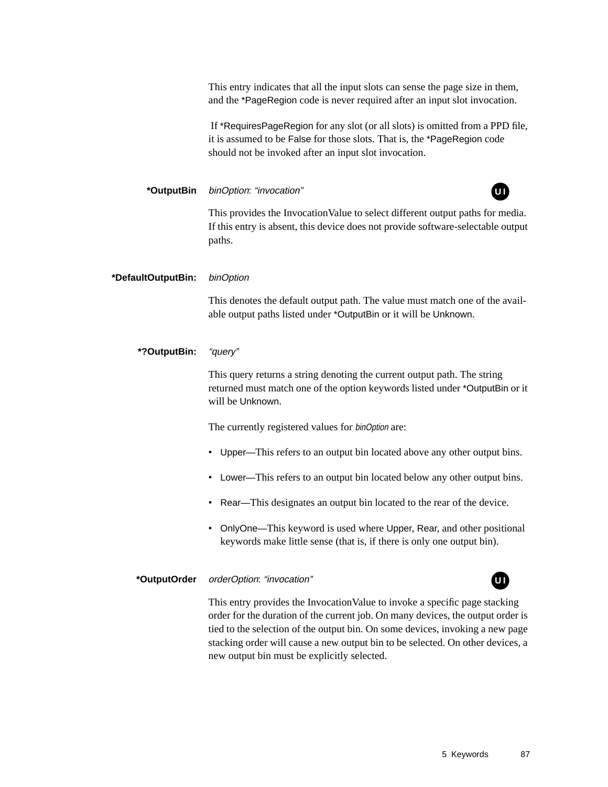|                    | This entry indicates that all the input slots can sense the page size in them,<br>and the *PageRegion code is never required after an input slot invocation.                                                                                                                                                                                                                     |  |  |
|--------------------|----------------------------------------------------------------------------------------------------------------------------------------------------------------------------------------------------------------------------------------------------------------------------------------------------------------------------------------------------------------------------------|--|--|
|                    | If *RequiresPageRegion for any slot (or all slots) is omitted from a PPD file,<br>it is assumed to be False for those slots. That is, the *PageRegion code<br>should not be invoked after an input slot invocation.                                                                                                                                                              |  |  |
| *OutputBin         | binOption: "invocation"<br>Ø                                                                                                                                                                                                                                                                                                                                                     |  |  |
|                    | This provides the Invocation Value to select different output paths for media.<br>If this entry is absent, this device does not provide software-selectable output<br>paths.                                                                                                                                                                                                     |  |  |
| *DefaultOutputBin: | <b>binOption</b>                                                                                                                                                                                                                                                                                                                                                                 |  |  |
|                    | This denotes the default output path. The value must match one of the avail-<br>able output paths listed under *OutputBin or it will be Unknown.                                                                                                                                                                                                                                 |  |  |
| *?OutputBin:       | "query"                                                                                                                                                                                                                                                                                                                                                                          |  |  |
|                    | This query returns a string denoting the current output path. The string<br>returned must match one of the option keywords listed under *OutputBin or it<br>will be Unknown.                                                                                                                                                                                                     |  |  |
|                    | The currently registered values for binOption are:                                                                                                                                                                                                                                                                                                                               |  |  |
|                    | • Upper—This refers to an output bin located above any other output bins.                                                                                                                                                                                                                                                                                                        |  |  |
|                    | • Lower—This refers to an output bin located below any other output bins.                                                                                                                                                                                                                                                                                                        |  |  |
|                    | Rear—This designates an output bin located to the rear of the device.                                                                                                                                                                                                                                                                                                            |  |  |
|                    | OnlyOne—This keyword is used where Upper, Rear, and other positional<br>keywords make little sense (that is, if there is only one output bin).                                                                                                                                                                                                                                   |  |  |
| *OutputOrder       | orderOption: "invocation"<br>$\overline{\mathbf{u}}$                                                                                                                                                                                                                                                                                                                             |  |  |
|                    | This entry provides the Invocation Value to invoke a specific page stacking<br>order for the duration of the current job. On many devices, the output order is<br>tied to the selection of the output bin. On some devices, invoking a new page<br>stacking order will cause a new output bin to be selected. On other devices, a<br>new output bin must be explicitly selected. |  |  |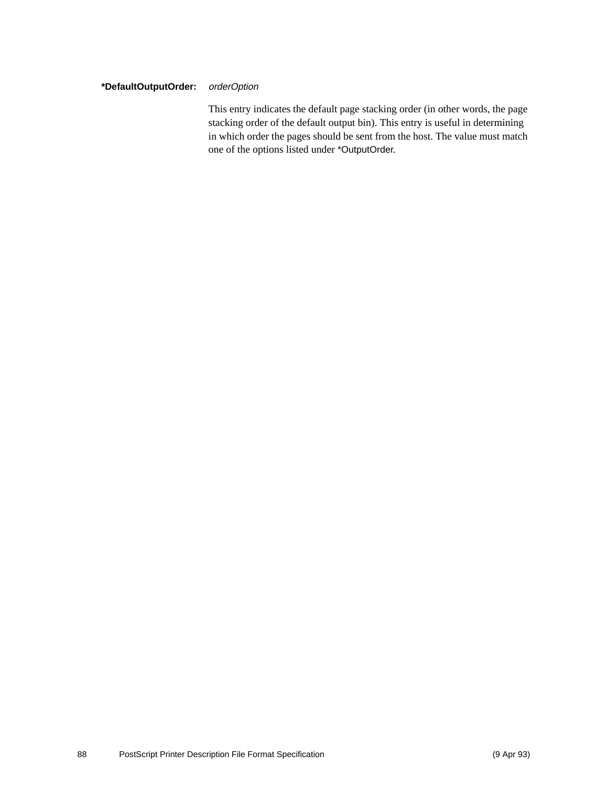## **\*DefaultOutputOrder:** orderOption

This entry indicates the default page stacking order (in other words, the page stacking order of the default output bin). This entry is useful in determining in which order the pages should be sent from the host. The value must match one of the options listed under \*OutputOrder.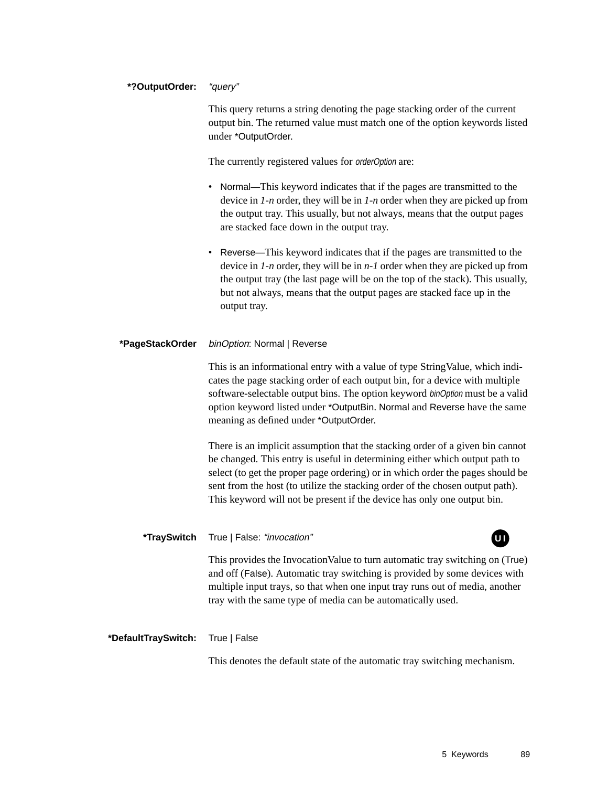### **\*?OutputOrder:** "query"

This query returns a string denoting the page stacking order of the current output bin. The returned value must match one of the option keywords listed under \*OutputOrder.

The currently registered values for orderOption are:

- Normal—This keyword indicates that if the pages are transmitted to the device in *1-n* order, they will be in *1-n* order when they are picked up from the output tray. This usually, but not always, means that the output pages are stacked face down in the output tray.
- Reverse—This keyword indicates that if the pages are transmitted to the device in *1-n* order, they will be in *n-1* order when they are picked up from the output tray (the last page will be on the top of the stack). This usually, but not always, means that the output pages are stacked face up in the output tray.

# **\*PageStackOrder** binOption: Normal | Reverse

This is an informational entry with a value of type StringValue, which indicates the page stacking order of each output bin, for a device with multiple software-selectable output bins. The option keyword binOption must be a valid option keyword listed under \*OutputBin. Normal and Reverse have the same meaning as defined under \*OutputOrder.

There is an implicit assumption that the stacking order of a given bin cannot be changed. This entry is useful in determining either which output path to select (to get the proper page ordering) or in which order the pages should be sent from the host (to utilize the stacking order of the chosen output path). This keyword will not be present if the device has only one output bin.

**\*TraySwitch** True | False: "invocation"



This provides the InvocationValue to turn automatic tray switching on (True) and off (False). Automatic tray switching is provided by some devices with multiple input trays, so that when one input tray runs out of media, another tray with the same type of media can be automatically used.

### **\*DefaultTraySwitch:** True | False

This denotes the default state of the automatic tray switching mechanism.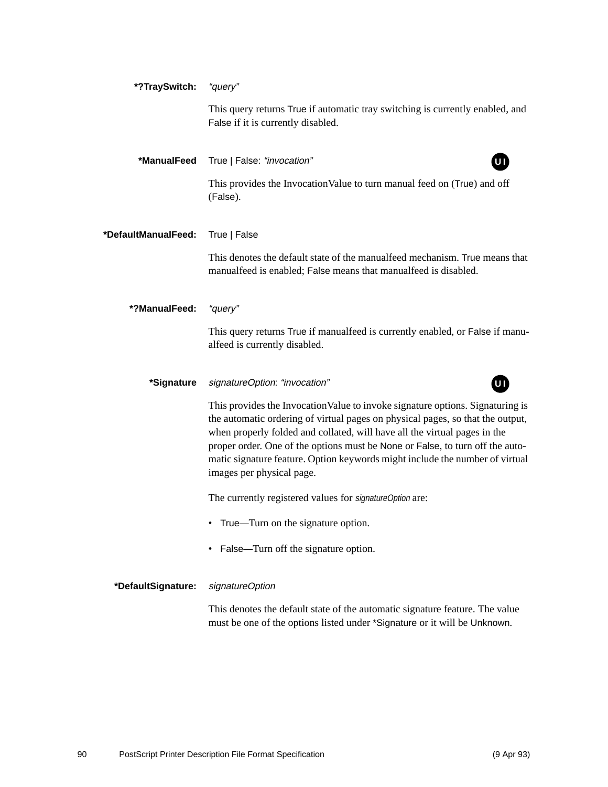| *?TraySwitch:       | "query"                                                                                                                                                                                                                                                                                                                                                                                                                                     |
|---------------------|---------------------------------------------------------------------------------------------------------------------------------------------------------------------------------------------------------------------------------------------------------------------------------------------------------------------------------------------------------------------------------------------------------------------------------------------|
|                     | This query returns True if automatic tray switching is currently enabled, and<br>False if it is currently disabled.                                                                                                                                                                                                                                                                                                                         |
| *ManualFeed         | True   False: "invocation"<br>UI                                                                                                                                                                                                                                                                                                                                                                                                            |
|                     | This provides the Invocation Value to turn manual feed on (True) and off<br>(False).                                                                                                                                                                                                                                                                                                                                                        |
| *DefaultManualFeed: | True   False                                                                                                                                                                                                                                                                                                                                                                                                                                |
|                     | This denotes the default state of the manualfeed mechanism. True means that<br>manualfeed is enabled; False means that manualfeed is disabled.                                                                                                                                                                                                                                                                                              |
| *?ManualFeed:       | "query"                                                                                                                                                                                                                                                                                                                                                                                                                                     |
|                     | This query returns True if manualfeed is currently enabled, or False if manu-<br>alfeed is currently disabled.                                                                                                                                                                                                                                                                                                                              |
| *Signature          | signatureOption: "invocation"<br>$\overline{u}$                                                                                                                                                                                                                                                                                                                                                                                             |
|                     | This provides the Invocation Value to invoke signature options. Signaturing is<br>the automatic ordering of virtual pages on physical pages, so that the output,<br>when properly folded and collated, will have all the virtual pages in the<br>proper order. One of the options must be None or False, to turn off the auto-<br>matic signature feature. Option keywords might include the number of virtual<br>images per physical page. |
|                     | The currently registered values for signatureOption are:                                                                                                                                                                                                                                                                                                                                                                                    |
|                     | • True—Turn on the signature option.                                                                                                                                                                                                                                                                                                                                                                                                        |
|                     | False—Turn off the signature option.                                                                                                                                                                                                                                                                                                                                                                                                        |
| *DefaultSignature:  | signatureOption                                                                                                                                                                                                                                                                                                                                                                                                                             |
|                     | This denotes the default state of the automatic signature feature. The value<br>must be one of the options listed under *Signature or it will be Unknown.                                                                                                                                                                                                                                                                                   |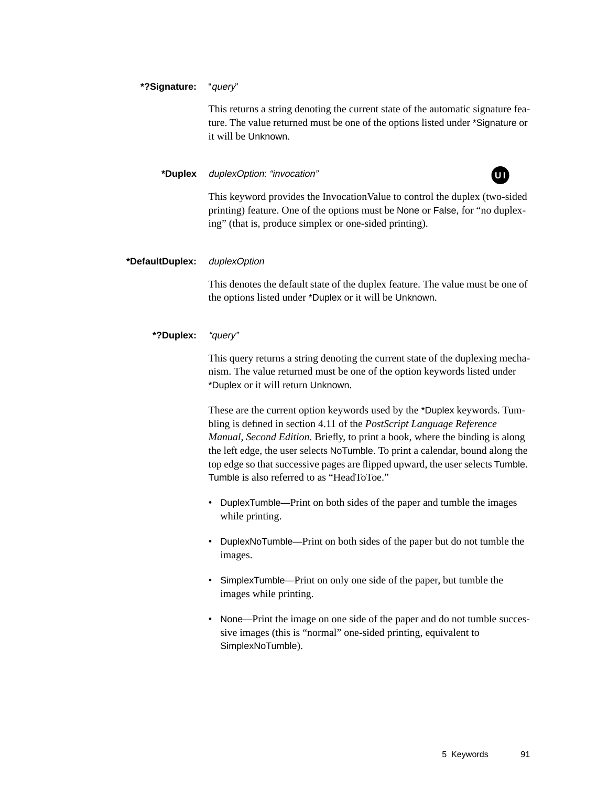### **\*?Signature:** "query"

This returns a string denoting the current state of the automatic signature feature. The value returned must be one of the options listed under \*Signature or it will be Unknown.

## **\*Duplex** duplexOption: "invocation"



This keyword provides the InvocationValue to control the duplex (two-sided printing) feature. One of the options must be None or False, for "no duplexing" (that is, produce simplex or one-sided printing).

### **\*DefaultDuplex:** duplexOption

This denotes the default state of the duplex feature. The value must be one of the options listed under \*Duplex or it will be Unknown.

## **\*?Duplex:** "query"

This query returns a string denoting the current state of the duplexing mechanism. The value returned must be one of the option keywords listed under \*Duplex or it will return Unknown.

These are the current option keywords used by the \*Duplex keywords. Tumbling is defined in section 4.11 of the *PostScript Language Reference Manual, Second Edition*. Briefly, to print a book, where the binding is along the left edge, the user selects NoTumble. To print a calendar, bound along the top edge so that successive pages are flipped upward, the user selects Tumble. Tumble is also referred to as "HeadToToe."

- DuplexTumble—Print on both sides of the paper and tumble the images while printing.
- DuplexNoTumble—Print on both sides of the paper but do not tumble the images.
- SimplexTumble—Print on only one side of the paper, but tumble the images while printing.
- None—Print the image on one side of the paper and do not tumble successive images (this is "normal" one-sided printing, equivalent to SimplexNoTumble).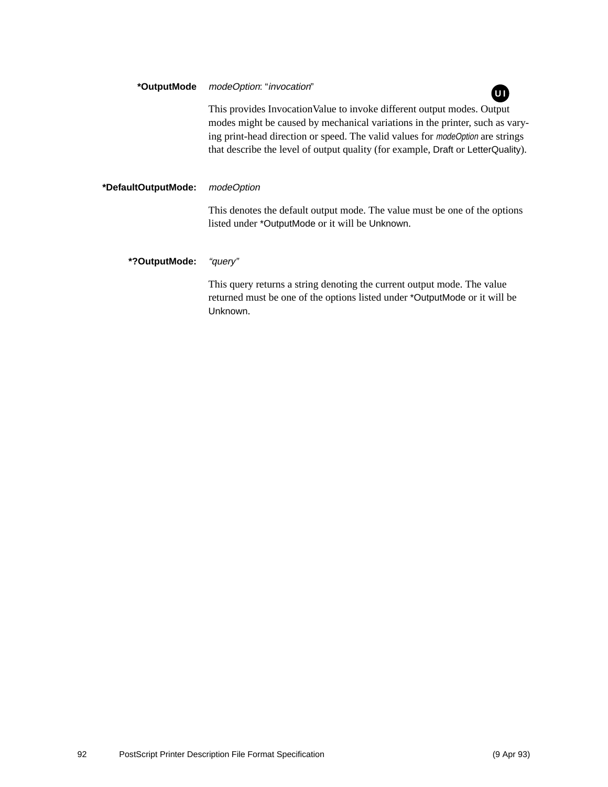

This provides InvocationValue to invoke different output modes. Output modes might be caused by mechanical variations in the printer, such as varying print-head direction or speed. The valid values for modeOption are strings that describe the level of output quality (for example, Draft or LetterQuality).

# **\*DefaultOutputMode:** modeOption

This denotes the default output mode. The value must be one of the options listed under \*OutputMode or it will be Unknown.

# **\*?OutputMode:** "query"

This query returns a string denoting the current output mode. The value returned must be one of the options listed under \*OutputMode or it will be Unknown.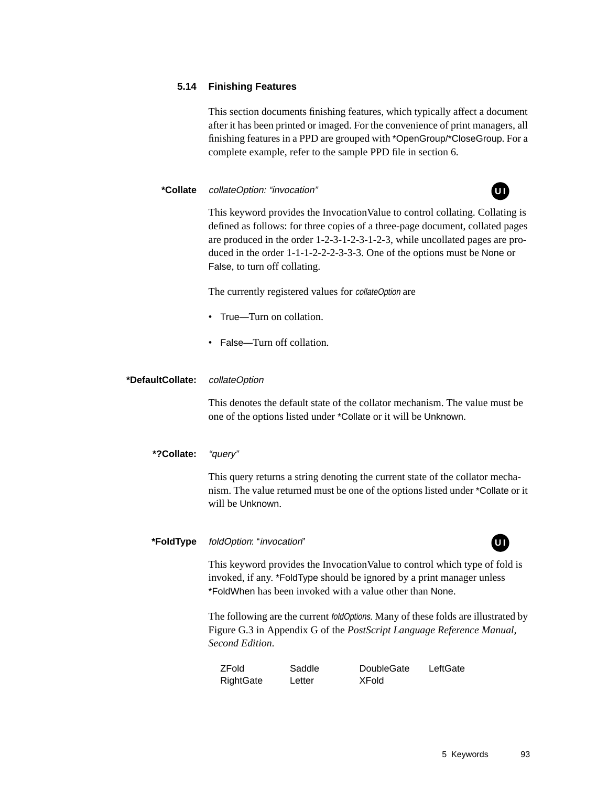# **5.14 Finishing Features**

This section documents finishing features, which typically affect a document after it has been printed or imaged. For the convenience of print managers, all finishing features in a PPD are grouped with \*OpenGroup/\*CloseGroup. For a complete example, refer to the sample PPD file in section 6.

# **\*Collate** collateOption: "invocation"



This keyword provides the InvocationValue to control collating. Collating is defined as follows: for three copies of a three-page document, collated pages are produced in the order 1-2-3-1-2-3-1-2-3, while uncollated pages are produced in the order 1-1-1-2-2-2-3-3-3. One of the options must be None or False, to turn off collating.

The currently registered values for collateOption are

- True—Turn on collation.
- False—Turn off collation.

# **\*DefaultCollate:** collateOption

This denotes the default state of the collator mechanism. The value must be one of the options listed under \*Collate or it will be Unknown.

**\*?Collate:** "query"

This query returns a string denoting the current state of the collator mechanism. The value returned must be one of the options listed under \*Collate or it will be Unknown.

# **\*FoldType** foldOption: "invocation"



This keyword provides the InvocationValue to control which type of fold is invoked, if any. \*FoldType should be ignored by a print manager unless \*FoldWhen has been invoked with a value other than None.

The following are the current foldOptions. Many of these folds are illustrated by Figure G.3 in Appendix G of the *PostScript Language Reference Manual, Second Edition*.

| ZFold     | Saddle | DoubleGate | LeftGate |
|-----------|--------|------------|----------|
| RightGate | Letter | XFold      |          |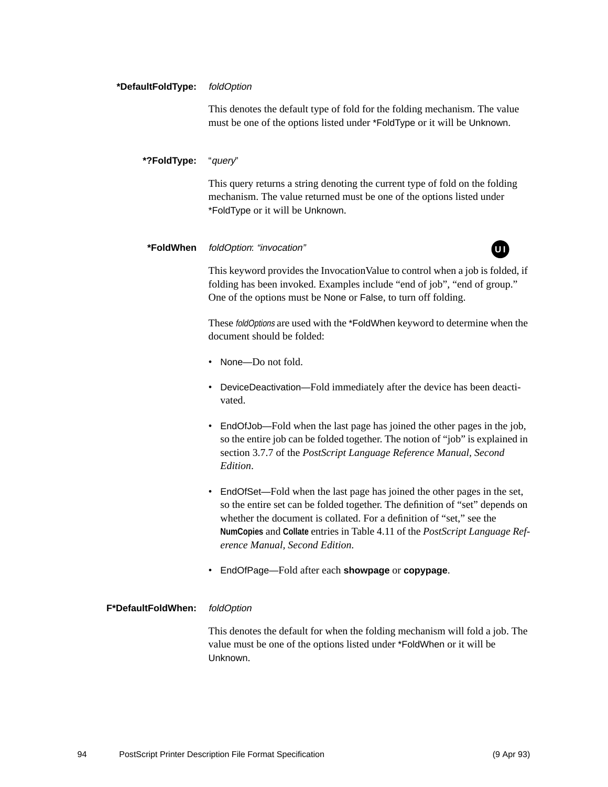### **\*DefaultFoldType:** foldOption

This denotes the default type of fold for the folding mechanism. The value must be one of the options listed under \*FoldType or it will be Unknown.

## **\*?FoldType:** "query"

This query returns a string denoting the current type of fold on the folding mechanism. The value returned must be one of the options listed under \*FoldType or it will be Unknown.

## **\*FoldWhen** foldOption: "invocation"



This keyword provides the InvocationValue to control when a job is folded, if folding has been invoked. Examples include "end of job", "end of group." One of the options must be None or False, to turn off folding.

These foldOptions are used with the \*FoldWhen keyword to determine when the document should be folded:

- None-Do not fold.
- DeviceDeactivation—Fold immediately after the device has been deactivated.
- EndOfJob—Fold when the last page has joined the other pages in the job, so the entire job can be folded together. The notion of "job" is explained in section 3.7.7 of the *PostScript Language Reference Manual, Second Edition*.
- EndOfSet—Fold when the last page has joined the other pages in the set, so the entire set can be folded together. The definition of "set" depends on whether the document is collated. For a definition of "set," see the **NumCopies** and **Collate** entries in Table 4.11 of the *PostScript Language Reference Manual, Second Edition*.
- EndOfPage—Fold after each **showpage** or **copypage**.

## **F\*DefaultFoldWhen:** foldOption

This denotes the default for when the folding mechanism will fold a job. The value must be one of the options listed under \*FoldWhen or it will be Unknown.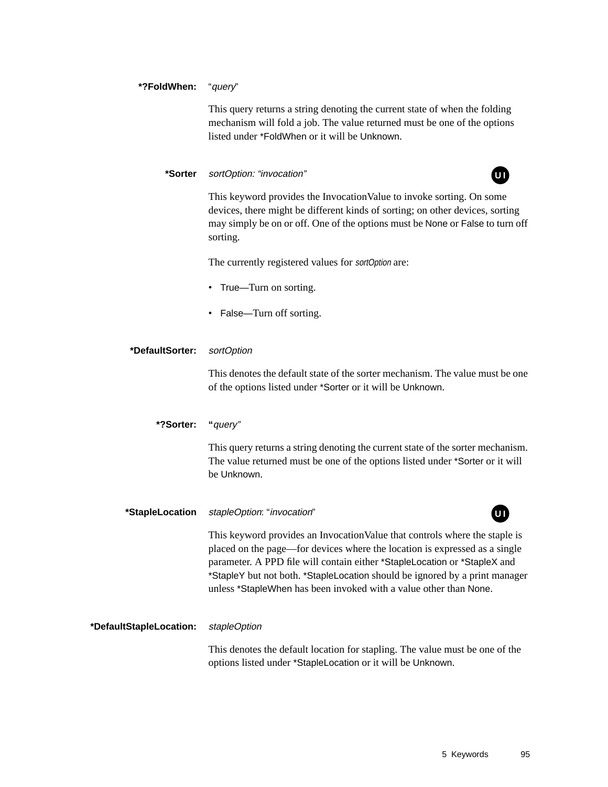### **\*?FoldWhen:** "query"

This query returns a string denoting the current state of when the folding mechanism will fold a job. The value returned must be one of the options listed under \*FoldWhen or it will be Unknown.

## **\*Sorter** sortOption: "invocation"



This keyword provides the InvocationValue to invoke sorting. On some devices, there might be different kinds of sorting; on other devices, sorting may simply be on or off. One of the options must be None or False to turn off sorting.

The currently registered values for sortOption are:

- True—Turn on sorting.
- False—Turn off sorting.

## **\*DefaultSorter:** sortOption

This denotes the default state of the sorter mechanism. The value must be one of the options listed under \*Sorter or it will be Unknown.

**\*?Sorter: "**query"

This query returns a string denoting the current state of the sorter mechanism. The value returned must be one of the options listed under \*Sorter or it will be Unknown.

**\*StapleLocation** stapleOption: "invocation"



This keyword provides an InvocationValue that controls where the staple is placed on the page—for devices where the location is expressed as a single parameter. A PPD file will contain either \*StapleLocation or \*StapleX and \*StapleY but not both. \*StapleLocation should be ignored by a print manager unless \*StapleWhen has been invoked with a value other than None.

**\*DefaultStapleLocation:** stapleOption

This denotes the default location for stapling. The value must be one of the options listed under \*StapleLocation or it will be Unknown.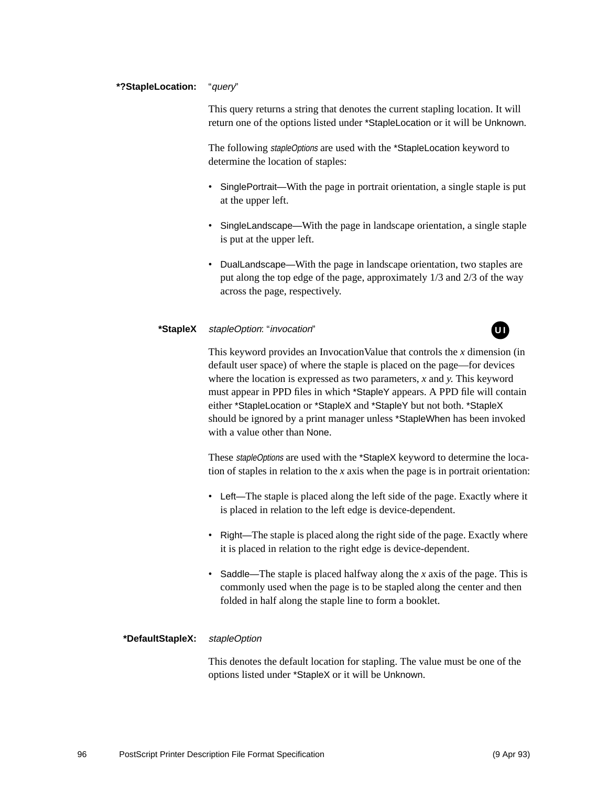#### **\*?StapleLocation:** "query"

This query returns a string that denotes the current stapling location. It will return one of the options listed under \*StapleLocation or it will be Unknown.

The following stapleOptions are used with the \*StapleLocation keyword to determine the location of staples:

- SinglePortrait—With the page in portrait orientation, a single staple is put at the upper left.
- SingleLandscape—With the page in landscape orientation, a single staple is put at the upper left.
- DualLandscape—With the page in landscape orientation, two staples are put along the top edge of the page, approximately 1/3 and 2/3 of the way across the page, respectively.

### **\*StapleX** stapleOption: "invocation"



This keyword provides an InvocationValue that controls the *x* dimension (in default user space) of where the staple is placed on the page—for devices where the location is expressed as two parameters, *x* and *y*. This keyword must appear in PPD files in which \*StapleY appears. A PPD file will contain either \*StapleLocation or \*StapleX and \*StapleY but not both. \*StapleX should be ignored by a print manager unless \*StapleWhen has been invoked with a value other than None.

These stapleOptions are used with the \*StapleX keyword to determine the location of staples in relation to the *x* axis when the page is in portrait orientation:

- Left—The staple is placed along the left side of the page. Exactly where it is placed in relation to the left edge is device-dependent.
- Right—The staple is placed along the right side of the page. Exactly where it is placed in relation to the right edge is device-dependent.
- Saddle—The staple is placed halfway along the *x* axis of the page. This is commonly used when the page is to be stapled along the center and then folded in half along the staple line to form a booklet.

## **\*DefaultStapleX:** stapleOption

This denotes the default location for stapling. The value must be one of the options listed under \*StapleX or it will be Unknown.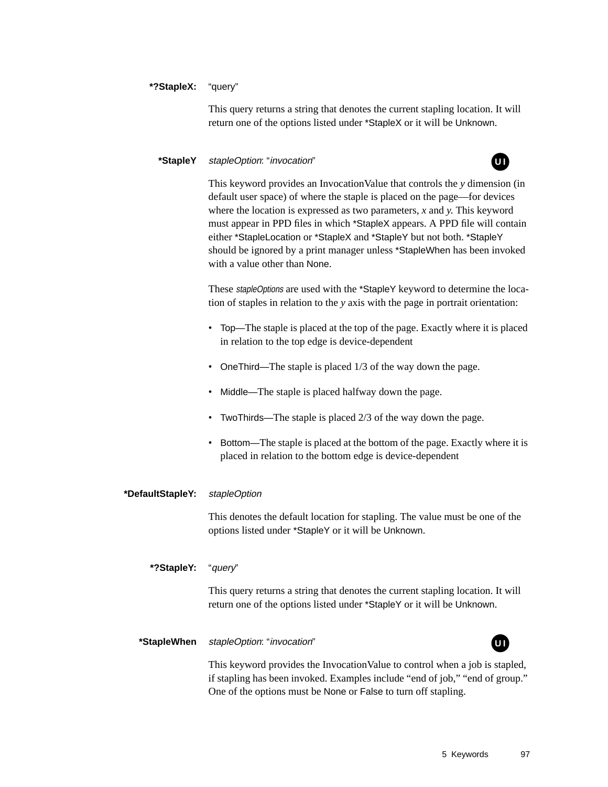### **\*?StapleX:** "query"

This query returns a string that denotes the current stapling location. It will return one of the options listed under \*StapleX or it will be Unknown.

### **\*StapleY** stapleOption: "invocation"



This keyword provides an InvocationValue that controls the *y* dimension (in default user space) of where the staple is placed on the page—for devices where the location is expressed as two parameters, *x* and *y*. This keyword must appear in PPD files in which \*StapleX appears. A PPD file will contain either \*StapleLocation or \*StapleX and \*StapleY but not both. \*StapleY should be ignored by a print manager unless \*StapleWhen has been invoked with a value other than None.

These stapleOptions are used with the \*StapleY keyword to determine the location of staples in relation to the *y* axis with the page in portrait orientation:

- Top—The staple is placed at the top of the page. Exactly where it is placed in relation to the top edge is device-dependent
- OneThird—The staple is placed 1/3 of the way down the page.
- Middle—The staple is placed halfway down the page.
- TwoThirds—The staple is placed 2/3 of the way down the page.
- Bottom—The staple is placed at the bottom of the page. Exactly where it is placed in relation to the bottom edge is device-dependent

# **\*DefaultStapleY:** stapleOption

This denotes the default location for stapling. The value must be one of the options listed under \*StapleY or it will be Unknown.

# **\*?StapleY:** "query"

This query returns a string that denotes the current stapling location. It will return one of the options listed under \*StapleY or it will be Unknown.

# **\*StapleWhen** stapleOption: "invocation"



This keyword provides the InvocationValue to control when a job is stapled, if stapling has been invoked. Examples include "end of job," "end of group." One of the options must be None or False to turn off stapling.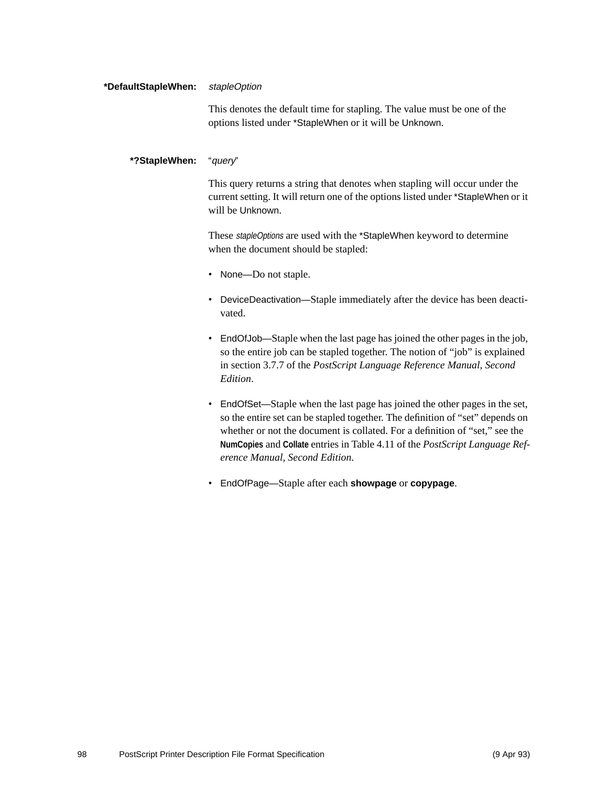#### **\*DefaultStapleWhen:** stapleOption

This denotes the default time for stapling. The value must be one of the options listed under \*StapleWhen or it will be Unknown.

### **\*?StapleWhen:** "query"

This query returns a string that denotes when stapling will occur under the current setting. It will return one of the options listed under \*StapleWhen or it will be Unknown.

These stapleOptions are used with the \*StapleWhen keyword to determine when the document should be stapled:

- None—Do not staple.
- DeviceDeactivation—Staple immediately after the device has been deactivated.
- EndOfJob—Staple when the last page has joined the other pages in the job, so the entire job can be stapled together. The notion of "job" is explained in section 3.7.7 of the *PostScript Language Reference Manual, Second Edition*.
- EndOfSet—Staple when the last page has joined the other pages in the set, so the entire set can be stapled together. The definition of "set" depends on whether or not the document is collated. For a definition of "set," see the **NumCopies** and **Collate** entries in Table 4.11 of the *PostScript Language Reference Manual, Second Edition*.
- EndOfPage—Staple after each **showpage** or **copypage**.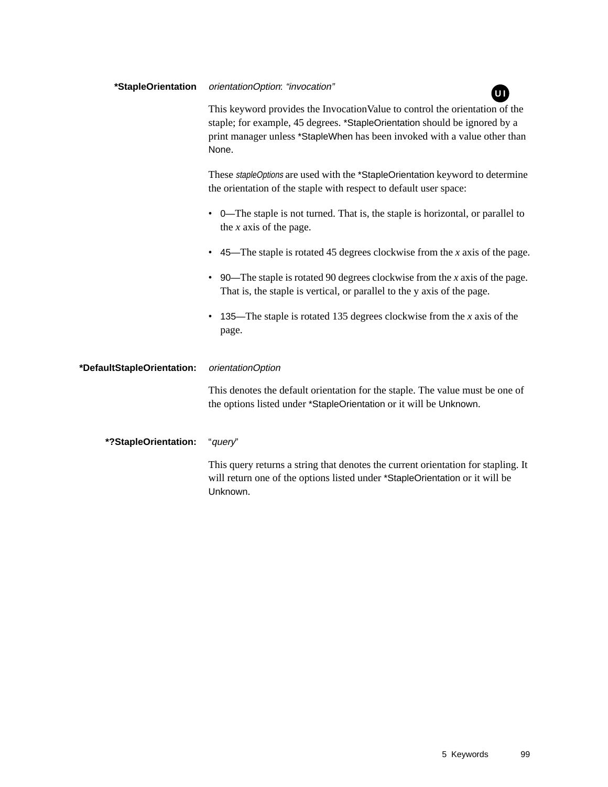#### **\*StapleOrientation** orientationOption: "invocation"



This keyword provides the InvocationValue to control the orientation of the staple; for example, 45 degrees. \*StapleOrientation should be ignored by a print manager unless \*StapleWhen has been invoked with a value other than None.

These stapleOptions are used with the \*StapleOrientation keyword to determine the orientation of the staple with respect to default user space:

- 0—The staple is not turned. That is, the staple is horizontal, or parallel to the *x* axis of the page.
- 45—The staple is rotated 45 degrees clockwise from the *x* axis of the page.
- 90—The staple is rotated 90 degrees clockwise from the *x* axis of the page. That is, the staple is vertical, or parallel to the y axis of the page.
- 135—The staple is rotated 135 degrees clockwise from the *x* axis of the page.

#### **\*DefaultStapleOrientation:** orientationOption

This denotes the default orientation for the staple. The value must be one of the options listed under \*StapleOrientation or it will be Unknown.

**\*?StapleOrientation:** "query"

This query returns a string that denotes the current orientation for stapling. It will return one of the options listed under \*StapleOrientation or it will be Unknown.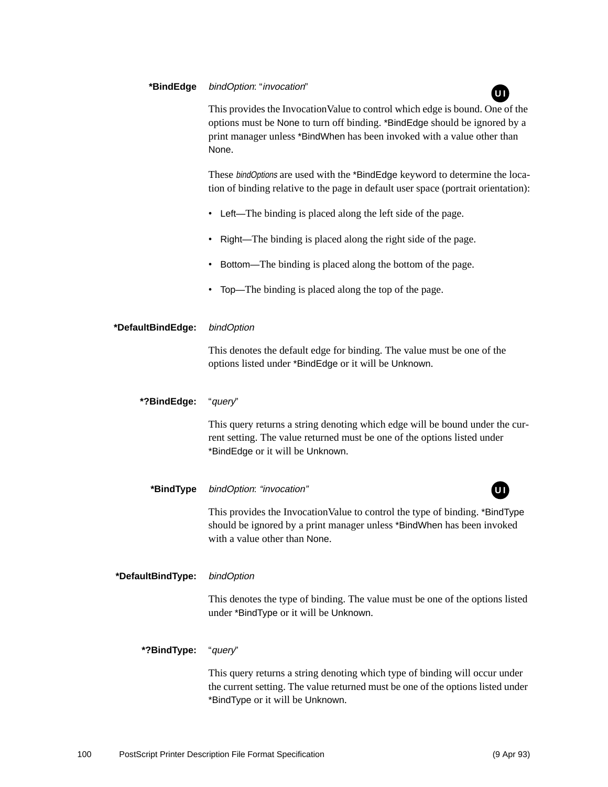### **\*BindEdge** bindOption: "invocation"



This provides the InvocationValue to control which edge is bound. One of the options must be None to turn off binding. \*BindEdge should be ignored by a print manager unless \*BindWhen has been invoked with a value other than None.

These bindOptions are used with the \*BindEdge keyword to determine the location of binding relative to the page in default user space (portrait orientation):

- Left—The binding is placed along the left side of the page.
- Right—The binding is placed along the right side of the page.
- Bottom—The binding is placed along the bottom of the page.
- Top—The binding is placed along the top of the page.

## **\*DefaultBindEdge:** bindOption

This denotes the default edge for binding. The value must be one of the options listed under \*BindEdge or it will be Unknown.

# **\*?BindEdge:** "query"

This query returns a string denoting which edge will be bound under the current setting. The value returned must be one of the options listed under \*BindEdge or it will be Unknown.

**\*BindType** bindOption: "invocation"



This provides the InvocationValue to control the type of binding. \*BindType should be ignored by a print manager unless \*BindWhen has been invoked with a value other than None.

# **\*DefaultBindType:** bindOption

This denotes the type of binding. The value must be one of the options listed under \*BindType or it will be Unknown.

# **\*?BindType:** "query"

This query returns a string denoting which type of binding will occur under the current setting. The value returned must be one of the options listed under \*BindType or it will be Unknown.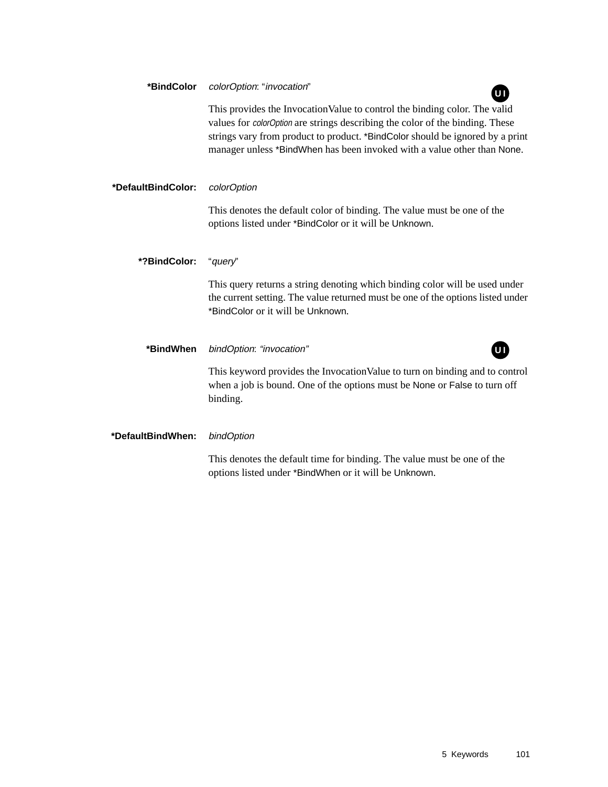

This provides the InvocationValue to control the binding color. The valid values for colorOption are strings describing the color of the binding. These strings vary from product to product. \*BindColor should be ignored by a print manager unless \*BindWhen has been invoked with a value other than None.

**\*DefaultBindColor:** colorOption

This denotes the default color of binding. The value must be one of the options listed under \*BindColor or it will be Unknown.

**\*?BindColor:** "query"

This query returns a string denoting which binding color will be used under the current setting. The value returned must be one of the options listed under \*BindColor or it will be Unknown.

**\*BindWhen** bindOption: "invocation"



This keyword provides the InvocationValue to turn on binding and to control when a job is bound. One of the options must be None or False to turn off binding.

**\*DefaultBindWhen:** bindOption

This denotes the default time for binding. The value must be one of the options listed under \*BindWhen or it will be Unknown.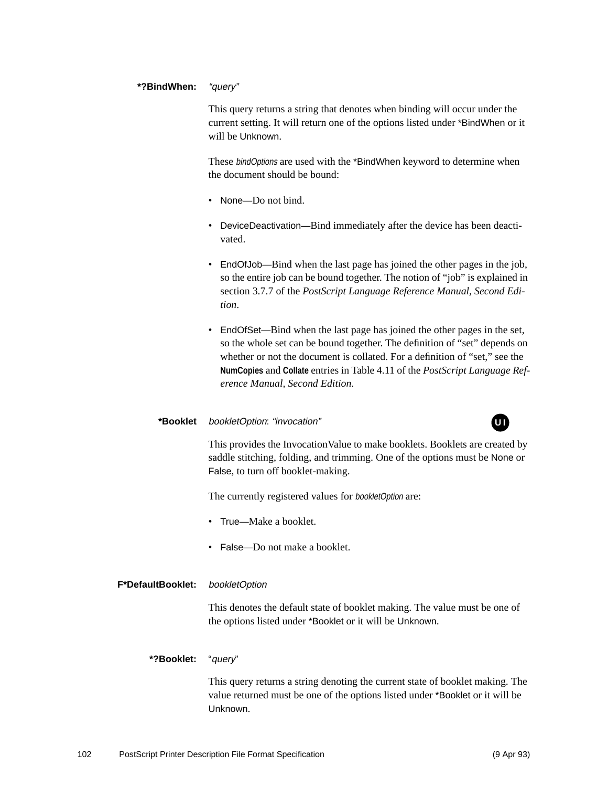#### **\*?BindWhen:** "query"

This query returns a string that denotes when binding will occur under the current setting. It will return one of the options listed under \*BindWhen or it will be Unknown.

These bindOptions are used with the \*BindWhen keyword to determine when the document should be bound:

- None—Do not bind.
- DeviceDeactivation—Bind immediately after the device has been deactivated.
- EndOfJob—Bind when the last page has joined the other pages in the job, so the entire job can be bound together. The notion of "job" is explained in section 3.7.7 of the *PostScript Language Reference Manual, Second Edition*.
- EndOfSet—Bind when the last page has joined the other pages in the set, so the whole set can be bound together. The definition of "set" depends on whether or not the document is collated. For a definition of "set," see the **NumCopies** and **Collate** entries in Table 4.11 of the *PostScript Language Reference Manual, Second Edition*.

# **\*Booklet** bookletOption: "invocation"



This provides the InvocationValue to make booklets. Booklets are created by saddle stitching, folding, and trimming. One of the options must be None or False, to turn off booklet-making.

The currently registered values for bookletOption are:

- True—Make a booklet.
- False-Do not make a booklet.

## **F\*DefaultBooklet:** bookletOption

This denotes the default state of booklet making. The value must be one of the options listed under \*Booklet or it will be Unknown.

#### **\*?Booklet:** "query"

This query returns a string denoting the current state of booklet making. The value returned must be one of the options listed under \*Booklet or it will be Unknown.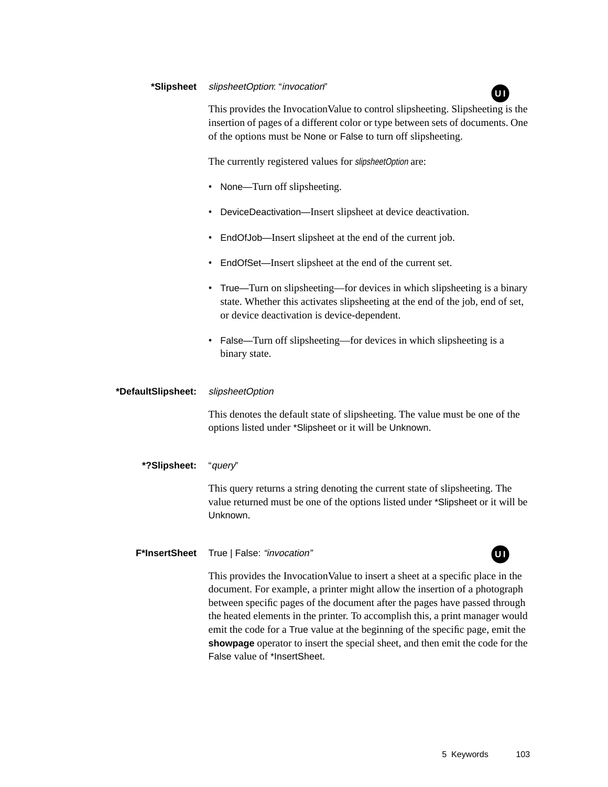### **\*Slipsheet** slipsheetOption: "invocation"



This provides the InvocationValue to control slipsheeting. Slipsheeting is the insertion of pages of a different color or type between sets of documents. One of the options must be None or False to turn off slipsheeting.

The currently registered values for slipsheetOption are:

- None—Turn off slipsheeting.
- DeviceDeactivation—Insert slipsheet at device deactivation.
- EndOfJob—Insert slipsheet at the end of the current job.
- EndOfSet—Insert slipsheet at the end of the current set.
- True—Turn on slipsheeting—for devices in which slipsheeting is a binary state. Whether this activates slipsheeting at the end of the job, end of set, or device deactivation is device-dependent.
- False—Turn off slipsheeting—for devices in which slipsheeting is a binary state.

## **\*DefaultSlipsheet:** slipsheetOption

This denotes the default state of slipsheeting. The value must be one of the options listed under \*Slipsheet or it will be Unknown.

**\*?Slipsheet:** "query"

This query returns a string denoting the current state of slipsheeting. The value returned must be one of the options listed under \*Slipsheet or it will be Unknown.

**F\*InsertSheet** True | False: "invocation"



This provides the InvocationValue to insert a sheet at a specific place in the document. For example, a printer might allow the insertion of a photograph between specific pages of the document after the pages have passed through the heated elements in the printer. To accomplish this, a print manager would emit the code for a True value at the beginning of the specific page, emit the **showpage** operator to insert the special sheet, and then emit the code for the False value of \*InsertSheet.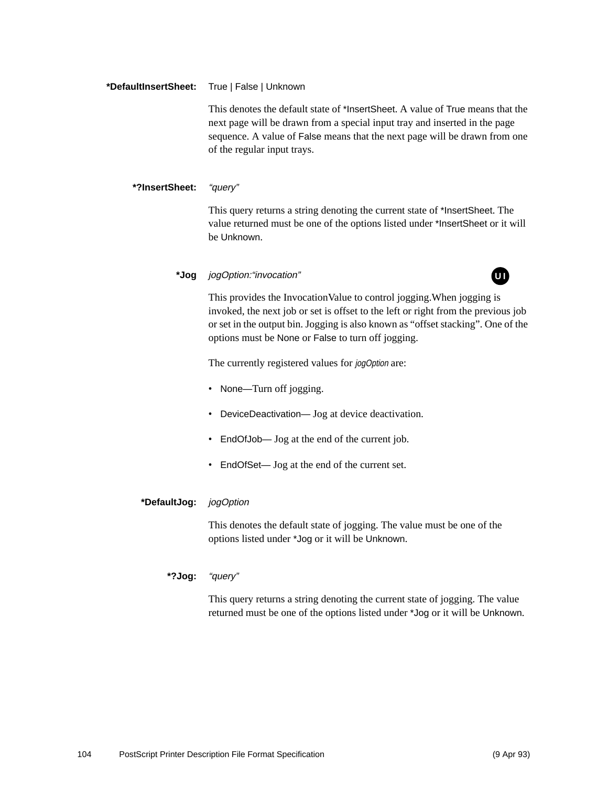# **\*DefaultInsertSheet:** True | False | Unknown

This denotes the default state of \*InsertSheet. A value of True means that the next page will be drawn from a special input tray and inserted in the page sequence. A value of False means that the next page will be drawn from one of the regular input trays.

# **\*?InsertSheet:** "query"

This query returns a string denoting the current state of \*InsertSheet. The value returned must be one of the options listed under \*InsertSheet or it will be Unknown.

## **\*Jog** jogOption:"invocation"



This provides the InvocationValue to control jogging.When jogging is invoked, the next job or set is offset to the left or right from the previous job or set in the output bin. Jogging is also known as "offset stacking". One of the options must be None or False to turn off jogging.

The currently registered values for jogOption are:

- None—Turn off jogging.
- DeviceDeactivation— Jog at device deactivation.
- EndOfJob— Jog at the end of the current job.
- EndOfSet— Jog at the end of the current set.

# **\*DefaultJog:** jogOption

This denotes the default state of jogging. The value must be one of the options listed under \*Jog or it will be Unknown.

# **\*?Jog:** "query"

This query returns a string denoting the current state of jogging. The value returned must be one of the options listed under \*Jog or it will be Unknown.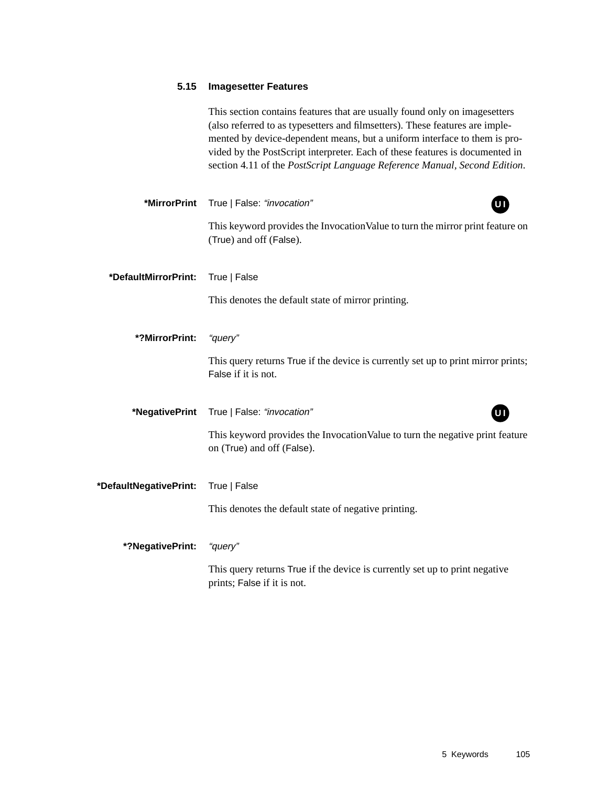# **5.15 Imagesetter Features**

|                        | This section contains features that are usually found only on images etters<br>(also referred to as typesetters and filmsetters). These features are imple-<br>mented by device-dependent means, but a uniform interface to them is pro-<br>vided by the PostScript interpreter. Each of these features is documented in<br>section 4.11 of the PostScript Language Reference Manual, Second Edition. |
|------------------------|-------------------------------------------------------------------------------------------------------------------------------------------------------------------------------------------------------------------------------------------------------------------------------------------------------------------------------------------------------------------------------------------------------|
| *MirrorPrint           | True   False: "invocation"                                                                                                                                                                                                                                                                                                                                                                            |
|                        | This keyword provides the Invocation Value to turn the mirror print feature on<br>(True) and off (False).                                                                                                                                                                                                                                                                                             |
| *DefaultMirrorPrint:   | True   False                                                                                                                                                                                                                                                                                                                                                                                          |
|                        | This denotes the default state of mirror printing.                                                                                                                                                                                                                                                                                                                                                    |
| *?MirrorPrint:         | "query"                                                                                                                                                                                                                                                                                                                                                                                               |
|                        | This query returns True if the device is currently set up to print mirror prints;<br>False if it is not.                                                                                                                                                                                                                                                                                              |
| *NegativePrint         | True   False: "invocation"                                                                                                                                                                                                                                                                                                                                                                            |
|                        | This keyword provides the Invocation Value to turn the negative print feature<br>on (True) and off (False).                                                                                                                                                                                                                                                                                           |
| *DefaultNegativePrint: | True   False                                                                                                                                                                                                                                                                                                                                                                                          |
|                        | This denotes the default state of negative printing.                                                                                                                                                                                                                                                                                                                                                  |
| *?NegativePrint:       | "query"                                                                                                                                                                                                                                                                                                                                                                                               |
|                        | This query returns True if the device is currently set up to print negative<br>prints; False if it is not.                                                                                                                                                                                                                                                                                            |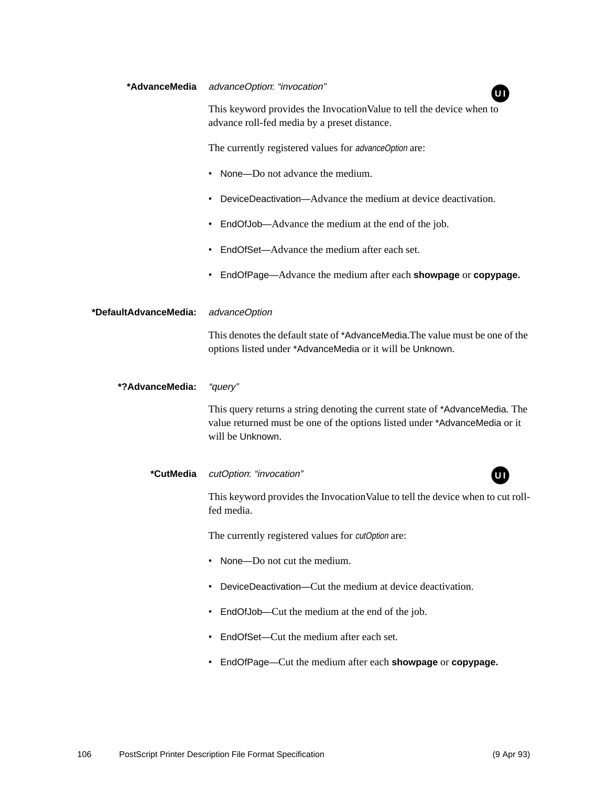**\*AdvanceMedia** advanceOption: "invocation"



This keyword provides the InvocationValue to tell the device when to advance roll-fed media by a preset distance.

The currently registered values for advanceOption are:

- None—Do not advance the medium.
- DeviceDeactivation—Advance the medium at device deactivation.
- EndOfJob—Advance the medium at the end of the job.
- EndOfSet—Advance the medium after each set.
- EndOfPage—Advance the medium after each **showpage** or **copypage.**

#### **\*DefaultAdvanceMedia:** advanceOption

This denotes the default state of \*AdvanceMedia.The value must be one of the options listed under \*AdvanceMedia or it will be Unknown.

#### **\*?AdvanceMedia:** "query"

This query returns a string denoting the current state of \*AdvanceMedia. The value returned must be one of the options listed under \*AdvanceMedia or it will be Unknown.

## **\*CutMedia** cutOption: "invocation"



This keyword provides the InvocationValue to tell the device when to cut rollfed media.

The currently registered values for *cutOption* are:

- None—Do not cut the medium.
- DeviceDeactivation—Cut the medium at device deactivation.
- EndOfJob—Cut the medium at the end of the job.
- EndOfSet—Cut the medium after each set.
- EndOfPage—Cut the medium after each **showpage** or **copypage.**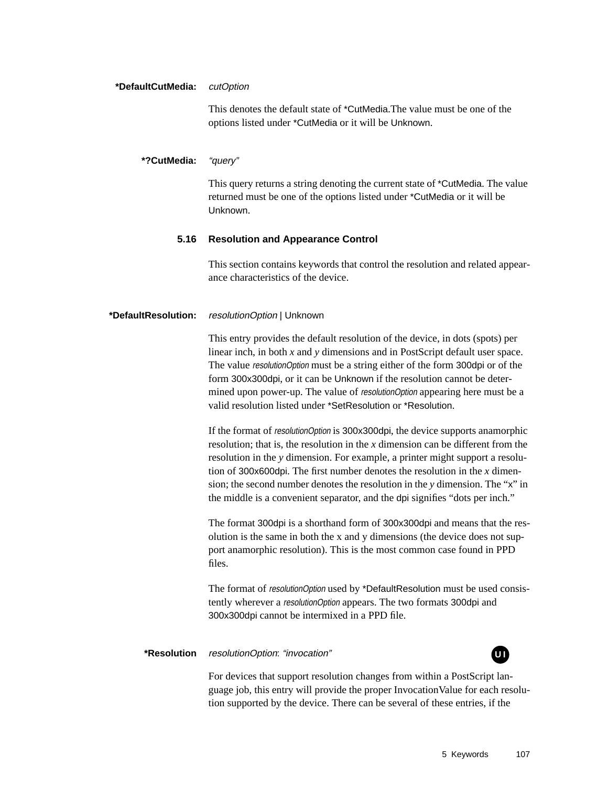#### **\*DefaultCutMedia:** cutOption

This denotes the default state of \*CutMedia.The value must be one of the options listed under \*CutMedia or it will be Unknown.

#### **\*?CutMedia:** "query"

This query returns a string denoting the current state of \*CutMedia. The value returned must be one of the options listed under \*CutMedia or it will be Unknown.

#### **5.16 Resolution and Appearance Control**

This section contains keywords that control the resolution and related appearance characteristics of the device.

#### **\*DefaultResolution:** resolutionOption | Unknown

This entry provides the default resolution of the device, in dots (spots) per linear inch, in both *x* and *y* dimensions and in PostScript default user space. The value resolutionOption must be a string either of the form 300dpi or of the form 300x300dpi, or it can be Unknown if the resolution cannot be determined upon power-up. The value of resolutionOption appearing here must be a valid resolution listed under \*SetResolution or \*Resolution.

If the format of resolutionOption is 300x300dpi, the device supports anamorphic resolution; that is, the resolution in the *x* dimension can be different from the resolution in the *y* dimension. For example, a printer might support a resolution of 300x600dpi. The first number denotes the resolution in the *x* dimension; the second number denotes the resolution in the *y* dimension. The "x" in the middle is a convenient separator, and the dpi signifies "dots per inch."

The format 300dpi is a shorthand form of 300x300dpi and means that the resolution is the same in both the x and y dimensions (the device does not support anamorphic resolution). This is the most common case found in PPD files.

The format of resolutionOption used by \*DefaultResolution must be used consistently wherever a resolutionOption appears. The two formats 300dpi and 300x300dpi cannot be intermixed in a PPD file.

#### **\*Resolution** resolutionOption: "invocation"



For devices that support resolution changes from within a PostScript language job, this entry will provide the proper InvocationValue for each resolution supported by the device. There can be several of these entries, if the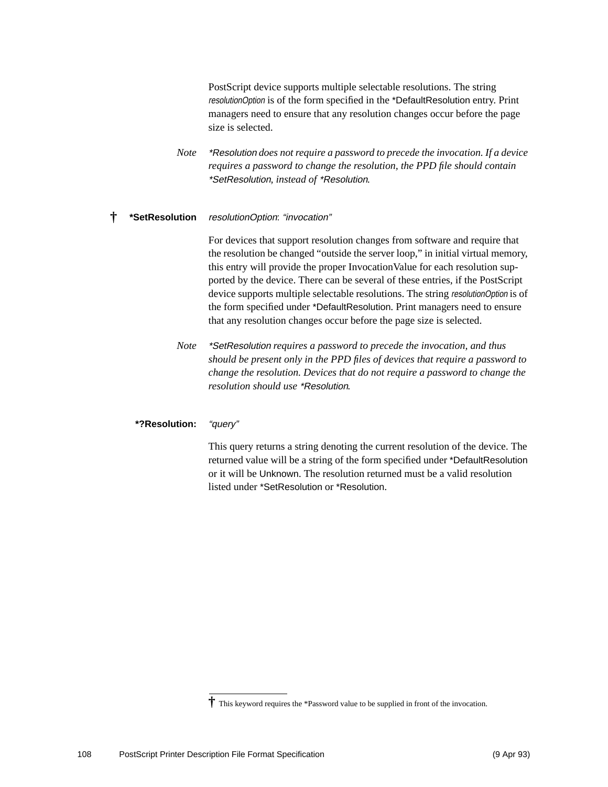PostScript device supports multiple selectable resolutions. The string resolutionOption is of the form specified in the \*DefaultResolution entry. Print managers need to ensure that any resolution changes occur before the page size is selected.

*Note* \*Resolution *does not require a password to precede the invocation. If a device requires a password to change the resolution, the PPD file should contain* \*SetResolution*, instead of* \*Resolution*.*

#### **\*SetResolution** resolutionOption: "invocation" **†**

For devices that support resolution changes from software and require that the resolution be changed "outside the server loop," in initial virtual memory, this entry will provide the proper InvocationValue for each resolution supported by the device. There can be several of these entries, if the PostScript device supports multiple selectable resolutions. The string resolutionOption is of the form specified under \*DefaultResolution. Print managers need to ensure that any resolution changes occur before the page size is selected.

*Note* \*SetResolution *requires a password to precede the invocation, and thus should be present only in the PPD files of devices that require a password to change the resolution. Devices that do not require a password to change the resolution should use* \*Resolution*.*

## **\*?Resolution:** "query"

This query returns a string denoting the current resolution of the device. The returned value will be a string of the form specified under \*DefaultResolution or it will be Unknown. The resolution returned must be a valid resolution listed under \*SetResolution or \*Resolution.

**<sup>†</sup>** This keyword requires the \*Password value to be supplied in front of the invocation.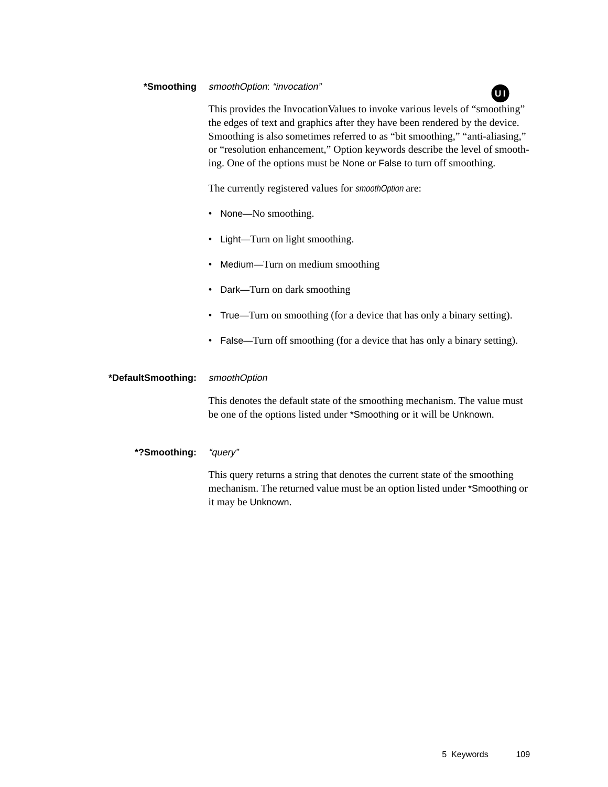#### **\*Smoothing** smoothOption: "invocation"



This provides the InvocationValues to invoke various levels of "smoothing" the edges of text and graphics after they have been rendered by the device. Smoothing is also sometimes referred to as "bit smoothing," "anti-aliasing," or "resolution enhancement," Option keywords describe the level of smoothing. One of the options must be None or False to turn off smoothing.

The currently registered values for smoothOption are:

- None—No smoothing.
- Light—Turn on light smoothing.
- Medium—Turn on medium smoothing
- Dark—Turn on dark smoothing
- True—Turn on smoothing (for a device that has only a binary setting).
- False—Turn off smoothing (for a device that has only a binary setting).

#### **\*DefaultSmoothing:** smoothOption

This denotes the default state of the smoothing mechanism. The value must be one of the options listed under \*Smoothing or it will be Unknown.

#### **\*?Smoothing:** "query"

This query returns a string that denotes the current state of the smoothing mechanism. The returned value must be an option listed under \*Smoothing or it may be Unknown.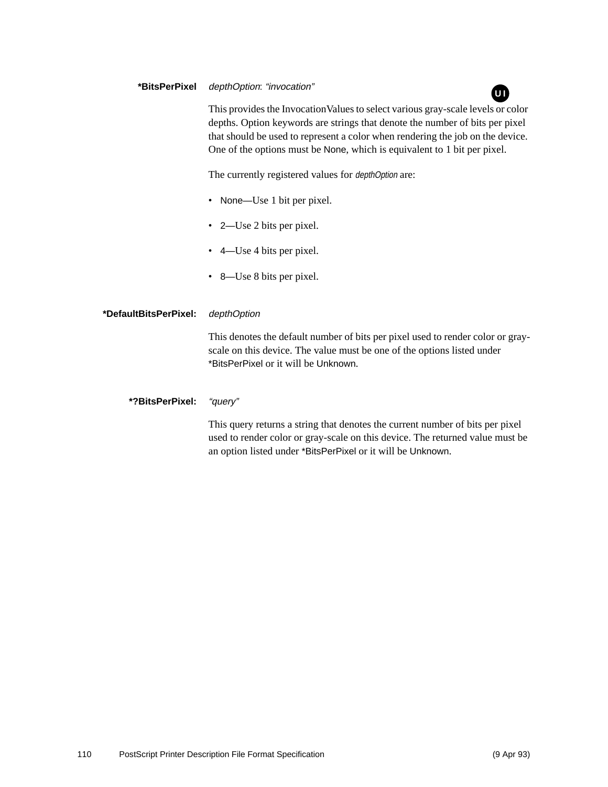#### **\*BitsPerPixel** depthOption: "invocation"



This provides the InvocationValues to select various gray-scale levels or color depths. Option keywords are strings that denote the number of bits per pixel that should be used to represent a color when rendering the job on the device. One of the options must be None, which is equivalent to 1 bit per pixel.

The currently registered values for *depthOption* are:

- None—Use 1 bit per pixel.
- 2—Use 2 bits per pixel.
- 4—Use 4 bits per pixel.
- 8—Use 8 bits per pixel.

### **\*DefaultBitsPerPixel:** depthOption

This denotes the default number of bits per pixel used to render color or grayscale on this device. The value must be one of the options listed under \*BitsPerPixel or it will be Unknown.

## **\*?BitsPerPixel:** "query"

This query returns a string that denotes the current number of bits per pixel used to render color or gray-scale on this device. The returned value must be an option listed under \*BitsPerPixel or it will be Unknown.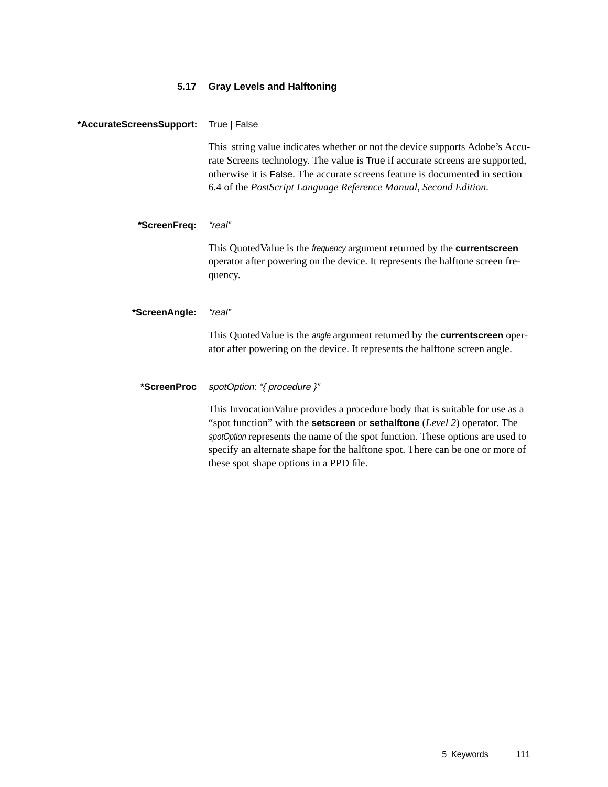# **5.17 Gray Levels and Halftoning**

| *AccurateScreensSupport: | True   False                                                                                                                                                                                                                                                                                                                                                                           |
|--------------------------|----------------------------------------------------------------------------------------------------------------------------------------------------------------------------------------------------------------------------------------------------------------------------------------------------------------------------------------------------------------------------------------|
|                          | This string value indicates whether or not the device supports Adobe's Accu-<br>rate Screens technology. The value is True if accurate screens are supported,<br>otherwise it is False. The accurate screens feature is documented in section<br>6.4 of the PostScript Language Reference Manual, Second Edition.                                                                      |
| *ScreenFreq:             | "real"                                                                                                                                                                                                                                                                                                                                                                                 |
|                          | This QuotedValue is the frequency argument returned by the currentscreen<br>operator after powering on the device. It represents the halftone screen fre-<br>quency.                                                                                                                                                                                                                   |
| *ScreenAngle:            | "real"                                                                                                                                                                                                                                                                                                                                                                                 |
|                          | This QuotedValue is the angle argument returned by the currentscreen oper-<br>ator after powering on the device. It represents the halftone screen angle.                                                                                                                                                                                                                              |
| *ScreenProc              | spotOption: "{ procedure }"                                                                                                                                                                                                                                                                                                                                                            |
|                          | This Invocation Value provides a procedure body that is suitable for use as a<br>"spot function" with the <b>setscreen</b> or <b>sethalftone</b> (Level 2) operator. The<br>spotOption represents the name of the spot function. These options are used to<br>specify an alternate shape for the halftone spot. There can be one or more of<br>these spot shape options in a PPD file. |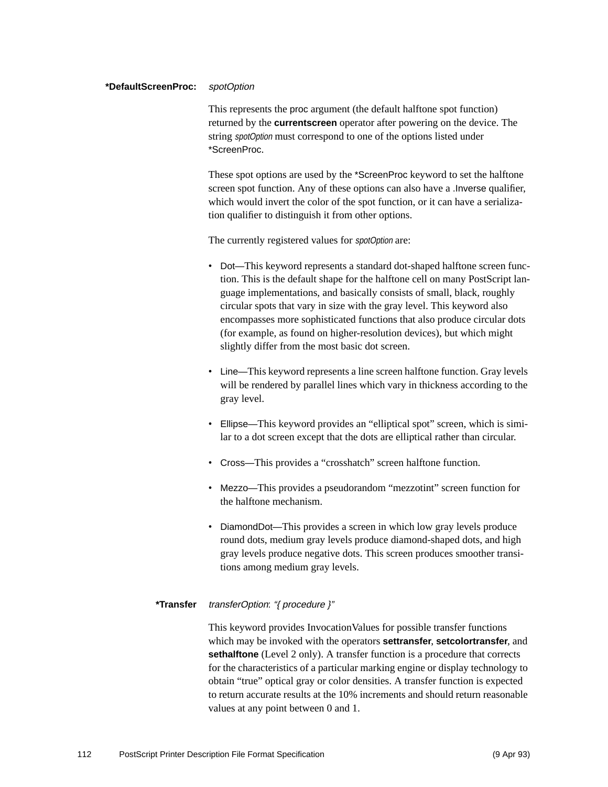This represents the proc argument (the default halftone spot function) returned by the **currentscreen** operator after powering on the device. The string spotOption must correspond to one of the options listed under \*ScreenProc.

These spot options are used by the \*ScreenProc keyword to set the halftone screen spot function. Any of these options can also have a .Inverse qualifier, which would invert the color of the spot function, or it can have a serialization qualifier to distinguish it from other options.

The currently registered values for spotOption are:

- Dot—This keyword represents a standard dot-shaped halftone screen function. This is the default shape for the halftone cell on many PostScript language implementations, and basically consists of small, black, roughly circular spots that vary in size with the gray level. This keyword also encompasses more sophisticated functions that also produce circular dots (for example, as found on higher-resolution devices), but which might slightly differ from the most basic dot screen.
- Line—This keyword represents a line screen halftone function. Gray levels will be rendered by parallel lines which vary in thickness according to the gray level.
- Ellipse—This keyword provides an "elliptical spot" screen, which is similar to a dot screen except that the dots are elliptical rather than circular.
- Cross—This provides a "crosshatch" screen halftone function.
- Mezzo—This provides a pseudorandom "mezzotint" screen function for the halftone mechanism.
- DiamondDot—This provides a screen in which low gray levels produce round dots, medium gray levels produce diamond-shaped dots, and high gray levels produce negative dots. This screen produces smoother transitions among medium gray levels.

## **\*Transfer** transferOption: "{ procedure }"

This keyword provides InvocationValues for possible transfer functions which may be invoked with the operators **settransfer**, **setcolortransfer**, and **sethalftone** (Level 2 only). A transfer function is a procedure that corrects for the characteristics of a particular marking engine or display technology to obtain "true" optical gray or color densities. A transfer function is expected to return accurate results at the 10% increments and should return reasonable values at any point between 0 and 1.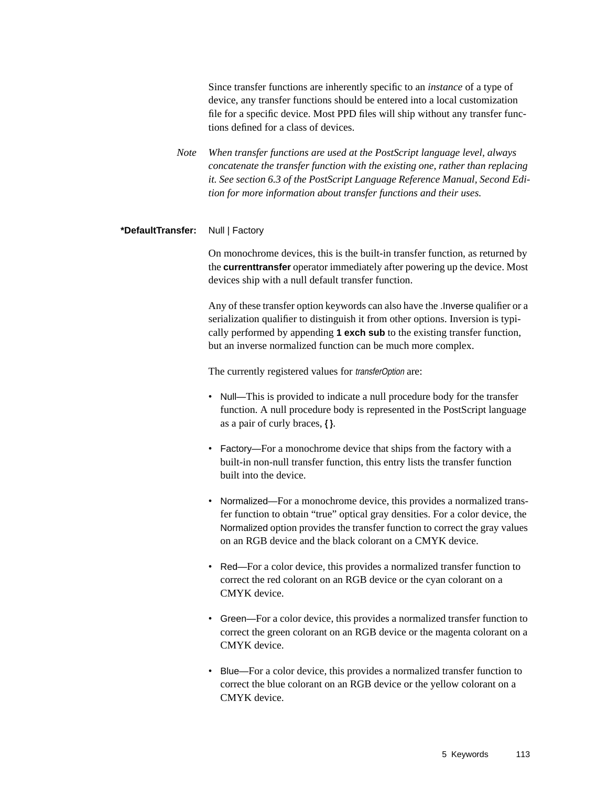Since transfer functions are inherently specific to an *instance* of a type of device, any transfer functions should be entered into a local customization file for a specific device. Most PPD files will ship without any transfer functions defined for a class of devices.

*Note When transfer functions are used at the PostScript language level, always concatenate the transfer function with the existing one, rather than replacing it. See section 6.3 of the PostScript Language Reference Manual, Second Edition for more information about transfer functions and their uses.*

#### **\*DefaultTransfer:** Null | Factory

On monochrome devices, this is the built-in transfer function, as returned by the **currenttransfer** operator immediately after powering up the device. Most devices ship with a null default transfer function.

Any of these transfer option keywords can also have the .Inverse qualifier or a serialization qualifier to distinguish it from other options. Inversion is typically performed by appending **1 exch sub** to the existing transfer function, but an inverse normalized function can be much more complex.

The currently registered values for transferOption are:

- Null—This is provided to indicate a null procedure body for the transfer function. A null procedure body is represented in the PostScript language as a pair of curly braces, **{ }**.
- Factory—For a monochrome device that ships from the factory with a built-in non-null transfer function, this entry lists the transfer function built into the device.
- Normalized—For a monochrome device, this provides a normalized transfer function to obtain "true" optical gray densities. For a color device, the Normalized option provides the transfer function to correct the gray values on an RGB device and the black colorant on a CMYK device.
- Red—For a color device, this provides a normalized transfer function to correct the red colorant on an RGB device or the cyan colorant on a CMYK device.
- Green—For a color device, this provides a normalized transfer function to correct the green colorant on an RGB device or the magenta colorant on a CMYK device.
- Blue—For a color device, this provides a normalized transfer function to correct the blue colorant on an RGB device or the yellow colorant on a CMYK device.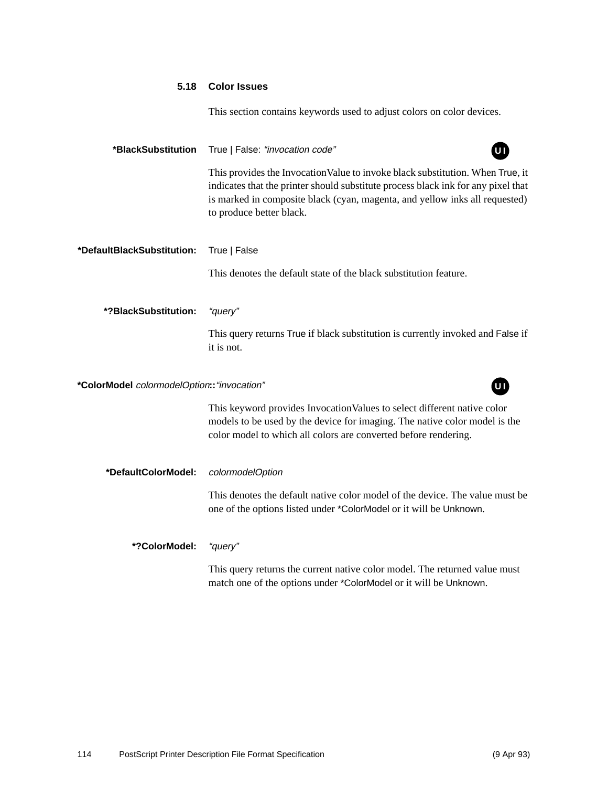| 5.18                                              | <b>Color Issues</b>                                                                                                                                                                                                                                                            |
|---------------------------------------------------|--------------------------------------------------------------------------------------------------------------------------------------------------------------------------------------------------------------------------------------------------------------------------------|
|                                                   | This section contains keywords used to adjust colors on color devices.                                                                                                                                                                                                         |
| *BlackSubstitution                                | True   False: "invocation code"                                                                                                                                                                                                                                                |
|                                                   | This provides the Invocation Value to invoke black substitution. When True, it<br>indicates that the printer should substitute process black ink for any pixel that<br>is marked in composite black (cyan, magenta, and yellow inks all requested)<br>to produce better black. |
| *DefaultBlackSubstitution:                        | True   False                                                                                                                                                                                                                                                                   |
|                                                   | This denotes the default state of the black substitution feature.                                                                                                                                                                                                              |
| *?BlackSubstitution:                              | "query"                                                                                                                                                                                                                                                                        |
|                                                   | This query returns True if black substitution is currently invoked and False if<br>it is not.                                                                                                                                                                                  |
| *ColorModel colormodelOption:: "invocation"<br>UI |                                                                                                                                                                                                                                                                                |
|                                                   | This keyword provides Invocation Values to select different native color<br>models to be used by the device for imaging. The native color model is the<br>color model to which all colors are converted before rendering.                                                      |
| *DefaultColorModel:                               | colormodelOption                                                                                                                                                                                                                                                               |
|                                                   | This denotes the default native color model of the device. The value must be<br>one of the options listed under *ColorModel or it will be Unknown.                                                                                                                             |
| *?ColorModel:                                     | "query"                                                                                                                                                                                                                                                                        |
|                                                   | This query returns the current native color model. The returned value must<br>match one of the options under *ColorModel or it will be Unknown.                                                                                                                                |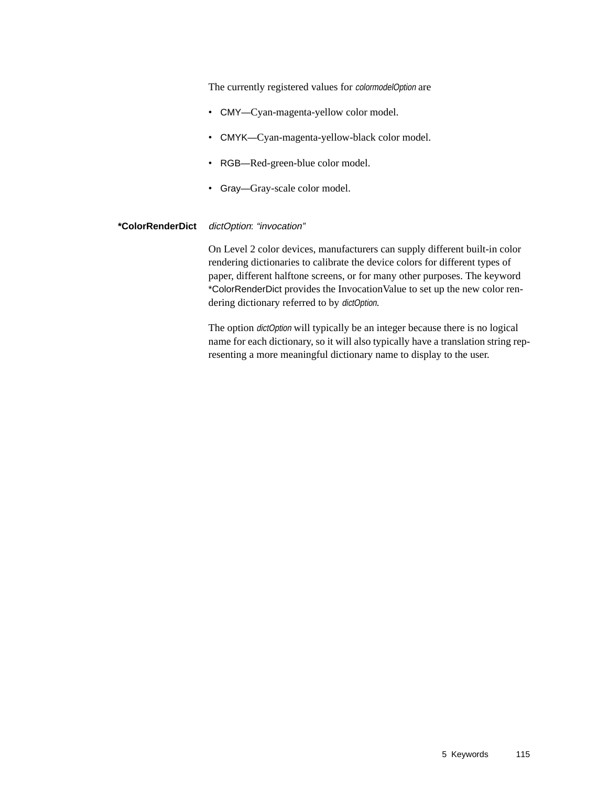The currently registered values for colormodelOption are

- CMY—Cyan-magenta-yellow color model.
- CMYK—Cyan-magenta-yellow-black color model.
- RGB—Red-green-blue color model.
- Gray—Gray-scale color model.

#### **\*ColorRenderDict** dictOption: "invocation"

On Level 2 color devices, manufacturers can supply different built-in color rendering dictionaries to calibrate the device colors for different types of paper, different halftone screens, or for many other purposes. The keyword \*ColorRenderDict provides the InvocationValue to set up the new color rendering dictionary referred to by dictOption.

The option dictOption will typically be an integer because there is no logical name for each dictionary, so it will also typically have a translation string representing a more meaningful dictionary name to display to the user.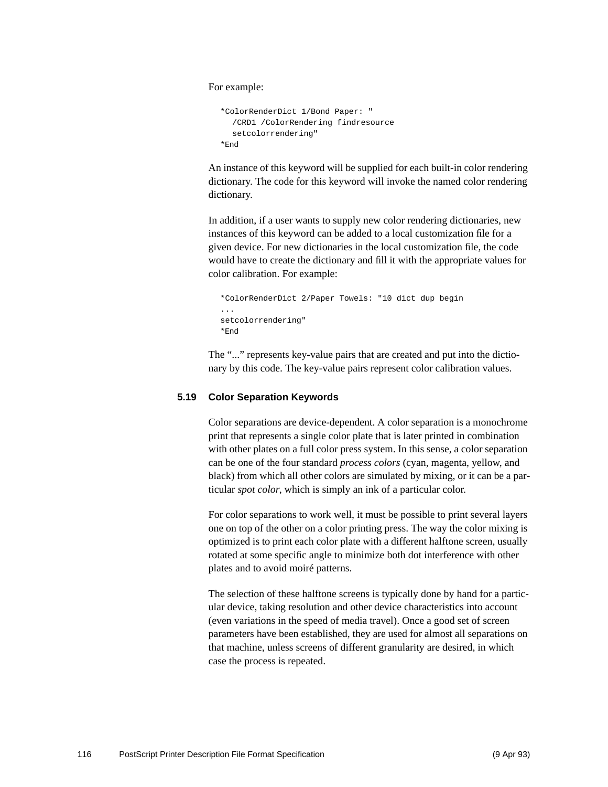#### For example:

```
*ColorRenderDict 1/Bond Paper: "
  /CRD1 /ColorRendering findresource
  setcolorrendering"
*End
```
An instance of this keyword will be supplied for each built-in color rendering dictionary. The code for this keyword will invoke the named color rendering dictionary.

In addition, if a user wants to supply new color rendering dictionaries, new instances of this keyword can be added to a local customization file for a given device. For new dictionaries in the local customization file, the code would have to create the dictionary and fill it with the appropriate values for color calibration. For example:

```
*ColorRenderDict 2/Paper Towels: "10 dict dup begin
...
setcolorrendering"
*End
```
The "..." represents key-value pairs that are created and put into the dictionary by this code. The key-value pairs represent color calibration values.

## **5.19 Color Separation Keywords**

Color separations are device-dependent. A color separation is a monochrome print that represents a single color plate that is later printed in combination with other plates on a full color press system. In this sense, a color separation can be one of the four standard *process colors* (cyan, magenta, yellow, and black) from which all other colors are simulated by mixing, or it can be a particular *spot color*, which is simply an ink of a particular color.

For color separations to work well, it must be possible to print several layers one on top of the other on a color printing press. The way the color mixing is optimized is to print each color plate with a different halftone screen, usually rotated at some specific angle to minimize both dot interference with other plates and to avoid moiré patterns.

The selection of these halftone screens is typically done by hand for a particular device, taking resolution and other device characteristics into account (even variations in the speed of media travel). Once a good set of screen parameters have been established, they are used for almost all separations on that machine, unless screens of different granularity are desired, in which case the process is repeated.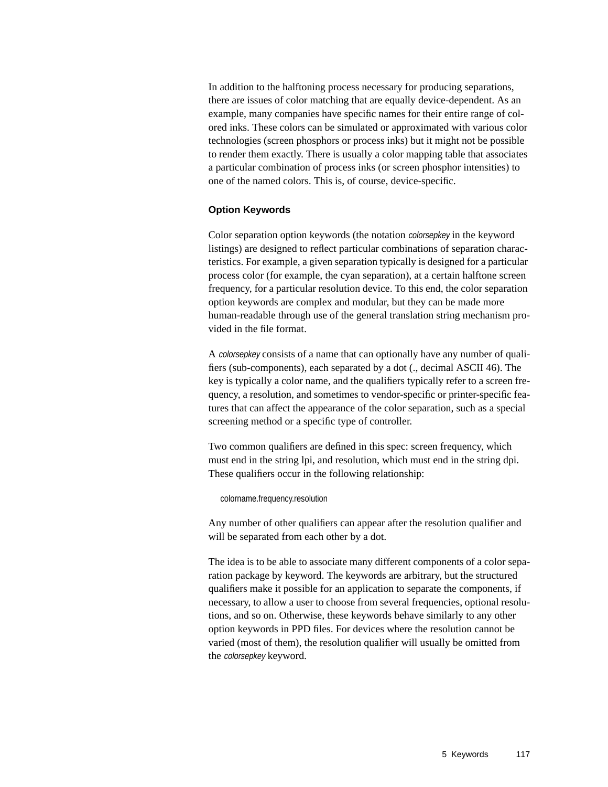In addition to the halftoning process necessary for producing separations, there are issues of color matching that are equally device-dependent. As an example, many companies have specific names for their entire range of colored inks. These colors can be simulated or approximated with various color technologies (screen phosphors or process inks) but it might not be possible to render them exactly. There is usually a color mapping table that associates a particular combination of process inks (or screen phosphor intensities) to one of the named colors. This is, of course, device-specific.

### **Option Keywords**

Color separation option keywords (the notation colorsepkey in the keyword listings) are designed to reflect particular combinations of separation characteristics. For example, a given separation typically is designed for a particular process color (for example, the cyan separation), at a certain halftone screen frequency, for a particular resolution device. To this end, the color separation option keywords are complex and modular, but they can be made more human-readable through use of the general translation string mechanism provided in the file format.

A colorsepkey consists of a name that can optionally have any number of qualifiers (sub-components), each separated by a dot (., decimal ASCII 46). The key is typically a color name, and the qualifiers typically refer to a screen frequency, a resolution, and sometimes to vendor-specific or printer-specific features that can affect the appearance of the color separation, such as a special screening method or a specific type of controller.

Two common qualifiers are defined in this spec: screen frequency, which must end in the string lpi, and resolution, which must end in the string dpi. These qualifiers occur in the following relationship:

#### colorname.frequency.resolution

Any number of other qualifiers can appear after the resolution qualifier and will be separated from each other by a dot.

The idea is to be able to associate many different components of a color separation package by keyword. The keywords are arbitrary, but the structured qualifiers make it possible for an application to separate the components, if necessary, to allow a user to choose from several frequencies, optional resolutions, and so on. Otherwise, these keywords behave similarly to any other option keywords in PPD files. For devices where the resolution cannot be varied (most of them), the resolution qualifier will usually be omitted from the colorsepkey keyword.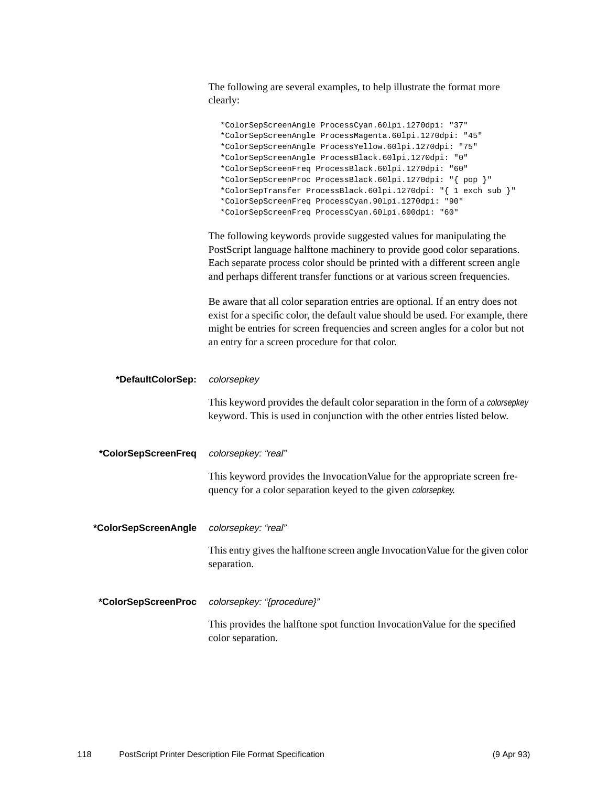The following are several examples, to help illustrate the format more clearly:

|                      | *ColorSepScreenAngle ProcessCyan.60lpi.1270dpi: "37"<br>*ColorSepScreenAngle ProcessMagenta.60lpi.1270dpi: "45"<br>*ColorSepScreenAngle ProcessYellow.60lpi.1270dpi: "75"<br>*ColorSepScreenAngle ProcessBlack.60lpi.1270dpi: "0"<br>*ColorSepScreenFreq ProcessBlack.60lpi.1270dpi: "60"<br>*ColorSepScreenProc ProcessBlack.60lpi.1270dpi: "{ pop }"<br>*ColorSepTransfer ProcessBlack.60lpi.1270dpi: "{ 1 exch sub }"<br>*ColorSepScreenFreq ProcessCyan.901pi.1270dpi: "90"<br>*ColorSepScreenFreq ProcessCyan.601pi.600dpi: "60" |
|----------------------|---------------------------------------------------------------------------------------------------------------------------------------------------------------------------------------------------------------------------------------------------------------------------------------------------------------------------------------------------------------------------------------------------------------------------------------------------------------------------------------------------------------------------------------|
|                      | The following keywords provide suggested values for manipulating the<br>PostScript language halftone machinery to provide good color separations.<br>Each separate process color should be printed with a different screen angle<br>and perhaps different transfer functions or at various screen frequencies.                                                                                                                                                                                                                        |
|                      | Be aware that all color separation entries are optional. If an entry does not<br>exist for a specific color, the default value should be used. For example, there<br>might be entries for screen frequencies and screen angles for a color but not<br>an entry for a screen procedure for that color.                                                                                                                                                                                                                                 |
| *DefaultColorSep:    | colorsepkey<br>This keyword provides the default color separation in the form of a colorsepkey<br>keyword. This is used in conjunction with the other entries listed below.                                                                                                                                                                                                                                                                                                                                                           |
| *ColorSepScreenFreq  | colorsepkey: "real"<br>This keyword provides the Invocation Value for the appropriate screen fre-<br>quency for a color separation keyed to the given colorsepkey.                                                                                                                                                                                                                                                                                                                                                                    |
| *ColorSepScreenAngle | colorsepkey: "real"<br>This entry gives the halftone screen angle Invocation Value for the given color<br>separation.                                                                                                                                                                                                                                                                                                                                                                                                                 |
| *ColorSepScreenProc  | colorsepkey: "{procedure}"<br>This provides the halftone spot function Invocation Value for the specified<br>color separation.                                                                                                                                                                                                                                                                                                                                                                                                        |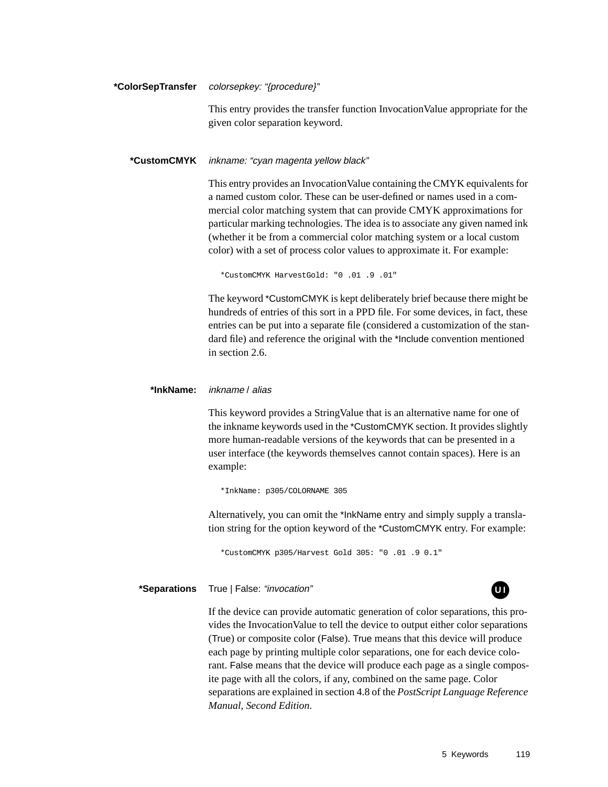**\*ColorSepTransfer** colorsepkey: "{procedure}"

This entry provides the transfer function InvocationValue appropriate for the given color separation keyword.

**\*CustomCMYK** inkname: "cyan magenta yellow black"

This entry provides an InvocationValue containing the CMYK equivalents for a named custom color. These can be user-defined or names used in a commercial color matching system that can provide CMYK approximations for particular marking technologies. The idea is to associate any given named ink (whether it be from a commercial color matching system or a local custom color) with a set of process color values to approximate it. For example:

```
*CustomCMYK HarvestGold: "0 .01 .9 .01"
```
The keyword \*CustomCMYK is kept deliberately brief because there might be hundreds of entries of this sort in a PPD file. For some devices, in fact, these entries can be put into a separate file (considered a customization of the standard file) and reference the original with the \*Include convention mentioned in section 2.6.

#### **\*InkName:** inkname / alias

This keyword provides a StringValue that is an alternative name for one of the inkname keywords used in the \*CustomCMYK section. It provides slightly more human-readable versions of the keywords that can be presented in a user interface (the keywords themselves cannot contain spaces). Here is an example:

\*InkName: p305/COLORNAME 305

Alternatively, you can omit the \*InkName entry and simply supply a translation string for the option keyword of the \*CustomCMYK entry. For example:

\*CustomCMYK p305/Harvest Gold 305: "0 .01 .9 0.1"

#### **\*Separations** True | False: "invocation"



If the device can provide automatic generation of color separations, this provides the InvocationValue to tell the device to output either color separations (True) or composite color (False). True means that this device will produce each page by printing multiple color separations, one for each device colorant. False means that the device will produce each page as a single composite page with all the colors, if any, combined on the same page. Color separations are explained in section 4.8 of the *PostScript Language Reference Manual, Second Edition*.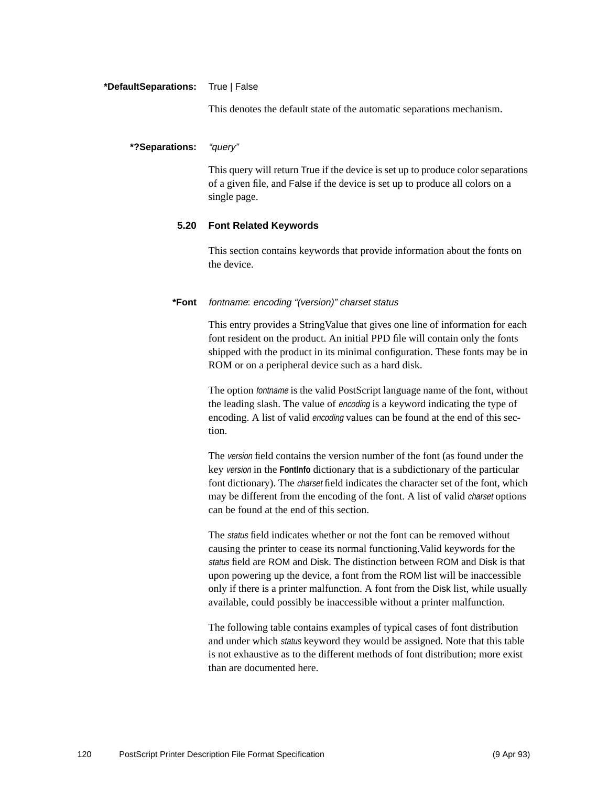#### **\*DefaultSeparations:** True | False

This denotes the default state of the automatic separations mechanism.

### **\*?Separations:** "query"

This query will return True if the device is set up to produce color separations of a given file, and False if the device is set up to produce all colors on a single page.

## **5.20 Font Related Keywords**

This section contains keywords that provide information about the fonts on the device.

#### **\*Font** fontname: encoding "(version)" charset status

This entry provides a StringValue that gives one line of information for each font resident on the product. An initial PPD file will contain only the fonts shipped with the product in its minimal configuration. These fonts may be in ROM or on a peripheral device such as a hard disk.

The option fontname is the valid PostScript language name of the font, without the leading slash. The value of encoding is a keyword indicating the type of encoding. A list of valid encoding values can be found at the end of this section.

The version field contains the version number of the font (as found under the key version in the **FontInfo** dictionary that is a subdictionary of the particular font dictionary). The charset field indicates the character set of the font, which may be different from the encoding of the font. A list of valid charset options can be found at the end of this section.

The status field indicates whether or not the font can be removed without causing the printer to cease its normal functioning.Valid keywords for the status field are ROM and Disk. The distinction between ROM and Disk is that upon powering up the device, a font from the ROM list will be inaccessible only if there is a printer malfunction. A font from the Disk list, while usually available, could possibly be inaccessible without a printer malfunction.

The following table contains examples of typical cases of font distribution and under which status keyword they would be assigned. Note that this table is not exhaustive as to the different methods of font distribution; more exist than are documented here.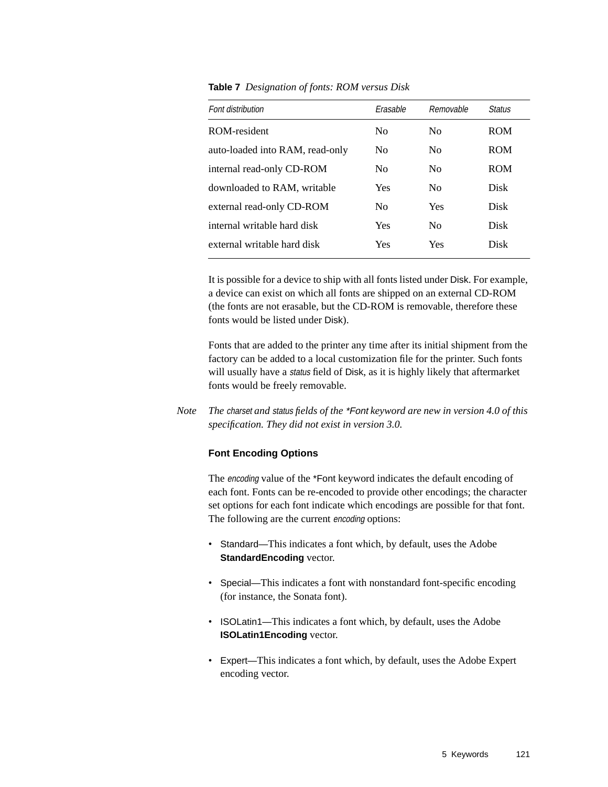| Font distribution               | Erasable       | Removable      | <b>Status</b> |
|---------------------------------|----------------|----------------|---------------|
| ROM-resident                    | N <sub>0</sub> | $\rm No$       | <b>ROM</b>    |
| auto-loaded into RAM, read-only | $\rm No$       | $\rm No$       | <b>ROM</b>    |
| internal read-only CD-ROM       | N <sub>0</sub> | N <sub>0</sub> | <b>ROM</b>    |
| downloaded to RAM, writable     | <b>Yes</b>     | $\rm No$       | Disk          |
| external read-only CD-ROM       | $\rm No$       | Yes            | <b>Disk</b>   |
| internal writable hard disk     | Yes            | N <sub>0</sub> | <b>Disk</b>   |
| external writable hard disk     | Yes            | Yes            | Disk          |

**Table 7** *Designation of fonts: ROM versus Disk*

It is possible for a device to ship with all fonts listed under Disk. For example, a device can exist on which all fonts are shipped on an external CD-ROM (the fonts are not erasable, but the CD-ROM is removable, therefore these fonts would be listed under Disk).

Fonts that are added to the printer any time after its initial shipment from the factory can be added to a local customization file for the printer. Such fonts will usually have a status field of Disk, as it is highly likely that aftermarket fonts would be freely removable.

*Note The* charset *and* status *fields of the* \*Font *keyword are new in version 4.0 of this specification. They did not exist in version 3.0.*

## **Font Encoding Options**

The encoding value of the \*Font keyword indicates the default encoding of each font. Fonts can be re-encoded to provide other encodings; the character set options for each font indicate which encodings are possible for that font. The following are the current encoding options:

- Standard—This indicates a font which, by default, uses the Adobe **StandardEncoding** vector.
- Special—This indicates a font with nonstandard font-specific encoding (for instance, the Sonata font).
- ISOLatin1—This indicates a font which, by default, uses the Adobe **ISOLatin1Encoding** vector.
- Expert—This indicates a font which, by default, uses the Adobe Expert encoding vector.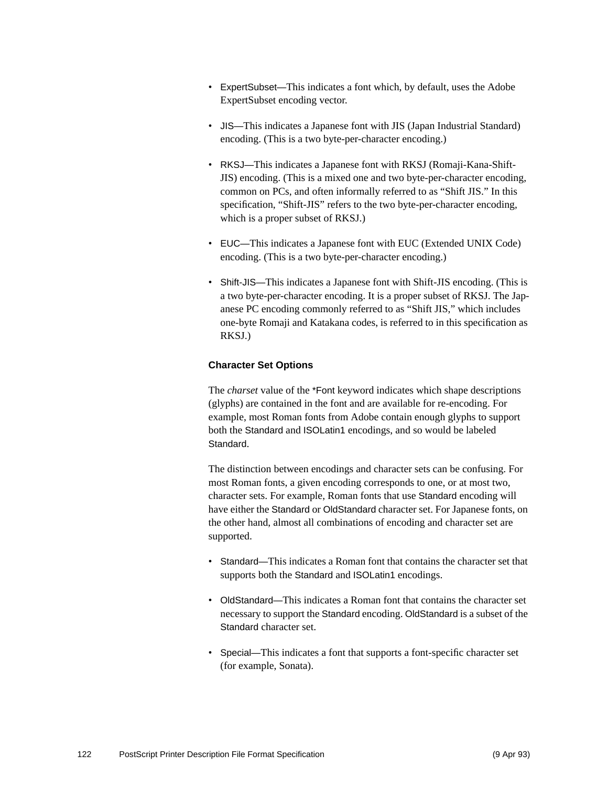- ExpertSubset—This indicates a font which, by default, uses the Adobe ExpertSubset encoding vector.
- JIS—This indicates a Japanese font with JIS (Japan Industrial Standard) encoding. (This is a two byte-per-character encoding.)
- RKSJ—This indicates a Japanese font with RKSJ (Romaji-Kana-Shift-JIS) encoding. (This is a mixed one and two byte-per-character encoding, common on PCs, and often informally referred to as "Shift JIS." In this specification, "Shift-JIS" refers to the two byte-per-character encoding, which is a proper subset of RKSJ.)
- EUC—This indicates a Japanese font with EUC (Extended UNIX Code) encoding. (This is a two byte-per-character encoding.)
- Shift-JIS—This indicates a Japanese font with Shift-JIS encoding. (This is a two byte-per-character encoding. It is a proper subset of RKSJ. The Japanese PC encoding commonly referred to as "Shift JIS," which includes one-byte Romaji and Katakana codes, is referred to in this specification as RKSJ.)

## **Character Set Options**

The *charset* value of the \*Font keyword indicates which shape descriptions (glyphs) are contained in the font and are available for re-encoding. For example, most Roman fonts from Adobe contain enough glyphs to support both the Standard and ISOLatin1 encodings, and so would be labeled Standard.

The distinction between encodings and character sets can be confusing. For most Roman fonts, a given encoding corresponds to one, or at most two, character sets. For example, Roman fonts that use Standard encoding will have either the Standard or OldStandard character set. For Japanese fonts, on the other hand, almost all combinations of encoding and character set are supported.

- Standard—This indicates a Roman font that contains the character set that supports both the Standard and ISOLatin1 encodings.
- OldStandard—This indicates a Roman font that contains the character set necessary to support the Standard encoding. OldStandard is a subset of the Standard character set.
- Special—This indicates a font that supports a font-specific character set (for example, Sonata).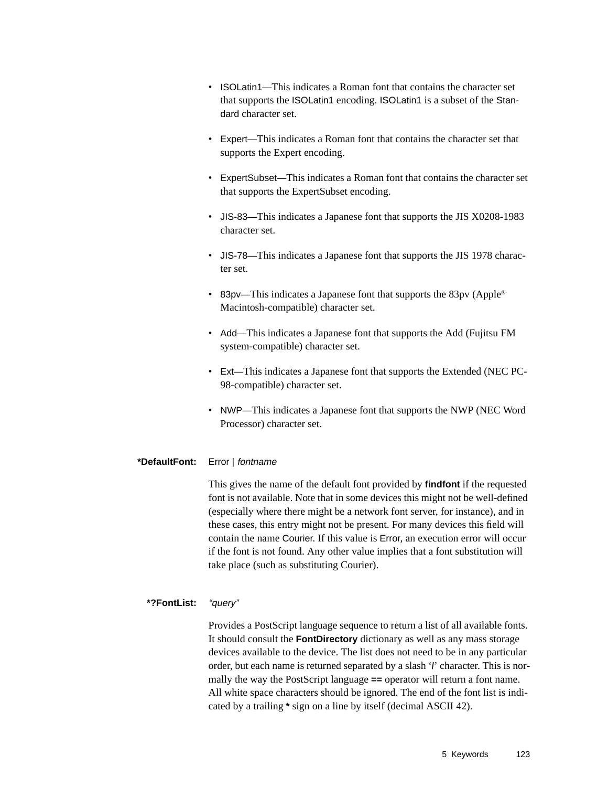- ISOLatin1—This indicates a Roman font that contains the character set that supports the ISOLatin1 encoding. ISOLatin1 is a subset of the Standard character set.
- Expert—This indicates a Roman font that contains the character set that supports the Expert encoding.
- ExpertSubset—This indicates a Roman font that contains the character set that supports the ExpertSubset encoding.
- JIS-83—This indicates a Japanese font that supports the JIS X0208-1983 character set.
- JIS-78—This indicates a Japanese font that supports the JIS 1978 character set.
- 83pv—This indicates a Japanese font that supports the 83pv (Apple® Macintosh-compatible) character set.
- Add—This indicates a Japanese font that supports the Add (Fujitsu FM system-compatible) character set.
- Ext—This indicates a Japanese font that supports the Extended (NEC PC-98-compatible) character set.
- NWP—This indicates a Japanese font that supports the NWP (NEC Word Processor) character set.

#### **\*DefaultFont:** Error | fontname

This gives the name of the default font provided by **findfont** if the requested font is not available. Note that in some devices this might not be well-defined (especially where there might be a network font server, for instance), and in these cases, this entry might not be present. For many devices this field will contain the name Courier. If this value is Error, an execution error will occur if the font is not found. Any other value implies that a font substitution will take place (such as substituting Courier).

## **\*?FontList:** "query"

Provides a PostScript language sequence to return a list of all available fonts. It should consult the **FontDirectory** dictionary as well as any mass storage devices available to the device. The list does not need to be in any particular order, but each name is returned separated by a slash '**/**' character. This is normally the way the PostScript language **==** operator will return a font name. All white space characters should be ignored. The end of the font list is indicated by a trailing **\*** sign on a line by itself (decimal ASCII 42).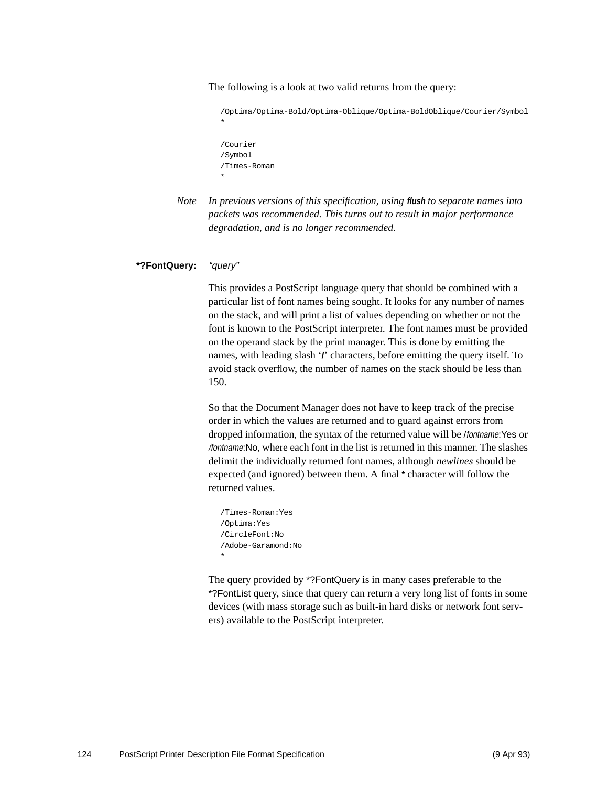### The following is a look at two valid returns from the query:

```
/Optima/Optima-Bold/Optima-Oblique/Optima-BoldOblique/Courier/Symbol
*
/Courier
/Symbol
/Times-Roman
*
```
*Note In previous versions of this specification, using* **flush** *to separate names into packets was recommended. This turns out to result in major performance degradation, and is no longer recommended.*

#### **\*?FontQuery:** "query"

This provides a PostScript language query that should be combined with a particular list of font names being sought. It looks for any number of names on the stack, and will print a list of values depending on whether or not the font is known to the PostScript interpreter. The font names must be provided on the operand stack by the print manager. This is done by emitting the names, with leading slash '*l*' characters, before emitting the query itself. To avoid stack overflow, the number of names on the stack should be less than 150.

So that the Document Manager does not have to keep track of the precise order in which the values are returned and to guard against errors from dropped information, the syntax of the returned value will be /fontname:Yes or /fontname:No, where each font in the list is returned in this manner. The slashes delimit the individually returned font names, although *newlines* should be expected (and ignored) between them. A final **\*** character will follow the returned values.

```
/Times-Roman:Yes
/Optima:Yes
/CircleFont:No
/Adobe-Garamond:No
*
```
The query provided by \*?FontQuery is in many cases preferable to the \*?FontList query, since that query can return a very long list of fonts in some devices (with mass storage such as built-in hard disks or network font servers) available to the PostScript interpreter.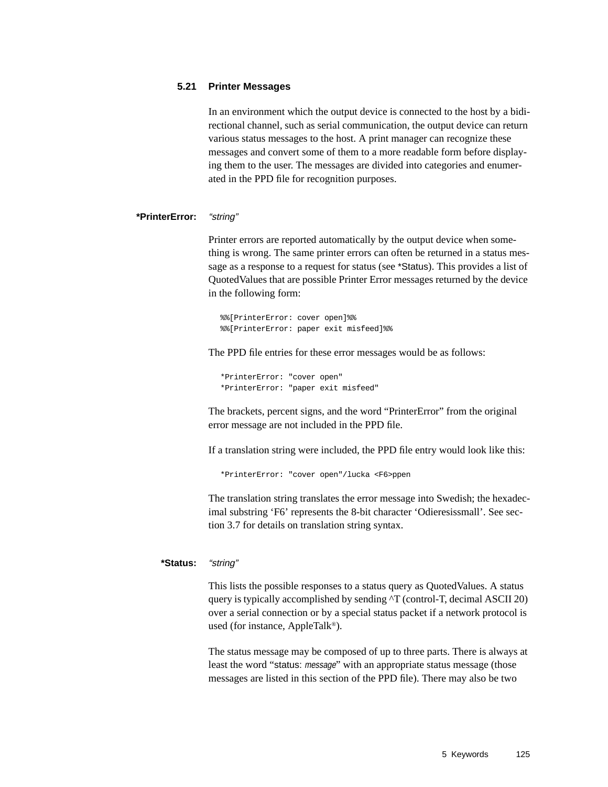## **5.21 Printer Messages**

In an environment which the output device is connected to the host by a bidirectional channel, such as serial communication, the output device can return various status messages to the host. A print manager can recognize these messages and convert some of them to a more readable form before displaying them to the user. The messages are divided into categories and enumerated in the PPD file for recognition purposes.

#### **\*PrinterError:** "string"

Printer errors are reported automatically by the output device when something is wrong. The same printer errors can often be returned in a status message as a response to a request for status (see \*Status). This provides a list of QuotedValues that are possible Printer Error messages returned by the device in the following form:

%%[PrinterError: cover open]%% %%[PrinterError: paper exit misfeed]%%

The PPD file entries for these error messages would be as follows:

\*PrinterError: "cover open" \*PrinterError: "paper exit misfeed"

The brackets, percent signs, and the word "PrinterError" from the original error message are not included in the PPD file.

If a translation string were included, the PPD file entry would look like this:

\*PrinterError: "cover open"/lucka <F6>ppen

The translation string translates the error message into Swedish; the hexadecimal substring 'F6' represents the 8-bit character 'Odieresissmall'. See section 3.7 for details on translation string syntax.

## **\*Status:** "string"

This lists the possible responses to a status query as QuotedValues. A status query is typically accomplished by sending ^T (control-T, decimal ASCII 20) over a serial connection or by a special status packet if a network protocol is used (for instance, AppleTalk®).

The status message may be composed of up to three parts. There is always at least the word "status: message" with an appropriate status message (those messages are listed in this section of the PPD file). There may also be two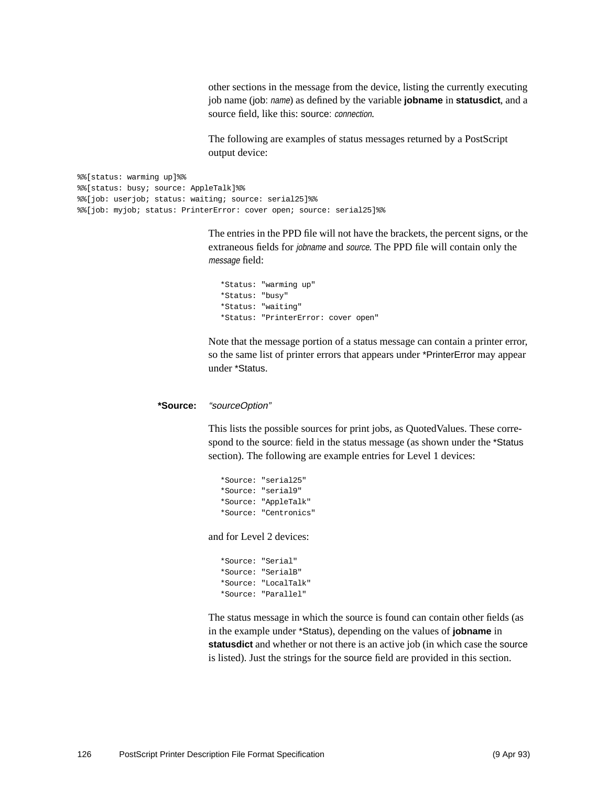other sections in the message from the device, listing the currently executing job name (job: name) as defined by the variable **jobname** in **statusdict**, and a source field, like this: source: connection.

The following are examples of status messages returned by a PostScript output device:

%%[status: warming up]%% %%[status: busy; source: AppleTalk]%% %%[job: userjob; status: waiting; source: serial25]%% %%[job: myjob; status: PrinterError: cover open; source: serial25]%%

> The entries in the PPD file will not have the brackets, the percent signs, or the extraneous fields for jobname and source. The PPD file will contain only the message field:

```
*Status: "warming up"
*Status: "busy"
*Status: "waiting"
*Status: "PrinterError: cover open"
```
Note that the message portion of a status message can contain a printer error, so the same list of printer errors that appears under \*PrinterError may appear under \*Status.

#### **\*Source:** "sourceOption"

This lists the possible sources for print jobs, as QuotedValues. These correspond to the source: field in the status message (as shown under the \*Status section). The following are example entries for Level 1 devices:

```
*Source: "serial25"
*Source: "serial9"
*Source: "AppleTalk"
*Source: "Centronics"
```
and for Level 2 devices:

```
*Source: "Serial"
*Source: "SerialB"
*Source: "LocalTalk"
*Source: "Parallel"
```
The status message in which the source is found can contain other fields (as in the example under \*Status), depending on the values of **jobname** in **statusdict** and whether or not there is an active job (in which case the source is listed). Just the strings for the source field are provided in this section.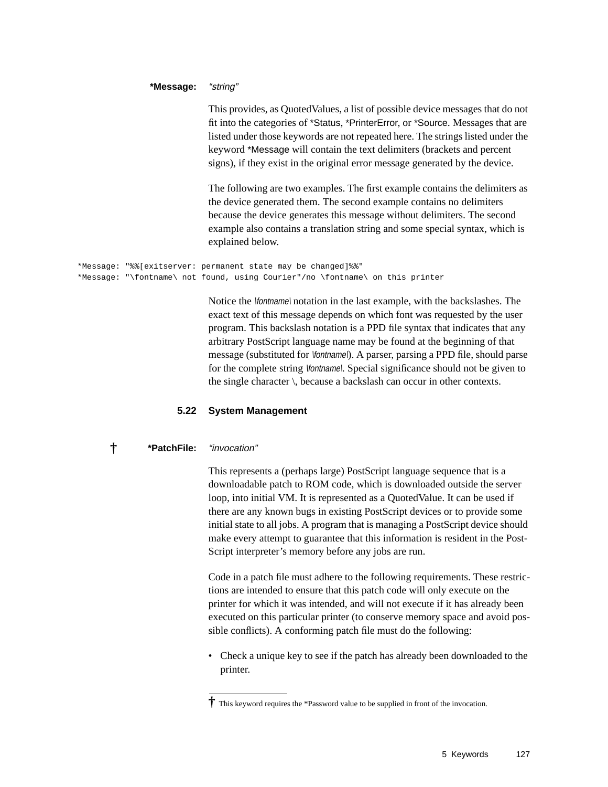| *Message: | "string"                                                                                                                                                                                                                                                                                                                                                                                                                                                                                                               |
|-----------|------------------------------------------------------------------------------------------------------------------------------------------------------------------------------------------------------------------------------------------------------------------------------------------------------------------------------------------------------------------------------------------------------------------------------------------------------------------------------------------------------------------------|
|           | This provides, as Quoted Values, a list of possible device messages that do not<br>fit into the categories of *Status, *PrinterError, or *Source. Messages that are<br>listed under those keywords are not repeated here. The strings listed under the<br>keyword *Message will contain the text delimiters (brackets and percent<br>signs), if they exist in the original error message generated by the device.                                                                                                      |
|           | The following are two examples. The first example contains the delimiters as<br>the device generated them. The second example contains no delimiters<br>because the device generates this message without delimiters. The second<br>example also contains a translation string and some special syntax, which is<br>explained below.                                                                                                                                                                                   |
|           | *Message: "%%[exitserver: permanent state may be changed]%%"                                                                                                                                                                                                                                                                                                                                                                                                                                                           |
|           | *Message: "\fontname\ not found, using Courier"/no \fontname\ on this printer                                                                                                                                                                                                                                                                                                                                                                                                                                          |
|           | Notice the <i>\tontname\</i> notation in the last example, with the backslashes. The<br>exact text of this message depends on which font was requested by the user<br>program. This backslash notation is a PPD file syntax that indicates that any<br>arbitrary PostScript language name may be found at the beginning of that<br>message (substituted for <i>\fontname\)</i> . A parser, parsing a PPD file, should parse<br>for the complete string <i>\fontname</i> }. Special significance should not be given to |

## **5.22 System Management**

#### **\*PatchFile:** "invocation" **†**

This represents a (perhaps large) PostScript language sequence that is a downloadable patch to ROM code, which is downloaded outside the server loop, into initial VM. It is represented as a QuotedValue. It can be used if there are any known bugs in existing PostScript devices or to provide some initial state to all jobs. A program that is managing a PostScript device should make every attempt to guarantee that this information is resident in the Post-Script interpreter's memory before any jobs are run.

the single character \, because a backslash can occur in other contexts.

Code in a patch file must adhere to the following requirements. These restrictions are intended to ensure that this patch code will only execute on the printer for which it was intended, and will not execute if it has already been executed on this particular printer (to conserve memory space and avoid possible conflicts). A conforming patch file must do the following:

• Check a unique key to see if the patch has already been downloaded to the printer.

**<sup>†</sup>** This keyword requires the \*Password value to be supplied in front of the invocation.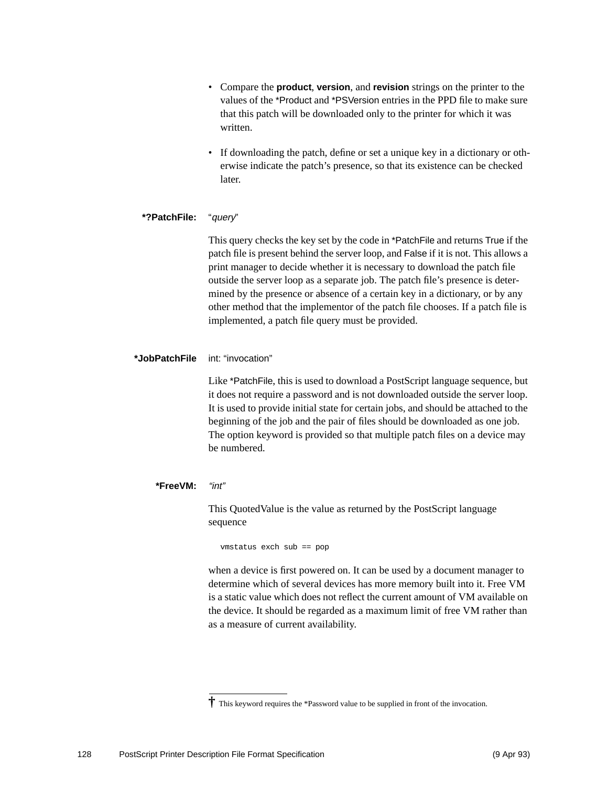- Compare the **product**, **version**, and **revision** strings on the printer to the values of the \*Product and \*PSVersion entries in the PPD file to make sure that this patch will be downloaded only to the printer for which it was written.
- If downloading the patch, define or set a unique key in a dictionary or otherwise indicate the patch's presence, so that its existence can be checked later.

### **\*?PatchFile:** "query"

This query checks the key set by the code in \*PatchFile and returns True if the patch file is present behind the server loop, and False if it is not. This allows a print manager to decide whether it is necessary to download the patch file outside the server loop as a separate job. The patch file's presence is determined by the presence or absence of a certain key in a dictionary, or by any other method that the implementor of the patch file chooses. If a patch file is implemented, a patch file query must be provided.

### **\*JobPatchFile** int: "invocation"

Like \*PatchFile, this is used to download a PostScript language sequence, but it does not require a password and is not downloaded outside the server loop. It is used to provide initial state for certain jobs, and should be attached to the beginning of the job and the pair of files should be downloaded as one job. The option keyword is provided so that multiple patch files on a device may be numbered.

#### **\*FreeVM:** "int"

This QuotedValue is the value as returned by the PostScript language sequence

vmstatus exch sub == pop

when a device is first powered on. It can be used by a document manager to determine which of several devices has more memory built into it. Free VM is a static value which does not reflect the current amount of VM available on the device. It should be regarded as a maximum limit of free VM rather than as a measure of current availability.

**<sup>†</sup>** This keyword requires the \*Password value to be supplied in front of the invocation.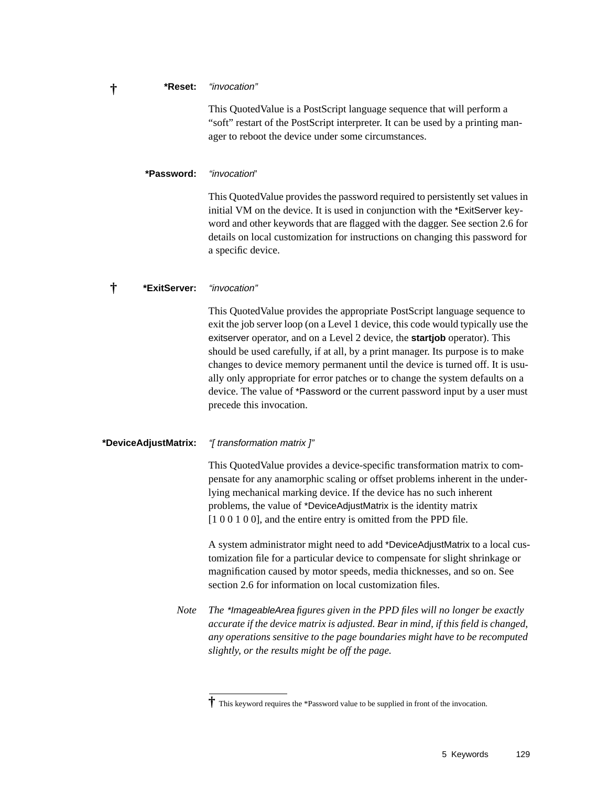#### **\*Reset:** "invocation"

**†**

This QuotedValue is a PostScript language sequence that will perform a "soft" restart of the PostScript interpreter. It can be used by a printing manager to reboot the device under some circumstances.

#### **\*Password:** "invocation"

This QuotedValue provides the password required to persistently set values in initial VM on the device. It is used in conjunction with the \*ExitServer keyword and other keywords that are flagged with the dagger. See section 2.6 for details on local customization for instructions on changing this password for a specific device.

#### **\*ExitServer:** "invocation" **†**

This QuotedValue provides the appropriate PostScript language sequence to exit the job server loop (on a Level 1 device, this code would typically use the exitserver operator, and on a Level 2 device, the **startjob** operator). This should be used carefully, if at all, by a print manager. Its purpose is to make changes to device memory permanent until the device is turned off. It is usually only appropriate for error patches or to change the system defaults on a device. The value of \*Password or the current password input by a user must precede this invocation.

#### **\*DeviceAdjustMatrix:** "[ transformation matrix ]"

This QuotedValue provides a device-specific transformation matrix to compensate for any anamorphic scaling or offset problems inherent in the underlying mechanical marking device. If the device has no such inherent problems, the value of \*DeviceAdjustMatrix is the identity matrix [1 0 0 1 0 0], and the entire entry is omitted from the PPD file.

A system administrator might need to add \*DeviceAdjustMatrix to a local customization file for a particular device to compensate for slight shrinkage or magnification caused by motor speeds, media thicknesses, and so on. See section 2.6 for information on local customization files.

*Note The* \*ImageableArea *figures given in the PPD files will no longer be exactly accurate if the device matrix is adjusted. Bear in mind, if this field is changed, any operations sensitive to the page boundaries might have to be recomputed slightly, or the results might be off the page.*

**<sup>†</sup>** This keyword requires the \*Password value to be supplied in front of the invocation.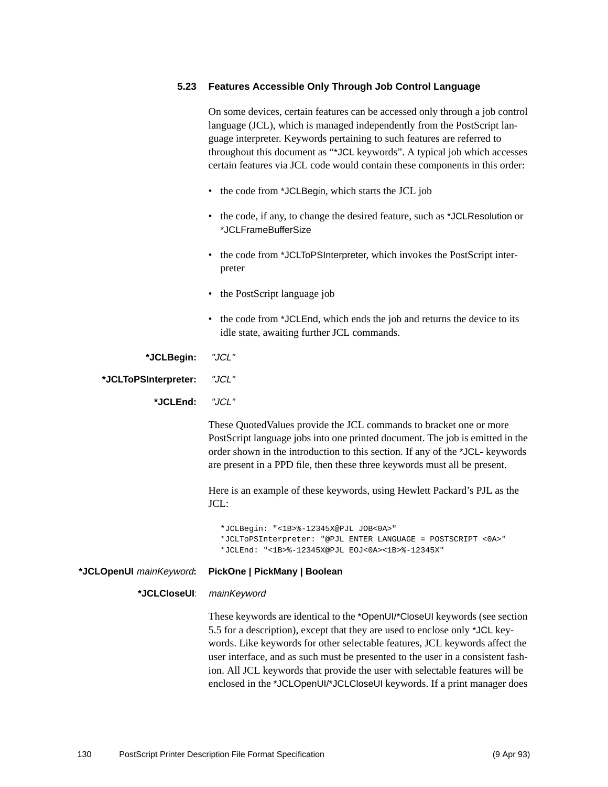## **5.23 Features Accessible Only Through Job Control Language**

On some devices, certain features can be accessed only through a job control language (JCL), which is managed independently from the PostScript language interpreter. Keywords pertaining to such features are referred to throughout this document as "\*JCL keywords". A typical job which accesses certain features via JCL code would contain these components in this order:

- the code from \*JCLBegin, which starts the JCL job
- the code, if any, to change the desired feature, such as \*JCLResolution or \*JCLFrameBufferSize
- the code from \*JCLToPSInterpreter, which invokes the PostScript interpreter
- the PostScript language job
- the code from \*JCLEnd, which ends the job and returns the device to its idle state, awaiting further JCL commands.
- **\*JCLBegin:** "JCL"
- **\*JCLToPSInterpreter:** "JCL"
	- **\*JCLEnd:** "JCL"

These QuotedValues provide the JCL commands to bracket one or more PostScript language jobs into one printed document. The job is emitted in the order shown in the introduction to this section. If any of the \*JCL- keywords are present in a PPD file, then these three keywords must all be present.

Here is an example of these keywords, using Hewlett Packard's PJL as the JCL:

\*JCLBegin: "<1B>%-12345X@PJL JOB<0A>" \*JCLToPSInterpreter: "@PJL ENTER LANGUAGE = POSTSCRIPT <0A>" \*JCLEnd: "<1B>%-12345X@PJL EOJ<0A><1B>%-12345X"

#### **\*JCLOpenUI** mainKeyword**: PickOne | PickMany | Boolean**

#### **\*JCLCloseUI**: mainKeyword

These keywords are identical to the \*OpenUI/\*CloseUI keywords (see section 5.5 for a description), except that they are used to enclose only \*JCL keywords. Like keywords for other selectable features, JCL keywords affect the user interface, and as such must be presented to the user in a consistent fashion. All JCL keywords that provide the user with selectable features will be enclosed in the \*JCLOpenUI/\*JCLCloseUI keywords. If a print manager does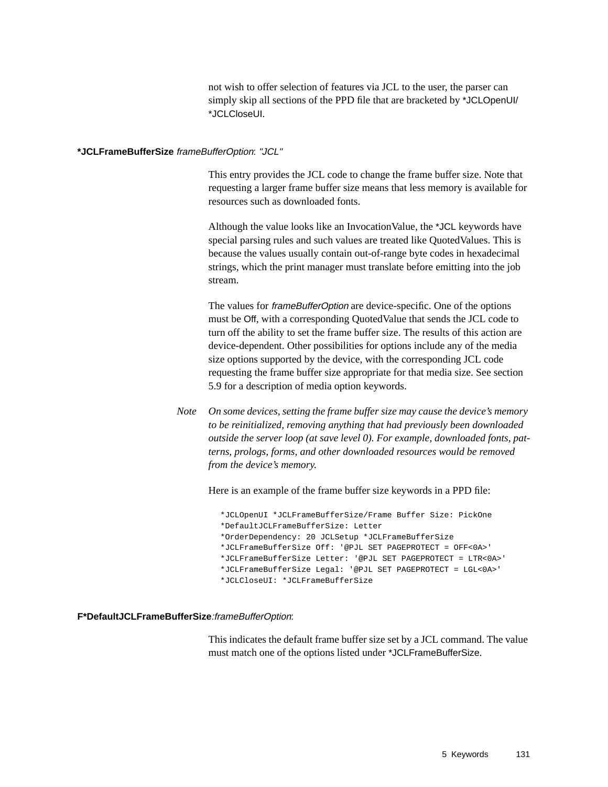not wish to offer selection of features via JCL to the user, the parser can simply skip all sections of the PPD file that are bracketed by \*JCLOpenUI/ \*JCLCloseUI.

#### **\*JCLFrameBufferSize** frameBufferOption: "JCL"

This entry provides the JCL code to change the frame buffer size. Note that requesting a larger frame buffer size means that less memory is available for resources such as downloaded fonts.

Although the value looks like an InvocationValue, the \*JCL keywords have special parsing rules and such values are treated like QuotedValues. This is because the values usually contain out-of-range byte codes in hexadecimal strings, which the print manager must translate before emitting into the job stream.

The values for frameBufferOption are device-specific. One of the options must be Off, with a corresponding QuotedValue that sends the JCL code to turn off the ability to set the frame buffer size. The results of this action are device-dependent. Other possibilities for options include any of the media size options supported by the device, with the corresponding JCL code requesting the frame buffer size appropriate for that media size. See section 5.9 for a description of media option keywords.

*Note On some devices, setting the frame buffer size may cause the device's memory to be reinitialized, removing anything that had previously been downloaded outside the server loop (at save level 0). For example, downloaded fonts, patterns, prologs, forms, and other downloaded resources would be removed from the device's memory.*

Here is an example of the frame buffer size keywords in a PPD file:

\*JCLOpenUI \*JCLFrameBufferSize/Frame Buffer Size: PickOne \*DefaultJCLFrameBufferSize: Letter \*OrderDependency: 20 JCLSetup \*JCLFrameBufferSize \*JCLFrameBufferSize Off: '@PJL SET PAGEPROTECT = OFF<0A>' \*JCLFrameBufferSize Letter: '@PJL SET PAGEPROTECT = LTR<0A>' \*JCLFrameBufferSize Legal: '@PJL SET PAGEPROTECT = LGL<0A>' \*JCLCloseUI: \*JCLFrameBufferSize

#### **F\*DefaultJCLFrameBufferSize**:frameBufferOption:

This indicates the default frame buffer size set by a JCL command. The value must match one of the options listed under \*JCLFrameBufferSize.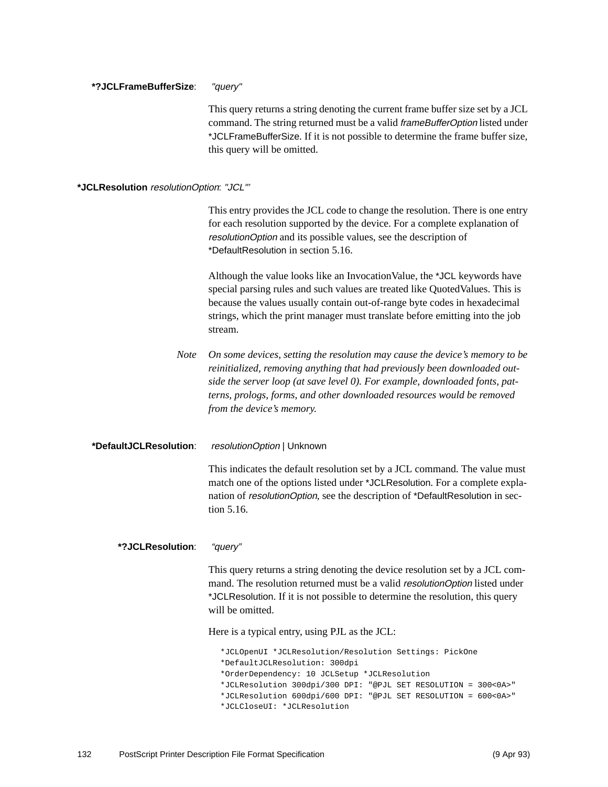#### **\*?JCLFrameBufferSize**: "query"

This query returns a string denoting the current frame buffer size set by a JCL command. The string returned must be a valid *frameBufferOption* listed under \*JCLFrameBufferSize. If it is not possible to determine the frame buffer size, this query will be omitted.

#### **\*JCLResolution** resolutionOption: "JCL"'

This entry provides the JCL code to change the resolution. There is one entry for each resolution supported by the device. For a complete explanation of resolutionOption and its possible values, see the description of \*DefaultResolution in section 5.16.

Although the value looks like an InvocationValue, the \*JCL keywords have special parsing rules and such values are treated like QuotedValues. This is because the values usually contain out-of-range byte codes in hexadecimal strings, which the print manager must translate before emitting into the job stream.

*Note On some devices, setting the resolution may cause the device's memory to be reinitialized, removing anything that had previously been downloaded outside the server loop (at save level 0). For example, downloaded fonts, patterns, prologs, forms, and other downloaded resources would be removed from the device's memory.*

#### **\*DefaultJCLResolution**: resolutionOption | Unknown

This indicates the default resolution set by a JCL command. The value must match one of the options listed under \*JCLResolution. For a complete explanation of resolutionOption, see the description of \*DefaultResolution in section 5.16.

#### **\*?JCLResolution**: "query"

This query returns a string denoting the device resolution set by a JCL command. The resolution returned must be a valid *resolutionOption* listed under \*JCLResolution. If it is not possible to determine the resolution, this query will be omitted.

Here is a typical entry, using PJL as the JCL:

\*JCLOpenUI \*JCLResolution/Resolution Settings: PickOne \*DefaultJCLResolution: 300dpi \*OrderDependency: 10 JCLSetup \*JCLResolution \*JCLResolution 300dpi/300 DPI: "@PJL SET RESOLUTION = 300<0A>" \*JCLResolution 600dpi/600 DPI: "@PJL SET RESOLUTION = 600<0A>" \*JCLCloseUI: \*JCLResolution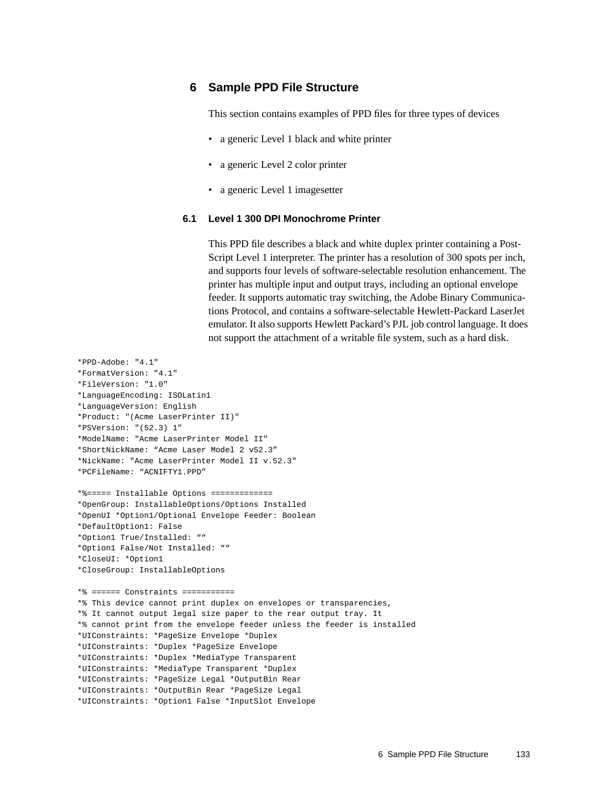# **6 Sample PPD File Structure**

This section contains examples of PPD files for three types of devices

- a generic Level 1 black and white printer
- a generic Level 2 color printer
- a generic Level 1 images etter

## **6.1 Level 1 300 DPI Monochrome Printer**

This PPD file describes a black and white duplex printer containing a Post-Script Level 1 interpreter. The printer has a resolution of 300 spots per inch, and supports four levels of software-selectable resolution enhancement. The printer has multiple input and output trays, including an optional envelope feeder. It supports automatic tray switching, the Adobe Binary Communications Protocol, and contains a software-selectable Hewlett-Packard LaserJet emulator. It also supports Hewlett Packard's PJL job control language. It does not support the attachment of a writable file system, such as a hard disk.

```
*PPD-Adobe: "4.1"
*FormatVersion: "4.1"
*FileVersion: "1.0"
*LanguageEncoding: ISOLatin1
*LanguageVersion: English
*Product: "(Acme LaserPrinter II)"
*PSVersion: "(52.3) 1"
*ModelName: "Acme LaserPrinter Model II"
*ShortNickName: "Acme Laser Model 2 v52.3"
*NickName: "Acme LaserPrinter Model II v.52.3"
*PCFileName: "ACNIFTY1.PPD"
*%===== Installable Options =============
*OpenGroup: InstallableOptions/Options Installed
*OpenUI *Option1/Optional Envelope Feeder: Boolean
*DefaultOption1: False
*Option1 True/Installed: ""
*Option1 False/Not Installed: ""
*CloseUI: *Option1
*CloseGroup: InstallableOptions
*% ====== Constraints ===========
*% This device cannot print duplex on envelopes or transparencies,
*% It cannot output legal size paper to the rear output tray. It
*% cannot print from the envelope feeder unless the feeder is installed
*UIConstraints: *PageSize Envelope *Duplex
*UIConstraints: *Duplex *PageSize Envelope
*UIConstraints: *Duplex *MediaType Transparent
*UIConstraints: *MediaType Transparent *Duplex
*UIConstraints: *PageSize Legal *OutputBin Rear
*UIConstraints: *OutputBin Rear *PageSize Legal
*UIConstraints: *Option1 False *InputSlot Envelope
```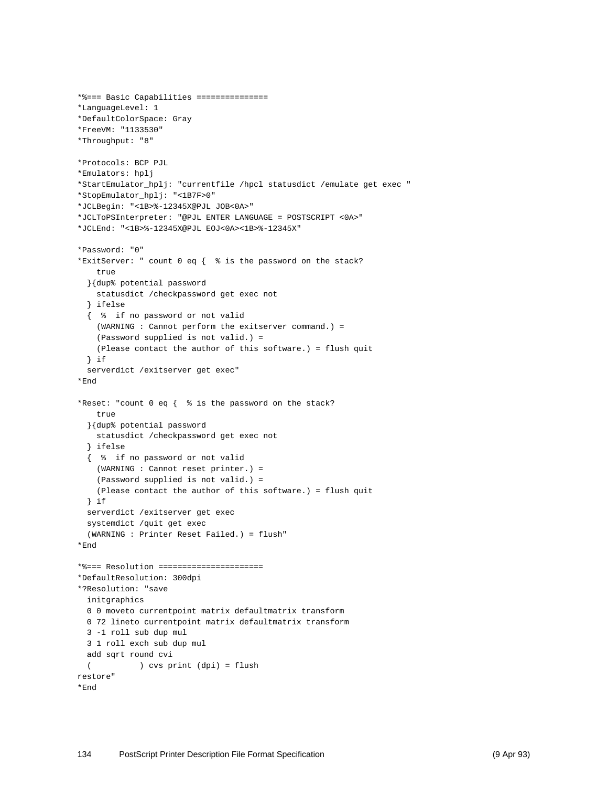```
*%=== Basic Capabilities ===============
*LanguageLevel: 1
*DefaultColorSpace: Gray
*FreeVM: "1133530"
*Throughput: "8"
*Protocols: BCP PJL
*Emulators: hplj
*StartEmulator_hplj: "currentfile /hpcl statusdict /emulate get exec "
*StopEmulator_hplj: "<1B7F>0"
*JCLBegin: "<1B>%-12345X@PJL JOB<0A>"
*JCLToPSInterpreter: "@PJL ENTER LANGUAGE = POSTSCRIPT <0A>"
*JCLEnd: "<1B>%-12345X@PJL EOJ<0A><1B>%-12345X"
*Password: "0"
*ExitServer: " count 0 eq { % is the password on the stack?
     true
  }{dup% potential password
     statusdict /checkpassword get exec not
   } ifelse
   { % if no password or not valid
     (WARNING : Cannot perform the exitserver command.) =
     (Password supplied is not valid.) =
    (Please contact the author of this software.) = flush quit
   } if
  serverdict /exitserver get exec"
*End
*Reset: "count 0 eq { % is the password on the stack?
     true
  }{dup% potential password
    statusdict /checkpassword get exec not
   } ifelse
   { % if no password or not valid
     (WARNING : Cannot reset printer.) =
     (Password supplied is not valid.) =
    (Please contact the author of this software.) = flush quit
   } if
  serverdict /exitserver get exec
  systemdict /quit get exec
   (WARNING : Printer Reset Failed.) = flush"
*End
*%=== Resolution ======================
*DefaultResolution: 300dpi
*?Resolution: "save
  initgraphics
  0 0 moveto currentpoint matrix defaultmatrix transform
  0 72 lineto currentpoint matrix defaultmatrix transform
  3 -1 roll sub dup mul
  3 1 roll exch sub dup mul
  add sqrt round cvi
  ( ) cvs print (dpi) = flush
restore"
*End
```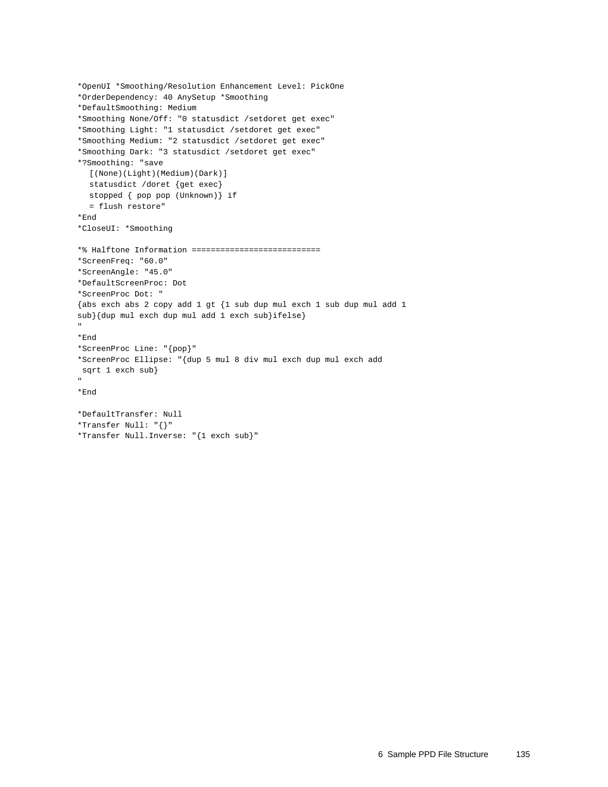```
*OpenUI *Smoothing/Resolution Enhancement Level: PickOne
*OrderDependency: 40 AnySetup *Smoothing
*DefaultSmoothing: Medium
*Smoothing None/Off: "0 statusdict /setdoret get exec"
*Smoothing Light: "1 statusdict /setdoret get exec"
*Smoothing Medium: "2 statusdict /setdoret get exec"
*Smoothing Dark: "3 statusdict /setdoret get exec"
*?Smoothing: "save
  [(None)(Light)(Medium)(Dark)]
  statusdict /doret {get exec}
  stopped { pop pop (Unknown)} if
  = flush restore"
*End
*CloseUI: *Smoothing
*% Halftone Information ===========================
*ScreenFreq: "60.0"
*ScreenAngle: "45.0"
*DefaultScreenProc: Dot
*ScreenProc Dot: "
{abs exch abs 2 copy add 1 gt {1 sub dup mul exch 1 sub dup mul add 1
sub}{dup mul exch dup mul add 1 exch sub}ifelse}
"
*End
*ScreenProc Line: "{pop}"
*ScreenProc Ellipse: "{dup 5 mul 8 div mul exch dup mul exch add
 sqrt 1 exch sub}
"
*End
*DefaultTransfer: Null
*Transfer Null: "{}"
*Transfer Null.Inverse: "{1 exch sub}"
```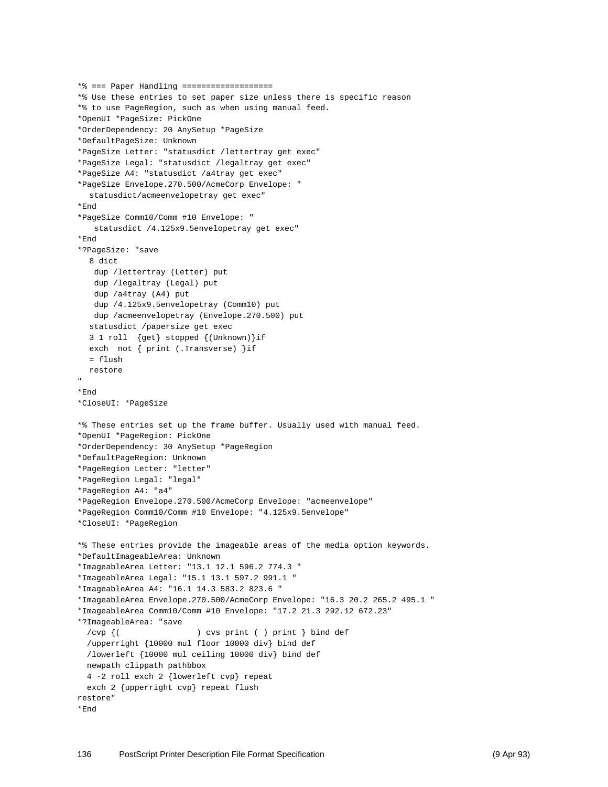```
*% === Paper Handling ===================
*% Use these entries to set paper size unless there is specific reason
*% to use PageRegion, such as when using manual feed.
*OpenUI *PageSize: PickOne
*OrderDependency: 20 AnySetup *PageSize
*DefaultPageSize: Unknown
*PageSize Letter: "statusdict /lettertray get exec"
*PageSize Legal: "statusdict /legaltray get exec"
*PageSize A4: "statusdict /a4tray get exec"
*PageSize Envelope.270.500/AcmeCorp Envelope: "
  statusdict/acmeenvelopetray get exec"
*End
*PageSize Comm10/Comm #10 Envelope: "
    statusdict /4.125x9.5envelopetray get exec"
*End
*?PageSize: "save
  8 dict
    dup /lettertray (Letter) put
    dup /legaltray (Legal) put
    dup /a4tray (A4) put
    dup /4.125x9.5envelopetray (Comm10) put
    dup /acmeenvelopetray (Envelope.270.500) put
  statusdict /papersize get exec
  3 1 roll {get} stopped {(Unknown)}if
  exch not { print (.Transverse) }if
  = flush
  restore
"
*End
*CloseUI: *PageSize
*% These entries set up the frame buffer. Usually used with manual feed.
*OpenUI *PageRegion: PickOne
*OrderDependency: 30 AnySetup *PageRegion
*DefaultPageRegion: Unknown
*PageRegion Letter: "letter"
*PageRegion Legal: "legal"
*PageRegion A4: "a4"
*PageRegion Envelope.270.500/AcmeCorp Envelope: "acmeenvelope"
*PageRegion Comm10/Comm #10 Envelope: "4.125x9.5envelope"
*CloseUI: *PageRegion
*% These entries provide the imageable areas of the media option keywords.
*DefaultImageableArea: Unknown
*ImageableArea Letter: "13.1 12.1 596.2 774.3 "
*ImageableArea Legal: "15.1 13.1 597.2 991.1 "
*ImageableArea A4: "16.1 14.3 583.2 823.6 "
*ImageableArea Envelope.270.500/AcmeCorp Envelope: "16.3 20.2 265.2 495.1 "
*ImageableArea Comm10/Comm #10 Envelope: "17.2 21.3 292.12 672.23"
*?ImageableArea: "save
   /cvp {( ) cvs print ( ) print } bind def
   /upperright {10000 mul floor 10000 div} bind def
  /lowerleft {10000 mul ceiling 10000 div} bind def
  newpath clippath pathbbox
  4 -2 roll exch 2 {lowerleft cvp} repeat
  exch 2 {upperright cvp} repeat flush
restore"
*End
```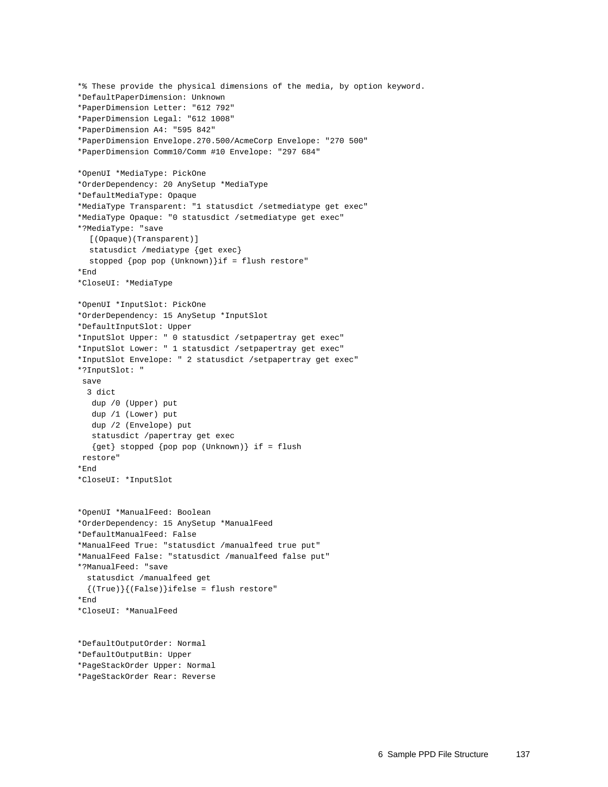```
*% These provide the physical dimensions of the media, by option keyword.
*DefaultPaperDimension: Unknown
*PaperDimension Letter: "612 792"
*PaperDimension Legal: "612 1008"
*PaperDimension A4: "595 842"
*PaperDimension Envelope.270.500/AcmeCorp Envelope: "270 500"
*PaperDimension Comm10/Comm #10 Envelope: "297 684"
*OpenUI *MediaType: PickOne
*OrderDependency: 20 AnySetup *MediaType
*DefaultMediaType: Opaque
*MediaType Transparent: "1 statusdict /setmediatype get exec"
*MediaType Opaque: "0 statusdict /setmediatype get exec"
*?MediaType: "save
  [(Opaque)(Transparent)]
  statusdict /mediatype {get exec}
  stopped {pop pop (Unknown)}if = flush restore"
*End
*CloseUI: *MediaType
*OpenUI *InputSlot: PickOne
*OrderDependency: 15 AnySetup *InputSlot
*DefaultInputSlot: Upper
*InputSlot Upper: " 0 statusdict /setpapertray get exec"
*InputSlot Lower: " 1 statusdict /setpapertray get exec"
*InputSlot Envelope: " 2 statusdict /setpapertray get exec"
*?InputSlot: "
 save
   3 dict
   dup /0 (Upper) put
   dup /1 (Lower) put
   dup /2 (Envelope) put
   statusdict /papertray get exec
    {get} stopped {pop pop (Unknown)} if = flush
 restore"
*End
*CloseUI: *InputSlot
*OpenUI *ManualFeed: Boolean
*OrderDependency: 15 AnySetup *ManualFeed
*DefaultManualFeed: False
*ManualFeed True: "statusdict /manualfeed true put"
*ManualFeed False: "statusdict /manualfeed false put"
*?ManualFeed: "save
  statusdict /manualfeed get
 \{(True)\}\{(False)\}ifelse = flush restore"
*End
*CloseUI: *ManualFeed
*DefaultOutputOrder: Normal
*DefaultOutputBin: Upper
*PageStackOrder Upper: Normal
```

```
*PageStackOrder Rear: Reverse
```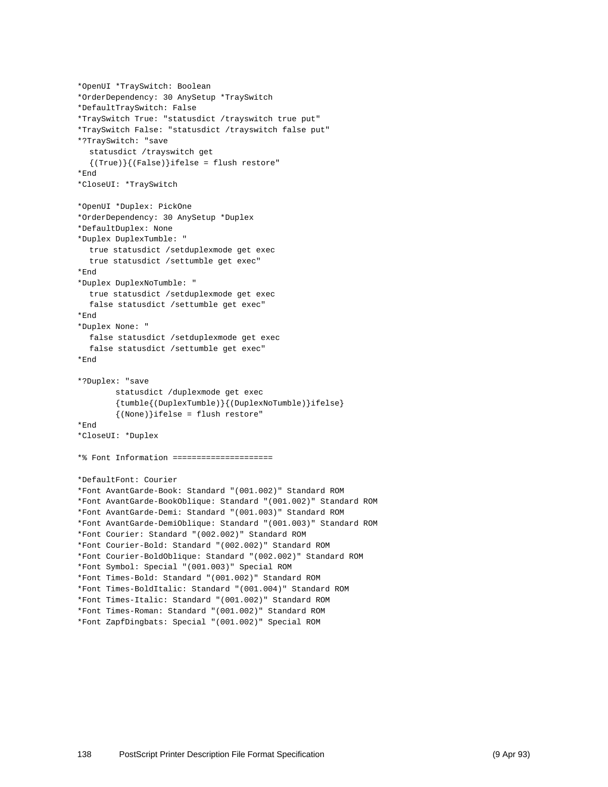```
*OpenUI *TraySwitch: Boolean
*OrderDependency: 30 AnySetup *TraySwitch
*DefaultTraySwitch: False
*TraySwitch True: "statusdict /trayswitch true put"
*TraySwitch False: "statusdict /trayswitch false put"
*?TraySwitch: "save
  statusdict /trayswitch get
  ({True})}({False})ifelse = flush restore"
*End
*CloseUI: *TraySwitch
*OpenUI *Duplex: PickOne
*OrderDependency: 30 AnySetup *Duplex
*DefaultDuplex: None
*Duplex DuplexTumble: "
  true statusdict /setduplexmode get exec
  true statusdict /settumble get exec"
*End
*Duplex DuplexNoTumble: "
  true statusdict /setduplexmode get exec
  false statusdict /settumble get exec"
*End
*Duplex None: "
  false statusdict /setduplexmode get exec
  false statusdict /settumble get exec"
*End
*?Duplex: "save
         statusdict /duplexmode get exec
         {tumble{(DuplexTumble)}{(DuplexNoTumble)}ifelse}
         {(None)}ifelse = flush restore"
*End
*CloseUI: *Duplex
*% Font Information =====================
*DefaultFont: Courier
*Font AvantGarde-Book: Standard "(001.002)" Standard ROM
*Font AvantGarde-BookOblique: Standard "(001.002)" Standard ROM
*Font AvantGarde-Demi: Standard "(001.003)" Standard ROM
*Font AvantGarde-DemiOblique: Standard "(001.003)" Standard ROM
*Font Courier: Standard "(002.002)" Standard ROM
*Font Courier-Bold: Standard "(002.002)" Standard ROM
*Font Courier-BoldOblique: Standard "(002.002)" Standard ROM
*Font Symbol: Special "(001.003)" Special ROM
*Font Times-Bold: Standard "(001.002)" Standard ROM
*Font Times-BoldItalic: Standard "(001.004)" Standard ROM
*Font Times-Italic: Standard "(001.002)" Standard ROM
*Font Times-Roman: Standard "(001.002)" Standard ROM
*Font ZapfDingbats: Special "(001.002)" Special ROM
```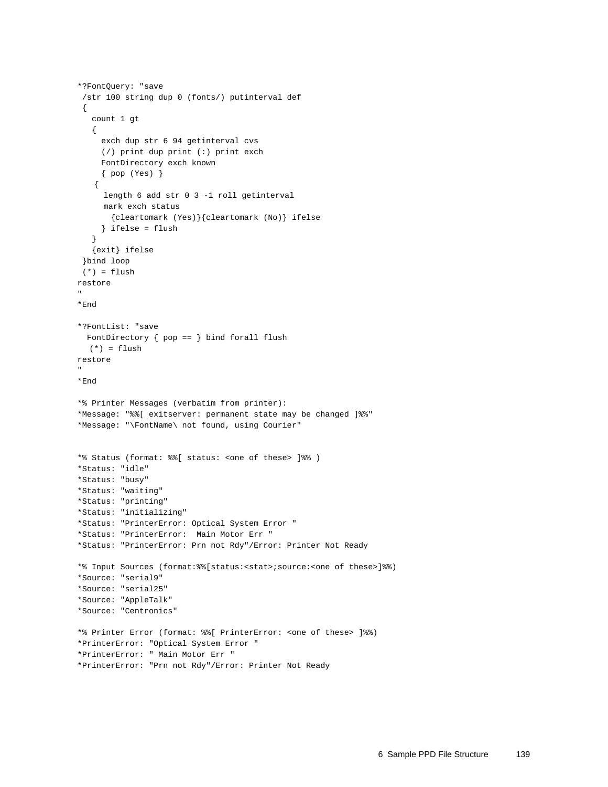```
*?FontQuery: "save
 /str 100 string dup 0 (fonts/) putinterval def
 {
   count 1 gt
    {
     exch dup str 6 94 getinterval cvs
     (/) print dup print (:) print exch
     FontDirectory exch known
     { pop (Yes) }
    {
      length 6 add str 0 3 -1 roll getinterval
      mark exch status
      {cleartomark (Yes)}{cleartomark (No)} ifelse
     } ifelse = flush
    }
    {exit} ifelse
 }bind loop
 (*) = flush
restore
"
*End
*?FontList: "save
  FontDirectory { pop == } bind forall flush
 (*) = flush
restore
"
*End
*% Printer Messages (verbatim from printer):
*Message: "%%[ exitserver: permanent state may be changed ]%%"
*Message: "\FontName\ not found, using Courier"
*% Status (format: %%[ status: <one of these> ]%% )
*Status: "idle"
*Status: "busy"
*Status: "waiting"
*Status: "printing"
*Status: "initializing"
*Status: "PrinterError: Optical System Error "
*Status: "PrinterError: Main Motor Err "
*Status: "PrinterError: Prn not Rdy"/Error: Printer Not Ready
*% Input Sources (format:%%[status:<stat>;source:<one of these>]%%)
*Source: "serial9"
*Source: "serial25"
*Source: "AppleTalk"
*Source: "Centronics"
*% Printer Error (format: %%[ PrinterError: <one of these> ]%%)
*PrinterError: "Optical System Error "
*PrinterError: " Main Motor Err "
*PrinterError: "Prn not Rdy"/Error: Printer Not Ready
```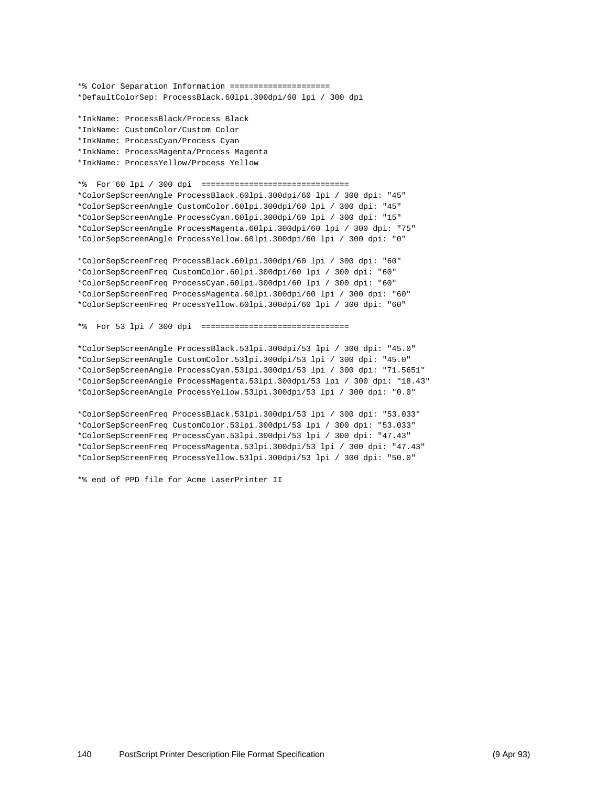```
*% Color Separation Information =====================
*DefaultColorSep: ProcessBlack.60lpi.300dpi/60 lpi / 300 dpi
*InkName: ProcessBlack/Process Black
*InkName: CustomColor/Custom Color
*InkName: ProcessCyan/Process Cyan
*InkName: ProcessMagenta/Process Magenta
*InkName: ProcessYellow/Process Yellow
*% For 60 lpi / 300 dpi ===============================
*ColorSepScreenAngle ProcessBlack.60lpi.300dpi/60 lpi / 300 dpi: "45"
*ColorSepScreenAngle CustomColor.60lpi.300dpi/60 lpi / 300 dpi: "45"
*ColorSepScreenAngle ProcessCyan.60lpi.300dpi/60 lpi / 300 dpi: "15"
*ColorSepScreenAngle ProcessMagenta.60lpi.300dpi/60 lpi / 300 dpi: "75"
*ColorSepScreenAngle ProcessYellow.60lpi.300dpi/60 lpi / 300 dpi: "0"
*ColorSepScreenFreq ProcessBlack.60lpi.300dpi/60 lpi / 300 dpi: "60"
*ColorSepScreenFreq CustomColor.60lpi.300dpi/60 lpi / 300 dpi: "60"
*ColorSepScreenFreq ProcessCyan.60lpi.300dpi/60 lpi / 300 dpi: "60"
*ColorSepScreenFreq ProcessMagenta.60lpi.300dpi/60 lpi / 300 dpi: "60"
*ColorSepScreenFreq ProcessYellow.60lpi.300dpi/60 lpi / 300 dpi: "60"
*% For 53 lpi / 300 dpi ===============================
*ColorSepScreenAngle ProcessBlack.53lpi.300dpi/53 lpi / 300 dpi: "45.0"
*ColorSepScreenAngle CustomColor.53lpi.300dpi/53 lpi / 300 dpi: "45.0"
*ColorSepScreenAngle ProcessCyan.53lpi.300dpi/53 lpi / 300 dpi: "71.5651"
*ColorSepScreenAngle ProcessMagenta.53lpi.300dpi/53 lpi / 300 dpi: "18.43"
*ColorSepScreenAngle ProcessYellow.53lpi.300dpi/53 lpi / 300 dpi: "0.0"
*ColorSepScreenFreq ProcessBlack.53lpi.300dpi/53 lpi / 300 dpi: "53.033"
*ColorSepScreenFreq CustomColor.53lpi.300dpi/53 lpi / 300 dpi: "53.033"
*ColorSepScreenFreq ProcessCyan.53lpi.300dpi/53 lpi / 300 dpi: "47.43"
*ColorSepScreenFreq ProcessMagenta.53lpi.300dpi/53 lpi / 300 dpi: "47.43"
*ColorSepScreenFreq ProcessYellow.53lpi.300dpi/53 lpi / 300 dpi: "50.0"
```
\*% end of PPD file for Acme LaserPrinter II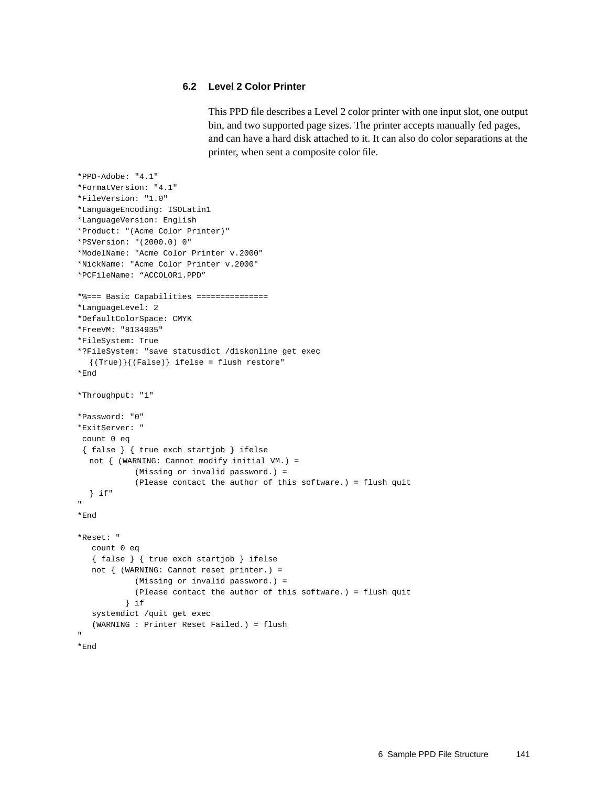#### **6.2 Level 2 Color Printer**

This PPD file describes a Level 2 color printer with one input slot, one output bin, and two supported page sizes. The printer accepts manually fed pages, and can have a hard disk attached to it. It can also do color separations at the printer, when sent a composite color file.

```
*PPD-Adobe: "4.1"
*FormatVersion: "4.1"
*FileVersion: "1.0"
*LanguageEncoding: ISOLatin1
*LanguageVersion: English
*Product: "(Acme Color Printer)"
*PSVersion: "(2000.0) 0"
*ModelName: "Acme Color Printer v.2000"
*NickName: "Acme Color Printer v.2000"
*PCFileName: "ACCOLOR1.PPD"
*%=== Basic Capabilities ===============
*LanguageLevel: 2
*DefaultColorSpace: CMYK
*FreeVM: "8134935"
*FileSystem: True
*?FileSystem: "save statusdict /diskonline get exec
  ({\text{True}}){}({\text{False}}) ifelse = flush restore"
*End
*Throughput: "1"
*Password: "0"
*ExitServer: "
 count 0 eq
 { false } { true exch startjob } ifelse
  not { (WARNING: Cannot modify initial VM.) =
             (Missing or invalid password.) =
             (Please contact the author of this software.) = flush quit
  } if"
"
*End
*Reset: "
   count 0 eq
    { false } { true exch startjob } ifelse
   not { (WARNING: Cannot reset printer.) =
             (Missing or invalid password.) =
             (Please contact the author of this software.) = flush quit
           } if
    systemdict /quit get exec
    (WARNING : Printer Reset Failed.) = flush
"
*End
```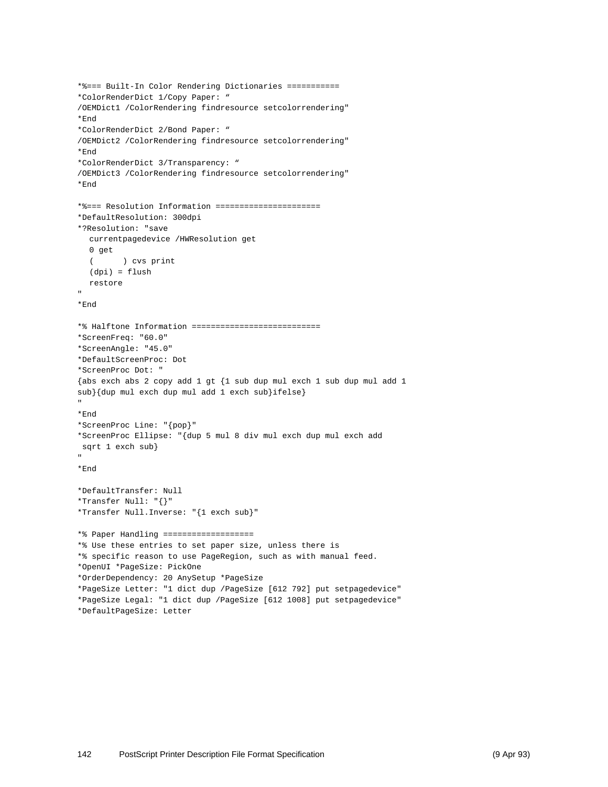```
*%=== Built-In Color Rendering Dictionaries ===========
*ColorRenderDict 1/Copy Paper: "
/OEMDict1 /ColorRendering findresource setcolorrendering"
*End
*ColorRenderDict 2/Bond Paper: "
/OEMDict2 /ColorRendering findresource setcolorrendering"
*End
*ColorRenderDict 3/Transparency: "
/OEMDict3 /ColorRendering findresource setcolorrendering"
*End
*%=== Resolution Information ======================
*DefaultResolution: 300dpi
*?Resolution: "save
  currentpagedevice /HWResolution get
  0 get
  ( ) cvs print
  (dpi) = flush
  restore
"
*End
*% Halftone Information ===========================
*ScreenFreq: "60.0"
*ScreenAngle: "45.0"
*DefaultScreenProc: Dot
*ScreenProc Dot: "
{abs exch abs 2 copy add 1 gt {1 sub dup mul exch 1 sub dup mul add 1
sub}{dup mul exch dup mul add 1 exch sub}ifelse}
"
*End
*ScreenProc Line: "{pop}"
*ScreenProc Ellipse: "{dup 5 mul 8 div mul exch dup mul exch add
 sqrt 1 exch sub}
"
*End
*DefaultTransfer: Null
*Transfer Null: "{}"
*Transfer Null.Inverse: "{1 exch sub}"
*% Paper Handling ===================
*% Use these entries to set paper size, unless there is
*% specific reason to use PageRegion, such as with manual feed.
*OpenUI *PageSize: PickOne
*OrderDependency: 20 AnySetup *PageSize
*PageSize Letter: "1 dict dup /PageSize [612 792] put setpagedevice"
*PageSize Legal: "1 dict dup /PageSize [612 1008] put setpagedevice"
*DefaultPageSize: Letter
```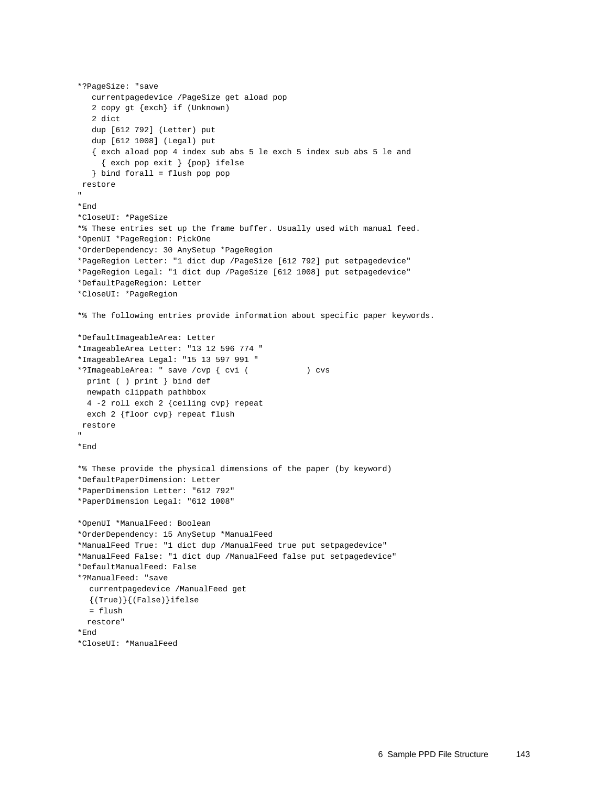```
*?PageSize: "save
    currentpagedevice /PageSize get aload pop
    2 copy gt {exch} if (Unknown)
    2 dict
    dup [612 792] (Letter) put
   dup [612 1008] (Legal) put
    { exch aload pop 4 index sub abs 5 le exch 5 index sub abs 5 le and
      { exch pop exit } {pop} ifelse
    } bind forall = flush pop pop
 restore
"
*End
*CloseUI: *PageSize
*% These entries set up the frame buffer. Usually used with manual feed.
*OpenUI *PageRegion: PickOne
*OrderDependency: 30 AnySetup *PageRegion
*PageRegion Letter: "1 dict dup /PageSize [612 792] put setpagedevice"
*PageRegion Legal: "1 dict dup /PageSize [612 1008] put setpagedevice"
*DefaultPageRegion: Letter
*CloseUI: *PageRegion
*% The following entries provide information about specific paper keywords.
*DefaultImageableArea: Letter
*ImageableArea Letter: "13 12 596 774 "
*ImageableArea Legal: "15 13 597 991 "
*?ImageableArea: " save /cvp { cvi ( ) cvs
  print ( ) print } bind def
  newpath clippath pathbbox
  4 -2 roll exch 2 {ceiling cvp} repeat
  exch 2 {floor cvp} repeat flush
 restore
"
*End
*% These provide the physical dimensions of the paper (by keyword)
*DefaultPaperDimension: Letter
*PaperDimension Letter: "612 792"
*PaperDimension Legal: "612 1008"
*OpenUI *ManualFeed: Boolean
*OrderDependency: 15 AnySetup *ManualFeed
*ManualFeed True: "1 dict dup /ManualFeed true put setpagedevice"
*ManualFeed False: "1 dict dup /ManualFeed false put setpagedevice"
*DefaultManualFeed: False
*?ManualFeed: "save
  currentpagedevice /ManualFeed get
  {(True)}{(False)}ifelse
  = flush
  restore"
*End
*CloseUI: *ManualFeed
```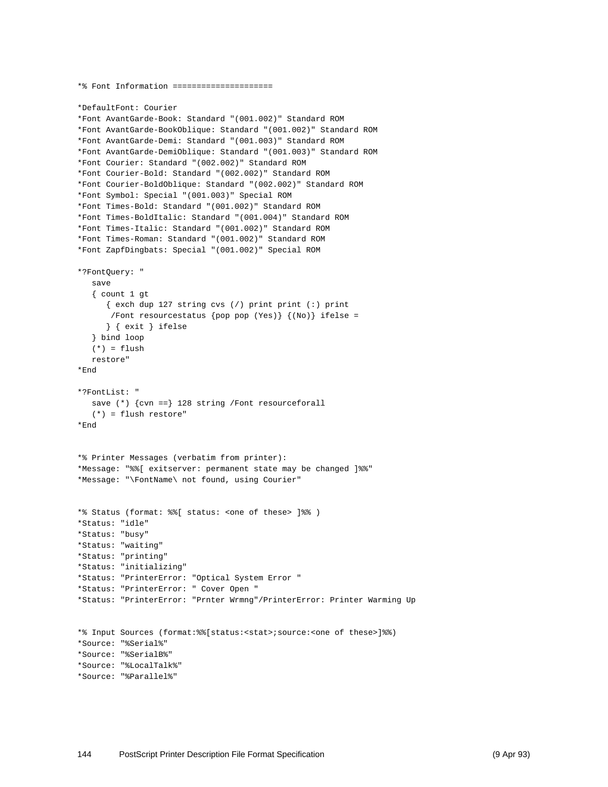```
*% Font Information =====================
*DefaultFont: Courier
*Font AvantGarde-Book: Standard "(001.002)" Standard ROM
*Font AvantGarde-BookOblique: Standard "(001.002)" Standard ROM
*Font AvantGarde-Demi: Standard "(001.003)" Standard ROM
*Font AvantGarde-DemiOblique: Standard "(001.003)" Standard ROM
*Font Courier: Standard "(002.002)" Standard ROM
*Font Courier-Bold: Standard "(002.002)" Standard ROM
*Font Courier-BoldOblique: Standard "(002.002)" Standard ROM
*Font Symbol: Special "(001.003)" Special ROM
*Font Times-Bold: Standard "(001.002)" Standard ROM
*Font Times-BoldItalic: Standard "(001.004)" Standard ROM
*Font Times-Italic: Standard "(001.002)" Standard ROM
*Font Times-Roman: Standard "(001.002)" Standard ROM
*Font ZapfDingbats: Special "(001.002)" Special ROM
*?FontQuery: "
    save
    { count 1 gt
       { exch dup 127 string cvs (/) print print (:) print
       /Font resourcestatus {pop pop (Yes)} {(No)} ifelse =
       } { exit } ifelse
    } bind loop
    (*) = flush
   restore"
*End
*?FontList: "
  save (*) {cvn ==} 128 string /Font resourceforall
    (*) = flush restore"
*End
*% Printer Messages (verbatim from printer):
*Message: "%%[ exitserver: permanent state may be changed ]%%"
*Message: "\FontName\ not found, using Courier"
*% Status (format: %%[ status: <one of these> ]%% )
*Status: "idle"
*Status: "busy"
*Status: "waiting"
*Status: "printing"
*Status: "initializing"
*Status: "PrinterError: "Optical System Error "
*Status: "PrinterError: " Cover Open "
*Status: "PrinterError: "Prnter Wrmng"/PrinterError: Printer Warming Up
*% Input Sources (format:%%[status:<stat>;source:<one of these>]%%)
*Source: "%Serial%"
*Source: "%SerialB%"
*Source: "%LocalTalk%"
*Source: "%Parallel%"
```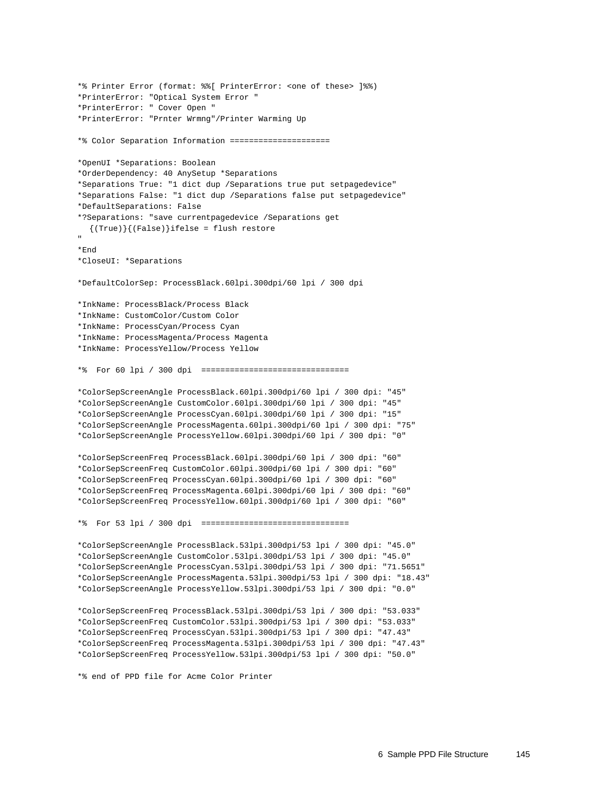```
*% Printer Error (format: %%[ PrinterError: <one of these> ]%%)
*PrinterError: "Optical System Error "
*PrinterError: " Cover Open "
*PrinterError: "Prnter Wrmng"/Printer Warming Up
*% Color Separation Information =====================
*OpenUI *Separations: Boolean
*OrderDependency: 40 AnySetup *Separations
*Separations True: "1 dict dup /Separations true put setpagedevice"
*Separations False: "1 dict dup /Separations false put setpagedevice"
*DefaultSeparations: False
*?Separations: "save currentpagedevice /Separations get
  ({True})}({False})ifelse = flush restore
"
*End
*CloseUI: *Separations
*DefaultColorSep: ProcessBlack.60lpi.300dpi/60 lpi / 300 dpi
*InkName: ProcessBlack/Process Black
*InkName: CustomColor/Custom Color
*InkName: ProcessCyan/Process Cyan
*InkName: ProcessMagenta/Process Magenta
*InkName: ProcessYellow/Process Yellow
*% For 60 lpi / 300 dpi ===============================
*ColorSepScreenAngle ProcessBlack.60lpi.300dpi/60 lpi / 300 dpi: "45"
*ColorSepScreenAngle CustomColor.60lpi.300dpi/60 lpi / 300 dpi: "45"
*ColorSepScreenAngle ProcessCyan.60lpi.300dpi/60 lpi / 300 dpi: "15"
*ColorSepScreenAngle ProcessMagenta.60lpi.300dpi/60 lpi / 300 dpi: "75"
*ColorSepScreenAngle ProcessYellow.60lpi.300dpi/60 lpi / 300 dpi: "0"
*ColorSepScreenFreq ProcessBlack.60lpi.300dpi/60 lpi / 300 dpi: "60"
*ColorSepScreenFreq CustomColor.60lpi.300dpi/60 lpi / 300 dpi: "60"
*ColorSepScreenFreq ProcessCyan.60lpi.300dpi/60 lpi / 300 dpi: "60"
*ColorSepScreenFreq ProcessMagenta.60lpi.300dpi/60 lpi / 300 dpi: "60"
*ColorSepScreenFreq ProcessYellow.60lpi.300dpi/60 lpi / 300 dpi: "60"
*% For 53 lpi / 300 dpi ===============================
*ColorSepScreenAngle ProcessBlack.53lpi.300dpi/53 lpi / 300 dpi: "45.0"
*ColorSepScreenAngle CustomColor.53lpi.300dpi/53 lpi / 300 dpi: "45.0"
*ColorSepScreenAngle ProcessCyan.53lpi.300dpi/53 lpi / 300 dpi: "71.5651"
*ColorSepScreenAngle ProcessMagenta.53lpi.300dpi/53 lpi / 300 dpi: "18.43"
*ColorSepScreenAngle ProcessYellow.53lpi.300dpi/53 lpi / 300 dpi: "0.0"
*ColorSepScreenFreq ProcessBlack.53lpi.300dpi/53 lpi / 300 dpi: "53.033"
*ColorSepScreenFreq CustomColor.53lpi.300dpi/53 lpi / 300 dpi: "53.033"
*ColorSepScreenFreq ProcessCyan.53lpi.300dpi/53 lpi / 300 dpi: "47.43"
*ColorSepScreenFreq ProcessMagenta.53lpi.300dpi/53 lpi / 300 dpi: "47.43"
*ColorSepScreenFreq ProcessYellow.53lpi.300dpi/53 lpi / 300 dpi: "50.0"
*% end of PPD file for Acme Color Printer
```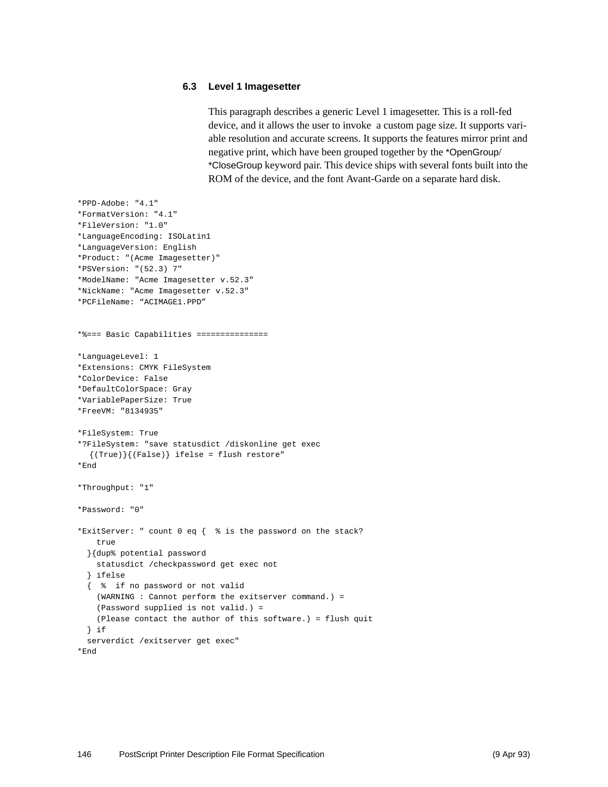#### **6.3 Level 1 Imagesetter**

This paragraph describes a generic Level 1 imagesetter. This is a roll-fed device, and it allows the user to invoke a custom page size. It supports variable resolution and accurate screens. It supports the features mirror print and negative print, which have been grouped together by the \*OpenGroup/ \*CloseGroup keyword pair. This device ships with several fonts built into the ROM of the device, and the font Avant-Garde on a separate hard disk.

```
*PPD-Adobe: "4.1"
*FormatVersion: "4.1"
*FileVersion: "1.0"
*LanguageEncoding: ISOLatin1
*LanguageVersion: English
*Product: "(Acme Imagesetter)"
*PSVersion: "(52.3) 7"
*ModelName: "Acme Imagesetter v.52.3"
*NickName: "Acme Imagesetter v.52.3"
*PCFileName: "ACIMAGE1.PPD"
*%=== Basic Capabilities ===============
*LanguageLevel: 1
*Extensions: CMYK FileSystem
*ColorDevice: False
*DefaultColorSpace: Gray
*VariablePaperSize: True
*FreeVM: "8134935"
*FileSystem: True
*?FileSystem: "save statusdict /diskonline get exec
  ({\text{True}}){({\text{False}})} ifelse = flush restore"
*End
*Throughput: "1"
*Password: "0"
*ExitServer: " count 0 eq { % is the password on the stack?
    true
  }{dup% potential password
    statusdict /checkpassword get exec not
   } ifelse
   { % if no password or not valid
     (WARNING : Cannot perform the exitserver command.) =
     (Password supplied is not valid.) =
     (Please contact the author of this software.) = flush quit
   } if
  serverdict /exitserver get exec"
*End
```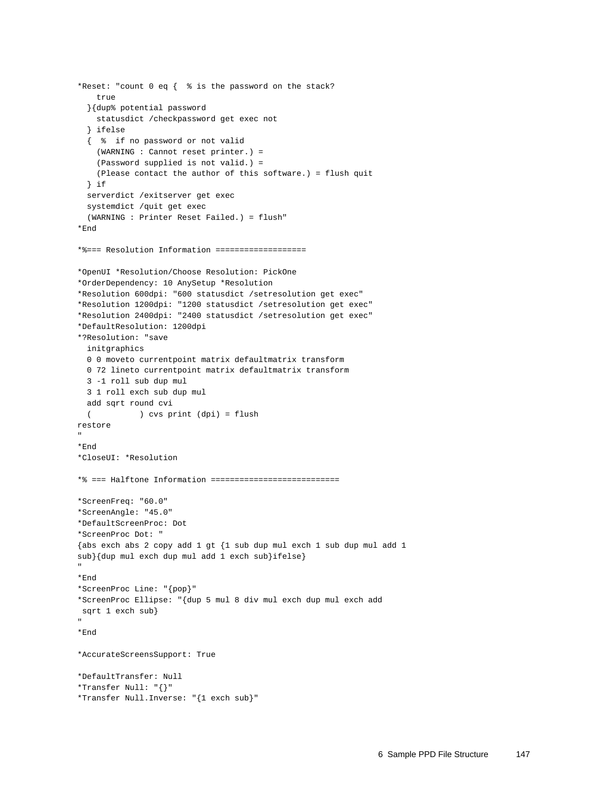```
*Reset: "count 0 eq { % is the password on the stack?
    true
  }{dup% potential password
    statusdict /checkpassword get exec not
   } ifelse
   { % if no password or not valid
     (WARNING : Cannot reset printer.) =
    (Password supplied is not valid.) =
    (Please contact the author of this software.) = flush quit
   } if
  serverdict /exitserver get exec
  systemdict /quit get exec
  (WARNING : Printer Reset Failed.) = flush"
*End
*%=== Resolution Information ===================
*OpenUI *Resolution/Choose Resolution: PickOne
*OrderDependency: 10 AnySetup *Resolution
*Resolution 600dpi: "600 statusdict /setresolution get exec"
*Resolution 1200dpi: "1200 statusdict /setresolution get exec"
*Resolution 2400dpi: "2400 statusdict /setresolution get exec"
*DefaultResolution: 1200dpi
*?Resolution: "save
  initgraphics
  0 0 moveto currentpoint matrix defaultmatrix transform
  0 72 lineto currentpoint matrix defaultmatrix transform
  3 -1 roll sub dup mul
  3 1 roll exch sub dup mul
  add sqrt round cvi
  ( ) cvs print (dpi) = flush
restore
"
*End
*CloseUI: *Resolution
*% === Halftone Information ===========================
*ScreenFreq: "60.0"
*ScreenAngle: "45.0"
*DefaultScreenProc: Dot
*ScreenProc Dot: "
{abs exch abs 2 copy add 1 gt {1 sub dup mul exch 1 sub dup mul add 1
sub}{dup mul exch dup mul add 1 exch sub}ifelse}
"
*End
*ScreenProc Line: "{pop}"
*ScreenProc Ellipse: "{dup 5 mul 8 div mul exch dup mul exch add
 sqrt 1 exch sub}
"
*End
*AccurateScreensSupport: True
*DefaultTransfer: Null
*Transfer Null: "{}"
*Transfer Null.Inverse: "{1 exch sub}"
```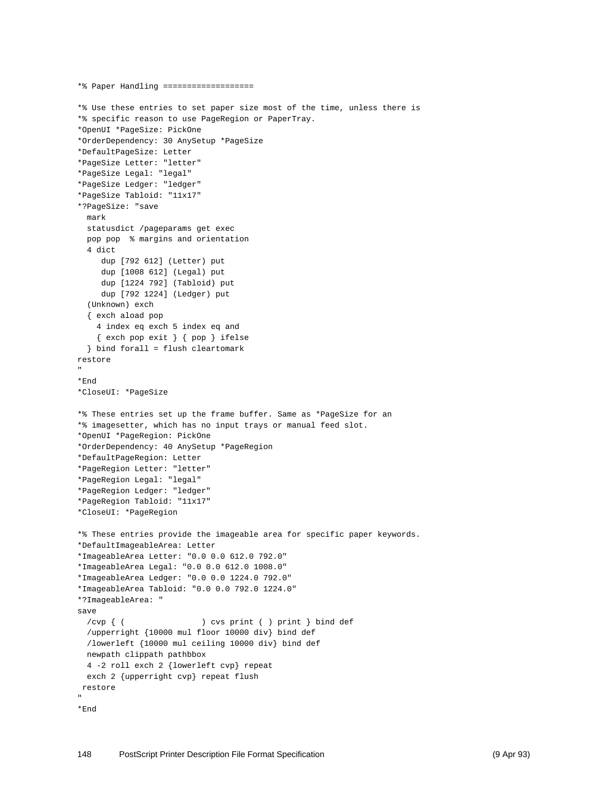```
*% Paper Handling ===================
*% Use these entries to set paper size most of the time, unless there is
*% specific reason to use PageRegion or PaperTray.
*OpenUI *PageSize: PickOne
*OrderDependency: 30 AnySetup *PageSize
*DefaultPageSize: Letter
*PageSize Letter: "letter"
*PageSize Legal: "legal"
*PageSize Ledger: "ledger"
*PageSize Tabloid: "11x17"
*?PageSize: "save
  mark
   statusdict /pageparams get exec
  pop pop % margins and orientation
   4 dict
      dup [792 612] (Letter) put
      dup [1008 612] (Legal) put
      dup [1224 792] (Tabloid) put
      dup [792 1224] (Ledger) put
   (Unknown) exch
   { exch aload pop
     4 index eq exch 5 index eq and
     { exch pop exit } { pop } ifelse
   } bind forall = flush cleartomark
restore
"
*End
*CloseUI: *PageSize
*% These entries set up the frame buffer. Same as *PageSize for an
*% imagesetter, which has no input trays or manual feed slot.
*OpenUI *PageRegion: PickOne
*OrderDependency: 40 AnySetup *PageRegion
*DefaultPageRegion: Letter
*PageRegion Letter: "letter"
*PageRegion Legal: "legal"
*PageRegion Ledger: "ledger"
*PageRegion Tabloid: "11x17"
*CloseUI: *PageRegion
*% These entries provide the imageable area for specific paper keywords.
*DefaultImageableArea: Letter
*ImageableArea Letter: "0.0 0.0 612.0 792.0"
*ImageableArea Legal: "0.0 0.0 612.0 1008.0"
*ImageableArea Ledger: "0.0 0.0 1224.0 792.0"
*ImageableArea Tabloid: "0.0 0.0 792.0 1224.0"
*?ImageableArea: "
save
   /cvp { ( ) cvs print ( ) print } bind def
   /upperright {10000 mul floor 10000 div} bind def
   /lowerleft {10000 mul ceiling 10000 div} bind def
  newpath clippath pathbbox
   4 -2 roll exch 2 {lowerleft cvp} repeat
   exch 2 {upperright cvp} repeat flush
 restore
"
*End
```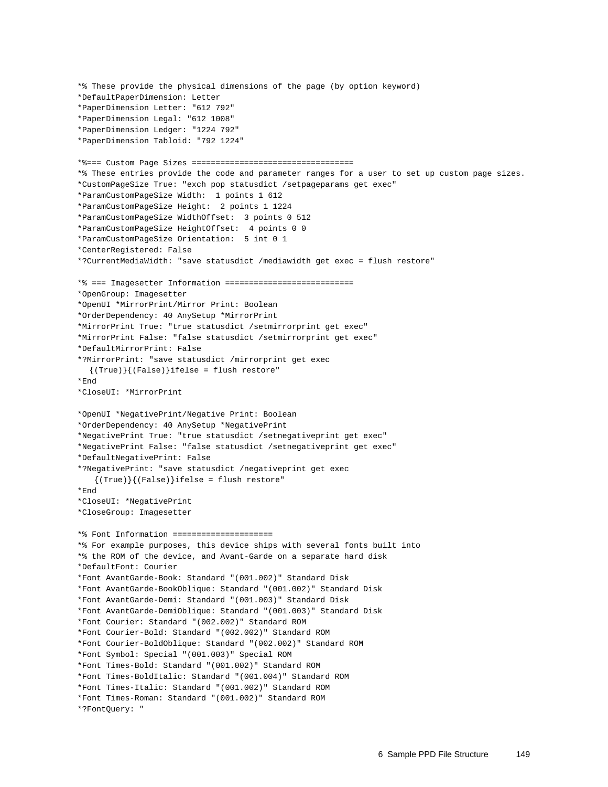```
*% These provide the physical dimensions of the page (by option keyword)
*DefaultPaperDimension: Letter
*PaperDimension Letter: "612 792"
*PaperDimension Legal: "612 1008"
*PaperDimension Ledger: "1224 792"
*PaperDimension Tabloid: "792 1224"
*%=== Custom Page Sizes ==================================
*% These entries provide the code and parameter ranges for a user to set up custom page sizes.
*CustomPageSize True: "exch pop statusdict /setpageparams get exec"
*ParamCustomPageSize Width: 1 points 1 612
*ParamCustomPageSize Height: 2 points 1 1224
*ParamCustomPageSize WidthOffset: 3 points 0 512
*ParamCustomPageSize HeightOffset: 4 points 0 0
*ParamCustomPageSize Orientation: 5 int 0 1
*CenterRegistered: False
*?CurrentMediaWidth: "save statusdict /mediawidth get exec = flush restore"
*% === Imagesetter Information ===========================
*OpenGroup: Imagesetter
*OpenUI *MirrorPrint/Mirror Print: Boolean
*OrderDependency: 40 AnySetup *MirrorPrint
*MirrorPrint True: "true statusdict /setmirrorprint get exec"
*MirrorPrint False: "false statusdict /setmirrorprint get exec"
*DefaultMirrorPrint: False
*?MirrorPrint: "save statusdict /mirrorprint get exec
  ({True})}(False)}ifelse = flush restore"
*End
*CloseUI: *MirrorPrint
*OpenUI *NegativePrint/Negative Print: Boolean
*OrderDependency: 40 AnySetup *NegativePrint
*NegativePrint True: "true statusdict /setnegativeprint get exec"
*NegativePrint False: "false statusdict /setnegativeprint get exec"
*DefaultNegativePrint: False
*?NegativePrint: "save statusdict /negativeprint get exec
   ({True})}({False})ifelse = flush restore"
*End
*CloseUI: *NegativePrint
*CloseGroup: Imagesetter
*% Font Information =====================
*% For example purposes, this device ships with several fonts built into
*% the ROM of the device, and Avant-Garde on a separate hard disk
*DefaultFont: Courier
*Font AvantGarde-Book: Standard "(001.002)" Standard Disk
*Font AvantGarde-BookOblique: Standard "(001.002)" Standard Disk
*Font AvantGarde-Demi: Standard "(001.003)" Standard Disk
*Font AvantGarde-DemiOblique: Standard "(001.003)" Standard Disk
*Font Courier: Standard "(002.002)" Standard ROM
*Font Courier-Bold: Standard "(002.002)" Standard ROM
*Font Courier-BoldOblique: Standard "(002.002)" Standard ROM
*Font Symbol: Special "(001.003)" Special ROM
*Font Times-Bold: Standard "(001.002)" Standard ROM
*Font Times-BoldItalic: Standard "(001.004)" Standard ROM
*Font Times-Italic: Standard "(001.002)" Standard ROM
*Font Times-Roman: Standard "(001.002)" Standard ROM
*?FontQuery: "
```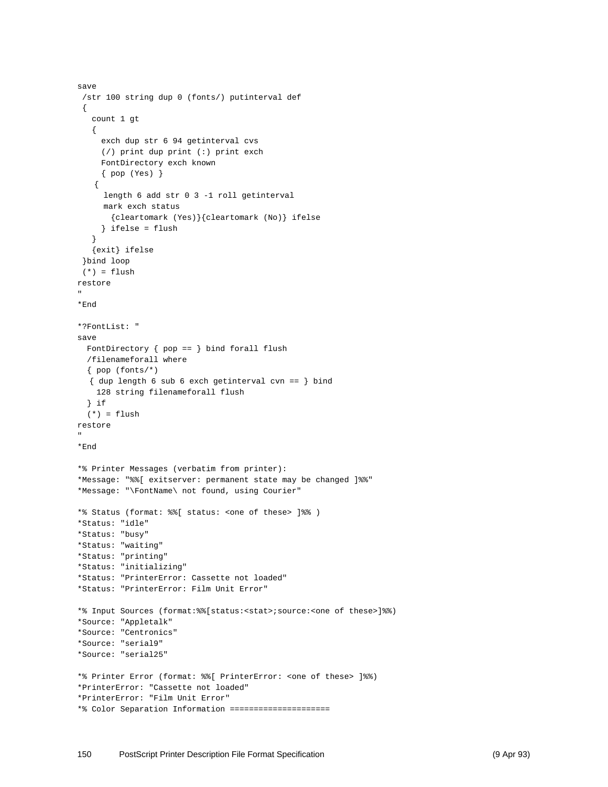```
save
 /str 100 string dup 0 (fonts/) putinterval def
 {
   count 1 gt
    {
     exch dup str 6 94 getinterval cvs
      (/) print dup print (:) print exch
     FontDirectory exch known
      { pop (Yes) }
    {
      length 6 add str 0 3 -1 roll getinterval
      mark exch status
       {cleartomark (Yes)}{cleartomark (No)} ifelse
      } ifelse = flush
    }
    {exit} ifelse
 }bind loop
 (*) = flush
restore
"
*End
*?FontList: "
save
  FontDirectory { pop == } bind forall flush
  /filenameforall where
  \{ pop (fonts/*){ dup length 6 sub 6 exch getinterval cvn == } bind
    128 string filenameforall flush
   } if
 (*) = flush
restore
"
*End
*% Printer Messages (verbatim from printer):
*Message: "%%[ exitserver: permanent state may be changed ]%%"
*Message: "\FontName\ not found, using Courier"
*% Status (format: %%[ status: <one of these> ]%% )
*Status: "idle"
*Status: "busy"
*Status: "waiting"
*Status: "printing"
*Status: "initializing"
*Status: "PrinterError: Cassette not loaded"
*Status: "PrinterError: Film Unit Error"
*% Input Sources (format:%%[status:<stat>;source:<one of these>]%%)
*Source: "Appletalk"
*Source: "Centronics"
*Source: "serial9"
*Source: "serial25"
*% Printer Error (format: %%[ PrinterError: <one of these> ]%%)
*PrinterError: "Cassette not loaded"
*PrinterError: "Film Unit Error"
*% Color Separation Information =====================
```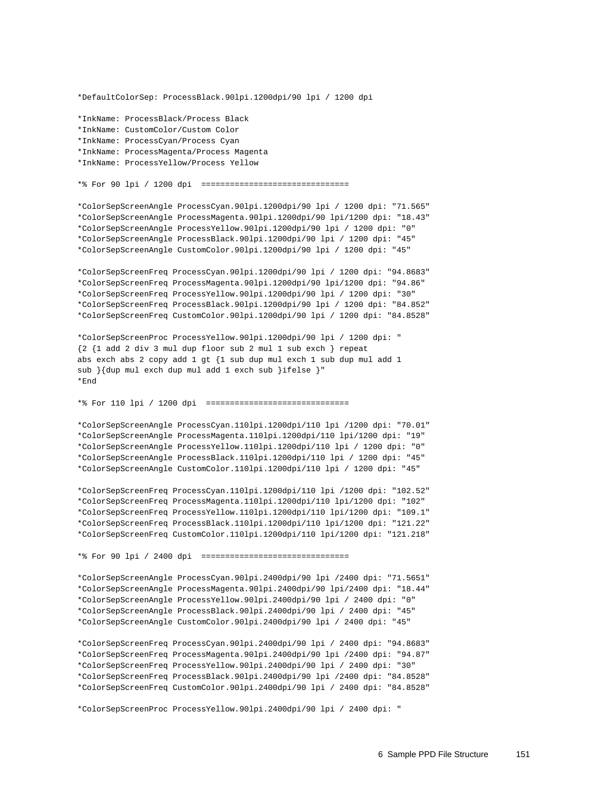```
*DefaultColorSep: ProcessBlack.90lpi.1200dpi/90 lpi / 1200 dpi
*InkName: ProcessBlack/Process Black
*InkName: CustomColor/Custom Color
*InkName: ProcessCyan/Process Cyan
*InkName: ProcessMagenta/Process Magenta
*InkName: ProcessYellow/Process Yellow
*% For 90 lpi / 1200 dpi ===============================
*ColorSepScreenAngle ProcessCyan.90lpi.1200dpi/90 lpi / 1200 dpi: "71.565"
*ColorSepScreenAngle ProcessMagenta.90lpi.1200dpi/90 lpi/1200 dpi: "18.43"
*ColorSepScreenAngle ProcessYellow.90lpi.1200dpi/90 lpi / 1200 dpi: "0"
*ColorSepScreenAngle ProcessBlack.90lpi.1200dpi/90 lpi / 1200 dpi: "45"
*ColorSepScreenAngle CustomColor.90lpi.1200dpi/90 lpi / 1200 dpi: "45"
*ColorSepScreenFreq ProcessCyan.90lpi.1200dpi/90 lpi / 1200 dpi: "94.8683"
*ColorSepScreenFreq ProcessMagenta.90lpi.1200dpi/90 lpi/1200 dpi: "94.86"
*ColorSepScreenFreq ProcessYellow.90lpi.1200dpi/90 lpi / 1200 dpi: "30"
*ColorSepScreenFreq ProcessBlack.90lpi.1200dpi/90 lpi / 1200 dpi: "84.852"
*ColorSepScreenFreq CustomColor.90lpi.1200dpi/90 lpi / 1200 dpi: "84.8528"
*ColorSepScreenProc ProcessYellow.90lpi.1200dpi/90 lpi / 1200 dpi: "
{2 {1 add 2 div 3 mul dup floor sub 2 mul 1 sub exch } repeat
abs exch abs 2 copy add 1 gt \{1 \text{ sub dup mul exch 1 sub dup mul add 1}\}sub }{dup mul exch dup mul add 1 exch sub }ifelse }"
*End
*% For 110 lpi / 1200 dpi ==============================
*ColorSepScreenAngle ProcessCyan.110lpi.1200dpi/110 lpi /1200 dpi: "70.01"
*ColorSepScreenAngle ProcessMagenta.110lpi.1200dpi/110 lpi/1200 dpi: "19"
*ColorSepScreenAngle ProcessYellow.110lpi.1200dpi/110 lpi / 1200 dpi: "0"
*ColorSepScreenAngle ProcessBlack.110lpi.1200dpi/110 lpi / 1200 dpi: "45"
*ColorSepScreenAngle CustomColor.110lpi.1200dpi/110 lpi / 1200 dpi: "45"
*ColorSepScreenFreq ProcessCyan.110lpi.1200dpi/110 lpi /1200 dpi: "102.52"
*ColorSepScreenFreq ProcessMagenta.110lpi.1200dpi/110 lpi/1200 dpi: "102"
*ColorSepScreenFreq ProcessYellow.110lpi.1200dpi/110 lpi/1200 dpi: "109.1"
*ColorSepScreenFreq ProcessBlack.110lpi.1200dpi/110 lpi/1200 dpi: "121.22"
*ColorSepScreenFreq CustomColor.110lpi.1200dpi/110 lpi/1200 dpi: "121.218"
*% For 90 lpi / 2400 dpi ===============================
*ColorSepScreenAngle ProcessCyan.90lpi.2400dpi/90 lpi /2400 dpi: "71.5651"
*ColorSepScreenAngle ProcessMagenta.90lpi.2400dpi/90 lpi/2400 dpi: "18.44"
*ColorSepScreenAngle ProcessYellow.90lpi.2400dpi/90 lpi / 2400 dpi: "0"
*ColorSepScreenAngle ProcessBlack.90lpi.2400dpi/90 lpi / 2400 dpi: "45"
*ColorSepScreenAngle CustomColor.90lpi.2400dpi/90 lpi / 2400 dpi: "45"
*ColorSepScreenFreq ProcessCyan.90lpi.2400dpi/90 lpi / 2400 dpi: "94.8683"
*ColorSepScreenFreq ProcessMagenta.90lpi.2400dpi/90 lpi /2400 dpi: "94.87"
*ColorSepScreenFreq ProcessYellow.90lpi.2400dpi/90 lpi / 2400 dpi: "30"
*ColorSepScreenFreq ProcessBlack.90lpi.2400dpi/90 lpi /2400 dpi: "84.8528"
*ColorSepScreenFreq CustomColor.90lpi.2400dpi/90 lpi / 2400 dpi: "84.8528"
```
\*ColorSepScreenProc ProcessYellow.90lpi.2400dpi/90 lpi / 2400 dpi: "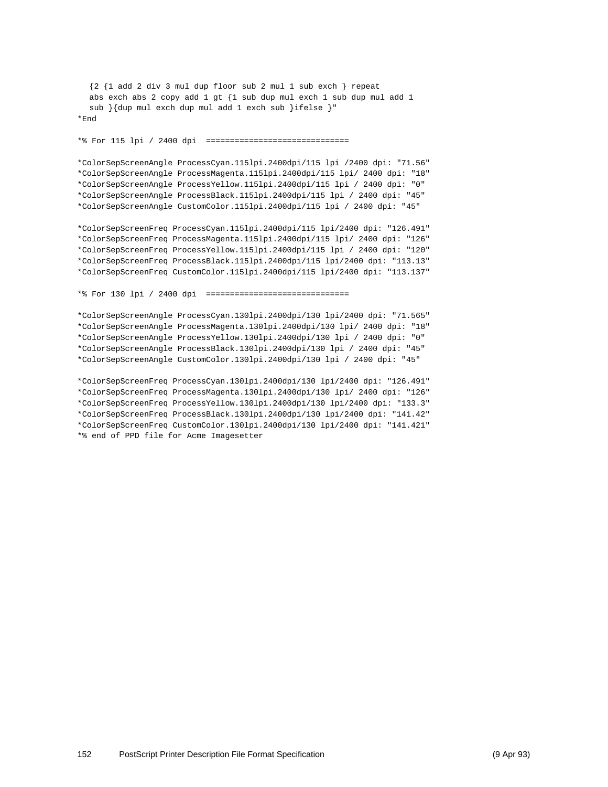```
{2 {1 add 2 div 3 mul dup floor sub 2 mul 1 sub exch } repeat
  abs exch abs 2 copy add 1 gt \{1 \text{ sub dup mul exch 1 sub dup mul add } 1sub }{dup mul exch dup mul add 1 exch sub }ifelse }"
*End
```
\*% For 115 lpi / 2400 dpi ==============================

\*ColorSepScreenAngle ProcessCyan.115lpi.2400dpi/115 lpi /2400 dpi: "71.56" \*ColorSepScreenAngle ProcessMagenta.115lpi.2400dpi/115 lpi/ 2400 dpi: "18" \*ColorSepScreenAngle ProcessYellow.115lpi.2400dpi/115 lpi / 2400 dpi: "0" \*ColorSepScreenAngle ProcessBlack.115lpi.2400dpi/115 lpi / 2400 dpi: "45" \*ColorSepScreenAngle CustomColor.115lpi.2400dpi/115 lpi / 2400 dpi: "45"

\*ColorSepScreenFreq ProcessCyan.115lpi.2400dpi/115 lpi/2400 dpi: "126.491" \*ColorSepScreenFreq ProcessMagenta.115lpi.2400dpi/115 lpi/ 2400 dpi: "126" \*ColorSepScreenFreq ProcessYellow.115lpi.2400dpi/115 lpi / 2400 dpi: "120" \*ColorSepScreenFreq ProcessBlack.115lpi.2400dpi/115 lpi/2400 dpi: "113.13" \*ColorSepScreenFreq CustomColor.115lpi.2400dpi/115 lpi/2400 dpi: "113.137"

\*% For 130 lpi / 2400 dpi ==============================

\*ColorSepScreenAngle ProcessCyan.130lpi.2400dpi/130 lpi/2400 dpi: "71.565" \*ColorSepScreenAngle ProcessMagenta.130lpi.2400dpi/130 lpi/ 2400 dpi: "18" \*ColorSepScreenAngle ProcessYellow.130lpi.2400dpi/130 lpi / 2400 dpi: "0" \*ColorSepScreenAngle ProcessBlack.130lpi.2400dpi/130 lpi / 2400 dpi: "45" \*ColorSepScreenAngle CustomColor.130lpi.2400dpi/130 lpi / 2400 dpi: "45"

\*ColorSepScreenFreq ProcessCyan.130lpi.2400dpi/130 lpi/2400 dpi: "126.491" \*ColorSepScreenFreq ProcessMagenta.130lpi.2400dpi/130 lpi/ 2400 dpi: "126" \*ColorSepScreenFreq ProcessYellow.130lpi.2400dpi/130 lpi/2400 dpi: "133.3" \*ColorSepScreenFreq ProcessBlack.130lpi.2400dpi/130 lpi/2400 dpi: "141.42" \*ColorSepScreenFreq CustomColor.130lpi.2400dpi/130 lpi/2400 dpi: "141.421" \*% end of PPD file for Acme Imagesetter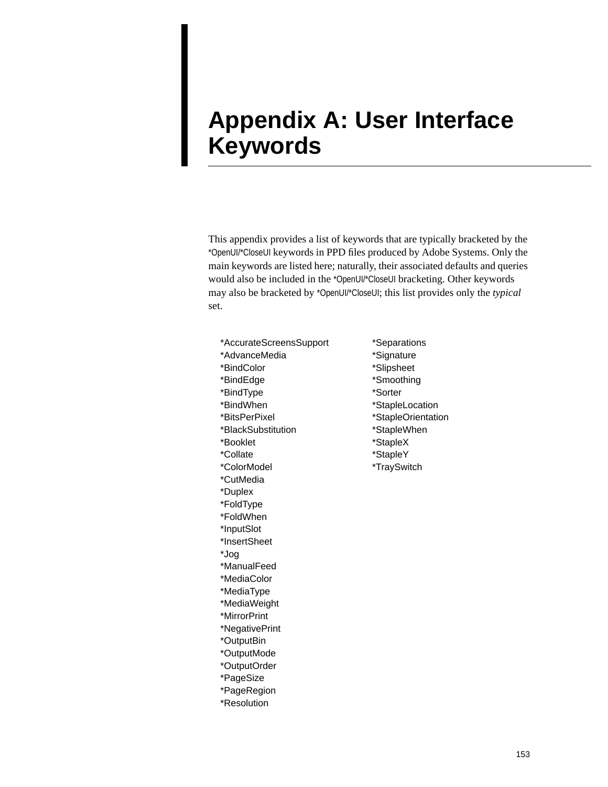# **Appendix A: User Interface Keywords**

This appendix provides a list of keywords that are typically bracketed by the \*OpenUI/\*CloseUI keywords in PPD files produced by Adobe Systems. Only the main keywords are listed here; naturally, their associated defaults and queries would also be included in the \*OpenUI/\*CloseUI bracketing. Other keywords may also be bracketed by \*OpenUI/\*CloseUI; this list provides only the *typical* set.

- \*AccurateScreensSupport \*AdvanceMedia \*BindColor \*BindEdge \*BindType \*BindWhen \*BitsPerPixel \*BlackSubstitution \*Booklet \*Collate \*ColorModel \*CutMedia \*Duplex \*FoldType \*FoldWhen \*InputSlot \*InsertSheet \*Jog \*ManualFeed \*MediaColor \*MediaType \*MediaWeight \*MirrorPrint \*NegativePrint \*OutputBin \*OutputMode \*OutputOrder \*PageSize \*PageRegion \*Resolution
- \*Separations \*Signature \*Slipsheet \*Smoothing \*Sorter \*StapleLocation \*StapleOrientation \*StapleWhen \*StapleX \*StapleY \*TraySwitch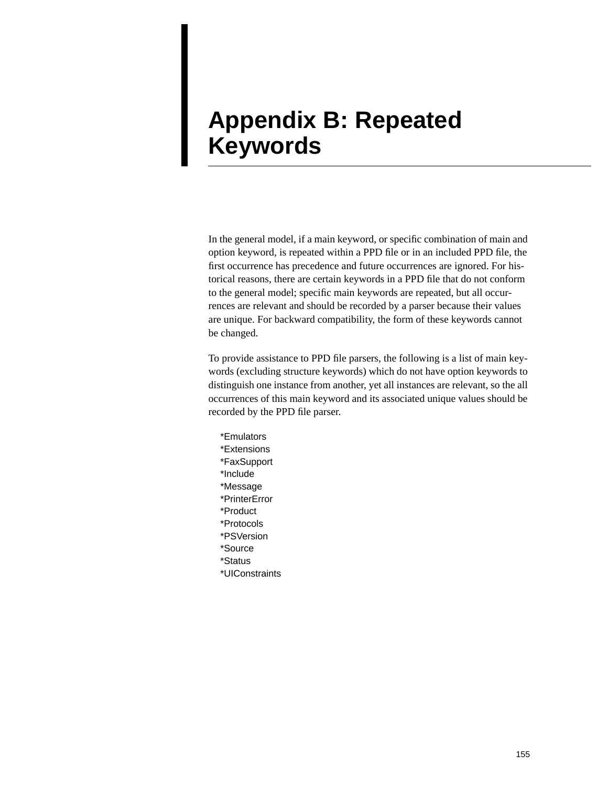# **Appendix B: Repeated Keywords**

In the general model, if a main keyword, or specific combination of main and option keyword, is repeated within a PPD file or in an included PPD file, the first occurrence has precedence and future occurrences are ignored. For historical reasons, there are certain keywords in a PPD file that do not conform to the general model; specific main keywords are repeated, but all occurrences are relevant and should be recorded by a parser because their values are unique. For backward compatibility, the form of these keywords cannot be changed.

To provide assistance to PPD file parsers, the following is a list of main keywords (excluding structure keywords) which do not have option keywords to distinguish one instance from another, yet all instances are relevant, so the all occurrences of this main keyword and its associated unique values should be recorded by the PPD file parser.

\*Emulators \*Extensions \*FaxSupport \*Include \*Message \*PrinterError \*Product \*Protocols \*PSVersion \*Source \*Status \*UIConstraints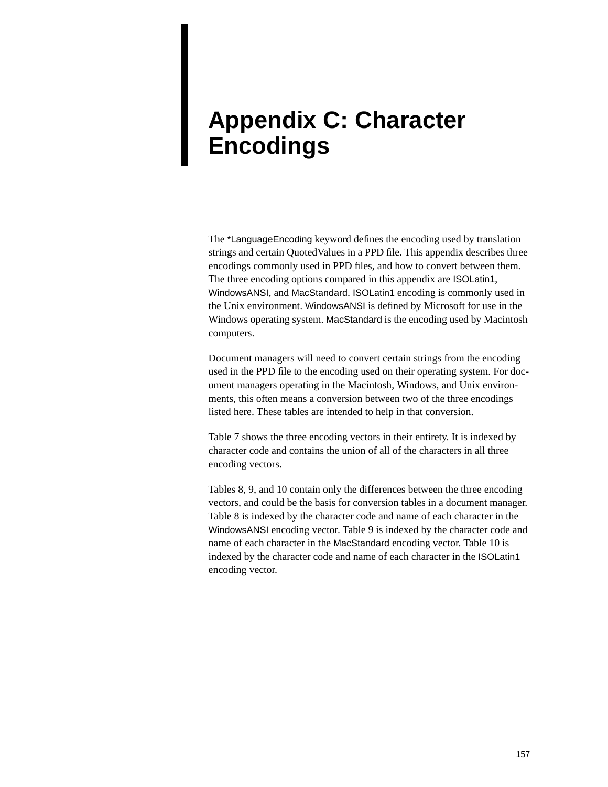# **Appendix C: Character Encodings**

The \*LanguageEncoding keyword defines the encoding used by translation strings and certain QuotedValues in a PPD file. This appendix describes three encodings commonly used in PPD files, and how to convert between them. The three encoding options compared in this appendix are ISOLatin1, WindowsANSI, and MacStandard. ISOLatin1 encoding is commonly used in the Unix environment. WindowsANSI is defined by Microsoft for use in the Windows operating system. MacStandard is the encoding used by Macintosh computers.

Document managers will need to convert certain strings from the encoding used in the PPD file to the encoding used on their operating system. For document managers operating in the Macintosh, Windows, and Unix environments, this often means a conversion between two of the three encodings listed here. These tables are intended to help in that conversion.

Table 7 shows the three encoding vectors in their entirety. It is indexed by character code and contains the union of all of the characters in all three encoding vectors.

Tables 8, 9, and 10 contain only the differences between the three encoding vectors, and could be the basis for conversion tables in a document manager. Table 8 is indexed by the character code and name of each character in the WindowsANSI encoding vector. Table 9 is indexed by the character code and name of each character in the MacStandard encoding vector. Table 10 is indexed by the character code and name of each character in the ISOLatin1 encoding vector.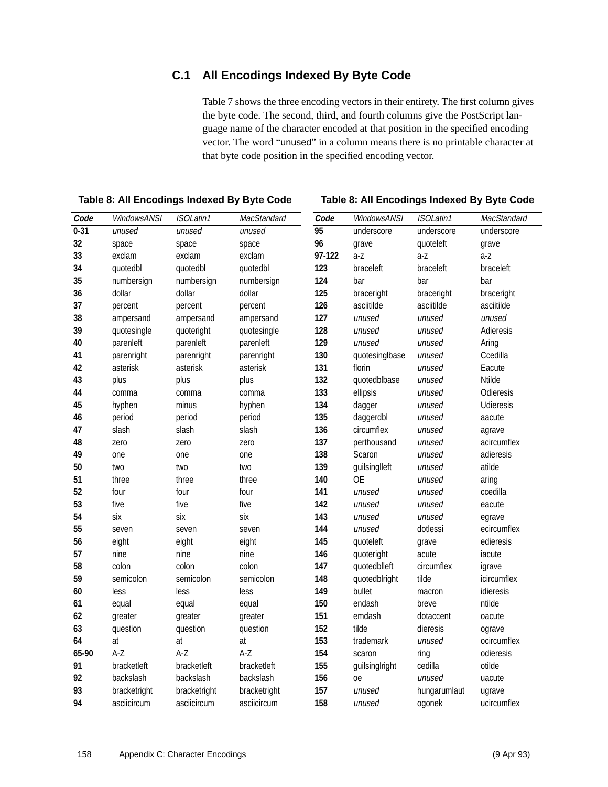## **C.1 All Encodings Indexed By Byte Code**

Table 7 shows the three encoding vectors in their entirety. The first column gives the byte code. The second, third, and fourth columns give the PostScript language name of the character encoded at that position in the specified encoding vector. The word "unused" in a column means there is no printable character at that byte code position in the specified encoding vector.

| Code     | WindowsANSI  | ISOLatin1    | MacStandard  | Code   | WindowsANSI    | ISOLatin1    | MacStandard |
|----------|--------------|--------------|--------------|--------|----------------|--------------|-------------|
| $0 - 31$ | unused       | unused       | unused       | 95     | underscore     | underscore   | underscore  |
| 32       | space        | space        | space        | 96     | grave          | quoteleft    | grave       |
| 33       | exclam       | exclam       | exclam       | 97-122 | $a-z$          | $a-z$        | $a-z$       |
| 34       | quotedbl     | quotedbl     | quotedbl     | 123    | braceleft      | braceleft    | braceleft   |
| 35       | numbersign   | numbersign   | numbersign   | 124    | bar            | bar          | bar         |
| 36       | dollar       | dollar       | dollar       | 125    | braceright     | braceright   | braceright  |
| 37       | percent      | percent      | percent      | 126    | asciitilde     | asciitilde   | asciitilde  |
| 38       | ampersand    | ampersand    | ampersand    | 127    | unused         | unused       | unused      |
| 39       | quotesingle  | quoteright   | quotesingle  | 128    | unused         | unused       | Adieresis   |
| 40       | parenleft    | parenleft    | parenleft    | 129    | unused         | unused       | Aring       |
| 41       | parenright   | parenright   | parenright   | 130    | quotesinglbase | unused       | Ccedilla    |
| 42       | asterisk     | asterisk     | asterisk     | 131    | florin         | unused       | Eacute      |
| 43       | plus         | plus         | plus         | 132    | quotedblbase   | unused       | Ntilde      |
| 44       | comma        | comma        | comma        | 133    | ellipsis       | unused       | Odieresis   |
| 45       | hyphen       | minus        | hyphen       | 134    | dagger         | unused       | Udieresis   |
| 46       | period       | period       | period       | 135    | daggerdbl      | unused       | aacute      |
| 47       | slash        | slash        | slash        | 136    | circumflex     | unused       | agrave      |
| 48       | zero         | zero         | zero         | 137    | perthousand    | unused       | acircumflex |
| 49       | one          | one          | one          | 138    | Scaron         | unused       | adieresis   |
| 50       | two          | two          | two          | 139    | guilsinglleft  | unused       | atilde      |
| 51       | three        | three        | three        | 140    | <b>OE</b>      | unused       | aring       |
| 52       | four         | four         | four         | 141    | unused         | unused       | ccedilla    |
| 53       | five         | five         | five         | 142    | unused         | unused       | eacute      |
| 54       | six          | six          | six          | 143    | unused         | unused       | egrave      |
| 55       | seven        | seven        | seven        | 144    | unused         | dotlessi     | ecircumflex |
| 56       | eight        | eight        | eight        | 145    | quoteleft      | grave        | edieresis   |
| 57       | nine         | nine         | nine         | 146    | quoteright     | acute        | iacute      |
| 58       | colon        | colon        | colon        | 147    | quotedblleft   | circumflex   | igrave      |
| 59       | semicolon    | semicolon    | semicolon    | 148    | quotedblright  | tilde        | icircumflex |
| 60       | less         | less         | less         | 149    | bullet         | macron       | idieresis   |
| 61       | equal        | equal        | equal        | 150    | endash         | breve        | ntilde      |
| 62       | greater      | greater      | greater      | 151    | emdash         | dotaccent    | oacute      |
| 63       | question     | question     | question     | 152    | tilde          | dieresis     | ograve      |
| 64       | at           | at           | at           | 153    | trademark      | unused       | ocircumflex |
| 65-90    | $A-Z$        | $A-Z$        | A-Z          | 154    | scaron         | ring         | odieresis   |
| 91       | bracketleft  | bracketleft  | bracketleft  | 155    | guilsinglright | cedilla      | otilde      |
| 92       | backslash    | backslash    | backslash    | 156    | <b>oe</b>      | unused       | uacute      |
| 93       | bracketright | bracketright | bracketright | 157    | unused         | hungarumlaut | ugrave      |
| 94       | asciicircum  | asciicircum  | asciicircum  | 158    | unused         | ogonek       | ucircumflex |

#### **Table 8: All Encodings Indexed By Byte Code**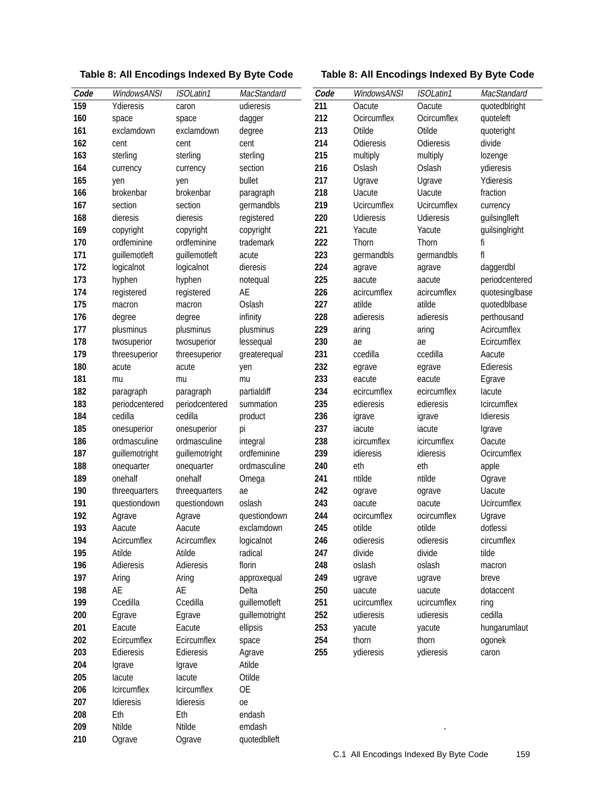## **Table 8: All Encodings Indexed By Byte Code**

## **Table 8: All Encodings Indexed By Byte Code**

| Code       | WindowsANSI                  | ISOLatin1             | MacStandard      | Code       | WindowsANSI   | ISOLatin1     | MacStandard        |
|------------|------------------------------|-----------------------|------------------|------------|---------------|---------------|--------------------|
| 159        | Ydieresis                    | caron                 | udieresis        | 211        | Oacute        | Oacute        | quotedblright      |
| 160        | space                        | space                 | dagger           | 212        | Ocircumflex   | Ocircumflex   | quoteleft          |
| 161        | exclamdown                   | exclamdown            | degree           | 213        | Otilde        | Otilde        | quoteright         |
| 162        | cent                         | cent                  | cent             | 214        | Odieresis     | Odieresis     | divide             |
| 163        | sterling                     | sterling              | sterling         | 215        | multiply      | multiply      | lozenge            |
| 164        | currency                     | currency              | section          | 216        | Oslash        | Oslash        | ydieresis          |
| 165        | yen                          | yen                   | bullet           | 217        | Ugrave        | Ugrave        | Ydieresis          |
| 166        | brokenbar                    | brokenbar             | paragraph        | 218        | <b>Uacute</b> | <b>Uacute</b> | fraction           |
| 167        | section                      | section               | germandbls       | 219        | Ucircumflex   | Ucircumflex   | currency           |
| 168        | dieresis                     | dieresis              | registered       | 220        | Udieresis     | Udieresis     | guilsinglleft      |
| 169        | copyright                    | copyright             | copyright        | 221        | Yacute        | Yacute        | guilsinglright     |
| 170        | ordfeminine                  | ordfeminine           | trademark        | 222        | Thorn         | Thorn         | fi                 |
| 171        | guillemotleft                | guillemotleft         | acute            | 223        | germandbls    | germandbls    | fl                 |
| 172        | logicalnot                   | logicalnot            | dieresis         | 224        | agrave        | agrave        | daggerdbl          |
| 173        | hyphen                       | hyphen                | notequal         | 225        | aacute        | aacute        | periodcentered     |
| 174        | registered                   | registered            | AE               | 226        | acircumflex   | acircumflex   | quotesinglbase     |
| 175        | macron                       | macron                | Oslash           | 227        | atilde        | atilde        | quotedblbase       |
| 176        | degree                       | degree                | infinity         | 228        | adieresis     | adieresis     | perthousand        |
| 177        | plusminus                    | plusminus             | plusminus        | 229        | aring         | aring         | Acircumflex        |
| 178        | twosuperior                  | twosuperior           | lessequal        | 230        | ae            | ae            | Ecircumflex        |
| 179        | threesuperior                | threesuperior         | greaterequal     | 231        | ccedilla      | ccedilla      | Aacute             |
| 180        | acute                        | acute                 | yen              | 232        | egrave        | egrave        | Edieresis          |
| 181        | mu                           | mu                    | mu               | 233        | eacute        | eacute        | Egrave             |
| 182        | paragraph                    | paragraph             | partialdiff      | 234        | ecircumflex   | ecircumflex   | lacute             |
| 183        | periodcentered               | periodcentered        | summation        | 235        | edieresis     | edieresis     | <b>Icircumflex</b> |
| 184        | cedilla                      | cedilla               | product          | 236        | igrave        | igrave        | Idieresis          |
| 185        | onesuperior                  | onesuperior           | pi               | 237        | iacute        | iacute        | Igrave             |
| 186        | ordmasculine                 | ordmasculine          | integral         | 238        | icircumflex   | icircumflex   | Oacute             |
| 187        | guillemotright               | guillemotright        | ordfeminine      | 239        | idieresis     | idieresis     | Ocircumflex        |
| 188        | onequarter                   | onequarter            | ordmasculine     | 240        | eth           | eth           | apple              |
| 189        | onehalf                      | onehalf               | Omega            | 241        | ntilde        | ntilde        | Ograve             |
| 190        | threequarters                | threequarters         | ae               | 242        | ograve        | ograve        | <b>Uacute</b>      |
| 191        | questiondown                 | questiondown          | oslash           | 243        | oacute        | oacute        | <b>Ucircumflex</b> |
| 192        | Agrave                       | Agrave                | questiondown     | 244        | ocircumflex   | ocircumflex   | Ugrave             |
| 193        | Aacute                       | Aacute                | exclamdown       | 245        | otilde        | otilde        | dotlessi           |
| 194        | Acircumflex                  | Acircumflex           | logicalnot       | 246        | odieresis     | odieresis     | circumflex         |
| 195        | Atilde                       | Atilde                | radical          | 247        | divide        | divide        | tilde              |
| 196        | Adieresis                    | Adieresis             | florin           | 248        | oslash        | oslash        | macron             |
| 197        | Aring                        | Aring                 | approxequal      | 249        | ugrave        | ugrave        | breve              |
| 198        | AE                           | AE                    | Delta            | 250        | uacute        | uacute        | dotaccent          |
| 199        | Ccedilla                     | Ccedilla              | guillemotleft    | 251        | ucircumflex   | ucircumflex   | ring               |
| 200        | Egrave                       | Egrave                | guillemotright   | 252        | udieresis     | udieresis     | cedilla            |
| 201<br>202 | Eacute<br>Ecircumflex        | Eacute<br>Ecircumflex | ellipsis         | 253<br>254 | yacute        | yacute        | hungarumlaut       |
| 203        |                              |                       | space            | 255        | thorn         | thorn         | ogonek             |
| 204        | Edieresis                    | Edieresis             | Agrave<br>Atilde |            | ydieresis     | ydieresis     | caron              |
| 205        | Igrave                       | Igrave<br>lacute      | Otilde           |            |               |               |                    |
| 206        | lacute<br><b>Icircumflex</b> | Icircumflex           | <b>OE</b>        |            |               |               |                    |
| 207        | Idieresis                    | Idieresis             | <b>oe</b>        |            |               |               |                    |
| 208        | Eth                          | Eth                   | endash           |            |               |               |                    |
| 209        | Ntilde                       | Ntilde                | emdash           |            |               |               |                    |
| 210        | Ograve                       | Ograve                | quotedblleft     |            |               |               |                    |
|            |                              |                       |                  |            |               |               |                    |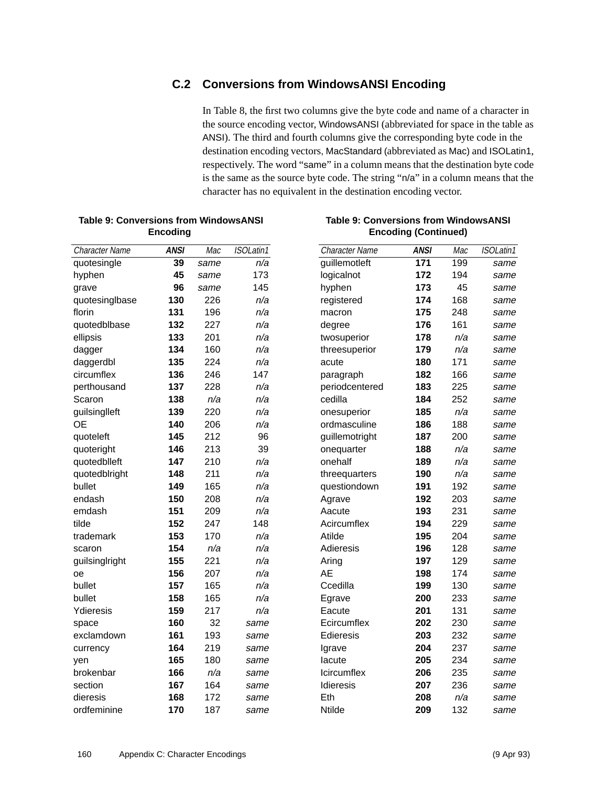# **C.2 Conversions from WindowsANSI Encoding**

In Table 8, the first two columns give the byte code and name of a character in the source encoding vector, WindowsANSI (abbreviated for space in the table as ANSI). The third and fourth columns give the corresponding byte code in the destination encoding vectors, MacStandard (abbreviated as Mac) and ISOLatin1, respectively. The word "same" in a column means that the destination byte code is the same as the source byte code. The string "n/a" in a column means that the character has no equivalent in the destination encoding vector.

**Table 9: Conversions from WindowsANSI**

| <b>Encoding</b>       |             |      |           | <b>Encoding (Continued)</b> |                 |     |           |
|-----------------------|-------------|------|-----------|-----------------------------|-----------------|-----|-----------|
| <b>Character Name</b> | <b>ANSI</b> | Mac  | ISOLatin1 | <b>Character Name</b>       | <b>ANSI</b>     | Mac | ISOLatin1 |
| quotesingle           | 39          | same | n/a       | guillemotleft               | $\frac{1}{171}$ | 199 | same      |
| hyphen                | 45          | same | 173       | logicalnot                  | 172             | 194 | same      |
| grave                 | 96          | same | 145       | hyphen                      | 173             | 45  | same      |
| quotesinglbase        | 130         | 226  | n/a       | registered                  | 174             | 168 | same      |
| florin                | 131         | 196  | n/a       | macron                      | 175             | 248 | same      |
| quotedblbase          | 132         | 227  | n/a       | degree                      | 176             | 161 | same      |
| ellipsis              | 133         | 201  | n/a       | twosuperior                 | 178             | n/a | same      |
| dagger                | 134         | 160  | n/a       | threesuperior               | 179             | n/a | same      |
| daggerdbl             | 135         | 224  | n/a       | acute                       | 180             | 171 | same      |
| circumflex            | 136         | 246  | 147       | paragraph                   | 182             | 166 | same      |
| perthousand           | 137         | 228  | n/a       | periodcentered              | 183             | 225 | same      |
| Scaron                | 138         | n/a  | n/a       | cedilla                     | 184             | 252 | same      |
| guilsinglleft         | 139         | 220  | n/a       | onesuperior                 | 185             | n/a | same      |
| ОE                    | 140         | 206  | n/a       | ordmasculine                | 186             | 188 | same      |
| quoteleft             | 145         | 212  | 96        | guillemotright              | 187             | 200 | same      |
| quoteright            | 146         | 213  | 39        | onequarter                  | 188             | n/a | same      |
| quotedblleft          | 147         | 210  | n/a       | onehalf                     | 189             | n/a | same      |
| quotedblright         | 148         | 211  | n/a       | threequarters               | 190             | n/a | same      |
| bullet                | 149         | 165  | n/a       | questiondown                | 191             | 192 | same      |
| endash                | 150         | 208  | n/a       | Agrave                      | 192             | 203 | same      |
| emdash                | 151         | 209  | n/a       | Aacute                      | 193             | 231 | same      |
| tilde                 | 152         | 247  | 148       | Acircumflex                 | 194             | 229 | same      |
| trademark             | 153         | 170  | n/a       | Atilde                      | 195             | 204 | same      |
| scaron                | 154         | n/a  | n/a       | Adieresis                   | 196             | 128 | same      |
| guilsinglright        | 155         | 221  | n/a       | Aring                       | 197             | 129 | same      |
| oe                    | 156         | 207  | n/a       | <b>AE</b>                   | 198             | 174 | same      |
| bullet                | 157         | 165  | n/a       | Ccedilla                    | 199             | 130 | same      |
| bullet                | 158         | 165  | n/a       | Egrave                      | 200             | 233 | same      |
| Ydieresis             | 159         | 217  | n/a       | Eacute                      | 201             | 131 | same      |
| space                 | 160         | 32   | same      | Ecircumflex                 | 202             | 230 | same      |
| exclamdown            | 161         | 193  | same      | Edieresis                   | 203             | 232 | same      |
| currency              | 164         | 219  | same      | Igrave                      | 204             | 237 | same      |
| yen                   | 165         | 180  | same      | lacute                      | 205             | 234 | same      |
| brokenbar             | 166         | n/a  | same      | Icircumflex                 | 206             | 235 | same      |
| section               | 167         | 164  | same      | Idieresis                   | 207             | 236 | same      |
| dieresis              | 168         | 172  | same      | Eth                         | 208             | n/a | same      |
| ordfeminine           | 170         | 187  | same      | <b>Ntilde</b>               | 209             | 132 | same      |

## **Table 9: Conversions from WindowsANSI Encoding**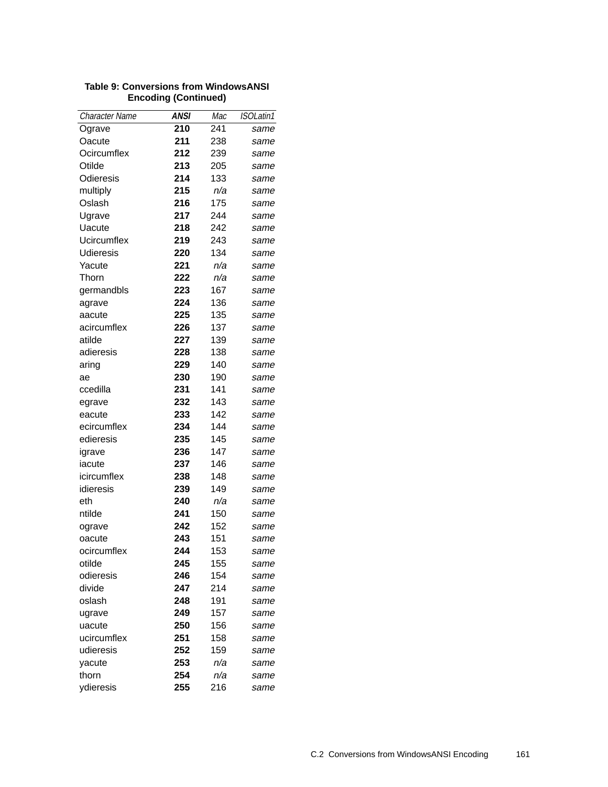| <b>Character Name</b> | ANSI | Mac | ISOLatin1 |
|-----------------------|------|-----|-----------|
| Ograve                | 210  | 241 | same      |
| Oacute                | 211  | 238 | same      |
| Ocircumflex           | 212  | 239 | same      |
| Otilde                | 213  | 205 | same      |
| Odieresis             | 214  | 133 | same      |
| multiply              | 215  | n/a | same      |
| Oslash                | 216  | 175 | same      |
| Ugrave                | 217  | 244 | same      |
| Uacute                | 218  | 242 | same      |
| Ucircumflex           | 219  | 243 | same      |
| <b>Udieresis</b>      | 220  | 134 | same      |
| Yacute                | 221  | n/a | same      |
| Thorn                 | 222  | n/a | same      |
| germandbls            | 223  | 167 | same      |
| agrave                | 224  | 136 | same      |
| aacute                | 225  | 135 | same      |
| acircumflex           | 226  | 137 | same      |
| atilde                | 227  | 139 | same      |
| adieresis             | 228  | 138 | same      |
| aring                 | 229  | 140 | same      |
| ae                    | 230  | 190 | same      |
| ccedilla              | 231  | 141 | same      |
| egrave                | 232  | 143 | same      |
| eacute                | 233  | 142 | same      |
| ecircumflex           | 234  | 144 | same      |
| edieresis             | 235  | 145 | same      |
| igrave                | 236  | 147 | same      |
| iacute                | 237  | 146 | same      |
| icircumflex           | 238  | 148 | same      |
| idieresis             | 239  | 149 | same      |
| eth                   | 240  | n/a | same      |
| ntilde                | 241  | 150 | same      |
| ograve                | 242  | 152 | same      |
| oacute                | 243  | 151 | same      |
| ocircumflex           | 244  | 153 | same      |
| otilde                | 245  | 155 | same      |
| odieresis             | 246  | 154 | same      |
| divide                | 247  | 214 | same      |
| oslash                | 248  | 191 | same      |
| ugrave                | 249  | 157 | same      |
| uacute                | 250  | 156 | same      |
| ucircumflex           | 251  | 158 | same      |
| udieresis             | 252  | 159 | same      |
| yacute                | 253  | n/a | same      |
| thorn                 | 254  | n/a | same      |
| ydieresis             | 255  | 216 | same      |

### **Table 9: Conversions from WindowsANSI Encoding (Continued)**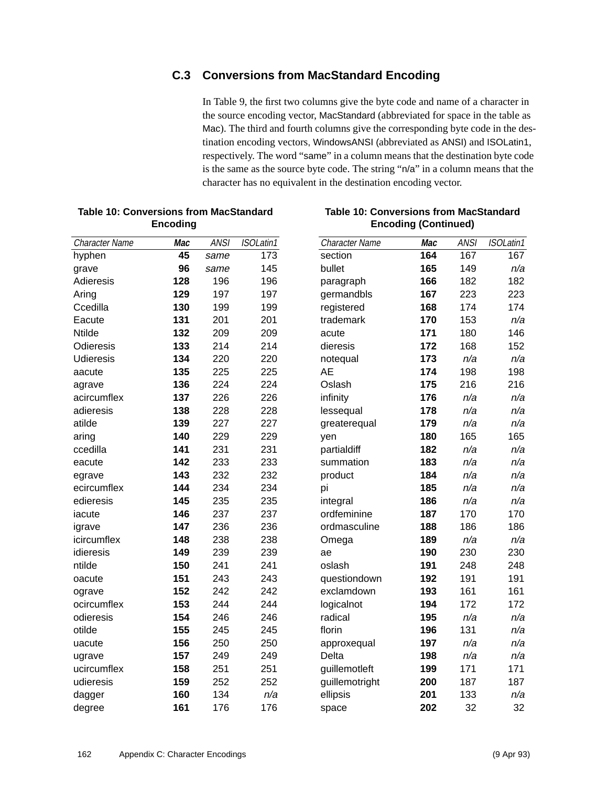## **C.3 Conversions from MacStandard Encoding**

In Table 9, the first two columns give the byte code and name of a character in the source encoding vector, MacStandard (abbreviated for space in the table as Mac). The third and fourth columns give the corresponding byte code in the destination encoding vectors, WindowsANSI (abbreviated as ANSI) and ISOLatin1, respectively. The word "same" in a column means that the destination byte code is the same as the source byte code. The string "n/a" in a column means that the character has no equivalent in the destination encoding vector.

**Table 10: Conversions from MacStandard**

| Encoding              |                 |             |           | <b>Encoding (Continued)</b> |            |             |           |
|-----------------------|-----------------|-------------|-----------|-----------------------------|------------|-------------|-----------|
| <b>Character Name</b> | <b>Mac</b>      | <b>ANSI</b> | ISOLatin1 | <b>Character Name</b>       | <b>Mac</b> | <b>ANSI</b> | ISOLatin1 |
| hyphen                | $\overline{45}$ | same        | 173       | section                     | 164        | 167         | 167       |
| grave                 | 96              | same        | 145       | bullet                      | 165        | 149         | n/a       |
| Adieresis             | 128             | 196         | 196       | paragraph                   | 166        | 182         | 182       |
| Aring                 | 129             | 197         | 197       | germandbls                  | 167        | 223         | 223       |
| Ccedilla              | 130             | 199         | 199       | registered                  | 168        | 174         | 174       |
| Eacute                | 131             | 201         | 201       | trademark                   | 170        | 153         | n/a       |
| <b>Ntilde</b>         | 132             | 209         | 209       | acute                       | 171        | 180         | 146       |
| Odieresis             | 133             | 214         | 214       | dieresis                    | 172        | 168         | 152       |
| <b>Udieresis</b>      | 134             | 220         | 220       | notequal                    | 173        | n/a         | n/a       |
| aacute                | 135             | 225         | 225       | <b>AE</b>                   | 174        | 198         | 198       |
| agrave                | 136             | 224         | 224       | Oslash                      | 175        | 216         | 216       |
| acircumflex           | 137             | 226         | 226       | infinity                    | 176        | n/a         | n/a       |
| adieresis             | 138             | 228         | 228       | lessequal                   | 178        | n/a         | n/a       |
| atilde                | 139             | 227         | 227       | greaterequal                | 179        | n/a         | n/a       |
| aring                 | 140             | 229         | 229       | yen                         | 180        | 165         | 165       |
| ccedilla              | 141             | 231         | 231       | partialdiff                 | 182        | n/a         | n/a       |
| eacute                | 142             | 233         | 233       | summation                   | 183        | n/a         | n/a       |
| egrave                | 143             | 232         | 232       | product                     | 184        | n/a         | n/a       |
| ecircumflex           | 144             | 234         | 234       | pi                          | 185        | n/a         | n/a       |
| edieresis             | 145             | 235         | 235       | integral                    | 186        | n/a         | n/a       |
| iacute                | 146             | 237         | 237       | ordfeminine                 | 187        | 170         | 170       |
| igrave                | 147             | 236         | 236       | ordmasculine                | 188        | 186         | 186       |
| icircumflex           | 148             | 238         | 238       | Omega                       | 189        | n/a         | n/a       |
| idieresis             | 149             | 239         | 239       | ae                          | 190        | 230         | 230       |
| ntilde                | 150             | 241         | 241       | oslash                      | 191        | 248         | 248       |
| oacute                | 151             | 243         | 243       | questiondown                | 192        | 191         | 191       |
| ograve                | 152             | 242         | 242       | exclamdown                  | 193        | 161         | 161       |
| ocircumflex           | 153             | 244         | 244       | logicalnot                  | 194        | 172         | 172       |
| odieresis             | 154             | 246         | 246       | radical                     | 195        | n/a         | n/a       |
| otilde                | 155             | 245         | 245       | florin                      | 196        | 131         | n/a       |
| uacute                | 156             | 250         | 250       | approxequal                 | 197        | n/a         | n/a       |
| ugrave                | 157             | 249         | 249       | Delta                       | 198        | n/a         | n/a       |
| ucircumflex           | 158             | 251         | 251       | guillemotleft               | 199        | 171         | 171       |
| udieresis             | 159             | 252         | 252       | guillemotright              | 200        | 187         | 187       |
| dagger                | 160             | 134         | n/a       | ellipsis                    | 201        | 133         | n/a       |
| degree                | 161             | 176         | 176       | space                       | 202        | 32          | 32        |

#### **Table 10: Conversions from MacStandard Encoding**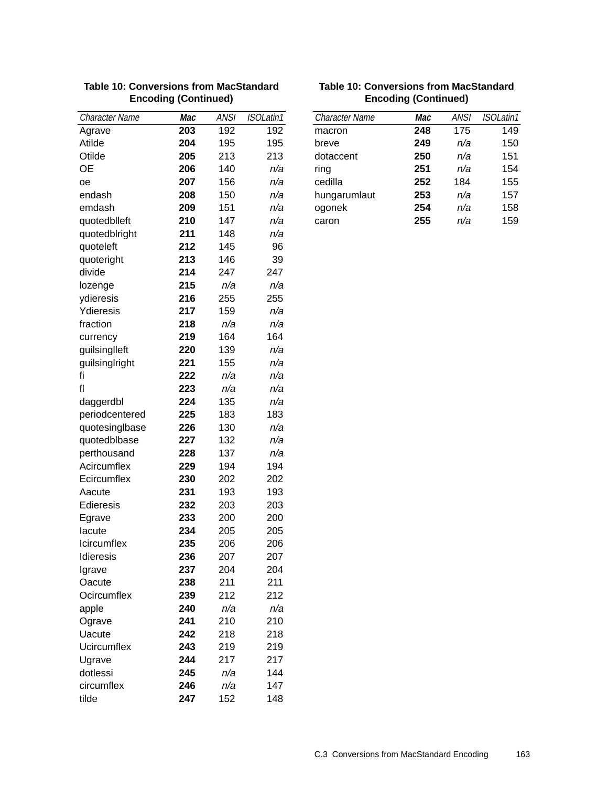|                       |            | <b>ANSI</b> | ISOLatin1 |
|-----------------------|------------|-------------|-----------|
| <b>Character Name</b> | Mac<br>203 | 192         |           |
| Agrave                |            |             | 192       |
| Atilde                | 204        | 195         | 195       |
| Otilde                | 205        | 213         | 213       |
| <b>OE</b>             | 206        | 140         | n/a       |
| oe                    | 207        | 156         | n/a       |
| endash                | 208        | 150         | n/a       |
| emdash                | 209        | 151         | n/a       |
| quotedblleft          | 210        | 147         | n/a       |
| quotedblright         | 211        | 148         | n/a       |
| quoteleft             | 212        | 145         | 96        |
| quoteright            | 213        | 146         | 39        |
| divide                | 214        | 247         | 247       |
| lozenge               | 215        | n/a         | n/a       |
| ydieresis             | 216        | 255         | 255       |
| Ydieresis             | 217        | 159         | n/a       |
| fraction              | 218        | n/a         | n/a       |
| currency              | 219        | 164         | 164       |
| guilsinglleft         | 220        | 139         | n/a       |
| guilsinglright        | 221        | 155         | n/a       |
| fi                    | 222        | n/a         | n/a       |
| fl                    | 223        | n/a         | n/a       |
| daggerdbl             | 224        | 135         | n/a       |
| periodcentered        | 225        | 183         | 183       |
| quotesinglbase        | 226        | 130         | n/a       |
| quotedblbase          | 227        | 132         | n/a       |
| perthousand           | 228        | 137         | n/a       |
| Acircumflex           | 229        | 194         | 194       |
| Ecircumflex           | 230        | 202         | 202       |
| Aacute                | 231        | 193         | 193       |
| Edieresis             | 232        | 203         | 203       |
| Egrave                | 233        | 200         | 200       |
| lacute                | 234        | 205         | 205       |
| <b>Icircumflex</b>    | 235        | 206         | 206       |
| Idieresis             | 236        | 207         | 207       |
| Igrave                | 237        | 204         | 204       |
| Oacute                | 238        | 211         | 211       |
| Ocircumflex           | 239        | 212         | 212       |
| apple                 | 240        | n/a         | n/a       |
| Ograve                | 241        | 210         | 210       |
| <b>Uacute</b>         | 242        | 218         | 218       |
| <b>Ucircumflex</b>    | 243        | 219         | 219       |
| Ugrave                | 244        | 217         | 217       |
| dotlessi              | 245        | n/a         | 144       |
| circumflex            | 246        | n/a         | 147       |
| tilde                 | 247        |             | 148       |
|                       |            | 152         |           |

### **Table 10: Conversions from MacStandard Encoding (Continued)**

## **Table 10: Conversions from MacStandard Encoding (Continued)**

| <b>Character Name</b> | Mac | ANSI | ISOLatin1 |
|-----------------------|-----|------|-----------|
| macron                | 248 | 175  | 149       |
| breve                 | 249 | n/a  | 150       |
| dotaccent             | 250 | n/a  | 151       |
| ring                  | 251 | n/a  | 154       |
| cedilla               | 252 | 184  | 155       |
| hungarumlaut          | 253 | n/a  | 157       |
| ogonek                | 254 | n/a  | 158       |
| caron                 | 255 | n/a  | 159       |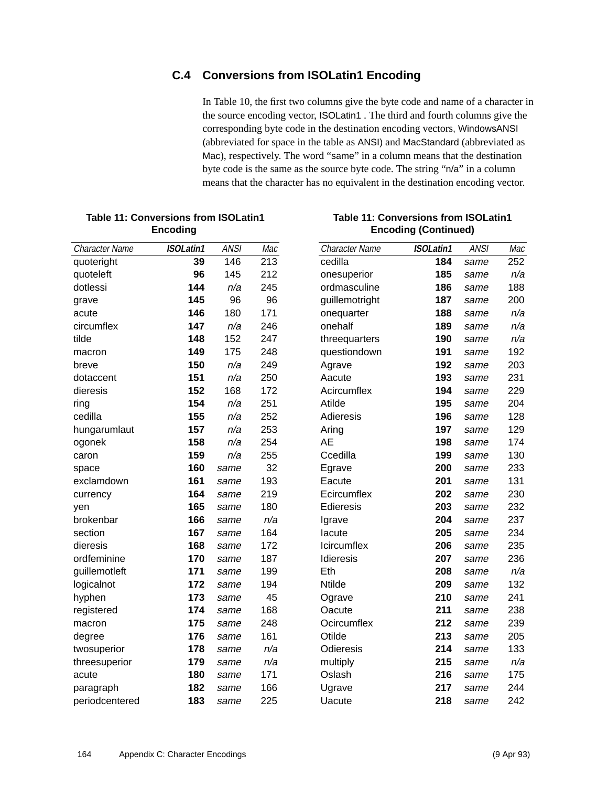## **C.4 Conversions from ISOLatin1 Encoding**

In Table 10, the first two columns give the byte code and name of a character in the source encoding vector, ISOLatin1 . The third and fourth columns give the corresponding byte code in the destination encoding vectors, WindowsANSI (abbreviated for space in the table as ANSI) and MacStandard (abbreviated as Mac), respectively. The word "same" in a column means that the destination byte code is the same as the source byte code. The string "n/a" in a column means that the character has no equivalent in the destination encoding vector.

> **Table 11: Conversions from ISOLatin1 Encoding (Continued)**

| <b>Character Name</b> | <b>ISOLatin1</b> | <b>ANSI</b> | Mac              | <b>Character Name</b> | <b>ISOLatin1</b> | <b>ANSI</b> | Mac |
|-----------------------|------------------|-------------|------------------|-----------------------|------------------|-------------|-----|
| quoteright            | 39               | 146         | $\overline{213}$ | cedilla               | 184              | same        | 252 |
| quoteleft             | 96               | 145         | 212              | onesuperior           | 185              | same        | n/a |
| dotlessi              | 144              | n/a         | 245              | ordmasculine          | 186              | same        | 188 |
| grave                 | 145              | 96          | 96               | guillemotright        | 187              | same        | 200 |
| acute                 | 146              | 180         | 171              | onequarter            | 188              | same        | n/a |
| circumflex            | 147              | n/a         | 246              | onehalf               | 189              | same        | n/a |
| tilde                 | 148              | 152         | 247              | threequarters         | 190              | same        | n/a |
| macron                | 149              | 175         | 248              | questiondown          | 191              | same        | 192 |
| breve                 | 150              | n/a         | 249              | Agrave                | 192              | same        | 203 |
| dotaccent             | 151              | n/a         | 250              | Aacute                | 193              | same        | 231 |
| dieresis              | 152              | 168         | 172              | Acircumflex           | 194              | same        | 229 |
| ring                  | 154              | n/a         | 251              | Atilde                | 195              | same        | 204 |
| cedilla               | 155              | n/a         | 252              | Adieresis             | 196              | same        | 128 |
| hungarumlaut          | 157              | n/a         | 253              | Aring                 | 197              | same        | 129 |
| ogonek                | 158              | n/a         | 254              | <b>AE</b>             | 198              | same        | 174 |
| caron                 | 159              | n/a         | 255              | Ccedilla              | 199              | same        | 130 |
| space                 | 160              | same        | 32               | Egrave                | 200              | same        | 233 |
| exclamdown            | 161              | same        | 193              | Eacute                | 201              | same        | 131 |
| currency              | 164              | same        | 219              | Ecircumflex           | 202              | same        | 230 |
| yen                   | 165              | same        | 180              | Edieresis             | 203              | same        | 232 |
| brokenbar             | 166              | same        | n/a              | Igrave                | 204              | same        | 237 |
| section               | 167              | same        | 164              | lacute                | 205              | same        | 234 |
| dieresis              | 168              | same        | 172              | <b>Icircumflex</b>    | 206              | same        | 235 |
| ordfeminine           | 170              | same        | 187              | Idieresis             | 207              | same        | 236 |
| guillemotleft         | 171              | same        | 199              | Eth                   | 208              | same        | n/a |
| logicalnot            | 172              | same        | 194              | <b>Ntilde</b>         | 209              | same        | 132 |
| hyphen                | 173              | same        | 45               | Ograve                | 210              | same        | 241 |
| registered            | 174              | same        | 168              | Oacute                | 211              | same        | 238 |
| macron                | 175              | same        | 248              | Ocircumflex           | 212              | same        | 239 |
| degree                | 176              | same        | 161              | Otilde                | 213              | same        | 205 |
| twosuperior           | 178              | same        | n/a              | Odieresis             | 214              | same        | 133 |
| threesuperior         | 179              | same        | n/a              | multiply              | 215              | same        | n/a |
| acute                 | 180              | same        | 171              | Oslash                | 216              | same        | 175 |
| paragraph             | 182              | same        | 166              | Ugrave                | 217              | same        | 244 |
| periodcentered        | 183              | same        | 225              | <b>Uacute</b>         | 218              | same        | 242 |

#### **Table 11: Conversions from ISOLatin1 Encoding**

### 164 Appendix C: Character Encodings (9 Apr 93)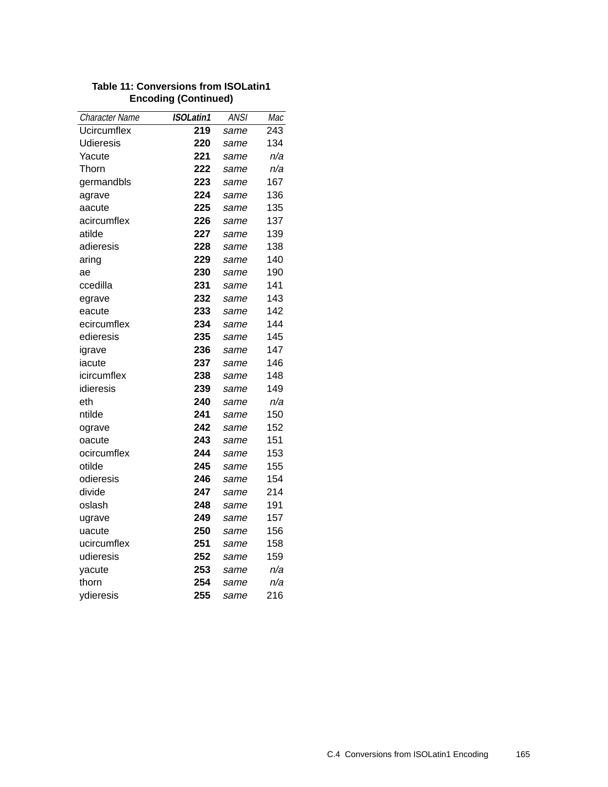| <b>Character Name</b> | <b>ISOLatin1</b> | <b>ANSI</b> | Mac |
|-----------------------|------------------|-------------|-----|
| <b>Ucircumflex</b>    | 219              | same        | 243 |
| Udieresis             | 220              | same        | 134 |
| Yacute                | 221              | same        | n/a |
| Thorn                 | 222              | same        | n/a |
| germandbls            | 223              | same        | 167 |
| agrave                | 224              | same        | 136 |
| aacute                | 225              | same        | 135 |
| acircumflex           | 226              | same        | 137 |
| atilde                | 227              | same        | 139 |
| adieresis             | 228              | same        | 138 |
| aring                 | 229              | same        | 140 |
| ae                    | 230              | same        | 190 |
| ccedilla              | 231              | same        | 141 |
| egrave                | 232              | same        | 143 |
| eacute                | 233              | same        | 142 |
| ecircumflex           | 234              | same        | 144 |
| edieresis             | 235              | same        | 145 |
| igrave                | 236              | same        | 147 |
| iacute                | 237              | same        | 146 |
| icircumflex           | 238              | same        | 148 |
| idieresis             | 239              | same        | 149 |
| eth                   | 240              | same        | n/a |
| ntilde                | 241              | same        | 150 |
| ograve                | 242              | same        | 152 |
| oacute                | 243              | same        | 151 |
| ocircumflex           | 244              | same        | 153 |
| otilde                | 245              | same        | 155 |
| odieresis             | 246              | same        | 154 |
| divide                | 247              | same        | 214 |
| oslash                | 248              | same        | 191 |
| ugrave                | 249              | same        | 157 |
| uacute                | 250              | same        | 156 |
| ucircumflex           | 251              | same        | 158 |
| udieresis             | 252              | same        | 159 |
| yacute                | 253              | same        | n/a |
| thorn                 | 254              | same        | n/a |
| ydieresis             | 255              | same        | 216 |

## **Table 11: Conversions from ISOLatin1 Encoding (Continued)**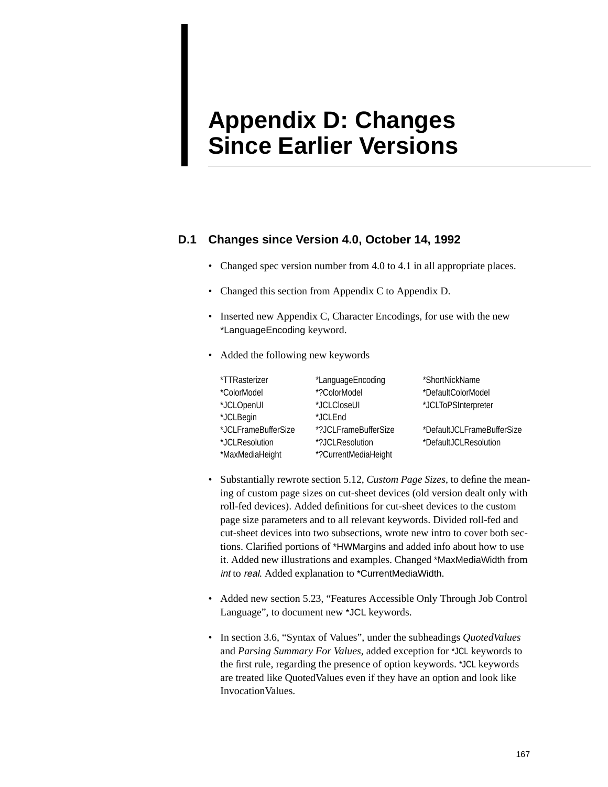# **Appendix D: Changes Since Earlier Versions**

# **D.1 Changes since Version 4.0, October 14, 1992**

- Changed spec version number from 4.0 to 4.1 in all appropriate places.
- Changed this section from Appendix C to Appendix D.
- Inserted new Appendix C, Character Encodings, for use with the new \*LanguageEncoding keyword.
- Added the following new keywords

| *TTRasterizer       | *LanguageEncoding    | *ShortNickName             |
|---------------------|----------------------|----------------------------|
| *ColorModel         | *?ColorModel         | *DefaultColorModel         |
| *JCLOpenUI          | *JCLCloseUI          | *JCLToPSInterpreter        |
| *JCLBegin           | *JCLEnd              |                            |
| *JCLFrameBufferSize | *?JCLFrameBufferSize | *DefaultJCLFrameBufferSize |
| *JCLResolution      | *?JCLResolution      | *DefaultJCLResolution      |
| *MaxMediaHeight     | *?CurrentMediaHeight |                            |

- Substantially rewrote section 5.12, *Custom Page Sizes*, to define the meaning of custom page sizes on cut-sheet devices (old version dealt only with roll-fed devices). Added definitions for cut-sheet devices to the custom page size parameters and to all relevant keywords. Divided roll-fed and cut-sheet devices into two subsections, wrote new intro to cover both sections. Clarified portions of \*HWMargins and added info about how to use it. Added new illustrations and examples. Changed \*MaxMediaWidth from int to real. Added explanation to \*CurrentMediaWidth.
- Added new section 5.23, "Features Accessible Only Through Job Control Language", to document new \*JCL keywords.
- In section 3.6, "Syntax of Values", under the subheadings *QuotedValues* and *Parsing Summary For Values*, added exception for \*JCL keywords to the first rule, regarding the presence of option keywords. \*JCL keywords are treated like QuotedValues even if they have an option and look like InvocationValues.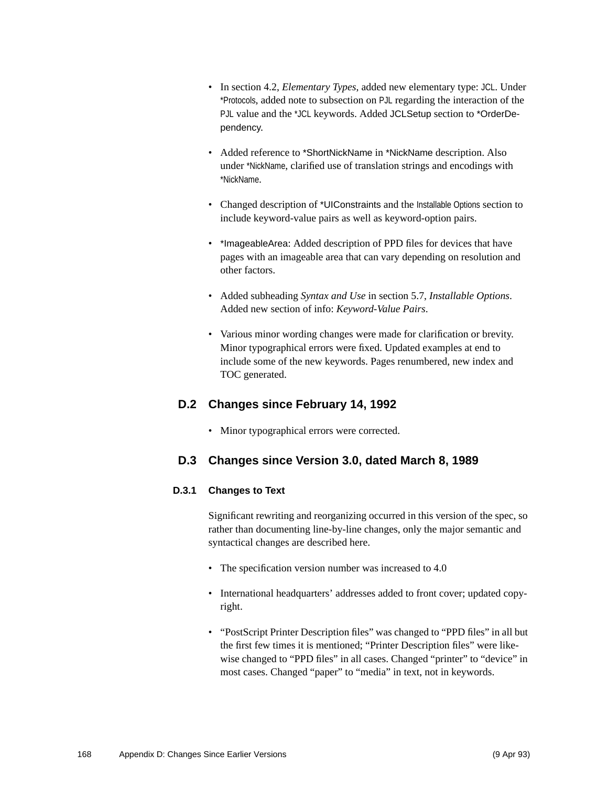- In section 4.2, *Elementary Types*, added new elementary type: JCL. Under \*Protocols, added note to subsection on PJL regarding the interaction of the PJL value and the \*JCL keywords. Added JCLSetup section to \*OrderDependency.
- Added reference to \*ShortNickName in \*NickName description. Also under \*NickName, clarified use of translation strings and encodings with \*NickName.
- Changed description of \*UIConstraints and the Installable Options section to include keyword-value pairs as well as keyword-option pairs.
- \*ImageableArea: Added description of PPD files for devices that have pages with an imageable area that can vary depending on resolution and other factors.
- Added subheading *Syntax and Use* in section 5.7, *Installable Options*. Added new section of info: *Keyword-Value Pairs*.
- Various minor wording changes were made for clarification or brevity. Minor typographical errors were fixed. Updated examples at end to include some of the new keywords. Pages renumbered, new index and TOC generated.

## **D.2 Changes since February 14, 1992**

• Minor typographical errors were corrected.

## **D.3 Changes since Version 3.0, dated March 8, 1989**

### **D.3.1 Changes to Text**

Significant rewriting and reorganizing occurred in this version of the spec, so rather than documenting line-by-line changes, only the major semantic and syntactical changes are described here.

- The specification version number was increased to 4.0
- International headquarters' addresses added to front cover; updated copyright.
- "PostScript Printer Description files" was changed to "PPD files" in all but the first few times it is mentioned; "Printer Description files" were likewise changed to "PPD files" in all cases. Changed "printer" to "device" in most cases. Changed "paper" to "media" in text, not in keywords.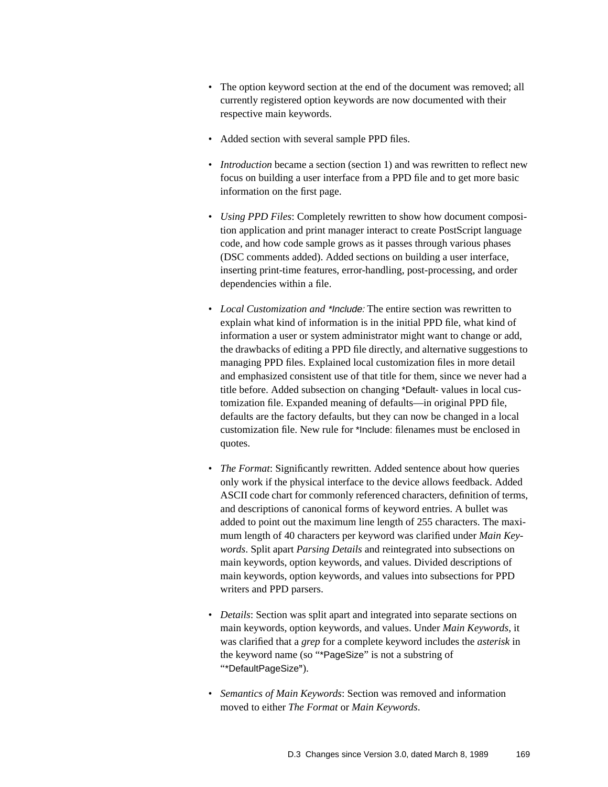- The option keyword section at the end of the document was removed; all currently registered option keywords are now documented with their respective main keywords.
- Added section with several sample PPD files.
- *Introduction* became a section (section 1) and was rewritten to reflect new focus on building a user interface from a PPD file and to get more basic information on the first page.
- *Using PPD Files*: Completely rewritten to show how document composition application and print manager interact to create PostScript language code, and how code sample grows as it passes through various phases (DSC comments added). Added sections on building a user interface, inserting print-time features, error-handling, post-processing, and order dependencies within a file.
- *Local Customization and \*Include:* The entire section was rewritten to explain what kind of information is in the initial PPD file, what kind of information a user or system administrator might want to change or add, the drawbacks of editing a PPD file directly, and alternative suggestions to managing PPD files. Explained local customization files in more detail and emphasized consistent use of that title for them, since we never had a title before. Added subsection on changing \*Default- values in local customization file. Expanded meaning of defaults—in original PPD file, defaults are the factory defaults, but they can now be changed in a local customization file. New rule for \*Include: filenames must be enclosed in quotes.
- *The Format:* Significantly rewritten. Added sentence about how queries only work if the physical interface to the device allows feedback. Added ASCII code chart for commonly referenced characters, definition of terms, and descriptions of canonical forms of keyword entries. A bullet was added to point out the maximum line length of 255 characters. The maximum length of 40 characters per keyword was clarified under *Main Keywords*. Split apart *Parsing Details* and reintegrated into subsections on main keywords, option keywords, and values. Divided descriptions of main keywords, option keywords, and values into subsections for PPD writers and PPD parsers.
- *Details:* Section was split apart and integrated into separate sections on main keywords, option keywords, and values. Under *Main Keywords*, it was clarified that a *grep* for a complete keyword includes the *asterisk* in the keyword name (so "\*PageSize" is not a substring of "\*DefaultPageSize**"**).
- *Semantics of Main Keywords*: Section was removed and information moved to either *The Format* or *Main Keywords*.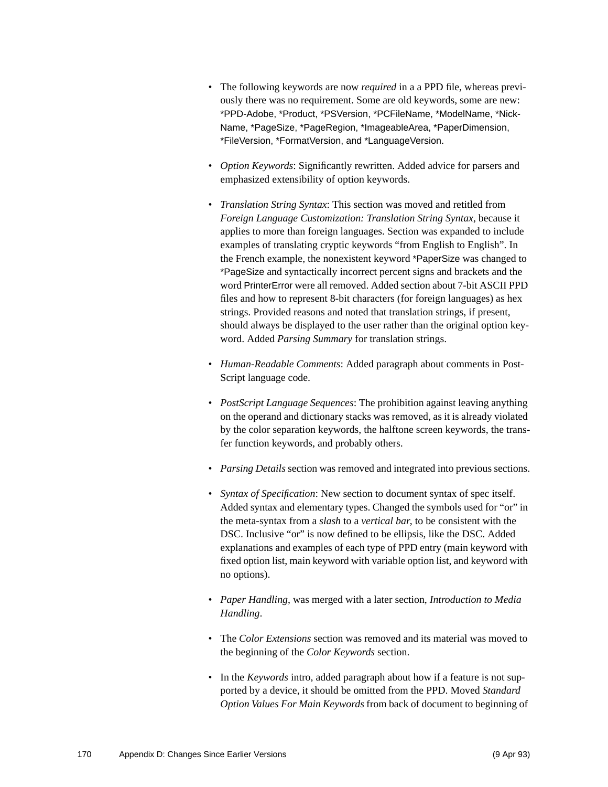- The following keywords are now *required* in a a PPD file, whereas previously there was no requirement. Some are old keywords, some are new: \*PPD-Adobe, \*Product, \*PSVersion, \*PCFileName, \*ModelName, \*Nick-Name, \*PageSize, \*PageRegion, \*ImageableArea, \*PaperDimension, \*FileVersion, \*FormatVersion, and \*LanguageVersion.
- *Option Keywords*: Significantly rewritten. Added advice for parsers and emphasized extensibility of option keywords.
- *Translation String Syntax*: This section was moved and retitled from *Foreign Language Customization: Translation String Syntax*, because it applies to more than foreign languages. Section was expanded to include examples of translating cryptic keywords "from English to English". In the French example, the nonexistent keyword \*PaperSize was changed to \*PageSize and syntactically incorrect percent signs and brackets and the word PrinterError were all removed. Added section about 7-bit ASCII PPD files and how to represent 8-bit characters (for foreign languages) as hex strings. Provided reasons and noted that translation strings, if present, should always be displayed to the user rather than the original option keyword. Added *Parsing Summary* for translation strings.
- *Human-Readable Comments*: Added paragraph about comments in Post-Script language code.
- *PostScript Language Sequences*: The prohibition against leaving anything on the operand and dictionary stacks was removed, as it is already violated by the color separation keywords, the halftone screen keywords, the transfer function keywords, and probably others.
- *Parsing Details* section was removed and integrated into previous sections.
- *Syntax of Specification*: New section to document syntax of spec itself. Added syntax and elementary types. Changed the symbols used for "or" in the meta-syntax from a *slash* to a *vertical bar*, to be consistent with the DSC. Inclusive "or" is now defined to be ellipsis, like the DSC. Added explanations and examples of each type of PPD entry (main keyword with fixed option list, main keyword with variable option list, and keyword with no options).
- *Paper Handling*, was merged with a later section, *Introduction to Media Handling*.
- The *Color Extensions* section was removed and its material was moved to the beginning of the *Color Keywords* section.
- In the *Keywords* intro, added paragraph about how if a feature is not supported by a device, it should be omitted from the PPD. Moved *Standard Option Values For Main Keywords* from back of document to beginning of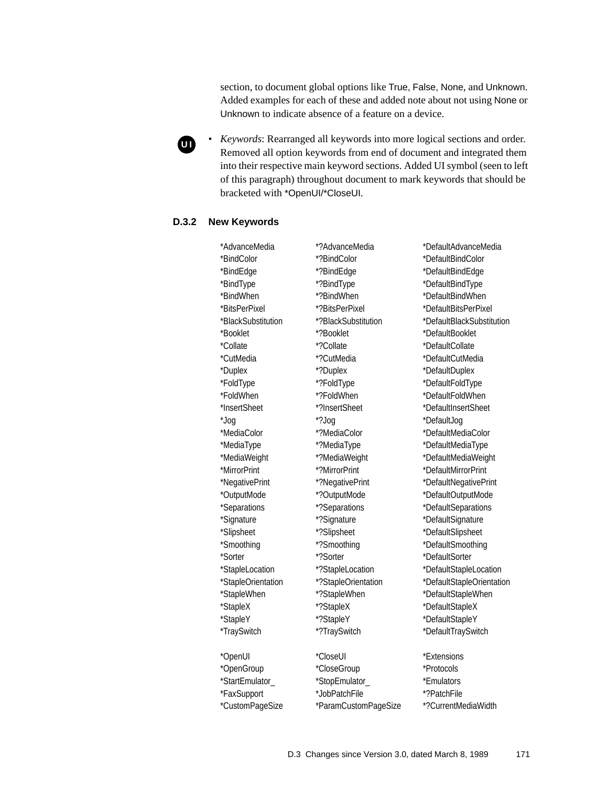section, to document global options like True, False, None, and Unknown. Added examples for each of these and added note about not using None or Unknown to indicate absence of a feature on a device.



• *Keywords*: Rearranged all keywords into more logical sections and order. Removed all option keywords from end of document and integrated them into their respective main keyword sections. Added UI symbol (seen to left of this paragraph) throughout document to mark keywords that should be bracketed with \*OpenUI/\*CloseUI.

#### **D.3.2 New Keywords**

\*BindColor \*?BindColor \*DefaultBindColor \*BindEdge \*?BindEdge \*DefaultBindEdge \*BindType \*?BindType \*DefaultBindType \*BindWhen \*?BindWhen \*DefaultBindWhen \*BitsPerPixel \*?BitsPerPixel \*DefaultBitsPerPixel \*Booklet \*?Booklet \*DefaultBooklet \*Collate \*?Collate \*DefaultCollate \*CutMedia \*?CutMedia \*DefaultCutMedia \*Duplex \*?Duplex \*DefaultDuplex \*FoldType \*?FoldType \*DefaultFoldType \*FoldWhen \*?FoldWhen \*DefaultFoldWhen \*InsertSheet \*?InsertSheet \*DefaultInsertSheet \*Jog \*?Jog \*DefaultJog \*MediaColor \*?MediaColor \*DefaultMediaColor \*MediaType \*?MediaType \*DefaultMediaType \*MediaWeight \*?MediaWeight \*DefaultMediaWeight \*MirrorPrint \*?MirrorPrint \*DefaultMirrorPrint \*NegativePrint \*?NegativePrint \*DefaultNegativePrint \*OutputMode \*?OutputMode \*DefaultOutputMode \*Separations \*?Separations \*DefaultSeparations \*Signature \*?Signature \*DefaultSignature \*Slipsheet \*?Slipsheet \*DefaultSlipsheet \*Smoothing \*?Smoothing \*DefaultSmoothing \*Sorter \*?Sorter \*DefaultSorter \*StapleLocation \*?StapleLocation \*DefaultStapleLocation \*StapleWhen \*?StapleWhen \*DefaultStapleWhen \*StapleX \*?StapleX \*DefaultStapleX \*StapleY \*?StapleY \*DefaultStapleY \*TraySwitch \*?TraySwitch \*DefaultTraySwitch \*OpenUI \*CloseUI \*Extensions

\*OpenGroup \*CloseGroup \*Protocols \*StartEmulator\_ \*StopEmulator\_ \*Emulators \*FaxSupport \*JobPatchFile \*?PatchFile \*CustomPageSize \*ParamCustomPageSize \*?CurrentMediaWidth

\*AdvanceMedia \*?AdvanceMedia \*DefaultAdvanceMedia \*BlackSubstitution \*?BlackSubstitution \*DefaultBlackSubstitution \*StapleOrientation \*?StapleOrientation \*DefaultStapleOrientation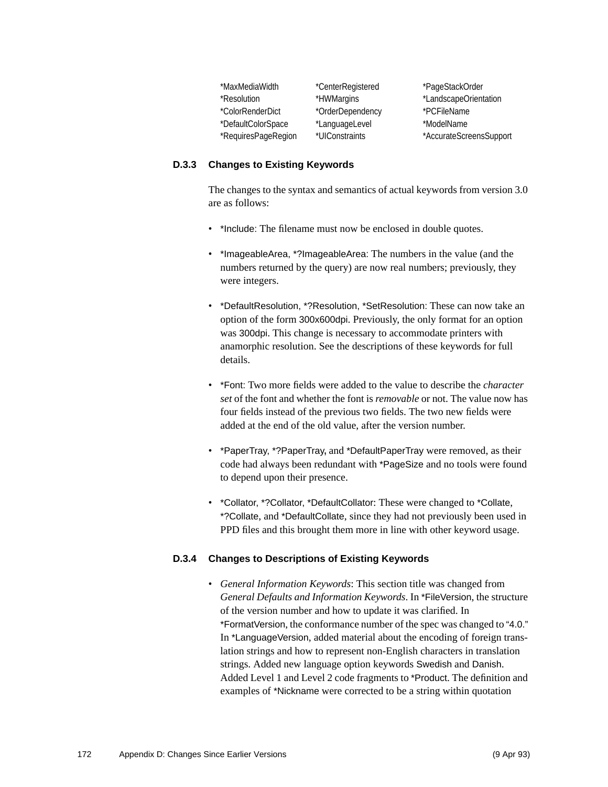| MaxMediaWidth      | *CenterRegi  |
|--------------------|--------------|
| Resolution         | *HWMargins   |
| ColorRenderDict    | *OrderDepe   |
| DefaultColorSpace  | *LanguageL   |
| RequiresPageRegion | *UIConstrair |

istered \*PageStackOrder s \*LandscapeOrientation \*PCFileName evel \*ModelName nts \*AccurateScreensSupport

#### **D.3.3 Changes to Existing Keywords**

The changes to the syntax and semantics of actual keywords from version 3.0 are as follows:

- \*Include: The filename must now be enclosed in double quotes.
- \*ImageableArea, \*?ImageableArea: The numbers in the value (and the numbers returned by the query) are now real numbers; previously, they were integers.
- \*DefaultResolution, \*?Resolution, \*SetResolution: These can now take an option of the form 300x600dpi. Previously, the only format for an option was 300dpi. This change is necessary to accommodate printers with anamorphic resolution. See the descriptions of these keywords for full details.
- \*Font: Two more fields were added to the value to describe the *character set* of the font and whether the font is *removable* or not. The value now has four fields instead of the previous two fields. The two new fields were added at the end of the old value, after the version number.
- \*PaperTray, \*?PaperTray**,** and \*DefaultPaperTray were removed, as their code had always been redundant with \*PageSize and no tools were found to depend upon their presence.
- \*Collator, \*?Collator, \*DefaultCollator: These were changed to \*Collate, \*?Collate, and \*DefaultCollate, since they had not previously been used in PPD files and this brought them more in line with other keyword usage.

### **D.3.4 Changes to Descriptions of Existing Keywords**

• *General Information Keywords*: This section title was changed from *General Defaults and Information Keywords*. In \*FileVersion, the structure of the version number and how to update it was clarified. In \*FormatVersion, the conformance number of the spec was changed to "4.0." In \*LanguageVersion, added material about the encoding of foreign translation strings and how to represent non-English characters in translation strings. Added new language option keywords Swedish and Danish. Added Level 1 and Level 2 code fragments to \*Product. The definition and examples of \*Nickname were corrected to be a string within quotation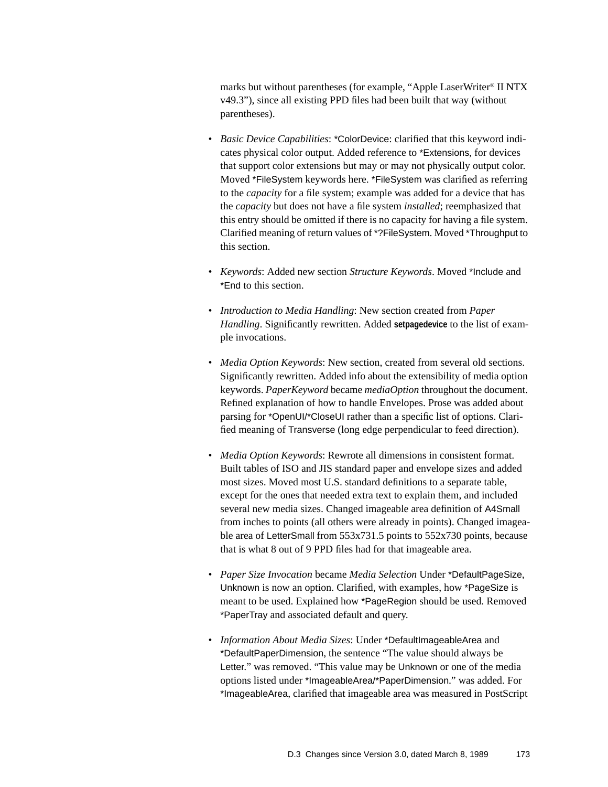marks but without parentheses (for example, "Apple LaserWriter® II NTX v49.3"), since all existing PPD files had been built that way (without parentheses).

- *Basic Device Capabilities*: \*ColorDevice: clarified that this keyword indicates physical color output. Added reference to \*Extensions, for devices that support color extensions but may or may not physically output color. Moved \*FileSystem keywords here. \*FileSystem was clarified as referring to the *capacity* for a file system; example was added for a device that has the *capacity* but does not have a file system *installed*; reemphasized that this entry should be omitted if there is no capacity for having a file system. Clarified meaning of return values of \*?FileSystem. Moved \*Throughput to this section.
- *Keywords*: Added new section *Structure Keywords*. Moved \*Include and \*End to this section.
- *Introduction to Media Handling*: New section created from *Paper Handling*. Significantly rewritten. Added **setpagedevice** to the list of example invocations.
- *Media Option Keywords*: New section, created from several old sections. Significantly rewritten. Added info about the extensibility of media option keywords. *PaperKeyword* became *mediaOption* throughout the document. Refined explanation of how to handle Envelopes. Prose was added about parsing for \*OpenUI/\*CloseUI rather than a specific list of options. Clarified meaning of Transverse (long edge perpendicular to feed direction).
- *Media Option Keywords*: Rewrote all dimensions in consistent format. Built tables of ISO and JIS standard paper and envelope sizes and added most sizes. Moved most U.S. standard definitions to a separate table, except for the ones that needed extra text to explain them, and included several new media sizes. Changed imageable area definition of A4Small from inches to points (all others were already in points). Changed imageable area of LetterSmall from 553x731.5 points to 552x730 points, because that is what 8 out of 9 PPD files had for that imageable area.
- *Paper Size Invocation* became *Media Selection* Under \*DefaultPageSize, Unknown is now an option. Clarified, with examples, how \*PageSize is meant to be used. Explained how \*PageRegion should be used. Removed \*PaperTray and associated default and query.
- *Information About Media Sizes*: Under \*DefaultImageableArea and \*DefaultPaperDimension, the sentence "The value should always be Letter." was removed. "This value may be Unknown or one of the media options listed under \*ImageableArea/\*PaperDimension." was added. For \*ImageableArea, clarified that imageable area was measured in PostScript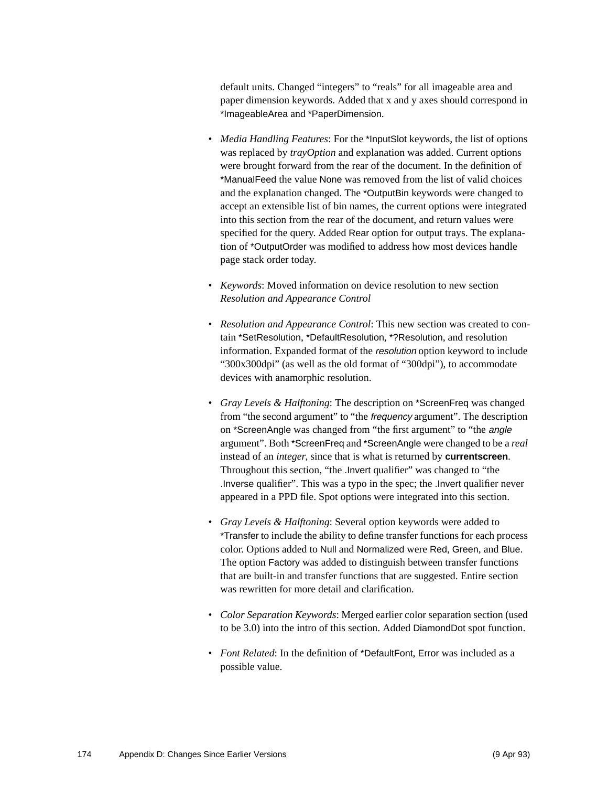default units. Changed "integers" to "reals" for all imageable area and paper dimension keywords. Added that x and y axes should correspond in \*ImageableArea and \*PaperDimension.

- *Media Handling Features*: For the \*InputSlot keywords, the list of options was replaced by *trayOption* and explanation was added. Current options were brought forward from the rear of the document. In the definition of \*ManualFeed the value None was removed from the list of valid choices and the explanation changed. The \*OutputBin keywords were changed to accept an extensible list of bin names, the current options were integrated into this section from the rear of the document, and return values were specified for the query. Added Rear option for output trays. The explanation of \*OutputOrder was modified to address how most devices handle page stack order today.
- *Keywords*: Moved information on device resolution to new section *Resolution and Appearance Control*
- *Resolution and Appearance Control*: This new section was created to contain \*SetResolution, \*DefaultResolution, \*?Resolution, and resolution information. Expanded format of the resolution option keyword to include "300x300dpi" (as well as the old format of "300dpi"), to accommodate devices with anamorphic resolution.
- *Gray Levels & Halftoning*: The description on \*ScreenFreq was changed from "the second argument" to "the frequency argument". The description on \*ScreenAngle was changed from "the first argument" to "the angle argument". Both \*ScreenFreq and \*ScreenAngle were changed to be a *real* instead of an *integer*, since that is what is returned by **currentscreen**. Throughout this section, "the .Invert qualifier" was changed to "the .Inverse qualifier". This was a typo in the spec; the .Invert qualifier never appeared in a PPD file. Spot options were integrated into this section.
- *Gray Levels & Halftoning*: Several option keywords were added to \*Transfer to include the ability to define transfer functions for each process color. Options added to Null and Normalized were Red, Green, and Blue. The option Factory was added to distinguish between transfer functions that are built-in and transfer functions that are suggested. Entire section was rewritten for more detail and clarification.
- *Color Separation Keywords*: Merged earlier color separation section (used to be 3.0) into the intro of this section. Added DiamondDot spot function.
- *Font Related*: In the definition of \*DefaultFont, Error was included as a possible value.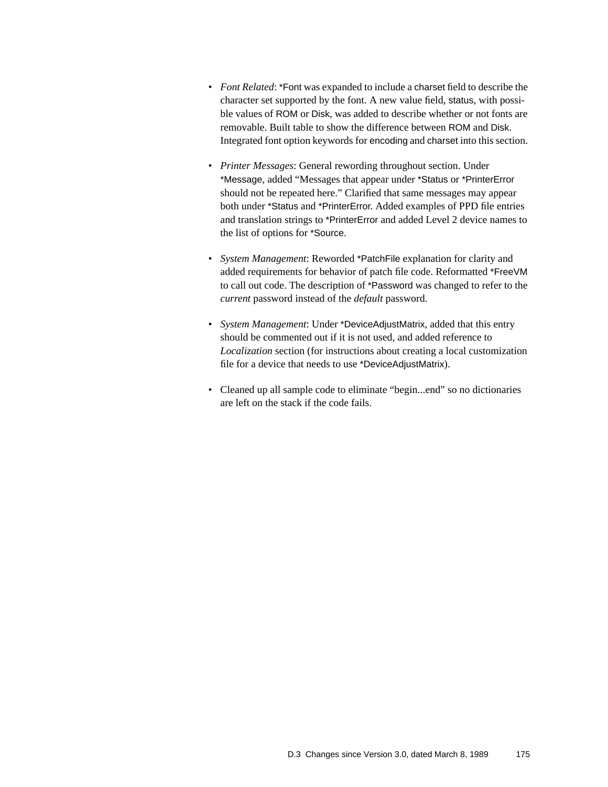- *Font Related*: \*Font was expanded to include a charset field to describe the character set supported by the font. A new value field, status, with possible values of ROM or Disk, was added to describe whether or not fonts are removable. Built table to show the difference between ROM and Disk. Integrated font option keywords for encoding and charset into this section.
- *Printer Messages*: General rewording throughout section. Under \*Message, added "Messages that appear under \*Status or \*PrinterError should not be repeated here." Clarified that same messages may appear both under \*Status and \*PrinterError. Added examples of PPD file entries and translation strings to \*PrinterError and added Level 2 device names to the list of options for \*Source.
- *System Management*: Reworded \*PatchFile explanation for clarity and added requirements for behavior of patch file code. Reformatted \*FreeVM to call out code. The description of \*Password was changed to refer to the *current* password instead of the *default* password.
- *System Management*: Under \*DeviceAdjustMatrix, added that this entry should be commented out if it is not used, and added reference to *Localization* section (for instructions about creating a local customization file for a device that needs to use \*DeviceAdjustMatrix).
- Cleaned up all sample code to eliminate "begin...end" so no dictionaries are left on the stack if the code fails.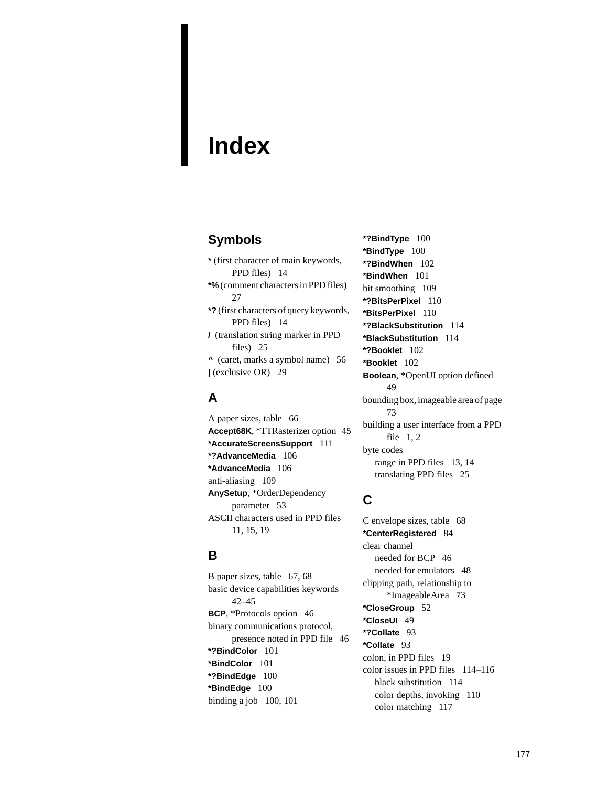# **Index**

#### **Symbols**

**\*** (first character of main keywords, PPD files) 14 **\*%** (comment characters in PPD files) 27 **\*?** (first characters of query keywords, PPD files) 14 **/** (translation string marker in PPD files) 25 **^** (caret, marks a symbol name) 56 **|** (exclusive OR) 29

#### **A**

A paper sizes, table 66 **Accept68K**, \*TTRasterizer option 45 **\*AccurateScreensSupport** 111 **\*?AdvanceMedia** 106 **\*AdvanceMedia** 106 anti-aliasing 109 **AnySetup**, \*OrderDependency parameter 53 ASCII characters used in PPD files 11, 15, 19

#### **B**

B paper sizes, table 67, 68 basic device capabilities keywords 42–45 **BCP**, \*Protocols option 46 binary communications protocol, presence noted in PPD file 46 **\*?BindColor** 101 **\*BindColor** 101 **\*?BindEdge** 100 **\*BindEdge** 100 binding a job 100, 101

**\*?BindType** 100 **\*BindType** 100 **\*?BindWhen** 102 **\*BindWhen** 101 bit smoothing 109 **\*?BitsPerPixel** 110 **\*BitsPerPixel** 110 **\*?BlackSubstitution** 114 **\*BlackSubstitution** 114 **\*?Booklet** 102 **\*Booklet** 102 **Boolean**, \*OpenUI option defined 49 bounding box, imageable area of page 73 building a user interface from a PPD file 1, 2 byte codes range in PPD files 13, 14 translating PPD files 25

# **C**

C envelope sizes, table 68 **\*CenterRegistered** 84 clear channel needed for BCP 46 needed for emulators 48 clipping path, relationship to \*ImageableArea 73 **\*CloseGroup** 52 **\*CloseUI** 49 **\*?Collate** 93 **\*Collate** 93 colon, in PPD files 19 color issues in PPD files 114–116 black substitution 114 color depths, invoking 110 color matching 117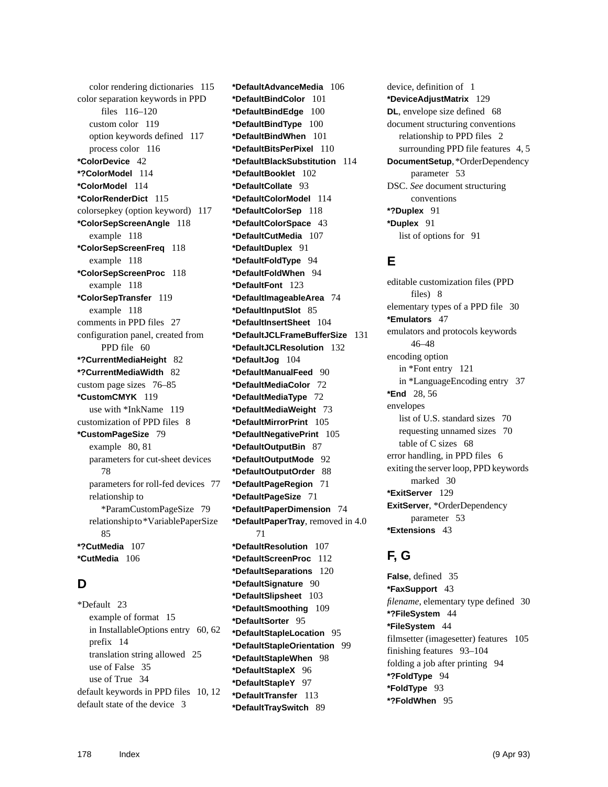color rendering dictionaries 115 color separation keywords in PPD files 116–120 custom color 119 option keywords defined 117 process color 116 **\*ColorDevice** 42 **\*?ColorModel** 114 **\*ColorModel** 114 **\*ColorRenderDict** 115 colorsepkey (option keyword) 117 **\*ColorSepScreenAngle** 118 example 118 **\*ColorSepScreenFreq** 118 example 118 **\*ColorSepScreenProc** 118 example 118 **\*ColorSepTransfer** 119 example 118 comments in PPD files 27 configuration panel, created from PPD file 60 **\*?CurrentMediaHeight** 82 **\*?CurrentMediaWidth** 82 custom page sizes 76–85 **\*CustomCMYK** 119 use with \*InkName 119 customization of PPD files 8 **\*CustomPageSize** 79 example 80, 81 parameters for cut-sheet devices 78 parameters for roll-fed devices 77 relationship to \*ParamCustomPageSize 79 relationship to \*VariablePaperSize 85 **\*?CutMedia** 107 **\*CutMedia** 106

#### **D**

\*Default 23 example of format 15 in InstallableOptions entry 60, 62 prefix 14 translation string allowed 25 use of False 35 use of True 34 default keywords in PPD files 10, 12 default state of the device 3

**\*DefaultAdvanceMedia** 106 **\*DefaultBindColor** 101 **\*DefaultBindEdge** 100 **\*DefaultBindType** 100 **\*DefaultBindWhen** 101 **\*DefaultBitsPerPixel** 110 **\*DefaultBlackSubstitution** 114 **\*DefaultBooklet** 102 **\*DefaultCollate** 93 **\*DefaultColorModel** 114 **\*DefaultColorSep** 118 **\*DefaultColorSpace** 43 **\*DefaultCutMedia** 107 **\*DefaultDuplex** 91 **\*DefaultFoldType** 94 **\*DefaultFoldWhen** 94 **\*DefaultFont** 123 **\*DefaultImageableArea** 74 **\*DefaultInputSlot** 85 **\*DefaultInsertSheet** 104 **\*DefaultJCLFrameBufferSize** 131 **\*DefaultJCLResolution** 132 **\*DefaultJog** 104 **\*DefaultManualFeed** 90 **\*DefaultMediaColor** 72 **\*DefaultMediaType** 72 **\*DefaultMediaWeight** 73 **\*DefaultMirrorPrint** 105 **\*DefaultNegativePrint** 105 **\*DefaultOutputBin** 87 **\*DefaultOutputMode** 92 **\*DefaultOutputOrder** 88 **\*DefaultPageRegion** 71 **\*DefaultPageSize** 71 **\*DefaultPaperDimension** 74 **\*DefaultPaperTray**, removed in 4.0 71 **\*DefaultResolution** 107 **\*DefaultScreenProc** 112 **\*DefaultSeparations** 120 **\*DefaultSignature** 90 **\*DefaultSlipsheet** 103 **\*DefaultSmoothing** 109 **\*DefaultSorter** 95 **\*DefaultStapleLocation** 95 **\*DefaultStapleOrientation** 99 **\*DefaultStapleWhen** 98 **\*DefaultStapleX** 96 **\*DefaultStapleY** 97 **\*DefaultTransfer** 113

**\*DefaultTraySwitch** 89

device, definition of 1 **\*DeviceAdjustMatrix** 129 **DL**, envelope size defined 68 document structuring conventions relationship to PPD files 2 surrounding PPD file features 4, 5 **DocumentSetup**, \*OrderDependency parameter 53 DSC. *See* document structuring conventions **\*?Duplex** 91 **\*Duplex** 91 list of options for 91

#### **E**

editable customization files (PPD files) 8 elementary types of a PPD file 30 **\*Emulators** 47 emulators and protocols keywords 46–48 encoding option in \*Font entry 121 in \*LanguageEncoding entry 37 **\*End** 28, 56 envelopes list of U.S. standard sizes 70 requesting unnamed sizes 70 table of C sizes 68 error handling, in PPD files 6 exiting the server loop, PPD keywords marked 30 **\*ExitServer** 129 **ExitServer**, \*OrderDependency parameter 53 **\*Extensions** 43

# **F, G**

**False**, defined 35 **\*FaxSupport** 43 *filename*, elementary type defined 30 **\*?FileSystem** 44 **\*FileSystem** 44 filmsetter (imagesetter) features 105 finishing features 93–104 folding a job after printing 94 **\*?FoldType** 94 **\*FoldType** 93 **\*?FoldWhen** 95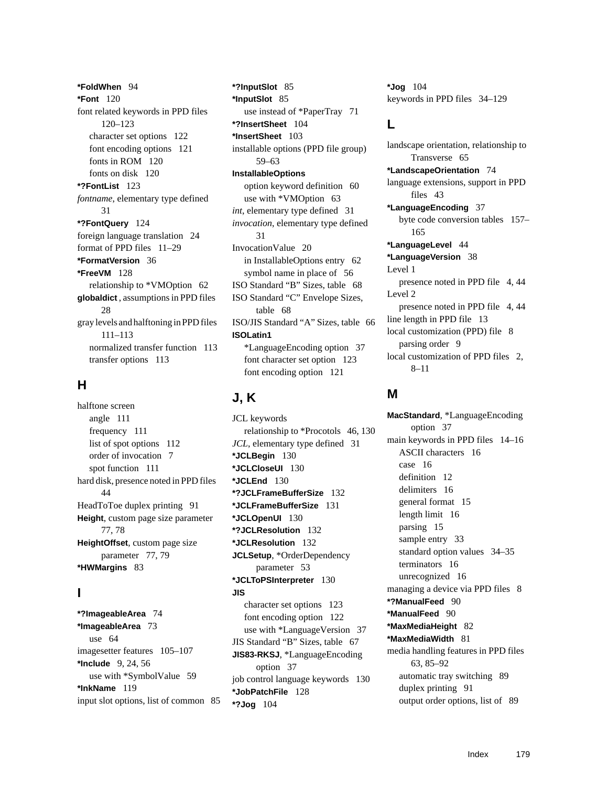**\*FoldWhen** 94 **\*Font** 120 font related keywords in PPD files 120–123 character set options 122 font encoding options 121 fonts in ROM 120 fonts on disk 120 **\*?FontList** 123 *fontname*, elementary type defined 31 **\*?FontQuery** 124 foreign language translation 24 format of PPD files 11–29 **\*FormatVersion** 36 **\*FreeVM** 128 relationship to \*VMOption 62 **globaldict** , assumptions in PPD files 28 gray levels and halftoning in PPD files 111–113 normalized transfer function 113 transfer options 113

#### **H**

halftone screen angle 111 frequency 111 list of spot options 112 order of invocation 7 spot function 111 hard disk, presence noted in PPD files 44 HeadToToe duplex printing 91 **Height**, custom page size parameter 77, 78 **HeightOffset**, custom page size parameter 77, 79 **\*HWMargins** 83

#### **I**

**\*?ImageableArea** 74 **\*ImageableArea** 73 use 64 imagesetter features 105–107 **\*Include** 9, 24, 56 use with \*SymbolValue 59 **\*InkName** 119 input slot options, list of common 85

**\*?InputSlot** 85 **\*InputSlot** 85 use instead of \*PaperTray 71 **\*?InsertSheet** 104 **\*InsertSheet** 103 installable options (PPD file group) 59–63 **InstallableOptions** option keyword definition 60 use with \*VMOption 63 *int*, elementary type defined 31 *invocation*, elementary type defined 31 InvocationValue 20 in InstallableOptions entry 62 symbol name in place of 56 ISO Standard "B" Sizes, table 68 ISO Standard "C" Envelope Sizes, table 68 ISO/JIS Standard "A" Sizes, table 66 **ISOLatin1** \*LanguageEncoding option 37 font character set option 123 font encoding option 121

### **J, K**

JCL keywords relationship to \*Procotols 46, 130 *JCL*, elementary type defined 31 **\*JCLBegin** 130 **\*JCLCloseUI** 130 **\*JCLEnd** 130 **\*?JCLFrameBufferSize** 132 **\*JCLFrameBufferSize** 131 **\*JCLOpenUI** 130 **\*?JCLResolution** 132 **\*JCLResolution** 132 **JCLSetup**, \*OrderDependency parameter 53 **\*JCLToPSInterpreter** 130 **JIS** character set options 123 font encoding option 122 use with \*LanguageVersion 37 JIS Standard "B" Sizes, table 67 **JIS83-RKSJ**, \*LanguageEncoding option 37 job control language keywords 130 **\*JobPatchFile** 128 **\*?Jog** 104

**\*Jog** 104 keywords in PPD files 34–129

### **L**

landscape orientation, relationship to Transverse 65 **\*LandscapeOrientation** 74 language extensions, support in PPD files 43 **\*LanguageEncoding** 37 byte code conversion tables 157– 165 **\*LanguageLevel** 44 **\*LanguageVersion** 38 Level 1 presence noted in PPD file 4, 44 Level 2 presence noted in PPD file 4, 44 line length in PPD file 13 local customization (PPD) file 8 parsing order 9 local customization of PPD files 2, 8–11

#### **M**

**MacStandard**, \*LanguageEncoding option 37 main keywords in PPD files 14–16 ASCII characters 16 case 16 definition 12 delimiters 16 general format 15 length limit 16 parsing 15 sample entry 33 standard option values 34–35 terminators 16 unrecognized 16 managing a device via PPD files 8 **\*?ManualFeed** 90 **\*ManualFeed** 90 **\*MaxMediaHeight** 82 **\*MaxMediaWidth** 81 media handling features in PPD files 63, 85–92 automatic tray switching 89 duplex printing 91 output order options, list of 89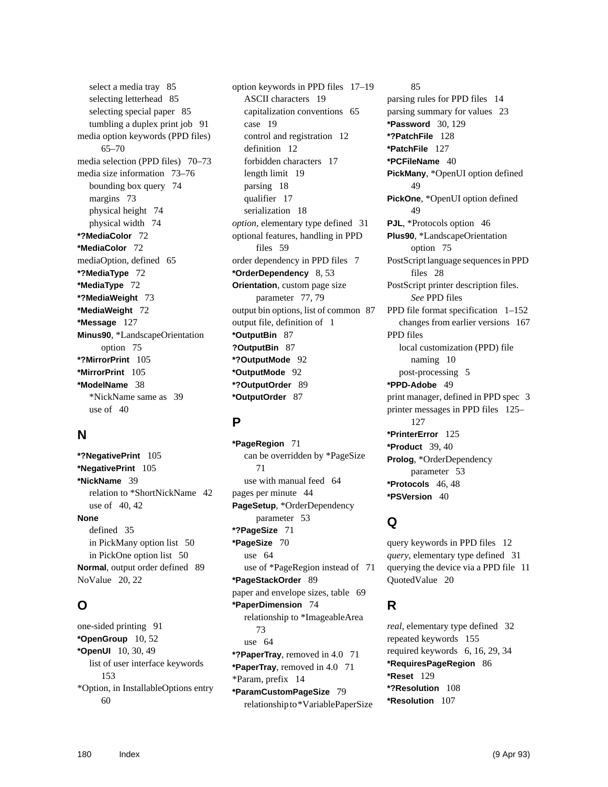select a media tray 85 selecting letterhead 85 selecting special paper 85 tumbling a duplex print job 91 media option keywords (PPD files) 65–70 media selection (PPD files) 70–73 media size information 73–76 bounding box query 74 margins 73 physical height 74 physical width 74 **\*?MediaColor** 72 **\*MediaColor** 72 mediaOption, defined 65 **\*?MediaType** 72 **\*MediaType** 72 **\*?MediaWeight** 73 **\*MediaWeight** 72 **\*Message** 127 **Minus90**, \*LandscapeOrientation option 75 **\*?MirrorPrint** 105 **\*MirrorPrint** 105 **\*ModelName** 38 \*NickName same as 39 use of 40

#### **N**

**\*?NegativePrint** 105 **\*NegativePrint** 105 **\*NickName** 39 relation to \*ShortNickName 42 use of 40, 42 **None** defined 35 in PickMany option list 50 in PickOne option list 50 **Normal**, output order defined 89 NoValue 20, 22

# **O**

one-sided printing 91 **\*OpenGroup** 10, 52 **\*OpenUI** 10, 30, 49 list of user interface keywords 153 \*Option, in InstallableOptions entry 60

option keywords in PPD files 17–19 ASCII characters 19 capitalization conventions 65 case 19 control and registration 12 definition 12 forbidden characters 17 length limit 19 parsing 18 qualifier 17 serialization 18 *option*, elementary type defined 31 optional features, handling in PPD files 59 order dependency in PPD files 7 **\*OrderDependency** 8, 53 **Orientation**, custom page size parameter 77, 79 output bin options, list of common 87 output file, definition of 1 **\*OutputBin** 87 **?OutputBin** 87 **\*?OutputMode** 92 **\*OutputMode** 92 **\*?OutputOrder** 89 **\*OutputOrder** 87

#### **P**

**\*PageRegion** 71 can be overridden by \*PageSize 71 use with manual feed 64 pages per minute 44 **PageSetup**, \*OrderDependency parameter 53 **\*?PageSize** 71 **\*PageSize** 70 use 64 use of \*PageRegion instead of 71 **\*PageStackOrder** 89 paper and envelope sizes, table 69 **\*PaperDimension** 74 relationship to \*ImageableArea 73 use 64 **\*?PaperTray**, removed in 4.0 71 **\*PaperTray**, removed in 4.0 71 \*Param, prefix 14 **\*ParamCustomPageSize** 79 relationship to \*VariablePaperSize

85 parsing rules for PPD files 14 parsing summary for values 23 **\*Password** 30, 129 **\*?PatchFile** 128 **\*PatchFile** 127 **\*PCFileName** 40 **PickMany**, \*OpenUI option defined 49 **PickOne**, \*OpenUI option defined 49 **PJL**, \*Protocols option 46 **Plus90**, \*LandscapeOrientation option 75 PostScript language sequences in PPD files 28 PostScript printer description files. *See* PPD files PPD file format specification 1–152 changes from earlier versions 167 PPD files local customization (PPD) file naming 10 post-processing 5 **\*PPD-Adobe** 49 print manager, defined in PPD spec 3 printer messages in PPD files 125– 127 **\*PrinterError** 125 **\*Product** 39, 40 **Prolog**, \*OrderDependency parameter 53 **\*Protocols** 46, 48 **\*PSVersion** 40

# **Q**

query keywords in PPD files 12 *query*, elementary type defined 31 querying the device via a PPD file 11 QuotedValue 20

# **R**

*real*, elementary type defined 32 repeated keywords 155 required keywords 6, 16, 29, 34 **\*RequiresPageRegion** 86 **\*Reset** 129 **\*?Resolution** 108 **\*Resolution** 107